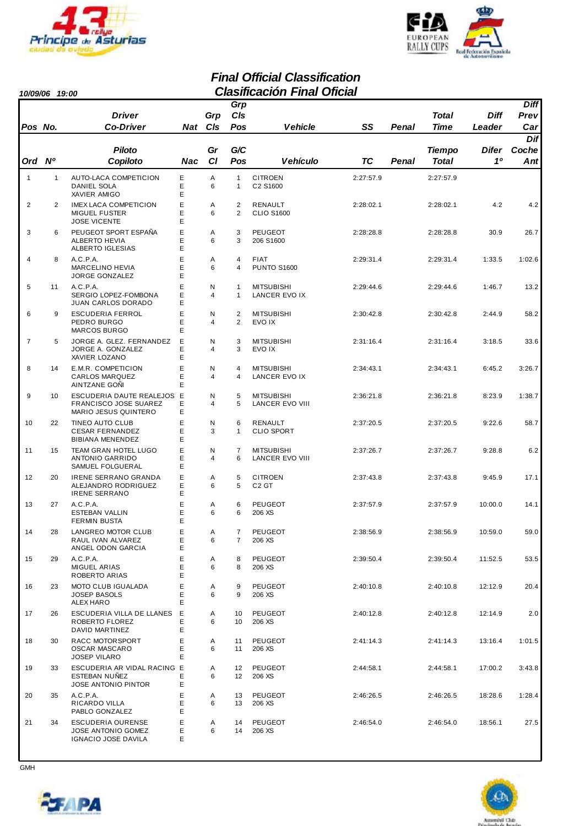



#### *Final Official Classification 10/09/06 19:00 Clasificación Final Oficial*

| <b>IU/UY/UO</b> |                | טט נו                                                                                 |                  |                     | Grp                          | viasilivavivit i iliai Vilviai       |           |       |               |             | <b>Diff</b>    |
|-----------------|----------------|---------------------------------------------------------------------------------------|------------------|---------------------|------------------------------|--------------------------------------|-----------|-------|---------------|-------------|----------------|
|                 |                | <b>Driver</b>                                                                         |                  | Grp                 | CIs                          |                                      |           |       | Total         | <b>Diff</b> | Prev           |
| Pos No.         |                | <b>Co-Driver</b>                                                                      |                  | Nat CIs             | Pos                          | <b>Vehicle</b>                       | SS        | Penal | Time          | Leader      | Car            |
|                 |                | <b>Piloto</b>                                                                         |                  | Gr                  | G/C                          |                                      |           |       | <b>Tiempo</b> | Difer       | Dif<br>Coche   |
| Ord Nº          |                | Copiloto                                                                              | Nac              | C1                  | Pos                          | <b>Vehículo</b>                      | TC        | Penal | <b>Total</b>  | 10          | $\mathbf{Ant}$ |
| $\mathbf{1}$    | $\mathbf{1}$   | AUTO-LACA COMPETICION<br>DANIEL SOLA<br>XAVIER AMIGO                                  | Ε<br>E<br>Ε      | A<br>6              | $\mathbf{1}$<br>$\mathbf{1}$ | <b>CITROEN</b><br>C2 S1600           | 2:27:57.9 |       | 2:27:57.9     |             |                |
| 2               | $\overline{2}$ | <b>IMEX LACA COMPETICION</b><br><b>MIGUEL FUSTER</b><br><b>JOSE VICENTE</b>           | E<br>E<br>E      | Α<br>6              | $\overline{2}$<br>2          | RENAULT<br><b>CLIO S1600</b>         | 2:28:02.1 |       | 2:28:02.1     | 4.2         | 4.2            |
| 3               | 6              | PEUGEOT SPORT ESPAÑA<br><b>ALBERTO HEVIA</b><br>ALBERTO IGLESIAS                      | E<br>E<br>Ε      | A<br>6              | 3<br>3                       | <b>PEUGEOT</b><br>206 S1600          | 2:28:28.8 |       | 2:28:28.8     | 30.9        | 26.7           |
| $\overline{4}$  | 8              | A.C.P.A.<br><b>MARCELINO HEVIA</b>                                                    | E<br>E           | Α<br>6              | 4<br>4                       | <b>FIAT</b><br><b>PUNTO S1600</b>    | 2:29:31.4 |       | 2:29:31.4     | 1:33.5      | 1:02.6         |
| 5               | 11             | JORGE GONZALEZ<br>A.C.P.A.<br>SERGIO LOPEZ-FOMBONA                                    | E<br>E<br>E<br>E | N<br>4              | $\mathbf{1}$<br>$\mathbf{1}$ | <b>MITSUBISHI</b><br>LANCER EVO IX   | 2:29:44.6 |       | 2:29:44.6     | 1:46.7      | 13.2           |
| 6               | 9              | JUAN CARLOS DORADO<br><b>ESCUDERIA FERROL</b><br>PEDRO BURGO                          | E<br>E<br>Ε      | N<br>4              | $\overline{2}$<br>2          | <b>MITSUBISHI</b><br>EVO IX          | 2:30:42.8 |       | 2:30:42.8     | 2:44.9      | 58.2           |
| $\overline{7}$  | 5              | <b>MARCOS BURGO</b><br>JORGE A. GLEZ. FERNANDEZ<br>JORGE A. GONZALEZ<br>XAVIER LOZANO | Е<br>Ε<br>Ε      | N<br>4              | 3<br>3                       | <b>MITSUBISHI</b><br>EVO IX          | 2:31:16.4 |       | 2:31:16.4     | 3:18.5      | 33.6           |
| 8               | 14             | E.M.R. COMPETICION<br><b>CARLOS MARQUEZ</b><br>AINTZANE GONI                          | E<br>E<br>E      | Ν<br>$\overline{4}$ | 4<br>$\overline{4}$          | <b>MITSUBISHI</b><br>LANCER EVO IX   | 2:34:43.1 |       | 2:34:43.1     | 6:45.2      | 3:26.7         |
| 9               | 10             | ESCUDERIA DAUTE REALEJOS E<br>FRANCISCO JOSE SUAREZ<br>MARIO JESUS QUINTERO           | E<br>E           | N<br>4              | 5<br>5                       | <b>MITSUBISHI</b><br>LANCER EVO VIII | 2:36:21.8 |       | 2:36:21.8     | 8:23.9      | 1:38.7         |
| 10              | 22             | TINEO AUTO CLUB<br><b>CESAR FERNANDEZ</b><br>BIBIANA MENENDEZ                         | E<br>Ε<br>E      | N<br>3              | 6<br>$\mathbf{1}$            | RENAULT<br><b>CLIO SPORT</b>         | 2:37:20.5 |       | 2:37:20.5     | 9:22.6      | 58.7           |
| 11              | 15             | TEAM GRAN HOTEL LUGO<br>ANTONIO GARRIDO<br>SAMUEL FOLGUERAL                           | E<br>E<br>E      | N<br>4              | $\overline{7}$<br>6          | <b>MITSUBISHI</b><br>LANCER EVO VIII | 2:37:26.7 |       | 2:37:26.7     | 9:28.8      | 6.2            |
| 12              | 20             | <b>IRENE SERRANO GRANDA</b><br>ALEJANDRO RODRIGUEZ<br><b>IRENE SERRANO</b>            | E<br>E<br>E      | Α<br>6              | 5<br>5                       | <b>CITROEN</b><br>C <sub>2</sub> GT  | 2:37:43.8 |       | 2:37:43.8     | 9:45.9      | 17.1           |
| 13              | 27             | A.C.P.A.<br>ESTEBAN VALLIN<br><b>FERMIN BUSTA</b>                                     | E<br>E<br>E      | A<br>6              | 6<br>6                       | <b>PEUGEOT</b><br>206 XS             | 2:37:57.9 |       | 2:37:57.9     | 10:00.0     | 14.1           |
| 14              | 28             | LANGREO MOTOR CLUB<br>RAUL IVAN ALVAREZ<br>ANGEL ODON GARCIA                          | E<br>Ε<br>Ε      | Α<br>6              | 7<br>7                       | <b>PEUGEOT</b><br>206 XS             | 2:38:56.9 |       | 2:38:56.9     | 10:59.0     | 59.0           |
| 15              | 29             | A.C.P.A.<br>MIGUEL ARIAS<br>ROBERTO ARIAS                                             | Ε<br>Е<br>Ε      | Α<br>6              | 8<br>8                       | PEUGEOT<br>206 XS                    | 2:39:50.4 |       | 2:39:50.4     | 11:52.5     | 53.5           |
| 16              | 23             | MOTO CLUB IGUALADA<br><b>JOSEP BASOLS</b><br>ALEX HARO                                | E<br>Ε<br>Е      | Α<br>6              | 9<br>9                       | PEUGEOT<br>206 XS                    | 2:40:10.8 |       | 2:40:10.8     | 12:12.9     | 20.4           |
| 17              | 26             | ESCUDERIA VILLA DE LLANES<br>ROBERTO FLOREZ<br>DAVID MARTINEZ                         | Е<br>E<br>Ε      | Α<br>6              | 10<br>10                     | <b>PEUGEOT</b><br>206 XS             | 2:40:12.8 |       | 2:40:12.8     | 12:14.9     | 2.0            |
| 18              | 30             | RACC MOTORSPORT<br><b>OSCAR MASCARO</b><br><b>JOSEP VILARO</b>                        | E<br>Ε<br>Е      | Α<br>6              | 11<br>11                     | PEUGEOT<br>206 XS                    | 2:41:14.3 |       | 2:41:14.3     | 13:16.4     | 1:01.5         |
| 19              | 33             | ESCUDERIA AR VIDAL RACING E<br><b>ESTEBAN NUÑEZ</b><br>JOSE ANTONIO PINTOR            | E<br>Е           | Α<br>6              | 12<br>12 <sup>2</sup>        | PEUGEOT<br>206 XS                    | 2:44:58.1 |       | 2:44:58.1     | 17:00.2     | 3:43.8         |
| 20              | 35             | A.C.P.A.<br>RICARDO VILLA<br>PABLO GONZALEZ                                           | Ε<br>E<br>Е      | Α<br>6              | 13<br>13                     | PEUGEOT<br>206 XS                    | 2:46:26.5 |       | 2:46:26.5     | 18:28.6     | 1:28.4         |
| 21              | 34             | ESCUDERIA OURENSE<br>JOSE ANTONIO GOMEZ<br>IGNACIO JOSE DAVILA                        | E<br>Ε<br>Е      | Α<br>6              | 14<br>14                     | PEUGEOT<br>206 XS                    | 2:46:54.0 |       | 2:46:54.0     | 18:56.1     | 27.5           |

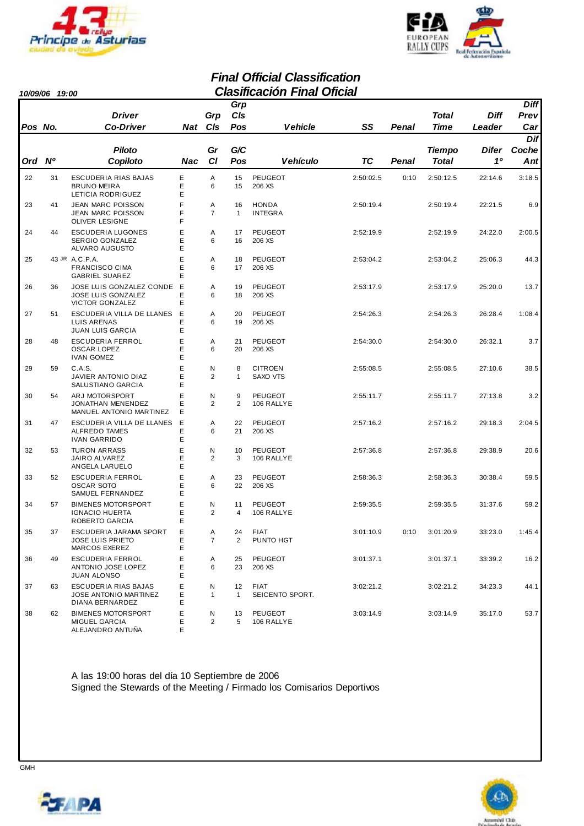



#### *Final Official Classification 10/09/06 19:00 Clasificación Final Oficial*

| 10/03/00 | 19.UU |                                                                          |             |                     |                                   | лаэтсастон гипаг                  |           |       |                               |             |                                |
|----------|-------|--------------------------------------------------------------------------|-------------|---------------------|-----------------------------------|-----------------------------------|-----------|-------|-------------------------------|-------------|--------------------------------|
|          |       | <b>Driver</b>                                                            |             | Grp                 | Grp<br>CIs                        |                                   |           |       | Total                         | <b>Diff</b> | <b>Diff</b><br>Prev            |
| Pos No.  |       | <b>Co-Driver</b>                                                         | Nat         | CIs                 | Pos                               | <b>Vehicle</b>                    | SS        | Penal | <b>Time</b>                   | Leader      | Car                            |
| Ord Nº   |       | Piloto<br>Copiloto                                                       | Nac         | Gr<br><b>CI</b>     | G/C<br>Pos                        | Vehículo                          | <b>TC</b> | Penal | <b>Tiempo</b><br><b>Total</b> | Difer<br>10 | Dif<br>Coche<br>$\mathbf{Ant}$ |
| 22       | 31    | ESCUDERIA RIAS BAJAS<br><b>BRUNO MEIRA</b><br>LETICIA RODRIGUEZ          | E<br>E<br>E | Α<br>6              | 15<br>15                          | PEUGEOT<br>206 XS                 | 2:50:02.5 | 0:10  | 2:50:12.5                     | 22:14.6     | 3:18.5                         |
| 23       | 41    | <b>JEAN MARC POISSON</b><br>JEAN MARC POISSON<br><b>OLIVER LESIGNE</b>   | F<br>F<br>F | Α<br>$\overline{7}$ | 16<br>$\mathbf{1}$                | <b>HONDA</b><br><b>INTEGRA</b>    | 2:50:19.4 |       | 2:50:19.4                     | 22:21.5     | 6.9                            |
| 24       | 44    | <b>ESCUDERIA LUGONES</b><br>SERGIO GONZALEZ<br>ALVARO AUGUSTO            | Е<br>E<br>E | Α<br>6              | 17<br>16                          | <b>PEUGEOT</b><br>206 XS          | 2:52:19.9 |       | 2:52:19.9                     | 24:22.0     | 2:00.5                         |
| 25       |       | 43 JR A.C.P.A.<br><b>FRANCISCO CIMA</b><br><b>GABRIEL SUAREZ</b>         | E<br>E<br>E | A<br>6              | 18<br>17                          | <b>PEUGEOT</b><br>206 XS          | 2:53:04.2 |       | 2:53:04.2                     | 25:06.3     | 44.3                           |
| 26       | 36    | JOSE LUIS GONZALEZ CONDE<br><b>JOSE LUIS GONZALEZ</b><br>VICTOR GONZALEZ | Е<br>Е<br>E | Α<br>6              | 19<br>18                          | <b>PEUGEOT</b><br>206 XS          | 2:53:17.9 |       | 2:53:17.9                     | 25:20.0     | 13.7                           |
| 27       | 51    | ESCUDERIA VILLA DE LLANES<br>LUIS ARENAS<br><b>JUAN LUIS GARCIA</b>      | E<br>Е<br>E | A<br>6              | 20<br>19                          | <b>PEUGEOT</b><br>206 XS          | 2:54:26.3 |       | 2:54:26.3                     | 26:28.4     | 1:08.4                         |
| 28       | 48    | <b>ESCUDERIA FERROL</b><br><b>OSCAR LOPEZ</b><br><b>IVAN GOMEZ</b>       | E<br>E<br>Е | Α<br>6              | 21<br>20                          | <b>PEUGEOT</b><br>206 XS          | 2:54:30.0 |       | 2:54:30.0                     | 26:32.1     | 3.7                            |
| 29       | 59    | C.A.S.<br>JAVIER ANTONIO DIAZ<br>SALUSTIANO GARCIA                       | E<br>E<br>E | N<br>2              | 8<br>$\mathbf{1}$                 | <b>CITROEN</b><br><b>SAXO VTS</b> | 2:55:08.5 |       | 2:55:08.5                     | 27:10.6     | 38.5                           |
| 30       | 54    | ARJ MOTORSPORT<br>JONATHAN MENENDEZ<br>MANUEL ANTONIO MARTINEZ           | E<br>E<br>Ε | N<br>2              | 9<br>$\overline{2}$               | <b>PEUGEOT</b><br>106 RALLYE      | 2:55:11.7 |       | 2:55:11.7                     | 27:13.8     | 3.2                            |
| 31       | 47    | ESCUDERIA VILLA DE LLANES<br>ALFREDO TAMES<br><b>IVAN GARRIDO</b>        | E<br>Е<br>E | A<br>6              | 22<br>21                          | <b>PEUGEOT</b><br>206 XS          | 2:57:16.2 |       | 2:57:16.2                     | 29:18.3     | 2:04.5                         |
| 32       | 53    | <b>TURON ARRASS</b><br><b>JAIRO ALVAREZ</b><br>ANGELA LARUELO            | E<br>E<br>Е | N<br>2              | 10<br>3                           | <b>PEUGEOT</b><br>106 RALLYE      | 2:57:36.8 |       | 2:57:36.8                     | 29:38.9     | 20.6                           |
| 33       | 52    | <b>ESCUDERIA FERROL</b><br><b>OSCAR SOTO</b><br>SAMUEL FERNANDEZ         | E<br>E<br>E | A<br>6              | 23<br>22                          | <b>PEUGEOT</b><br>206 XS          | 2:58:36.3 |       | 2:58:36.3                     | 30:38.4     | 59.5                           |
| 34       | 57    | <b>BIMENES MOTORSPORT</b><br><b>IGNACIO HUERTA</b><br>ROBERTO GARCIA     | E<br>E<br>E | Ν<br>2              | 11<br>4                           | PEUGEOT<br>106 RALLYE             | 2:59:35.5 |       | 2:59:35.5                     | 31:37.6     | 59.2                           |
| 35       | 37    | ESCUDERIA JARAMA SPORT<br><b>JOSE LUIS PRIETO</b><br>MARCOS EXEREZ       | E<br>Ε<br>E | Α<br>$\overline{7}$ | 24<br>2                           | <b>FIAT</b><br>PUNTO HGT          | 3:01:10.9 | 0:10  | 3:01:20.9                     | 33:23.0     | 1:45.4                         |
| 36       | 49    | <b>ESCUDERIA FERROL</b><br>ANTONIO JOSE LOPEZ<br><b>JUAN ALONSO</b>      | E<br>E<br>Е | Α<br>6              | 25<br>23                          | PEUGEOT<br>206 XS                 | 3:01:37.1 |       | 3:01:37.1                     | 33:39.2     | 16.2                           |
| 37       | 63    | <b>ESCUDERIA RIAS BAJAS</b><br>JOSE ANTONIO MARTINEZ<br>DIANA BERNARDEZ  | Ε<br>Е<br>Е | N<br>$\mathbf{1}$   | $12 \overline{ }$<br>$\mathbf{1}$ | <b>FIAT</b><br>SEICENTO SPORT.    | 3:02:21.2 |       | 3:02:21.2                     | 34:23.3     | 44.1                           |
| 38       | 62    | <b>BIMENES MOTORSPORT</b><br><b>MIGUEL GARCIA</b><br>ALEJANDRO ANTUÑA    | Ε<br>E<br>Е | N<br>$\overline{2}$ | 13<br>5                           | PEUGEOT<br>106 RALLYE             | 3:03:14.9 |       | 3:03:14.9                     | 35:17.0     | 53.7                           |

A las 19:00 horas del día 10 Septiembre de 2006 Signed the Stewards of the Meeting / Firmado los Comisarios Deportivos



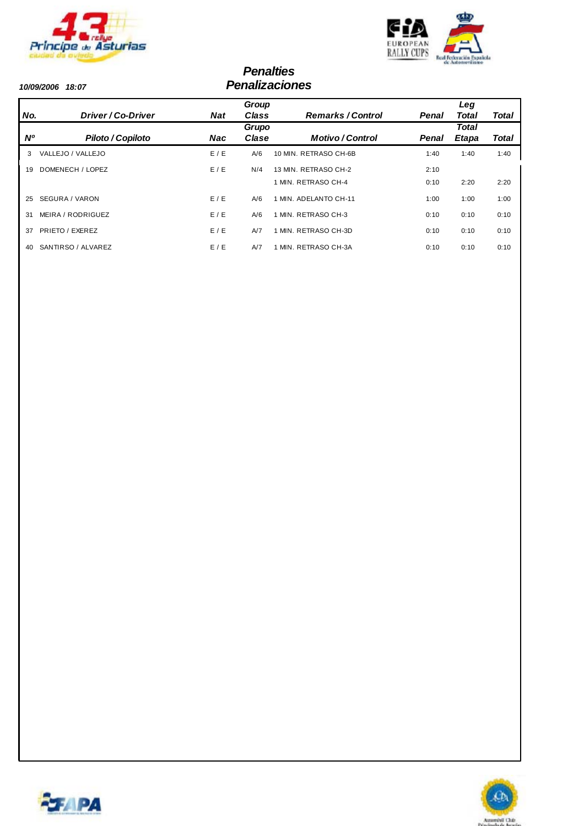



#### *Penalties 10/09/2006 18:07 Penalizaciones*

|           |                    |            | Group |                        |       | Leg          |              |
|-----------|--------------------|------------|-------|------------------------|-------|--------------|--------------|
| No.       | Driver/Co-Driver   | <b>Nat</b> | Class | <b>Remarks/Control</b> | Penal | Total        | <b>Total</b> |
|           |                    |            | Grupo |                        |       | <b>Total</b> |              |
| <b>N°</b> | Piloto / Copiloto  | <b>Nac</b> | Clase | <b>Motivo/Control</b>  | Penal | Etapa        | Total        |
| 3         | VALLEJO / VALLEJO  | E/E        | A/6   | 10 MIN. RETRASO CH-6B  | 1:40  | 1:40         | 1:40         |
| 19        | DOMENECH / LOPEZ   | E/E        | N/4   | 13 MIN. RETRASO CH-2   | 2:10  |              |              |
|           |                    |            |       | 1 MIN. RETRASO CH-4    | 0:10  | 2:20         | 2:20         |
| 25        | SEGURA / VARON     | E/E        | A/6   | 1 MIN. ADELANTO CH-11  | 1:00  | 1:00         | 1:00         |
| 31        | MEIRA / RODRIGUEZ  | E/E        | A/6   | 1 MIN. RETRASO CH-3    | 0:10  | 0:10         | 0:10         |
| 37        | PRIETO / EXEREZ    | E/E        | A/7   | 1 MIN. RETRASO CH-3D   | 0:10  | 0:10         | 0:10         |
| 40        | SANTIRSO / ALVAREZ | E/E        | A/7   | 1 MIN. RETRASO CH-3A   | 0:10  | 0:10         | 0:10         |



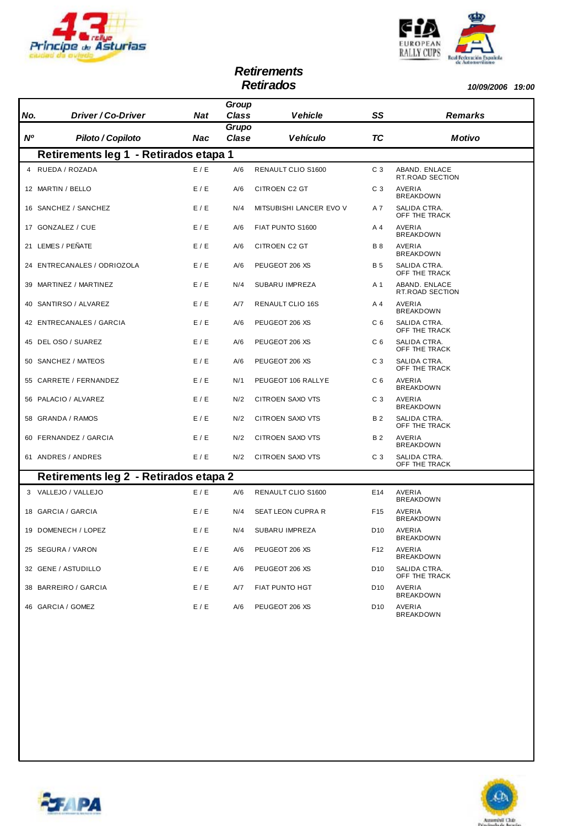



# *Retirements*

*Retirados 10/09/2006 19:00*

| No.            | Driver / Co-Driver                    | <b>Nat</b> | Group<br><b>Class</b> | <b>Vehicle</b>          | SS              | <b>Remarks</b>                   |
|----------------|---------------------------------------|------------|-----------------------|-------------------------|-----------------|----------------------------------|
| N <sup>o</sup> | Piloto / Copiloto                     | Nac        | Grupo<br>Clase        | <b>Vehículo</b>         | <b>TC</b>       | Motivo                           |
|                | Retirements leg 1 - Retirados etapa 1 |            |                       |                         |                 |                                  |
|                | 4 RUEDA / ROZADA                      | E / E      | A/6                   | RENAULT CLIO S1600      | C <sub>3</sub>  | ABAND. ENLACE<br>RT.ROAD SECTION |
|                | 12 MARTIN / BELLO                     | E/E        | A/6                   | CITROEN C2 GT           | C <sub>3</sub>  | AVERIA<br><b>BREAKDOWN</b>       |
|                | 16 SANCHEZ / SANCHEZ                  | E/E        | N/4                   | MITSUBISHI LANCER EVO V | A 7             | SALIDA CTRA.<br>OFF THE TRACK    |
|                | 17 GONZALEZ / CUE                     | E/E        | A/6                   | FIAT PUNTO S1600        | A 4             | AVERIA<br><b>BREAKDOWN</b>       |
|                | 21 LEMES / PEÑATE                     | E/E        | A/6                   | CITROEN C2 GT           | <b>B</b> 8      | AVERIA<br><b>BREAKDOWN</b>       |
|                | 24 ENTRECANALES / ODRIOZOLA           | E / E      | A/6                   | PEUGEOT 206 XS          | <b>B</b> 5      | SALIDA CTRA.<br>OFF THE TRACK    |
|                | 39 MARTINEZ / MARTINEZ                | E / E      | N/4                   | SUBARU IMPREZA          | A 1             | ABAND. ENLACE<br>RT.ROAD SECTION |
|                | 40 SANTIRSO / ALVAREZ                 | E/E        | A/7                   | RENAULT CLIO 16S        | A 4             | AVERIA<br><b>BREAKDOWN</b>       |
|                | 42 ENTRECANALES / GARCIA              | E / E      | A/6                   | PEUGEOT 206 XS          | C <sub>6</sub>  | SALIDA CTRA.<br>OFF THE TRACK    |
|                | 45 DEL OSO / SUAREZ                   | E/E        | A/6                   | PEUGEOT 206 XS          | C <sub>6</sub>  | SALIDA CTRA.<br>OFF THE TRACK    |
|                | 50 SANCHEZ / MATEOS                   | E / E      | A/6                   | PEUGEOT 206 XS          | C <sub>3</sub>  | SALIDA CTRA.<br>OFF THE TRACK    |
|                | 55 CARRETE / FERNANDEZ                | E/E        | N/1                   | PEUGEOT 106 RALLYE      | C <sub>6</sub>  | AVERIA<br><b>BREAKDOWN</b>       |
|                | 56 PALACIO / ALVAREZ                  | E / E      | N/2                   | CITROEN SAXO VTS        | C <sub>3</sub>  | AVERIA<br><b>BREAKDOWN</b>       |
|                | 58 GRANDA / RAMOS                     | E/E        | N/2                   | CITROEN SAXO VTS        | B 2             | SALIDA CTRA.<br>OFF THE TRACK    |
|                | 60 FERNANDEZ / GARCIA                 | E / E      | N/2                   | CITROEN SAXO VTS        | <b>B2</b>       | AVERIA<br><b>BREAKDOWN</b>       |
|                | 61 ANDRES / ANDRES                    | E / E      | N/2                   | CITROEN SAXO VTS        | C <sub>3</sub>  | SALIDA CTRA.<br>OFF THE TRACK    |
|                | Retirements leg 2 - Retirados etapa 2 |            |                       |                         |                 |                                  |
|                | 3 VALLEJO / VALLEJO                   | E/E        | A/6                   | RENAULT CLIO S1600      | E14             | AVERIA<br><b>BREAKDOWN</b>       |
|                | 18 GARCIA / GARCIA                    | E/E        | N/4                   | SEAT LEON CUPRA R       | F <sub>15</sub> | AVERIA<br><b>BREAKDOWN</b>       |
|                | 19 DOMENECH / LOPEZ                   | E / E      | N/4                   | SUBARU IMPREZA          | D10             | AVERIA<br><b>BREAKDOWN</b>       |
|                | 25 SEGURA / VARON                     | E / E      | A/6                   | PEUGEOT 206 XS          | F12             | AVERIA<br><b>BREAKDOWN</b>       |
|                | 32 GENE / ASTUDILLO                   | E / E      | A/6                   | PEUGEOT 206 XS          | D <sub>10</sub> | SALIDA CTRA.<br>OFF THE TRACK    |
|                | 38 BARREIRO / GARCIA                  | E / E      | A/7                   | <b>FIAT PUNTO HGT</b>   | D <sub>10</sub> | AVERIA<br><b>BREAKDOWN</b>       |
|                | 46 GARCIA / GOMEZ                     | E/E        | A/6                   | PEUGEOT 206 XS          | D <sub>10</sub> | AVERIA<br><b>BREAKDOWN</b>       |



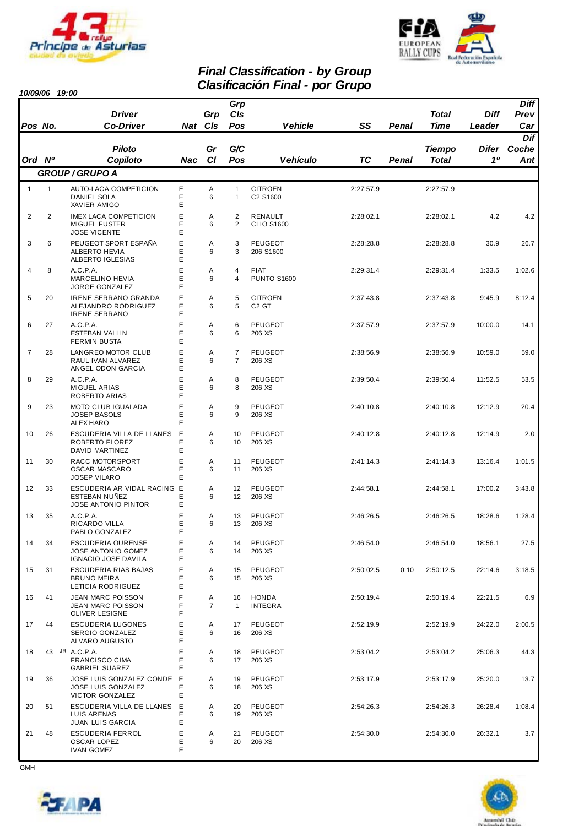



### *Final Classification - by Group Clasificación Final - por Grupo 10/09/06 19:00*

|  | 0/09/06 | 19:00 |
|--|---------|-------|
|--|---------|-------|

| 1 <i>0/09/0</i> 0 |              | 19.UU                                                                        |             |                     |                                  |                                     |           |       |               |             |                     |
|-------------------|--------------|------------------------------------------------------------------------------|-------------|---------------------|----------------------------------|-------------------------------------|-----------|-------|---------------|-------------|---------------------|
|                   |              | <b>Driver</b>                                                                |             | Grp                 | Grp<br>CIs                       |                                     |           |       | <b>Total</b>  | <b>Diff</b> | <b>Diff</b><br>Prev |
| Pos No.           |              | <b>Co-Driver</b>                                                             |             | Nat Cls             | Pos                              | <b>Vehicle</b>                      | SS        | Penal | Time          | Leader      | Car                 |
|                   |              |                                                                              |             |                     |                                  |                                     |           |       |               |             | Dif                 |
|                   |              | <b>Piloto</b>                                                                |             | Gr                  | G/C                              |                                     |           |       | <b>Tiempo</b> | Difer       | Coche               |
| Ord Nº            |              | Copiloto                                                                     | Nac         | <b>CI</b>           | Pos                              | <b>Vehículo</b>                     | <b>TC</b> | Penal | <b>Total</b>  | 10          | Ant <sub>1</sub>    |
|                   |              | <b>GROUP / GRUPO A</b>                                                       |             |                     |                                  |                                     |           |       |               |             |                     |
| $\mathbf{1}$      | $\mathbf{1}$ | AUTO-LACA COMPETICION<br><b>DANIEL SOLA</b><br>XAVIER AMIGO                  | Ε<br>E<br>E | Α<br>6              | $\mathbf{1}$<br>$\mathbf{1}$     | <b>CITROEN</b><br>C2 S1600          | 2:27:57.9 |       | 2:27:57.9     |             |                     |
| 2                 | 2            | <b>IMEX LACA COMPETICION</b><br><b>MIGUEL FUSTER</b><br><b>JOSE VICENTE</b>  | Ė<br>E<br>E | Α<br>6              | $\overline{2}$<br>$\overline{2}$ | RENAULT<br><b>CLIO S1600</b>        | 2:28:02.1 |       | 2:28:02.1     | 4.2         | 4.2                 |
| 3                 | 6            | PEUGEOT SPORT ESPAÑA<br><b>ALBERTO HEVIA</b><br>ALBERTO IGLESIAS             | E<br>E<br>E | A<br>6              | 3<br>3                           | <b>PEUGEOT</b><br>206 S1600         | 2:28:28.8 |       | 2:28:28.8     | 30.9        | 26.7                |
| 4                 | 8            | A.C.P.A.<br><b>MARCELINO HEVIA</b><br>JORGE GONZALEZ                         | E<br>E<br>E | Α<br>6              | 4<br>4                           | <b>FIAT</b><br><b>PUNTO S1600</b>   | 2:29:31.4 |       | 2:29:31.4     | 1:33.5      | 1:02.6              |
| 5                 | 20           | <b>IRENE SERRANO GRANDA</b><br>ALEJANDRO RODRIGUEZ<br><b>IRENE SERRANO</b>   | E<br>E<br>E | Α<br>6              | 5<br>5                           | <b>CITROEN</b><br>C <sub>2</sub> GT | 2:37:43.8 |       | 2:37:43.8     | 9:45.9      | 8:12.4              |
| 6                 | 27           | A.C.P.A.<br><b>ESTEBAN VALLIN</b><br><b>FERMIN BUSTA</b>                     | E<br>E<br>E | Α<br>6              | 6<br>6                           | <b>PEUGEOT</b><br>206 XS            | 2:37:57.9 |       | 2:37:57.9     | 10:00.0     | 14.1                |
| $\overline{7}$    | 28           | <b>LANGREO MOTOR CLUB</b><br>RAUL IVAN ALVAREZ<br>ANGEL ODON GARCIA          | E<br>E<br>E | A<br>6              | $\overline{7}$<br>$\overline{7}$ | <b>PEUGEOT</b><br>206 XS            | 2:38:56.9 |       | 2:38:56.9     | 10:59.0     | 59.0                |
| 8                 | 29           | A.C.P.A.<br><b>MIGUEL ARIAS</b><br>ROBERTO ARIAS                             | E<br>E<br>E | Α<br>6              | 8<br>8                           | <b>PEUGEOT</b><br>206 XS            | 2:39:50.4 |       | 2:39:50.4     | 11:52.5     | 53.5                |
| 9                 | 23           | <b>MOTO CLUB IGUALADA</b><br><b>JOSEP BASOLS</b><br>ALEX HARO                | E<br>E<br>E | A<br>6              | 9<br>9                           | <b>PEUGEOT</b><br>206 XS            | 2:40:10.8 |       | 2:40:10.8     | 12:12.9     | 20.4                |
| 10                | 26           | ESCUDERIA VILLA DE LLANES<br>ROBERTO FLOREZ<br>DAVID MARTINEZ                | E<br>E<br>E | A<br>6              | 10<br>10                         | <b>PEUGEOT</b><br>206 XS            | 2:40:12.8 |       | 2:40:12.8     | 12:14.9     | 2.0                 |
| 11                | 30           | <b>RACC MOTORSPORT</b><br><b>OSCAR MASCARO</b><br><b>JOSEP VILARO</b>        | E<br>E<br>E | A<br>6              | 11<br>11                         | <b>PEUGEOT</b><br>206 XS            | 2:41:14.3 |       | 2:41:14.3     | 13:16.4     | 1:01.5              |
| 12                | 33           | ESCUDERIA AR VIDAL RACING E<br>ESTEBAN NUÑEZ<br>JOSE ANTONIO PINTOR          | E<br>E      | Α<br>6              | 12<br>12                         | PEUGEOT<br>206 XS                   | 2:44:58.1 |       | 2:44:58.1     | 17:00.2     | 3:43.8              |
| 13                | 35           | A.C.P.A.<br>RICARDO VILLA<br>PABLO GONZALEZ                                  | E<br>E<br>E | A<br>6              | 13<br>13                         | <b>PEUGEOT</b><br>206 XS            | 2:46:26.5 |       | 2:46:26.5     | 18:28.6     | 1:28.4              |
| 14                | 34           | ESCUDERIA OURENSE<br><b>JOSE ANTONIO GOMEZ</b><br><b>IGNACIO JOSE DAVILA</b> | Ε<br>Ε<br>Ε | Α<br>6              | 14<br>14                         | PEUGEOT<br>206 XS                   | 2:46:54.0 |       | 2:46:54.0     | 18:56.1     | 27.5                |
| 15                | 31           | ESCUDERIA RIAS BAJAS<br><b>BRUNO MEIRA</b><br>LETICIA RODRIGUEZ              | E<br>E<br>Ε | Α<br>6              | 15<br>15                         | PEUGEOT<br>206 XS                   | 2:50:02.5 | 0:10  | 2:50:12.5     | 22:14.6     | 3:18.5              |
| 16                | 41           | JEAN MARC POISSON<br>JEAN MARC POISSON<br>OLIVER LESIGNE                     | F<br>F<br>F | Α<br>$\overline{7}$ | 16<br>$\mathbf{1}$               | HONDA<br><b>INTEGRA</b>             | 2:50:19.4 |       | 2:50:19.4     | 22:21.5     | 6.9                 |
| 17                | 44           | ESCUDERIA LUGONES<br><b>SERGIO GONZALEZ</b><br>ALVARO AUGUSTO                | E<br>E<br>E | Α<br>6              | 17<br>16                         | PEUGEOT<br>206 XS                   | 2:52:19.9 |       | 2:52:19.9     | 24:22.0     | 2:00.5              |
| 18                |              | 43 JR A.C.P.A.<br><b>FRANCISCO CIMA</b><br><b>GABRIEL SUAREZ</b>             | E<br>E<br>E | Α<br>6              | 18<br>17                         | PEUGEOT<br>206 XS                   | 2:53:04.2 |       | 2:53:04.2     | 25:06.3     | 44.3                |
| 19                | 36           | JOSE LUIS GONZALEZ CONDE E<br><b>JOSE LUIS GONZALEZ</b><br>VICTOR GONZALEZ   | E<br>E      | Α<br>6              | 19<br>18                         | PEUGEOT<br>206 XS                   | 2:53:17.9 |       | 2:53:17.9     | 25:20.0     | 13.7                |
| 20                | 51           | ESCUDERIA VILLA DE LLANES E<br>LUIS ARENAS<br><b>JUAN LUIS GARCIA</b>        | E<br>Е      | Α<br>6              | 20<br>19                         | PEUGEOT<br>206 XS                   | 2:54:26.3 |       | 2:54:26.3     | 26:28.4     | 1:08.4              |
| 21                | 48           | <b>ESCUDERIA FERROL</b><br>OSCAR LOPEZ<br><b>IVAN GOMEZ</b>                  | E<br>Ε<br>E | Α<br>6              | 21<br>20                         | PEUGEOT<br>206 XS                   | 2:54:30.0 |       | 2:54:30.0     | 26:32.1     | 3.7                 |

**CMH** 



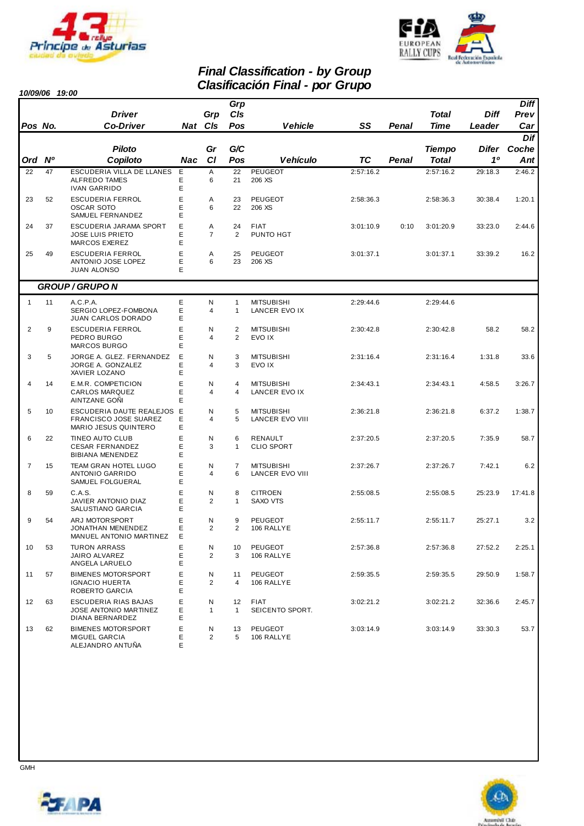



*Prev Diff* 

### *Final Classification - by Group Clasificación Final - por Grupo 10/09/06 19:00*

*Grp*

| Pos No.        |           | <b>Driver</b><br><b>Co-Driver</b>                                           |             | Grp<br>Nat Cls      | CIs<br>Pos                   | <b>Vehicle</b>                       | SS        | Penal | <b>Total</b><br><b>Time</b> | <b>Diff</b><br>Leader | Prev<br>Car  |
|----------------|-----------|-----------------------------------------------------------------------------|-------------|---------------------|------------------------------|--------------------------------------|-----------|-------|-----------------------------|-----------------------|--------------|
|                |           | Piloto                                                                      |             | Gr                  | G/C                          |                                      |           |       | <b>Tiempo</b>               | Difer                 | Dif<br>Coche |
| Ord            | <b>N°</b> | Copiloto                                                                    | Nac         | <b>CI</b>           | Pos                          | <b>Vehículo</b>                      | <b>TC</b> | Penal | Total                       | 10                    | Ant          |
| 22             | 47        | ESCUDERIA VILLA DE LLANES<br>ALFREDO TAMES<br><b>IVAN GARRIDO</b>           | E<br>E<br>E | Α<br>6              | 22<br>21                     | PEUGEOT<br>206 XS                    | 2:57:16.2 |       | 2:57:16.2                   | 29:18.3               | 2:46.2       |
| 23             | 52        | <b>ESCUDERIA FERROL</b><br><b>OSCAR SOTO</b><br>SAMUEL FERNANDEZ            | E<br>E<br>E | Α<br>6              | 23<br>22                     | PEUGEOT<br>206 XS                    | 2:58:36.3 |       | 2:58:36.3                   | 30:38.4               | 1:20.1       |
| 24             | 37        | ESCUDERIA JARAMA SPORT<br><b>JOSE LUIS PRIETO</b><br>MARCOS EXEREZ          | E<br>E<br>E | Α<br>$\overline{7}$ | 24<br>2                      | FIAT<br>PUNTO HGT                    | 3:01:10.9 | 0:10  | 3:01:20.9                   | 33:23.0               | 2:44.6       |
| 25             | 49        | <b>ESCUDERIA FERROL</b><br>ANTONIO JOSE LOPEZ<br><b>JUAN ALONSO</b>         | E<br>E<br>E | Α<br>6              | 25<br>23                     | PEUGEOT<br>206 XS                    | 3:01:37.1 |       | 3:01:37.1                   | 33:39.2               | 16.2         |
|                |           | <b>GROUP / GRUPO N</b>                                                      |             |                     |                              |                                      |           |       |                             |                       |              |
| $\mathbf{1}$   | 11        | A.C.P.A.<br>SERGIO LOPEZ-FOMBONA<br><b>JUAN CARLOS DORADO</b>               | E<br>E<br>E | Ν<br>4              | $\mathbf{1}$<br>$\mathbf{1}$ | <b>MITSUBISHI</b><br>LANCER EVO IX   | 2:29:44.6 |       | 2:29:44.6                   |                       |              |
| 2              | 9         | <b>ESCUDERIA FERROL</b><br>PEDRO BURGO<br>MARCOS BURGO                      | E<br>Е<br>E | N<br>4              | 2<br>2                       | <b>MITSUBISHI</b><br>EVO IX          | 2:30:42.8 |       | 2:30:42.8                   | 58.2                  | 58.2         |
| 3              | 5         | JORGE A. GLEZ. FERNANDEZ<br>JORGE A. GONZALEZ<br>XAVIER LOZANO              | Е<br>E<br>E | N<br>4              | 3<br>3                       | <b>MITSUBISHI</b><br>EVO IX          | 2:31:16.4 |       | 2:31:16.4                   | 1:31.8                | 33.6         |
| 4              | 14        | E.M.R. COMPETICION<br><b>CARLOS MARQUEZ</b><br>AINTZANE GONI                | E<br>Е<br>E | Ν<br>4              | 4<br>$\overline{4}$          | <b>MITSUBISHI</b><br>LANCER EVO IX   | 2:34:43.1 |       | 2:34:43.1                   | 4:58.5                | 3:26.7       |
| 5              | 10        | ESCUDERIA DAUTE REALEJOS E<br>FRANCISCO JOSE SUAREZ<br>MARIO JESUS QUINTERO | E<br>E      | Ν<br>4              | 5<br>5                       | <b>MITSUBISHI</b><br>LANCER EVO VIII | 2:36:21.8 |       | 2:36:21.8                   | 6:37.2                | 1:38.7       |
| 6              | 22        | TINEO AUTO CLUB<br><b>CESAR FERNANDEZ</b><br><b>BIBIANA MENENDEZ</b>        | E<br>E<br>E | Ν<br>3              | 6<br>$\mathbf{1}$            | RENAULT<br><b>CLIO SPORT</b>         | 2:37:20.5 |       | 2:37:20.5                   | 7:35.9                | 58.7         |
| $\overline{7}$ | 15        | TEAM GRAN HOTEL LUGO<br>ANTONIO GARRIDO<br>SAMUEL FOLGUERAL                 | E<br>E<br>E | Ν<br>4              | $\overline{7}$<br>6          | <b>MITSUBISHI</b><br>LANCER EVO VIII | 2:37:26.7 |       | 2:37:26.7                   | 7:42.1                | 6.2          |
| 8              | 59        | C.A.S.<br>JAVIER ANTONIO DIAZ<br>SALUSTIANO GARCIA                          | E<br>E<br>E | Ν<br>2              | 8<br>$\mathbf{1}$            | <b>CITROEN</b><br>SAXO VTS           | 2:55:08.5 |       | 2:55:08.5                   | 25:23.9               | 17:41.8      |
| 9              | 54        | ARJ MOTORSPORT<br>JONATHAN MENENDEZ<br>MANUEL ANTONIO MARTINEZ              | E<br>E<br>Е | Ν<br>2              | 9<br>2                       | PEUGEOT<br>106 RALLYE                | 2:55:11.7 |       | 2:55:11.7                   | 25:27.1               | 3.2          |
| 10             | 53        | TURON ARRASS<br>JAIRO ALVAREZ<br>ANGELA LARUELO                             | Ε<br>Ε<br>E | N<br>2              | 10<br>3                      | PEUGEOT<br>106 RALLYE                | 2:57:36.8 |       | 2:57:36.8                   | 27:52.2               | 2:25.1       |
| 11             | 57        | <b>BIMENES MOTORSPORT</b><br><b>IGNACIO HUERTA</b><br>ROBERTO GARCIA        | E<br>E<br>E | N<br>2              | 11<br>4                      | PEUGEOT<br>106 RALLYE                | 2:59:35.5 |       | 2:59:35.5                   | 29:50.9               | 1:58.7       |
| 12             | 63        | ESCUDERIA RIAS BAJAS<br>JOSE ANTONIO MARTINEZ<br>DIANA BERNARDEZ            | E<br>E<br>E | N<br>$\mathbf{1}$   | 12<br>$\mathbf{1}$           | <b>FIAT</b><br>SEICENTO SPORT.       | 3:02:21.2 |       | 3:02:21.2                   | 32:36.6               | 2:45.7       |
| 13             | 62        | <b>BIMENES MOTORSPORT</b><br>MIGUEL GARCIA<br>ALEJANDRO ANTUÑA              | E<br>E<br>E | N<br>2              | 13<br>5                      | PEUGEOT<br>106 RALLYE                | 3:03:14.9 |       | 3:03:14.9                   | 33:30.3               | 53.7         |



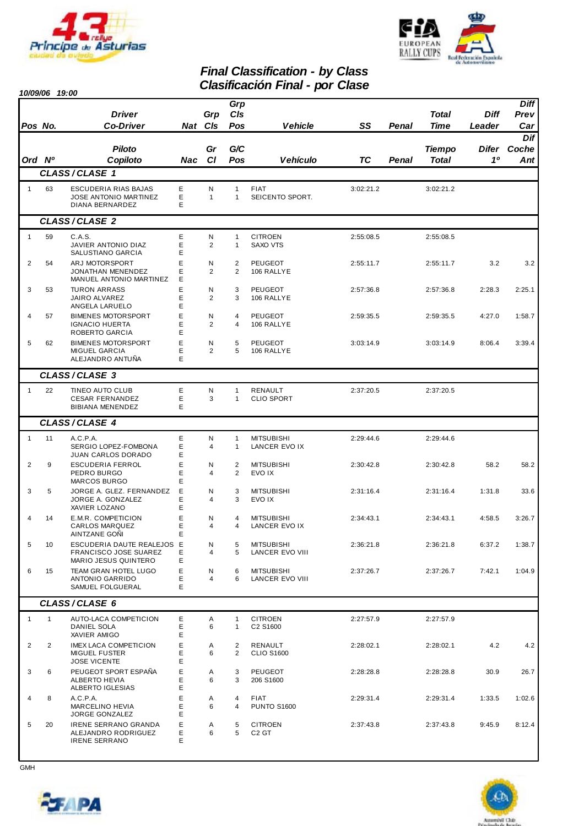



# *Final Classification - by Class*

|                | 10/09/06 19:00 |                                                                                    |             |                     |                                  | <b>Clasificación Final - por Clase</b>      |           |              |                        |                       |                            |
|----------------|----------------|------------------------------------------------------------------------------------|-------------|---------------------|----------------------------------|---------------------------------------------|-----------|--------------|------------------------|-----------------------|----------------------------|
| Pos No.        |                | <b>Driver</b><br><b>Co-Driver</b>                                                  |             | Grp<br>Nat CIs      | Grp<br>CIs<br>Pos                | <b>Vehicle</b>                              | SS        | <b>Penal</b> | <b>Total</b><br>Time   | <b>Diff</b><br>Leader | <b>Diff</b><br>Prev<br>Car |
| Ord Nº         |                | <b>Piloto</b><br>Copiloto                                                          | Nac         | Gr<br><b>CI</b>     | G/C<br>Pos                       | <b>Vehículo</b>                             | <b>TC</b> | Penal        | <b>Tiempo</b><br>Total | Difer<br>10           | Dif<br>Coche<br>Ant        |
|                |                | CLASS/CLASE 1                                                                      |             |                     |                                  |                                             |           |              |                        |                       |                            |
| $\mathbf{1}$   | 63             | ESCUDERIA RIAS BAJAS<br><b>JOSE ANTONIO MARTINEZ</b><br>DIANA BERNARDEZ            | Ε<br>Ε<br>Е | Ν<br>$\mathbf{1}$   | $\mathbf{1}$<br>$\mathbf{1}$     | <b>FIAT</b><br>SEICENTO SPORT.              | 3:02:21.2 |              | 3:02:21.2              |                       |                            |
|                |                | CLASS/CLASE 2                                                                      |             |                     |                                  |                                             |           |              |                        |                       |                            |
| $\mathbf{1}$   | 59             | C.A.S.<br>JAVIER ANTONIO DIAZ<br>SALUSTIANO GARCIA                                 | Ε<br>Ε<br>E | N<br>$\overline{2}$ | $\mathbf{1}$<br>$\mathbf{1}$     | <b>CITROEN</b><br><b>SAXO VTS</b>           | 2:55:08.5 |              | 2:55:08.5              |                       |                            |
| $\overline{2}$ | 54             | ARJ MOTORSPORT<br><b>JONATHAN MENENDEZ</b><br>MANUEL ANTONIO MARTINEZ              | E<br>E<br>E | N<br>2              | $\overline{2}$<br>$\overline{2}$ | <b>PEUGEOT</b><br>106 RALLYE                | 2:55:11.7 |              | 2:55:11.7              | 3.2                   | 3.2                        |
| 3              | 53             | <b>TURON ARRASS</b><br>JAIRO ALVAREZ<br>ANGELA LARUELO                             | E<br>Ε<br>E | N<br>$\overline{2}$ | 3<br>3                           | <b>PEUGEOT</b><br>106 RALLYE                | 2:57:36.8 |              | 2:57:36.8              | 2:28.3                | 2:25.1                     |
| 4              | 57             | <b>BIMENES MOTORSPORT</b><br><b>IGNACIO HUERTA</b><br>ROBERTO GARCIA               | E<br>Ε<br>E | N<br>$\overline{2}$ | 4<br>$\overline{4}$              | PEUGEOT<br>106 RALLYE                       | 2:59:35.5 |              | 2:59:35.5              | 4:27.0                | 1:58.7                     |
| 5              | 62             | <b>BIMENES MOTORSPORT</b><br><b>MIGUEL GARCIA</b><br>ALEJANDRO ANTUÑA              | E<br>Ε<br>E | N<br>2              | 5<br>5                           | <b>PEUGEOT</b><br>106 RALLYE                | 3:03:14.9 |              | 3:03:14.9              | 8:06.4                | 3:39.4                     |
|                |                | CLASS/CLASE 3                                                                      |             |                     |                                  |                                             |           |              |                        |                       |                            |
| $\mathbf{1}$   | 22             | <b>TINEO AUTO CLUB</b><br><b>CESAR FERNANDEZ</b><br><b>BIBIANA MENENDEZ</b>        | E<br>Ε<br>Ε | $\mathsf{N}$<br>3   | $\mathbf{1}$<br>$\mathbf{1}$     | <b>RENAULT</b><br><b>CLIO SPORT</b>         | 2:37:20.5 |              | 2:37:20.5              |                       |                            |
|                |                | CLASS/CLASE 4                                                                      |             |                     |                                  |                                             |           |              |                        |                       |                            |
| $\mathbf{1}$   | 11             | A.C.P.A.<br>SERGIO LOPEZ-FOMBONA<br>JUAN CARLOS DORADO                             | Ε<br>Ε<br>E | Ν<br>4              | $\mathbf{1}$<br>$\mathbf{1}$     | <b>MITSUBISHI</b><br>LANCER EVO IX          | 2:29:44.6 |              | 2:29:44.6              |                       |                            |
| $\overline{2}$ | 9              | <b>ESCUDERIA FERROL</b><br>PEDRO BURGO<br>MARCOS BURGO                             | E<br>Ε<br>E | N<br>4              | $\overline{2}$<br>2              | <b>MITSUBISHI</b><br>EVO IX                 | 2:30:42.8 |              | 2:30:42.8              | 58.2                  | 58.2                       |
| 3              | 5              | JORGE A. GLEZ. FERNANDEZ<br>JORGE A. GONZALEZ<br>XAVIER LOZANO                     | E<br>Ε<br>Ε | N<br>4              | 3<br>3                           | <b>MITSUBISHI</b><br>EVO IX                 | 2:31:16.4 |              | 2:31:16.4              | 1:31.8                | 33.6                       |
| 4              | 14             | E.M.R. COMPETICION<br><b>CARLOS MARQUEZ</b><br>AINTZANE GONI                       | E<br>Е<br>E | N<br>4              | 4<br>4                           | <b>MITSUBISHI</b><br>LANCER EVO IX          | 2:34:43.1 |              | 2:34:43.1              | 4:58.5                | 3:26.7                     |
| 5              | 10             | ESCUDERIA DAUTE REALEJOS E<br><b>FRANCISCO JOSE SUAREZ</b><br>MARIO JESUS QUINTERO | Е<br>Е      | N<br>4              | 5<br>5                           | <b>MITSUBISHI</b><br><b>LANCER EVO VIII</b> | 2:36:21.8 |              | 2:36:21.8              | 6:37.2                | 1:38.7                     |
| 6              | 15             | TEAM GRAN HOTEL LUGO<br>ANTONIO GARRIDO<br>SAMUEL FOLGUERAL                        | E<br>Ε<br>E | N<br>4              | 6<br>6                           | <b>MITSUBISHI</b><br>LANCER EVO VIII        | 2:37:26.7 |              | 2:37:26.7              | 7:42.1                | 1:04.9                     |
|                |                | CLASS/CLASE 6                                                                      |             |                     |                                  |                                             |           |              |                        |                       |                            |
| $\mathbf{1}$   | $\mathbf{1}$   | AUTO-LACA COMPETICION<br>DANIEL SOLA<br>XAVIER AMIGO                               | Е<br>E<br>Ε | Α<br>6              | 1<br>$\mathbf{1}$                | <b>CITROEN</b><br>C2 S1600                  | 2:27:57.9 |              | 2:27:57.9              |                       |                            |
| 2              | 2              | <b>IMEX LACA COMPETICION</b><br><b>MIGUEL FUSTER</b><br><b>JOSE VICENTE</b>        | Ε<br>Ε<br>Ε | Α<br>6              | 2<br>2                           | RENAULT<br><b>CLIO S1600</b>                | 2:28:02.1 |              | 2:28:02.1              | 4.2                   | 4.2                        |
| 3              | 6              | PEUGEOT SPORT ESPAÑA<br>ALBERTO HEVIA<br>ALBERTO IGLESIAS                          | E<br>Ε<br>Е | Α<br>6              | 3<br>3                           | PEUGEOT<br>206 S1600                        | 2:28:28.8 |              | 2:28:28.8              | 30.9                  | 26.7                       |
| 4              | 8              | A.C.P.A.<br>MARCELINO HEVIA<br>JORGE GONZALEZ                                      | E<br>Ε<br>Ε | Α<br>6              | 4<br>4                           | <b>FIAT</b><br><b>PUNTO S1600</b>           | 2:29:31.4 |              | 2:29:31.4              | 1:33.5                | 1:02.6                     |
| 5              | 20             | <b>IRENE SERRANO GRANDA</b><br>ALEJANDRO RODRIGUEZ<br><b>IRENE SERRANO</b>         | Е<br>Е<br>Е | Α<br>6              | 5<br>5                           | <b>CITROEN</b><br>C <sub>2</sub> GT         | 2:37:43.8 |              | 2:37:43.8              | 9:45.9                | 8:12.4                     |

**GMH** 



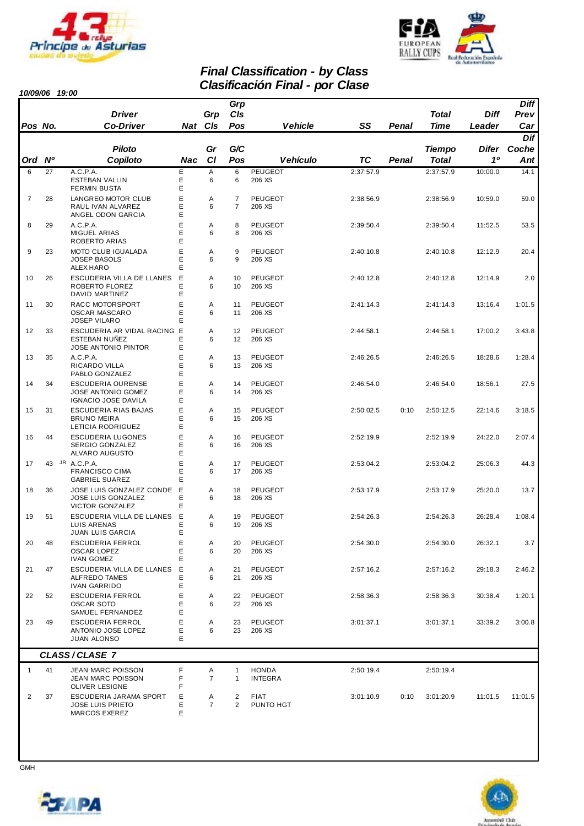



# *Final Classification - by Class*

|                   | 10/09/06 19:00 |                                                                              |             |                     |                                  | <b>Clasificación Final - por Clase</b> |                 |                |                                |                       |                            |
|-------------------|----------------|------------------------------------------------------------------------------|-------------|---------------------|----------------------------------|----------------------------------------|-----------------|----------------|--------------------------------|-----------------------|----------------------------|
|                   |                | <b>Driver</b>                                                                |             | Grp                 | Grp<br>CIs                       |                                        |                 |                | <b>Total</b>                   | Diff                  | <b>Diff</b><br>Prev        |
| Pos No.<br>Ord Nº |                | <b>Co-Driver</b><br>Piloto<br>Copiloto                                       | Nac         | Nat CIs<br>Gr<br>C1 | Pos<br>G/C<br>Pos                | <b>Vehicle</b><br>Vehículo             | SS<br><b>TC</b> | Penal<br>Penal | Time<br><b>Tiempo</b><br>Total | Leader<br>Difer<br>10 | Car<br>Dif<br>Coche<br>Ant |
| 6                 | 27             | A.C.P.A.                                                                     | E           | Α                   | 6                                | <b>PEUGEOT</b>                         | 2:37:57.9       |                | 2:37:57.9                      | 10:00.0               | 14.1                       |
|                   |                | ESTEBAN VALLIN<br><b>FERMIN BUSTA</b>                                        | Ε<br>E      | 6                   | 6                                | 206 XS                                 |                 |                |                                |                       |                            |
| $\overline{7}$    | 28             | LANGREO MOTOR CLUB<br>RAUL IVAN ALVAREZ<br>ANGEL ODON GARCIA                 | E<br>Е<br>Е | Α<br>6              | $\overline{7}$<br>$\overline{7}$ | PEUGEOT<br>206 XS                      | 2:38:56.9       |                | 2:38:56.9                      | 10:59.0               | 59.0                       |
| 8                 | 29             | A.C.P.A.<br><b>MIGUEL ARIAS</b><br>ROBERTO ARIAS                             | E<br>E<br>E | Α<br>6              | 8<br>8                           | <b>PEUGEOT</b><br>206 XS               | 2:39:50.4       |                | 2:39:50.4                      | 11:52.5               | 53.5                       |
| 9                 | 23             | MOTO CLUB IGUALADA<br><b>JOSEP BASOLS</b><br>ALEX HARO                       | E<br>E<br>E | Α<br>6              | 9<br>9                           | <b>PEUGEOT</b><br>206 XS               | 2:40:10.8       |                | 2:40:10.8                      | 12:12.9               | 20.4                       |
| 10                | 26             | ESCUDERIA VILLA DE LLANES<br>ROBERTO FLOREZ<br>DAVID MARTINEZ                | E<br>Е<br>Е | A<br>6              | 10<br>10                         | <b>PEUGEOT</b><br>206 XS               | 2:40:12.8       |                | 2:40:12.8                      | 12:14.9               | 2.0                        |
| 11                | 30             | RACC MOTORSPORT<br><b>OSCAR MASCARO</b><br><b>JOSEP VILARO</b>               | E<br>Е<br>Е | A<br>6              | 11<br>11                         | PEUGEOT<br>206 XS                      | 2:41:14.3       |                | 2:41:14.3                      | 13:16.4               | 1:01.5                     |
| 12                | 33             | ESCUDERIA AR VIDAL RACING E<br><b>ESTEBAN NUÑEZ</b><br>JOSE ANTONIO PINTOR   | Е<br>E      | Α<br>6              | 12<br>12                         | <b>PEUGEOT</b><br>206 XS               | 2:44:58.1       |                | 2:44:58.1                      | 17:00.2               | 3:43.8                     |
| 13                | 35             | A.C.P.A.<br>RICARDO VILLA<br>PABLO GONZALEZ                                  | Е<br>Е<br>Е | Α<br>6              | 13<br>13                         | <b>PEUGEOT</b><br>206 XS               | 2:46:26.5       |                | 2:46:26.5                      | 18:28.6               | 1:28.4                     |
| 14                | 34             | <b>ESCUDERIA OURENSE</b><br><b>JOSE ANTONIO GOMEZ</b><br>IGNACIO JOSE DAVILA | E<br>E<br>E | Α<br>6              | 14<br>14                         | PEUGEOT<br>206 XS                      | 2:46:54.0       |                | 2:46:54.0                      | 18:56.1               | 27.5                       |
| 15                | 31             | ESCUDERIA RIAS BAJAS<br><b>BRUNO MEIRA</b><br>LETICIA RODRIGUEZ              | E<br>Е<br>Е | Α<br>6              | 15<br>15                         | <b>PEUGEOT</b><br>206 XS               | 2:50:02.5       | 0:10           | 2:50:12.5                      | 22:14.6               | 3:18.5                     |
| 16                | 44             | ESCUDERIA LUGONES<br>SERGIO GONZALEZ<br>ALVARO AUGUSTO                       | E<br>Е<br>E | Α<br>6              | 16<br>16                         | <b>PEUGEOT</b><br>206 XS               | 2:52:19.9       |                | 2:52:19.9                      | 24:22.0               | 2:07.4                     |
| 17                |                | 43 JR A.C.P.A.<br><b>FRANCISCO CIMA</b><br><b>GABRIEL SUAREZ</b>             | E<br>Е<br>E | A<br>6              | 17<br>17                         | <b>PEUGEOT</b><br>206 XS               | 2:53:04.2       |                | 2:53:04.2                      | 25:06.3               | 44.3                       |
| 18                | 36             | JOSE LUIS GONZALEZ CONDE<br><b>JOSE LUIS GONZALEZ</b><br>VICTOR GONZALEZ     | E<br>Е<br>Е | A<br>6              | 18<br>18                         | <b>PEUGEOT</b><br>206 XS               | 2:53:17.9       |                | 2:53:17.9                      | 25:20.0               | 13.7                       |
| 19                | 51             | ESCUDERIA VILLA DE LLANES<br>LUIS ARENAS<br><b>JUAN LUIS GARCIA</b>          | Ε<br>Ε<br>Е | A<br>6              | 19<br>19                         | <b>PEUGEOT</b><br>206 XS               | 2:54:26.3       |                | 2:54:26.3                      | 26:28.4               | 1:08.4                     |
| 20                | 48             | <b>ESCUDERIA FERROL</b><br><b>OSCAR LOPEZ</b><br><b>IVAN GOMEZ</b>           | E<br>Е<br>E | Α<br>6              | 20<br>20                         | <b>PEUGEOT</b><br>206 XS               | 2:54:30.0       |                | 2:54:30.0                      | 26:32.1               | 3.7                        |
| 21                | 47             | ESCUDERIA VILLA DE LLANES<br>ALFREDO TAMES<br><b>IVAN GARRIDO</b>            | Ε<br>E<br>Ε | Α<br>6              | 21<br>21                         | PEUGEOT<br>206 XS                      | 2:57:16.2       |                | 2:57:16.2                      | 29:18.3               | 2:46.2                     |
| 22                | 52             | <b>ESCUDERIA FERROL</b><br><b>OSCAR SOTO</b><br>SAMUEL FERNANDEZ             | E<br>Е<br>Е | Α<br>6              | 22<br>22                         | PEUGEOT<br>206 XS                      | 2:58:36.3       |                | 2:58:36.3                      | 30:38.4               | 1:20.1                     |
| 23                | 49             | <b>ESCUDERIA FERROL</b><br>ANTONIO JOSE LOPEZ<br><b>JUAN ALONSO</b>          | E<br>Е<br>E | Α<br>6              | 23<br>23                         | PEUGEOT<br>206 XS                      | 3:01:37.1       |                | 3:01:37.1                      | 33:39.2               | 3:00.8                     |
|                   |                | CLASS/CLASE 7                                                                |             |                     |                                  |                                        |                 |                |                                |                       |                            |
| $\mathbf{1}$      | 41             | <b>JEAN MARC POISSON</b><br>JEAN MARC POISSON<br><b>OLIVER LESIGNE</b>       | F<br>F<br>F | Α<br>$\overline{7}$ | 1<br>$\mathbf{1}$                | <b>HONDA</b><br>INTEGRA                | 2:50:19.4       |                | 2:50:19.4                      |                       |                            |
| 2                 | 37             | ESCUDERIA JARAMA SPORT<br><b>JOSE LUIS PRIETO</b><br>MARCOS EXEREZ           | Е<br>Е<br>E | Α<br>$\overline{7}$ | 2<br>2                           | <b>FIAT</b><br>PUNTO HGT               | 3:01:10.9       | 0:10           | 3:01:20.9                      | 11:01.5               | 11:01.5                    |



**GMH** 

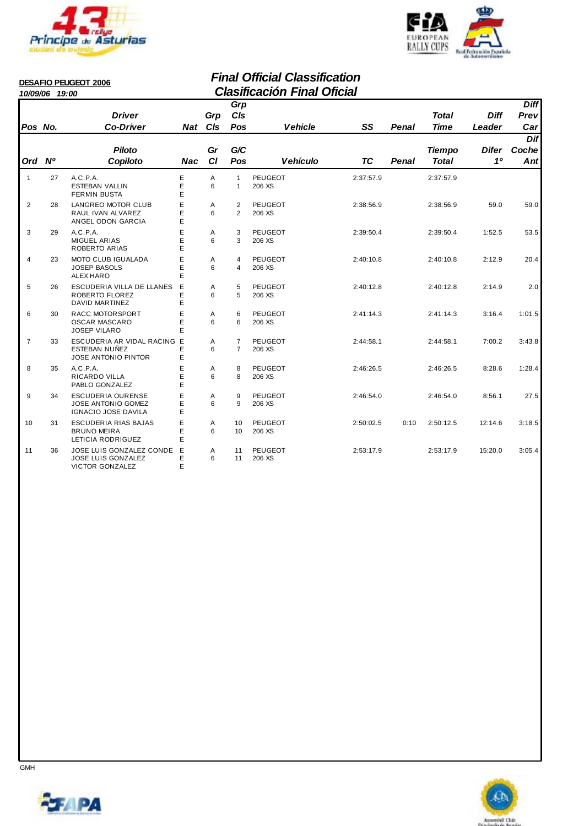



|                | 10/09/06 19:00 | <b>DESAFIO PEUGEOT 2006</b>                                                  |             |            |                                  | <b>Final Official Classification</b><br><b>Clasificación Final Oficial</b> |           |       |                               |                       |                            |
|----------------|----------------|------------------------------------------------------------------------------|-------------|------------|----------------------------------|----------------------------------------------------------------------------|-----------|-------|-------------------------------|-----------------------|----------------------------|
| Pos No.        |                | <b>Driver</b><br><b>Co-Driver</b>                                            | <b>Nat</b>  | Grp<br>CIs | Grp<br>CIs<br>Pos                | <b>Vehicle</b>                                                             | SS        | Penal | <b>Total</b><br><b>Time</b>   | <b>Diff</b><br>Leader | <b>Diff</b><br>Prev<br>Car |
| Ord            | N <sup>o</sup> | <b>Piloto</b><br>Copiloto                                                    | Nac         | Gr<br>C1   | G/C<br>Pos                       | <b>Vehículo</b>                                                            | TC        | Penal | <b>Tiempo</b><br><b>Total</b> | <b>Difer</b><br>10    | Dif<br>Coche<br>Ant        |
| $\mathbf{1}$   | 27             | A.C.P.A.<br><b>ESTEBAN VALLIN</b><br><b>FERMIN BUSTA</b>                     | Е<br>E<br>Ė | A<br>6     | $\mathbf{1}$<br>$\mathbf{1}$     | PEUGEOT<br>206 XS                                                          | 2:37:57.9 |       | 2:37:57.9                     |                       |                            |
| 2              | 28             | LANGREO MOTOR CLUB<br>RAUL IVAN ALVAREZ<br>ANGEL ODON GARCIA                 | E<br>Ė<br>E | A<br>6     | 2<br>$\overline{2}$              | <b>PEUGEOT</b><br>206 XS                                                   | 2:38:56.9 |       | 2:38:56.9                     | 59.0                  | 59.0                       |
| 3              | 29             | A.C.P.A.<br><b>MIGUEL ARIAS</b><br>ROBERTO ARIAS                             | E<br>E<br>E | A<br>6     | 3<br>3                           | <b>PEUGEOT</b><br>206 XS                                                   | 2:39:50.4 |       | 2:39:50.4                     | 1:52.5                | 53.5                       |
| $\overline{4}$ | 23             | <b>MOTO CLUB IGUALADA</b><br><b>JOSEP BASOLS</b><br>ALEX HARO                | Ė<br>E<br>E | A<br>6     | 4<br>4                           | <b>PEUGEOT</b><br>206 XS                                                   | 2:40:10.8 |       | 2:40:10.8                     | 2:12.9                | 20.4                       |
| 5              | 26             | ESCUDERIA VILLA DE LLANES<br>ROBERTO FLOREZ<br><b>DAVID MARTINEZ</b>         | E<br>E<br>E | A<br>6     | 5<br>5                           | <b>PEUGEOT</b><br>206 XS                                                   | 2:40:12.8 |       | 2:40:12.8                     | 2:14.9                | 2.0                        |
| 6              | 30             | RACC MOTORSPORT<br><b>OSCAR MASCARO</b><br><b>JOSEP VILARO</b>               | E<br>Ė<br>F | A<br>6     | 6<br>6                           | <b>PEUGEOT</b><br>206 XS                                                   | 2:41:14.3 |       | 2:41:14.3                     | 3:16.4                | 1:01.5                     |
| $\overline{7}$ | 33             | ESCUDERIA AR VIDAL RACING E<br>ESTEBAN NUÑEZ<br><b>JOSE ANTONIO PINTOR</b>   | E<br>E      | Α<br>6     | $\overline{7}$<br>$\overline{7}$ | PEUGEOT<br>206 XS                                                          | 2:44:58.1 |       | 2:44:58.1                     | 7:00.2                | 3:43.8                     |
| 8              | 35             | A.C.P.A.<br>RICARDO VILLA<br>PABLO GONZALEZ                                  | Е<br>E<br>E | A<br>6     | 8<br>8                           | <b>PEUGEOT</b><br>206 XS                                                   | 2:46:26.5 |       | 2:46:26.5                     | 8:28.6                | 1:28.4                     |
| 9              | 34             | <b>ESCUDERIA OURENSE</b><br><b>JOSE ANTONIO GOMEZ</b><br>IGNACIO JOSE DAVILA | Ė<br>E<br>E | A<br>6     | 9<br>9                           | <b>PEUGEOT</b><br>206 XS                                                   | 2:46:54.0 |       | 2:46:54.0                     | 8:56.1                | 27.5                       |
| 10             | 31             | <b>ESCUDERIA RIAS BAJAS</b><br><b>BRUNO MEIRA</b><br>LETICIA RODRIGUEZ       | Ė<br>Ė<br>E | A<br>6     | 10<br>10 <sup>1</sup>            | <b>PEUGEOT</b><br>206 XS                                                   | 2:50:02.5 | 0:10  | 2:50:12.5                     | 12:14.6               | 3:18.5                     |

11 36 JOSE LUIS GONZALEZ CONDE E A 11 2:53:17.9 2:53:17.9 3:05.4 PEUGEOT 15:20.0

JOSE LUIS GONZALEZ 11 E 6 206 XS

VICTOR GONZALEZ E



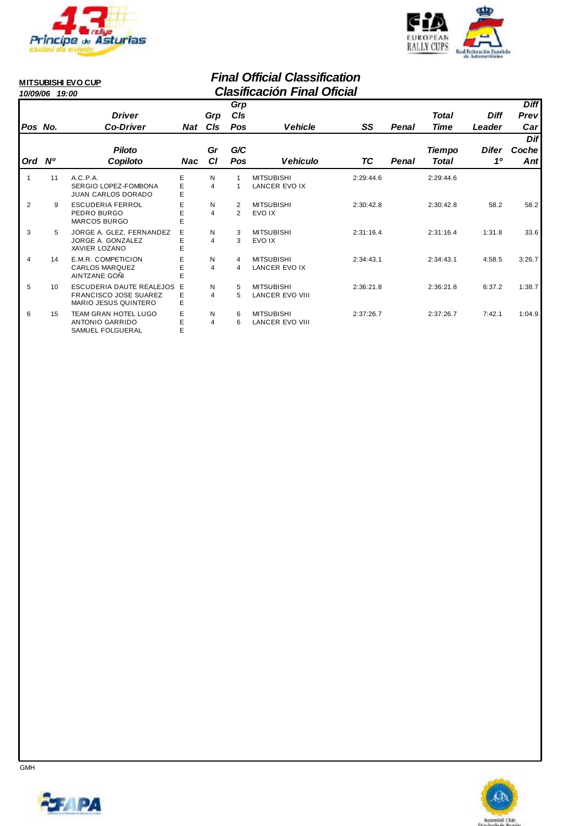



#### **MITSUBISHI EVO CUP**

#### *Final Official Classification 10/09/06 19:00 Clasificación Final Oficial*

|                |    | <b>Driver</b>                                                                    |             | Grp                 | Grp<br>C/s                       |                                             |           |       | Total           | <b>Diff</b> | <b>Diff</b><br><b>Prevl</b> |
|----------------|----|----------------------------------------------------------------------------------|-------------|---------------------|----------------------------------|---------------------------------------------|-----------|-------|-----------------|-------------|-----------------------------|
| Pos No.        |    | <b>Co-Driver</b>                                                                 |             | Nat C <sub>IS</sub> | Pos                              | <b>Vehicle</b>                              | SS        | Penal | Time            | Leader      | Car <sub>l</sub>            |
| Ord Nº         |    | <b>Piloto</b><br>Copiloto                                                        | Nac         | Gr<br><b>CI</b>     | G/C<br>Pos                       | <b>Vehículo</b>                             | ТC        | Penal | Tiempo<br>Total | Difer<br>10 | <b>Dif</b><br>Coche<br>Ant  |
| 1              | 11 | A.C.P.A.<br>SERGIO LOPEZ-FOMBONA<br>JUAN CARLOS DORADO                           | E<br>E<br>E | N<br>4              |                                  | <b>MITSUBISHI</b><br><b>LANCER EVO IX</b>   | 2:29:44.6 |       | 2:29:44.6       |             |                             |
| 2              | 9  | <b>ESCUDERIA FERROL</b><br>PEDRO BURGO<br><b>MARCOS BURGO</b>                    | E<br>E<br>E | N<br>4              | $\overline{2}$<br>$\overline{2}$ | <b>MITSUBISHI</b><br>EVO IX                 | 2:30:42.8 |       | 2:30:42.8       | 58.2        | 58.2                        |
| 3              | 5  | JORGE A. GLEZ. FERNANDEZ<br>JORGE A. GONZALEZ<br>XAVIER LOZANO                   | E<br>Е<br>E | N<br>4              | 3<br>3                           | <b>MITSUBISHI</b><br>EVO IX                 | 2:31:16.4 |       | 2:31:16.4       | 1:31.8      | 33.6                        |
| $\overline{4}$ | 14 | E.M.R. COMPETICION<br>CARLOS MARQUEZ<br>AINTZANE GOÑI                            | E<br>E      | N<br>4              | 4<br>4                           | <b>MITSUBISHI</b><br><b>LANCER EVO IX</b>   | 2:34:43.1 |       | 2:34:43.1       | 4:58.5      | 3:26.7                      |
| 5              | 10 | ESCUDERIA DAUTE REALEJOS<br><b>FRANCISCO JOSE SUAREZ</b><br>MARIO JESUS QUINTERO | Е<br>E<br>E | N<br>4              | 5<br>5                           | <b>MITSUBISHI</b><br><b>LANCER EVO VIII</b> | 2:36:21.8 |       | 2:36:21.8       | 6:37.2      | 1:38.7                      |
| 6              | 15 | <b>TEAM GRAN HOTEL LUGO</b><br><b>ANTONIO GARRIDO</b><br>SAMUEL FOLGUERAL        | Е<br>F      | N<br>4              | 6<br>6                           | <b>MITSUBISHI</b><br><b>LANCER EVO VIII</b> | 2:37:26.7 |       | 2:37:26.7       | 7:42.1      | 1:04.9                      |



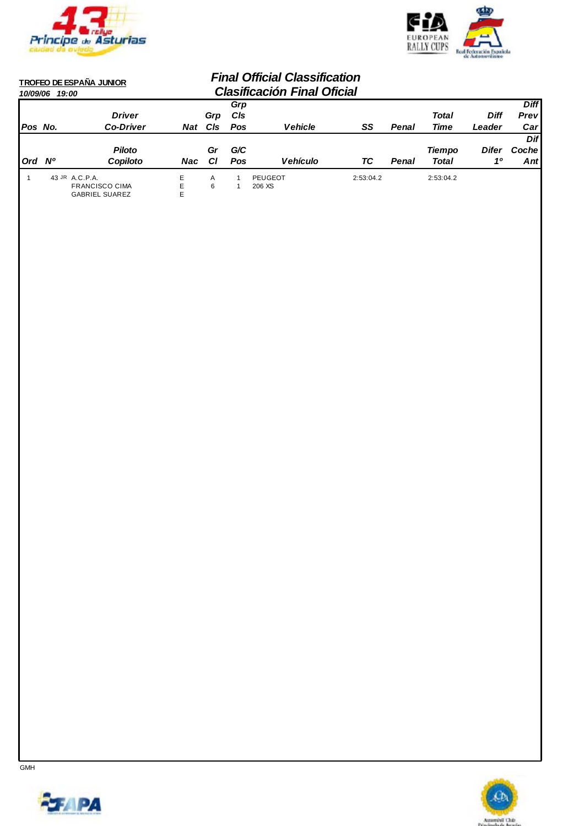



| 10/09/06   | <b>TROFEO DE ESPAÑA JUNIOR</b><br>19:00 |                       |            |     | <b>Final Official Classification</b><br><b>Clasificación Final Oficial</b> |                 |           |       |               |              |             |
|------------|-----------------------------------------|-----------------------|------------|-----|----------------------------------------------------------------------------|-----------------|-----------|-------|---------------|--------------|-------------|
|            |                                         |                       |            |     | Grp                                                                        |                 |           |       |               |              | <b>Diff</b> |
|            |                                         | <b>Driver</b>         |            | Grp | <b>CIs</b>                                                                 |                 |           |       | <b>Total</b>  | Diff         | Prev        |
| Pos No.    |                                         | <b>Co-Driver</b>      | <b>Nat</b> | CIs | Pos                                                                        | Vehicle         | SS        | Penal | Time          | Leader       | Car         |
|            |                                         |                       |            |     |                                                                            |                 |           |       |               |              | Dif         |
|            |                                         | <b>Piloto</b>         |            | Gr  | G/C                                                                        |                 |           |       | <b>Tiempo</b> | <b>Difer</b> | Coche       |
| <b>Ord</b> | N°                                      | Copiloto              | Nac        | СI  | <b>Pos</b>                                                                 | <b>Vehículo</b> | ТC        | Penal | Total         | 10           | Ant         |
|            | 43 JR A.C.P.A.                          |                       | E          | A   |                                                                            | PEUGEOT         | 2:53:04.2 |       | 2:53:04.2     |              |             |
|            |                                         | <b>FRANCISCO CIMA</b> | E          | 6   |                                                                            | 206 XS          |           |       |               |              |             |
|            |                                         | <b>GABRIEL SUAREZ</b> | E          |     |                                                                            |                 |           |       |               |              |             |



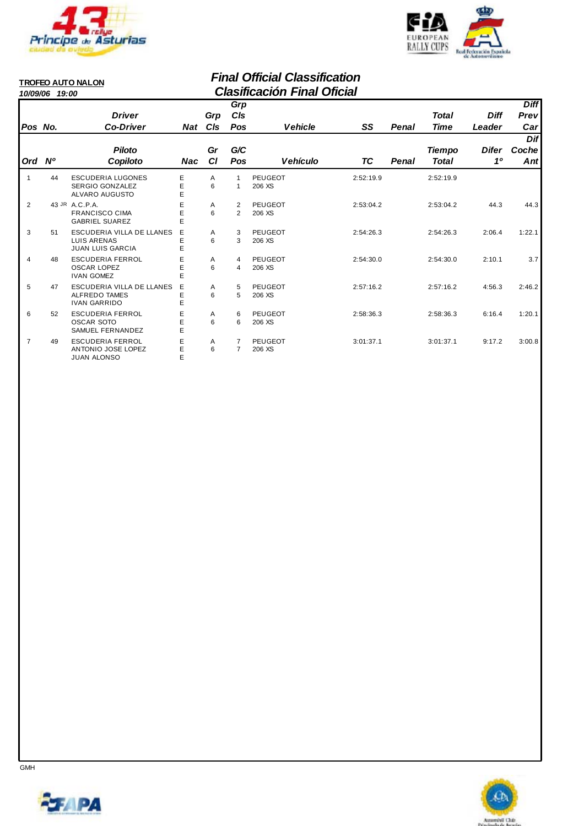

**JUAN ALONSO** 



*Diff Leader* 

> *Difer Coche 1º*

*Prev Diff* 

*Car* 

*Dif* 

*Ant* 

#### *Final Official Classification 10/09/06 19:00 Clasificación Final Oficial* **TROFEO AUTO NALON** *Pos No. Driver Co-Driver Grp Cls Nat Ord Nº Piloto Copiloto Gr Cl Vehicle SS Cls Pos Grp Penal Time* Pos Vehículo TC Penal Total *G/C Nac Total Tiempo* 1 44 ESCUDERIA LUGONES E A 1 PEUGEOT 2:52:19.9 2:52:19.9 SERGIO GONZALEZ 1 E 6 206 XS

|   |    | SERGIO GONZALEZ<br>ALVARO AUGUSTO                                        | E | 6      |        | 206 XS                   |           |           |        |        |
|---|----|--------------------------------------------------------------------------|---|--------|--------|--------------------------|-----------|-----------|--------|--------|
| 2 |    | 43 JR A.C.P.A.<br><b>FRANCISCO CIMA</b><br><b>GABRIEL SUAREZ</b>         |   | A<br>6 | 2<br>2 | <b>PEUGEOT</b><br>206 XS | 2:53:04.2 | 2:53:04.2 | 44.3   | 44.3   |
| 3 | 51 | ESCUDERIA VILLA DE LLANES<br>LUIS ARENAS<br><b>JUAN LUIS GARCIA</b>      | Е | A<br>6 | 3<br>3 | <b>PEUGEOT</b><br>206 XS | 2:54:26.3 | 2:54:26.3 | 2:06.4 | 1:22.1 |
| 4 | 48 | ESCUDERIA FERROL<br>OSCAR LOPEZ<br><b>IVAN GOMEZ</b>                     | E | A<br>6 | 4<br>4 | <b>PEUGEOT</b><br>206 XS | 2:54:30.0 | 2:54:30.0 | 2:10.1 | 3.7    |
| 5 | 47 | ESCUDERIA VILLA DE LLANES<br><b>ALFREDO TAMES</b><br><b>IVAN GARRIDO</b> | Е | A<br>6 | 5<br>5 | <b>PEUGEOT</b><br>206 XS | 2:57:16.2 | 2:57:16.2 | 4:56.3 | 2:46.2 |
| 6 | 52 | <b>ESCUDERIA FERROL</b><br>OSCAR SOTO<br>SAMUEL FERNANDEZ                |   | A<br>6 | 6<br>6 | <b>PEUGEOT</b><br>206 XS | 2:58:36.3 | 2:58:36.3 | 6:16.4 | 1:20.1 |
| 7 | 49 | ESCUDERIA FERROL<br>ANTONIO JOSE LOPEZ<br><b>JUAN ALONSO</b>             |   | A<br>6 |        | <b>PEUGEOT</b><br>206 XS | 3:01:37.1 | 3:01:37.1 | 9:17.2 | 3:00.8 |



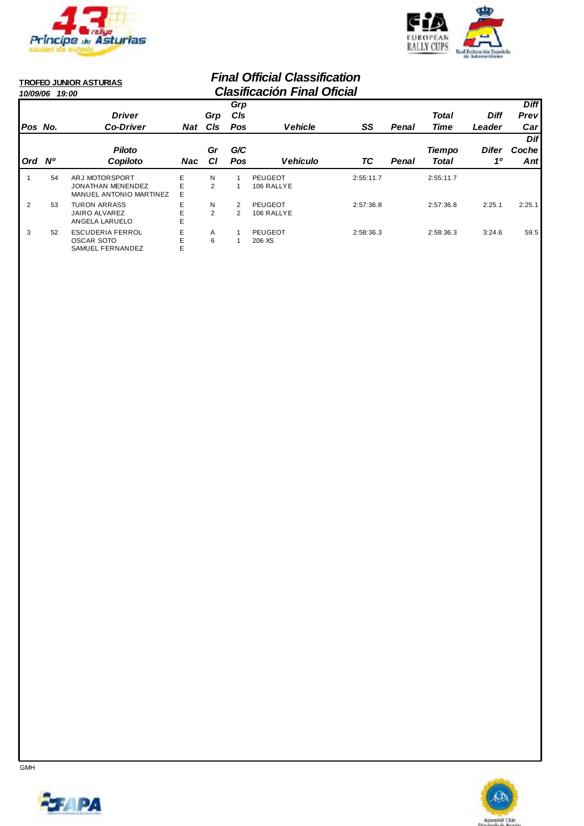

SAMUEL FERNANDEZ



#### *Final Official Classification 10/09/06 19:00 Clasificación Final Oficial* **TROFEO JUNIOR ASTURIAS** *Pos No. Driver Co-Driver Grp Cls Ord Nº Piloto Copiloto Gr Cl Vehicle SS Cls Pos Grp Penal Time Diff Leader Prev Diff Car*  Pos Vehículo TC Penal Total *G/C Difer Coche 1º Dif Ant Nat Nac Total Tiempo* 1 54 ARJ MOTORSPORT E N 1 PEUGEOT 2:55:11.7 2:55:11.7<br>JONATHAN MENENDEZ E 2 1 106 RALLYE JONATHAN MENENDEZ 1 E 2 106 RALLYE MANUEL ANTONIO MARTINEZ E 2 53 TURON ARRASS E N 2 2:57:36.8 2:57:36.8 2:25.1 PEUGEOT 2:25.1 JAIRO ALVAREZ 2 E 2 106 RALLYE ANGELA LARUELO 3 52 ESCUDERIA FERROL E A 1 PEUGEOT 2:58:36.3 2:58:36.3 3:24.6 59.5<br>OSCAR SOTO E 6 1 206 XS OSCAR SOTO<br>
SAMUEL FERNANDEZ
E
B
AMUEL FERNANDEZ
E



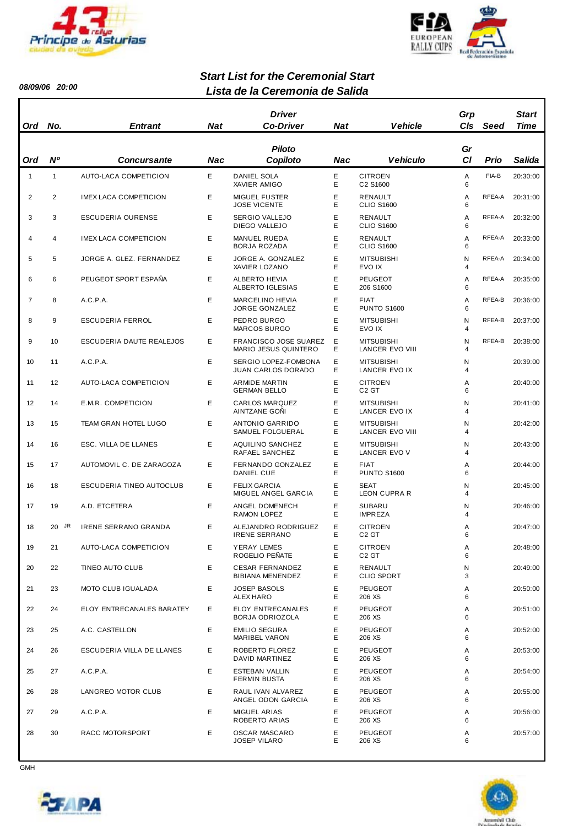



*08/09/06 20:00*

#### *Lista de la Ceremonia de Salida Start List for the Ceremonial Start*

| Ord            | No.          | <b>Entrant</b>               | Nat | Driver<br><b>Co-Driver</b>                           | <b>Nat</b> | <b>Vehicle</b>                       | Grp<br><b>CIs</b>   | Seed   | Start<br>Time |
|----------------|--------------|------------------------------|-----|------------------------------------------------------|------------|--------------------------------------|---------------------|--------|---------------|
| Ord            | <b>N°</b>    | <b>Concursante</b>           | Nac | <b>Piloto</b><br>Copiloto                            | Nac        | <b>Vehiculo</b>                      | Gr<br>СI            | Prio   | Salida        |
| $\mathbf{1}$   | $\mathbf{1}$ | AUTO-LACA COMPETICION        | E   | <b>DANIEL SOLA</b><br>XAVIER AMIGO                   | Ε<br>E     | <b>CITROEN</b><br>C2 S1600           | Α<br>6              | FIA-B  | 20:30:00      |
| 2              | 2            | <b>IMEX LACA COMPETICION</b> | Е   | <b>MIGUEL FUSTER</b><br><b>JOSE VICENTE</b>          | E<br>Е     | RENAULT<br><b>CLIO S1600</b>         | Α<br>6              | RFEA-A | 20:31:00      |
| 3              | 3            | ESCUDERIA OURENSE            | E   | <b>SERGIO VALLEJO</b><br>DIEGO VALLEJO               | E<br>E     | RENAULT<br><b>CLIO S1600</b>         | Α<br>6              | RFEA-A | 20:32:00      |
| 4              | 4            | <b>IMEX LACA COMPETICION</b> | E   | MANUEL RUEDA<br>BORJA ROZADA                         | Ε<br>E     | RENAULT<br><b>CLIO S1600</b>         | Α<br>6              | RFEA-A | 20:33:00      |
| 5              | 5            | JORGE A. GLEZ. FERNANDEZ     | E   | JORGE A. GONZALEZ<br>XAVIER LOZANO                   | Е<br>E     | <b>MITSUBISHI</b><br>EVO IX          | N<br>$\overline{4}$ | RFEA-A | 20:34:00      |
| 6              | 6            | PEUGEOT SPORT ESPAÑA         | Е   | <b>ALBERTO HEVIA</b><br>ALBERTO IGLESIAS             | Ε<br>E     | <b>PEUGEOT</b><br>206 S1600          | Α<br>6              | RFEA-A | 20:35:00      |
| $\overline{7}$ | 8            | A.C.P.A.                     | E   | <b>MARCELINO HEVIA</b><br>JORGE GONZALEZ             | Е<br>E     | <b>FIAT</b><br><b>PUNTO S1600</b>    | Α<br>6              | RFEA-B | 20:36:00      |
| 8              | 9            | <b>ESCUDERIA FERROL</b>      | Е   | PEDRO BURGO<br><b>MARCOS BURGO</b>                   | E<br>E     | <b>MITSUBISHI</b><br>EVO IX          | N<br>$\overline{4}$ | RFEA-B | 20:37:00      |
| 9              | 10           | ESCUDERIA DAUTE REALEJOS     | Е   | <b>FRANCISCO JOSE SUAREZ</b><br>MARIO JESUS QUINTERO | Е<br>Е     | <b>MITSUBISHI</b><br>LANCER EVO VIII | N<br>$\overline{4}$ | RFEA-B | 20:38:00      |
| 10             | 11           | A.C.P.A.                     | E   | SERGIO LOPEZ-FOMBONA<br><b>JUAN CARLOS DORADO</b>    | Ε<br>E     | <b>MITSUBISHI</b><br>LANCER EVO IX   | Ν<br>$\overline{4}$ |        | 20:39:00      |
| 11             | 12           | AUTO-LACA COMPETICION        | E   | ARMIDE MARTIN<br><b>GERMAN BELLO</b>                 | Ε<br>E     | <b>CITROEN</b><br>C <sub>2</sub> GT  | Α<br>6              |        | 20:40:00      |
| 12             | 14           | E.M.R. COMPETICION           | E   | <b>CARLOS MARQUEZ</b><br>AINTZANE GONI               | E<br>Е     | <b>MITSUBISHI</b><br>LANCER EVO IX   | N<br>$\overline{4}$ |        | 20:41:00      |
| 13             | 15           | TEAM GRAN HOTEL LUGO         | E   | ANTONIO GARRIDO<br>SAMUEL FOLGUERAL                  | E<br>E     | <b>MITSUBISHI</b><br>LANCER EVO VIII | Ν<br>$\overline{4}$ |        | 20:42:00      |
| 14             | 16           | ESC. VILLA DE LLANES         | Е   | <b>AQUILINO SANCHEZ</b><br>RAFAEL SANCHEZ            | Ε<br>Ε     | <b>MITSUBISHI</b><br>LANCER EVO V    | Ν<br>$\overline{4}$ |        | 20:43:00      |
| 15             | 17           | AUTOMOVIL C. DE ZARAGOZA     | E   | FERNANDO GONZALEZ<br><b>DANIEL CUE</b>               | Ε<br>E     | <b>FIAT</b><br><b>PUNTO S1600</b>    | Α<br>6              |        | 20:44:00      |
| 16             | 18           | ESCUDERIA TINEO AUTOCLUB     | Е   | <b>FELIX GARCIA</b><br>MIGUEL ANGEL GARCIA           | E<br>E     | <b>SEAT</b><br><b>LEON CUPRA R</b>   | N<br>$\overline{4}$ |        | 20:45:00      |
| 17             | 19           | A.D. ETCETERA                | Е   | ANGEL DOMENECH<br><b>RAMON LOPEZ</b>                 | Ε<br>E     | <b>SUBARU</b><br><b>IMPREZA</b>      | N<br>4              |        | 20:46:00      |
| 18             | 20 JR        | <b>IRENE SERRANO GRANDA</b>  | Е   | ALEJANDRO RODRIGUEZ<br><b>IRENE SERRANO</b>          | E<br>E     | <b>CITROEN</b><br>C <sub>2</sub> GT  | Α<br>6              |        | 20:47:00      |
| 19             | 21           | AUTO-LACA COMPETICION        | E   | YERAY LEMES<br>ROGELIO PEÑATE                        | Ε<br>E     | <b>CITROEN</b><br>C <sub>2</sub> GT  | Α<br>6              |        | 20:48:00      |
| 20             | 22           | TINEO AUTO CLUB              | E   | <b>CESAR FERNANDEZ</b><br>BIBIANA MENENDEZ           | Ε<br>Е     | RENAULT<br><b>CLIO SPORT</b>         | Ν<br>3              |        | 20:49:00      |
| 21             | 23           | MOTO CLUB IGUALADA           | Е   | <b>JOSEP BASOLS</b><br>ALEX HARO                     | Ε<br>Е     | <b>PEUGEOT</b><br>206 XS             | Α<br>6              |        | 20:50:00      |
| 22             | 24           | ELOY ENTRECANALES BARATEY    | E.  | <b>ELOY ENTRECANALES</b><br>BORJA ODRIOZOLA          | Ε<br>Е     | <b>PEUGEOT</b><br>206 XS             | Α<br>6              |        | 20:51:00      |
| 23             | 25           | A.C. CASTELLON               | Е   | <b>EMILIO SEGURA</b><br>MARIBEL VARON                | Ε<br>Ε     | <b>PEUGEOT</b><br>206 XS             | Α<br>6              |        | 20:52:00      |
| 24             | 26           | ESCUDERIA VILLA DE LLANES    | Е   | ROBERTO FLOREZ<br><b>DAVID MARTINEZ</b>              | Ε<br>Ε     | <b>PEUGEOT</b><br>206 XS             | Α<br>6              |        | 20:53:00      |
| 25             | 27           | A.C.P.A.                     | Е   | <b>ESTEBAN VALLIN</b><br><b>FERMIN BUSTA</b>         | Ε<br>Ε     | <b>PEUGEOT</b><br>206 XS             | Α<br>6              |        | 20:54:00      |
| 26             | 28           | LANGREO MOTOR CLUB           | E.  | RAUL IVAN ALVAREZ<br>ANGEL ODON GARCIA               | Ε<br>Е     | <b>PEUGEOT</b><br>206 XS             | Α<br>6              |        | 20:55:00      |
| 27             | 29           | A.C.P.A.                     | Е   | MIGUEL ARIAS<br>ROBERTO ARIAS                        | Ε<br>Ε     | <b>PEUGEOT</b><br>206 XS             | Α<br>6              |        | 20:56:00      |
| 28             | 30           | RACC MOTORSPORT              | E   | OSCAR MASCARO<br><b>JOSEP VILARO</b>                 | Ε<br>Ε     | <b>PEUGEOT</b><br>206 XS             | Α<br>6              |        | 20:57:00      |



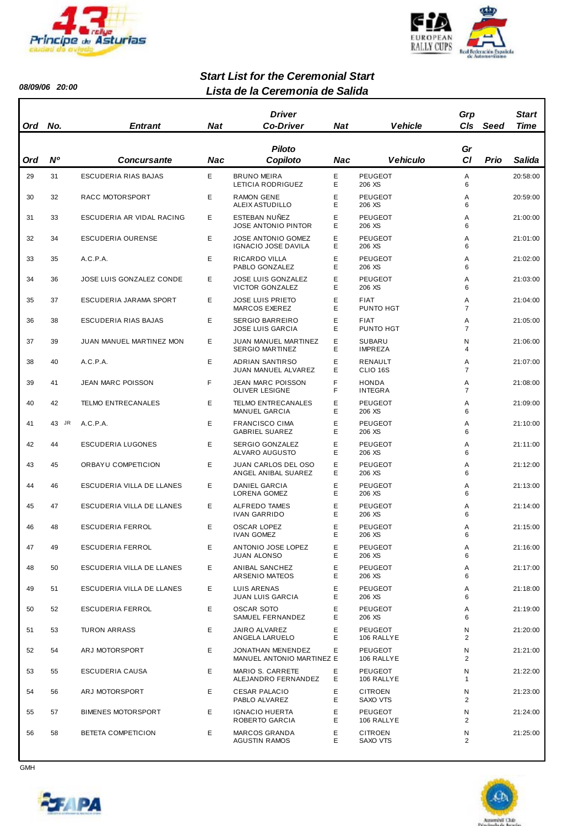



*08/09/06 20:00*

#### *Lista de la Ceremonia de Salida Start List for the Ceremonial Start*

| Ord | No.       | <b>Entrant</b>            | Nat | <b>Driver</b><br><b>Co-Driver</b>                       | <b>Nat</b> | <b>Vehicle</b>                  | Grp<br>C/s          | Seed | <b>Start</b><br>Time |
|-----|-----------|---------------------------|-----|---------------------------------------------------------|------------|---------------------------------|---------------------|------|----------------------|
| Ord | <b>N°</b> | <b>Concursante</b>        | Nac | <b>Piloto</b><br>Copiloto                               | Nac        | <b>Vehiculo</b>                 | Gr<br>CI            | Prio | Salida               |
| 29  | 31        | ESCUDERIA RIAS BAJAS      | E   | <b>BRUNO MEIRA</b><br>LETICIA RODRIGUEZ                 | Ε<br>Ε     | <b>PEUGEOT</b><br>206 XS        | Α<br>6              |      | 20:58:00             |
| 30  | 32        | RACC MOTORSPORT           | E   | <b>RAMON GENE</b><br>ALEIX ASTUDILLO                    | E<br>Ε     | <b>PEUGEOT</b><br>206 XS        | Α<br>6              |      | 20:59:00             |
| 31  | 33        | ESCUDERIA AR VIDAL RACING | E   | ESTEBAN NUÑEZ<br><b>JOSE ANTONIO PINTOR</b>             | Ε<br>E     | <b>PEUGEOT</b><br>206 XS        | Α<br>6              |      | 21:00:00             |
| 32  | 34        | ESCUDERIA OURENSE         | Е   | <b>JOSE ANTONIO GOMEZ</b><br><b>IGNACIO JOSE DAVILA</b> | E<br>Е     | <b>PEUGEOT</b><br>206 XS        | Α<br>6              |      | 21:01:00             |
| 33  | 35        | A.C.P.A.                  | Е   | RICARDO VILLA<br>PABLO GONZALEZ                         | Ε<br>E     | <b>PEUGEOT</b><br>206 XS        | Α<br>6              |      | 21:02:00             |
| 34  | 36        | JOSE LUIS GONZALEZ CONDE  | Е   | <b>JOSE LUIS GONZALEZ</b><br>VICTOR GONZALEZ            | E<br>Е     | <b>PEUGEOT</b><br>206 XS        | Α<br>6              |      | 21:03:00             |
| 35  | 37        | ESCUDERIA JARAMA SPORT    | Е   | <b>JOSE LUIS PRIETO</b><br>MARCOS EXEREZ                | Ε<br>E     | <b>FIAT</b><br>PUNTO HGT        | Α<br>$\overline{7}$ |      | 21:04:00             |
| 36  | 38        | ESCUDERIA RIAS BAJAS      | Е   | <b>SERGIO BARREIRO</b><br><b>JOSE LUIS GARCIA</b>       | E<br>Е     | <b>FIAT</b><br>PUNTO HGT        | Α<br>$\overline{7}$ |      | 21:05:00             |
| 37  | 39        | JUAN MANUEL MARTINEZ MON  | E   | <b>JUAN MANUEL MARTINEZ</b><br><b>SERGIO MARTINEZ</b>   | Ε<br>Е     | <b>SUBARU</b><br><b>IMPREZA</b> | Ν<br>4              |      | 21:06:00             |
| 38  | 40        | A.C.P.A.                  | E   | <b>ADRIAN SANTIRSO</b><br><b>JUAN MANUEL ALVAREZ</b>    | E<br>Е     | RENAULT<br>CLIO <sub>16S</sub>  | Α<br>$\overline{7}$ |      | 21:07:00             |
| 39  | 41        | <b>JEAN MARC POISSON</b>  | F   | <b>JEAN MARC POISSON</b><br>OLIVER LESIGNE              | F<br>F     | <b>HONDA</b><br><b>INTEGRA</b>  | Α<br>$\overline{7}$ |      | 21:08:00             |
| 40  | 42        | <b>TELMO ENTRECANALES</b> | E.  | <b>TELMO ENTRECANALES</b><br><b>MANUEL GARCIA</b>       | E<br>Е     | <b>PEUGEOT</b><br>206 XS        | Α<br>6              |      | 21:09:00             |
| 41  | 43 JR     | A.C.P.A.                  | E   | <b>FRANCISCO CIMA</b><br><b>GABRIEL SUAREZ</b>          | Ε<br>E     | <b>PEUGEOT</b><br>206 XS        | Α<br>6              |      | 21:10:00             |
| 42  | 44        | <b>ESCUDERIA LUGONES</b>  | Е   | SERGIO GONZALEZ<br>ALVARO AUGUSTO                       | Ε<br>E     | <b>PEUGEOT</b><br>206 XS        | Α<br>6              |      | 21:11:00             |
| 43  | 45        | ORBAYU COMPETICION        | Е   | JUAN CARLOS DEL OSO<br>ANGEL ANIBAL SUAREZ              | Ε<br>E     | <b>PEUGEOT</b><br>206 XS        | Α<br>6              |      | 21:12:00             |
| 44  | 46        | ESCUDERIA VILLA DE LLANES | Е   | <b>DANIEL GARCIA</b><br>LORENA GOMEZ                    | Ε<br>E     | <b>PEUGEOT</b><br>206 XS        | Α<br>6              |      | 21:13:00             |
| 45  | 47        | ESCUDERIA VILLA DE LLANES | E   | <b>ALFREDO TAMES</b><br><b>IVAN GARRIDO</b>             | Ε<br>E     | <b>PEUGEOT</b><br>206 XS        | Α<br>6              |      | 21:14:00             |
| 46  | 48        | <b>ESCUDERIA FERROL</b>   | E   | <b>OSCAR LOPEZ</b><br><b>IVAN GOMEZ</b>                 | E<br>Е     | <b>PEUGEOT</b><br>206 XS        | A<br>6              |      | 21:15:00             |
| 47  | 49        | <b>ESCUDERIA FERROL</b>   | E   | ANTONIO JOSE LOPEZ<br>JUAN ALONSO                       | Е<br>Е     | <b>PEUGEOT</b><br>206 XS        | Α<br>6              |      | 21:16:00             |
| 48  | 50        | ESCUDERIA VILLA DE LLANES | E   | <b>ANIBAL SANCHEZ</b><br>ARSENIO MATEOS                 | E<br>Е     | <b>PEUGEOT</b><br>206 XS        | Α<br>6              |      | 21:17:00             |
| 49  | 51        | ESCUDERIA VILLA DE LLANES | E   | LUIS ARENAS<br><b>JUAN LUIS GARCIA</b>                  | Ε<br>Ε     | <b>PEUGEOT</b><br>206 XS        | Α<br>6              |      | 21:18:00             |
| 50  | 52        | ESCUDERIA FERROL          | E.  | <b>OSCAR SOTO</b><br>SAMUEL FERNANDEZ                   | E<br>Е     | <b>PEUGEOT</b><br>206 XS        | Α<br>6              |      | 21:19:00             |
| 51  | 53        | <b>TURON ARRASS</b>       | E.  | JAIRO ALVAREZ<br>ANGELA LARUELO                         | Ε<br>E     | <b>PEUGEOT</b><br>106 RALLYE    | N<br>$\overline{c}$ |      | 21:20:00             |
| 52  | 54        | ARJ MOTORSPORT            | E.  | JONATHAN MENENDEZ<br>MANUEL ANTONIO MARTINEZ E          | E          | <b>PEUGEOT</b><br>106 RALLYE    | Ν<br>$\overline{2}$ |      | 21:21:00             |
| 53  | 55        | ESCUDERIA CAUSA           | Е   | MARIO S. CARRETE<br>ALEJANDRO FERNANDEZ                 | Е<br>Е     | <b>PEUGEOT</b><br>106 RALLYE    | N<br>1              |      | 21:22:00             |
| 54  | 56        | ARJ MOTORSPORT            | E.  | <b>CESAR PALACIO</b><br>PABLO ALVAREZ                   | Ε<br>Е     | <b>CITROEN</b><br>SAXO VTS      | Ν<br>$\overline{2}$ |      | 21:23:00             |
| 55  | 57        | <b>BIMENES MOTORSPORT</b> | Е   | <b>IGNACIO HUERTA</b><br>ROBERTO GARCIA                 | Ε<br>Е     | <b>PEUGEOT</b><br>106 RALLYE    | N<br>2              |      | 21:24:00             |
| 56  | 58        | BETETA COMPETICION        | E   | <b>MARCOS GRANDA</b><br><b>AGUSTIN RAMOS</b>            | Ε<br>Е     | <b>CITROEN</b><br>SAXO VTS      | N<br>$\overline{2}$ |      | 21:25:00             |



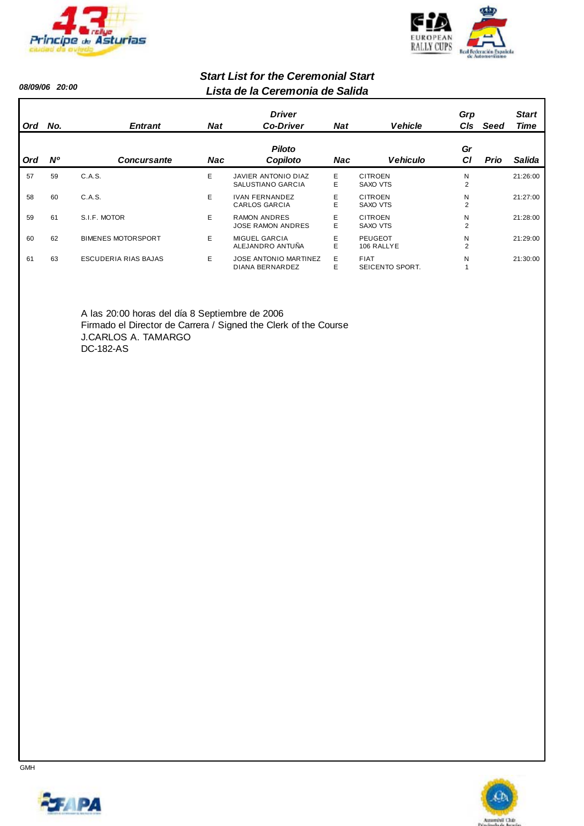



*08/09/06 20:00*

#### *Lista de la Ceremonia de Salida Start List for the Ceremonial Start*

|     |           |                           |            | <b>Driver</b>                                   |            |                                | Grp                 |             | <b>Start</b> |
|-----|-----------|---------------------------|------------|-------------------------------------------------|------------|--------------------------------|---------------------|-------------|--------------|
| Ord | No.       | <b>Entrant</b>            | <b>Nat</b> | <b>Co-Driver</b>                                | <b>Nat</b> | <b>Vehicle</b>                 | CIs                 | Seed        | Time         |
| Ord | <b>N°</b> | <b>Concursante</b>        | Nac        | <b>Piloto</b><br>Copiloto                       | <b>Nac</b> | <b>Vehiculo</b>                | Gr<br>СI            | <b>Prio</b> | Salida       |
| 57  | 59        | C.A.S.                    | E.         | JAVIER ANTONIO DIAZ<br>SALUSTIANO GARCIA        | E<br>E     | <b>CITROEN</b><br>SAXO VTS     | N<br>$\overline{2}$ |             | 21:26:00     |
| 58  | 60        | C.A.S.                    | E.         | <b>IVAN FERNANDEZ</b><br><b>CARLOS GARCIA</b>   | E<br>E     | <b>CITROEN</b><br>SAXO VTS     | N<br>$\overline{2}$ |             | 21:27:00     |
| 59  | 61        | S.I.F. MOTOR              | E.         | <b>RAMON ANDRES</b><br><b>JOSE RAMON ANDRES</b> | E<br>E     | <b>CITROEN</b><br>SAXO VTS     | N<br>$\overline{2}$ |             | 21:28:00     |
| 60  | 62        | <b>BIMENES MOTORSPORT</b> | E.         | <b>MIGUEL GARCIA</b><br>ALEJANDRO ANTUÑA        | E<br>Е     | <b>PEUGEOT</b><br>106 RALLYE   | N<br>$\overline{2}$ |             | 21:29:00     |
| 61  | 63        | ESCUDERIA RIAS BAJAS      | E.         | <b>JOSE ANTONIO MARTINEZ</b><br>DIANA BERNARDEZ | E.<br>E    | <b>FIAT</b><br>SEICENTO SPORT. | N                   |             | 21:30:00     |

A las 20:00 horas del día 8 Septiembre de 2006 Firmado el Director de Carrera / Signed the Clerk of the Course J.CARLOS A. TAMARGO DC-182-AS



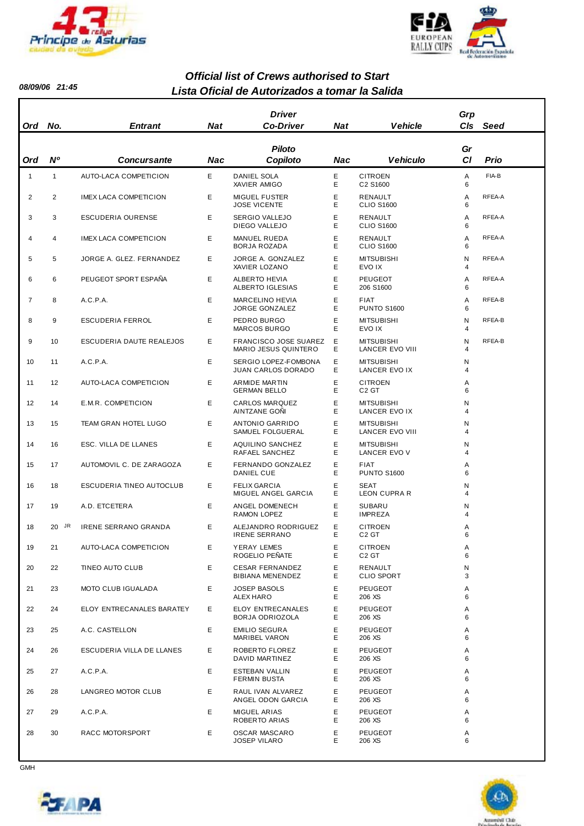



#### *Lista Oficial de Autorizados a tomar la Salida Official list of Crews authorised to Start*

| Ord          | No.            | <b>Entrant</b>               | <b>Nat</b> | <b>Driver</b><br><b>Co-Driver</b>                 | <b>Nat</b> | <b>Vehicle</b>                              | Grp<br>C <sub>ls</sub> | Seed   |
|--------------|----------------|------------------------------|------------|---------------------------------------------------|------------|---------------------------------------------|------------------------|--------|
| Ord          | N°             | Concursante                  | Nac        | <b>Piloto</b><br>Copiloto                         | Nac        | <b>Vehiculo</b>                             | Gr<br><b>CI</b>        | Prio   |
| $\mathbf{1}$ | $\mathbf{1}$   | AUTO-LACA COMPETICION        | Е          | <b>DANIEL SOLA</b><br><b>XAVIER AMIGO</b>         | Е<br>E     | <b>CITROEN</b><br>C2 S1600                  | Α<br>6                 | FIA-B  |
| 2            | 2              | <b>IMEX LACA COMPETICION</b> | Е          | <b>MIGUEL FUSTER</b><br><b>JOSE VICENTE</b>       | Е<br>E     | RENAULT<br><b>CLIO S1600</b>                | Α<br>6                 | RFEA-A |
| 3            | 3              | <b>ESCUDERIA OURENSE</b>     | E          | <b>SERGIO VALLEJO</b><br>DIEGO VALLEJO            | Е<br>E.    | RENAULT<br><b>CLIO S1600</b>                | Α<br>6                 | RFEA-A |
| 4            | $\overline{4}$ | <b>IMEX LACA COMPETICION</b> | E          | <b>MANUEL RUEDA</b><br>BORJA ROZADA               | E<br>E     | RENAULT<br><b>CLIO S1600</b>                | Α<br>6                 | RFEA-A |
| 5            | 5              | JORGE A. GLEZ. FERNANDEZ     | E          | JORGE A. GONZALEZ<br>XAVIER LOZANO                | E<br>E     | <b>MITSUBISHI</b><br>EVO IX                 | N<br>4                 | RFEA-A |
| 6            | 6              | PEUGEOT SPORT ESPAÑA         | Е          | <b>ALBERTO HEVIA</b><br>ALBERTO IGLESIAS          | Е<br>E     | PEUGEOT<br>206 S1600                        | Α<br>6                 | RFEA-A |
| 7            | 8              | A.C.P.A.                     | Е          | <b>MARCELINO HEVIA</b><br><b>JORGE GONZALEZ</b>   | Е<br>E     | FIAT<br><b>PUNTO S1600</b>                  | Α<br>6                 | RFEA-B |
| 8            | 9              | ESCUDERIA FERROL             | Е          | PEDRO BURGO<br><b>MARCOS BURGO</b>                | Е<br>E.    | <b>MITSUBISHI</b><br>EVO IX                 | Ν<br>4                 | RFEA-B |
| 9            | 10             | ESCUDERIA DAUTE REALEJOS     | E          | FRANCISCO JOSE SUAREZ<br>MARIO JESUS QUINTERO     | Ε<br>E.    | <b>MITSUBISHI</b><br><b>LANCER EVO VIII</b> | Ν<br>4                 | RFEA-B |
| 10           | 11             | A.C.P.A.                     | Е          | SERGIO LOPEZ-FOMBONA<br><b>JUAN CARLOS DORADO</b> | Е<br>E.    | <b>MITSUBISHI</b><br>LANCER EVO IX          | N<br>4                 |        |
| 11           | 12             | AUTO-LACA COMPETICION        | Е          | <b>ARMIDE MARTIN</b><br><b>GERMAN BELLO</b>       | Е<br>E     | <b>CITROEN</b><br>C <sub>2</sub> GT         | Α<br>6                 |        |
| 12           | 14             | E.M.R. COMPETICION           | E          | <b>CARLOS MARQUEZ</b><br>AINTZANE GONI            | Е<br>E     | <b>MITSUBISHI</b><br>LANCER EVO IX          | N<br>4                 |        |
| 13           | 15             | TEAM GRAN HOTEL LUGO         | E          | ANTONIO GARRIDO<br>SAMUEL FOLGUERAL               | Е<br>E     | <b>MITSUBISHI</b><br><b>LANCER EVO VIII</b> | N<br>4                 |        |
| 14           | 16             | ESC. VILLA DE LLANES         | Е          | <b>AQUILINO SANCHEZ</b><br>RAFAEL SANCHEZ         | Е<br>E     | <b>MITSUBISHI</b><br>LANCER EVO V           | N<br>4                 |        |
| 15           | 17             | AUTOMOVIL C. DE ZARAGOZA     | Е          | FERNANDO GONZALEZ<br>DANIEL CUE                   | Е<br>E.    | FIAT<br><b>PUNTO S1600</b>                  | Α<br>6                 |        |
| 16           | 18             | ESCUDERIA TINEO AUTOCLUB     | Е          | <b>FELIX GARCIA</b><br>MIGUEL ANGEL GARCIA        | E<br>E.    | <b>SEAT</b><br><b>LEON CUPRA R</b>          | N<br>4                 |        |
| 17           | 19             | A.D. ETCETERA                | E          | ANGEL DOMENECH<br><b>RAMON LOPEZ</b>              | Е<br>E.    | <b>SUBARU</b><br><b>IMPREZA</b>             | Ν<br>4                 |        |
| 18           | 20 JR          | <b>IRENE SERRANO GRANDA</b>  | Е          | ALEJANDRO RODRIGUEZ<br><b>IRENE SERRANO</b>       | E<br>Е     | <b>CITROEN</b><br>C <sub>2</sub> GT         | Α<br>6                 |        |
| 19           | 21             | AUTO-LACA COMPETICION        | Е          | YERAY LEMES<br>ROGELIO PEÑATE                     | Е<br>E     | <b>CITROEN</b><br>C <sub>2</sub> GT         | Α<br>6                 |        |
| 20           | 22             | TINEO AUTO CLUB              | Е          | <b>CESAR FERNANDEZ</b><br>BIBIANA MENENDEZ        | Е<br>E.    | RENAULT<br><b>CLIO SPORT</b>                | Ν<br>3                 |        |
| 21           | 23             | MOTO CLUB IGUALADA           | Е          | <b>JOSEP BASOLS</b><br>ALEX HARO                  | Е<br>E.    | PEUGEOT<br>206 XS                           | Α<br>6                 |        |
| 22           | 24             | ELOY ENTRECANALES BARATEY    | E.         | <b>ELOY ENTRECANALES</b><br>BORJA ODRIOZOLA       | Е<br>E.    | <b>PEUGEOT</b><br>206 XS                    | Α<br>6                 |        |
| 23           | 25             | A.C. CASTELLON               | E          | <b>EMILIO SEGURA</b><br>MARIBEL VARON             | Е<br>E.    | <b>PEUGEOT</b><br>206 XS                    | Α<br>6                 |        |
| 24           | 26             | ESCUDERIA VILLA DE LLANES    | E.         | ROBERTO FLOREZ<br>DAVID MARTINEZ                  | E<br>Е     | <b>PEUGEOT</b><br>206 XS                    | Α<br>6                 |        |
| 25           | 27             | A.C.P.A.                     | E          | ESTEBAN VALLIN<br><b>FERMIN BUSTA</b>             | E<br>E.    | <b>PEUGEOT</b><br>206 XS                    | Α<br>6                 |        |
| 26           | 28             | LANGREO MOTOR CLUB           | Е          | RAUL IVAN ALVAREZ<br>ANGEL ODON GARCIA            | E<br>E.    | PEUGEOT<br>206 XS                           | Α<br>6                 |        |
| 27           | 29             | A.C.P.A.                     | E.         | <b>MIGUEL ARIAS</b><br>ROBERTO ARIAS              | Е<br>E     | <b>PEUGEOT</b><br>206 XS                    | Α<br>6                 |        |
| 28           | 30             | RACC MOTORSPORT              | Е          | OSCAR MASCARO<br><b>JOSEP VILARO</b>              | Е<br>E.    | PEUGEOT<br>206 XS                           | Α<br>6                 |        |



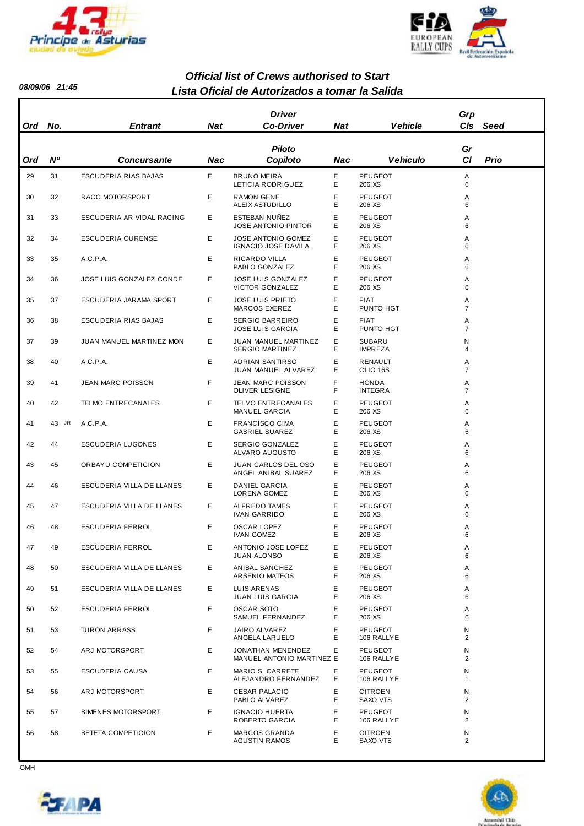



#### *Lista Oficial de Autorizados a tomar la Salida Official list of Crews authorised to Start*

| Ord | No.       | <b>Entrant</b>            | Nat | <b>Driver</b><br><b>Co-Driver</b>                     | <b>Nat</b> | <b>Vehicle</b>                  | Grp<br>CIs          | Seed |
|-----|-----------|---------------------------|-----|-------------------------------------------------------|------------|---------------------------------|---------------------|------|
|     |           |                           |     | Piloto                                                |            |                                 | Gr                  |      |
| Ord | <b>N°</b> | <b>Concursante</b>        | Nac | Copiloto                                              | Nac        | Vehiculo                        | <b>CI</b>           | Prio |
| 29  | 31        | ESCUDERIA RIAS BAJAS      | E   | <b>BRUNO MEIRA</b><br>LETICIA RODRIGUEZ               | E<br>Е     | PEUGEOT<br>206 XS               | Α<br>6              |      |
| 30  | 32        | RACC MOTORSPORT           | Е   | <b>RAMON GENE</b><br>ALEIX ASTUDILLO                  | E<br>Е     | PEUGEOT<br>206 XS               | Α<br>6              |      |
| 31  | 33        | ESCUDERIA AR VIDAL RACING | Е   | ESTEBAN NUÑEZ<br><b>JOSE ANTONIO PINTOR</b>           | Ε<br>E     | PEUGEOT<br>206 XS               | Α<br>6              |      |
| 32  | 34        | ESCUDERIA OURENSE         | E   | <b>JOSE ANTONIO GOMEZ</b><br>IGNACIO JOSE DAVILA      | Е<br>E     | PEUGEOT<br>206 XS               | Α<br>6              |      |
| 33  | 35        | A.C.P.A.                  | Е   | RICARDO VILLA<br>PABLO GONZALEZ                       | Е<br>E     | PEUGEOT<br>206 XS               | Α<br>6              |      |
| 34  | 36        | JOSE LUIS GONZALEZ CONDE  | Е   | <b>JOSE LUIS GONZALEZ</b><br>VICTOR GONZALEZ          | Е<br>E     | PEUGEOT<br>206 XS               | Α<br>6              |      |
| 35  | 37        | ESCUDERIA JARAMA SPORT    | Е   | <b>JOSE LUIS PRIETO</b><br>MARCOS EXEREZ              | Е<br>E     | <b>FIAT</b><br>PUNTO HGT        | Α<br>$\overline{7}$ |      |
| 36  | 38        | ESCUDERIA RIAS BAJAS      | Ε   | <b>SERGIO BARREIRO</b><br><b>JOSE LUIS GARCIA</b>     | E<br>E     | <b>FIAT</b><br>PUNTO HGT        | Α<br>$\overline{7}$ |      |
| 37  | 39        | JUAN MANUEL MARTINEZ MON  | Е   | <b>JUAN MANUEL MARTINEZ</b><br><b>SERGIO MARTINEZ</b> | Е<br>E     | <b>SUBARU</b><br><b>IMPREZA</b> | N<br>4              |      |
| 38  | 40        | A.C.P.A.                  | Е   | <b>ADRIAN SANTIRSO</b><br>JUAN MANUEL ALVAREZ         | E<br>Е     | RENAULT<br>CLIO 16S             | Α<br>$\overline{7}$ |      |
| 39  | 41        | JEAN MARC POISSON         | F   | <b>JEAN MARC POISSON</b><br>OLIVER LESIGNE            | F<br>F     | <b>HONDA</b><br><b>INTEGRA</b>  | Α<br>$\overline{7}$ |      |
| 40  | 42        | <b>TELMO ENTRECANALES</b> | E   | <b>TELMO ENTRECANALES</b><br><b>MANUEL GARCIA</b>     | Е<br>E     | PEUGEOT<br>206 XS               | Α<br>6              |      |
| 41  | 43 JR     | A.C.P.A.                  | E   | <b>FRANCISCO CIMA</b><br><b>GABRIEL SUAREZ</b>        | E<br>E     | PEUGEOT<br>206 XS               | Α<br>6              |      |
| 42  | 44        | ESCUDERIA LUGONES         | Е   | SERGIO GONZALEZ<br>ALVARO AUGUSTO                     | E<br>Е     | PEUGEOT<br>206 XS               | Α<br>6              |      |
| 43  | 45        | ORBAYU COMPETICION        | Е   | JUAN CARLOS DEL OSO<br>ANGEL ANIBAL SUAREZ            | Е<br>E     | PEUGEOT<br>206 XS               | Α<br>6              |      |
| 44  | 46        | ESCUDERIA VILLA DE LLANES | Е   | <b>DANIEL GARCIA</b><br>LORENA GOMEZ                  | Е<br>E     | <b>PEUGEOT</b><br>206 XS        | Α<br>6              |      |
| 45  | 47        | ESCUDERIA VILLA DE LLANES | Е   | ALFREDO TAMES<br><b>IVAN GARRIDO</b>                  | Е<br>E     | PEUGEOT<br>206 XS               | Α<br>6              |      |
| 46  | 48        | <b>ESCUDERIA FERROL</b>   | Е   | <b>OSCAR LOPEZ</b><br><b>IVAN GOMEZ</b>               | Ε<br>E     | PEUGEOT<br>206 XS               | Α<br>6              |      |
| 47  | 49        | <b>ESCUDERIA FERROL</b>   | Е   | ANTONIO JOSE LOPEZ<br><b>JUAN ALONSO</b>              | Е<br>E     | PEUGEOT<br>206 XS               | Α<br>6              |      |
| 48  | 50        | ESCUDERIA VILLA DE LLANES | Е   | ANIBAL SANCHEZ<br>ARSENIO MATEOS                      | E<br>Е     | PEUGEOT<br>206 XS               | Α<br>6              |      |
| 49  | 51        | ESCUDERIA VILLA DE LLANES | Е   | LUIS ARENAS<br><b>JUAN LUIS GARCIA</b>                | E<br>Е     | PEUGEOT<br>206 XS               | Α<br>6              |      |
| 50  | 52        | ESCUDERIA FERROL          | Е   | <b>OSCAR SOTO</b><br>SAMUEL FERNANDEZ                 | E<br>Е     | PEUGEOT<br>206 XS               | Α<br>6              |      |
| 51  | 53        | <b>TURON ARRASS</b>       | Е   | JAIRO ALVAREZ<br>ANGELA LARUELO                       | Е<br>Е     | PEUGEOT<br>106 RALLYE           | N<br>$\overline{2}$ |      |
| 52  | 54        | ARJ MOTORSPORT            | E   | JONATHAN MENENDEZ<br>MANUEL ANTONIO MARTINEZ E        | Е          | PEUGEOT<br>106 RALLYE           | N<br>$\overline{2}$ |      |
| 53  | 55        | ESCUDERIA CAUSA           | Е   | MARIO S. CARRETE<br>ALEJANDRO FERNANDEZ               | Е<br>Е     | PEUGEOT<br>106 RALLYE           | N<br>1              |      |
| 54  | 56        | ARJ MOTORSPORT            | Е   | <b>CESAR PALACIO</b><br>PABLO ALVAREZ                 | Е<br>Е     | <b>CITROEN</b><br>SAXO VTS      | N<br>2              |      |
| 55  | 57        | <b>BIMENES MOTORSPORT</b> | Е   | <b>IGNACIO HUERTA</b><br>ROBERTO GARCIA               | Е<br>E     | PEUGEOT<br>106 RALLYE           | N<br>$\overline{2}$ |      |
| 56  | 58        | BETETA COMPETICION        | Е   | MARCOS GRANDA<br><b>AGUSTIN RAMOS</b>                 | Е<br>E     | <b>CITROEN</b><br>SAXO VTS      | N<br>$\overline{2}$ |      |



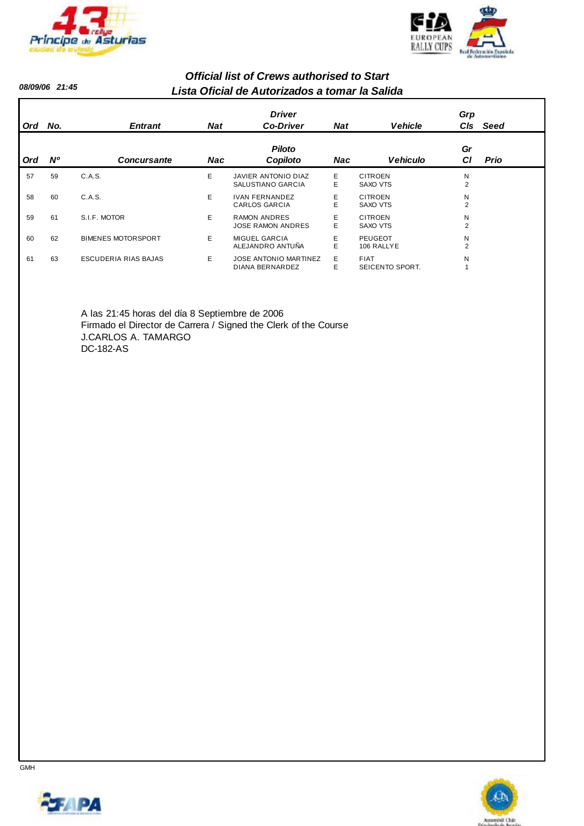



#### *Lista Oficial de Autorizados a tomar la Salida Official list of Crews authorised to Start*

| Ord        | No.       | <b>Entrant</b>            | <b>Nat</b> | <b>Driver</b><br><b>Co-Driver</b>               | <b>Nat</b> | <b>Vehicle</b>                 | Grp<br>CIs          | Seed        |
|------------|-----------|---------------------------|------------|-------------------------------------------------|------------|--------------------------------|---------------------|-------------|
| <b>Ord</b> | <b>N°</b> | <b>Concursante</b>        | Nac        | <b>Piloto</b><br>Copiloto                       | <b>Nac</b> | <b>Vehiculo</b>                | Gr<br>СI            | <b>Prio</b> |
| 57         | 59        | C.A.S.                    | E.         | JAVIER ANTONIO DIAZ<br>SALUSTIANO GARCIA        | E.<br>E    | <b>CITROEN</b><br>SAXO VTS     | N<br>$\overline{2}$ |             |
| 58         | 60        | C.A.S.                    | E.         | <b>IVAN FERNANDEZ</b><br><b>CARLOS GARCIA</b>   | E<br>E     | <b>CITROEN</b><br>SAXO VTS     | Ν<br>$\overline{2}$ |             |
| 59         | 61        | S.I.F. MOTOR              | E.         | <b>RAMON ANDRES</b><br><b>JOSE RAMON ANDRES</b> | E<br>E     | <b>CITROEN</b><br>SAXO VTS     | Ν<br>$\overline{2}$ |             |
| 60         | 62        | <b>BIMENES MOTORSPORT</b> | E.         | <b>MIGUEL GARCIA</b><br>ALEJANDRO ANTUÑA        | E<br>Е     | PEUGEOT<br>106 RALLYE          | N<br>$\overline{2}$ |             |
| 61         | 63        | ESCUDERIA RIAS BAJAS      | E.         | <b>JOSE ANTONIO MARTINEZ</b><br>DIANA BERNARDEZ | E.<br>E    | <b>FIAT</b><br>SEICENTO SPORT. | N                   |             |

A las 21:45 horas del día 8 Septiembre de 2006 Firmado el Director de Carrera / Signed the Clerk of the Course J.CARLOS A. TAMARGO DC-182-AS



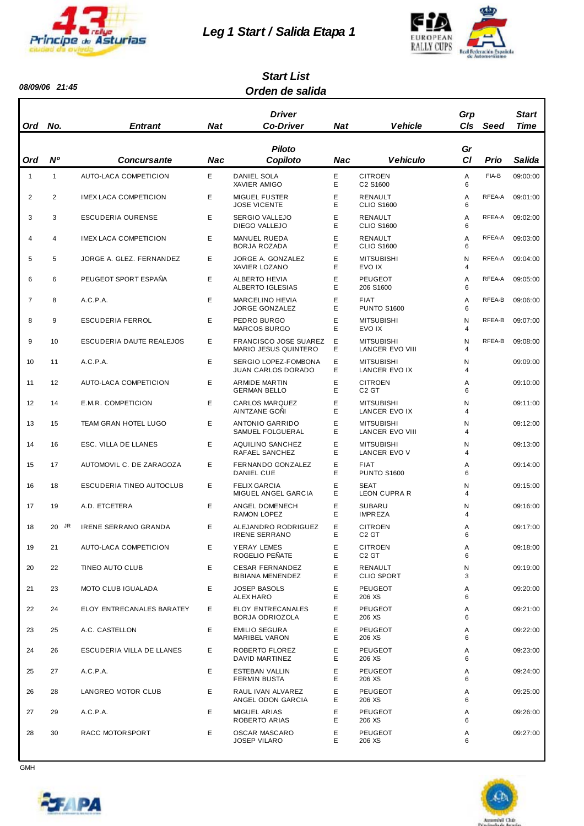

# *Leg 1 Start / Salida Etapa 1*



#### *Orden de salida Start List*

| <b>Ord</b>     | No.            | <b>Entrant</b>                  | <b>Nat</b> | <b>Driver</b><br><b>Co-Driver</b>                    | <b>Nat</b>                                  | <b>Vehicle</b>                       | Grp<br>CIs      | Seed   | <b>Start</b><br>Time |
|----------------|----------------|---------------------------------|------------|------------------------------------------------------|---------------------------------------------|--------------------------------------|-----------------|--------|----------------------|
| Ord            | N <sup>o</sup> | Concursante                     | Nac        | <b>Piloto</b><br>Copiloto                            | Nac                                         | <b>Vehiculo</b>                      | Gr<br><b>CI</b> | Prio   | Salida               |
| $\mathbf{1}$   | $\mathbf{1}$   | AUTO-LACA COMPETICION           | E          | DANIEL SOLA<br>XAVIER AMIGO                          | Е<br>E                                      | <b>CITROEN</b><br>C2 S1600           | Α<br>6          | FIA-B  | 09:00:00             |
| 2              | 2              | <b>IMEX LACA COMPETICION</b>    | Е          | <b>MIGUEL FUSTER</b><br><b>JOSE VICENTE</b>          | E<br>E                                      | RENAULT<br><b>CLIO S1600</b>         | Α<br>6          | RFEA-A | 09:01:00             |
| 3              | 3              | <b>ESCUDERIA OURENSE</b>        | Е          | <b>SERGIO VALLEJO</b><br>DIEGO VALLEJO               | Ε<br>Е                                      | RENAULT<br><b>CLIO S1600</b>         | Α<br>6          | RFEA-A | 09:02:00             |
| $\overline{4}$ | 4              | <b>IMEX LACA COMPETICION</b>    | Е          | <b>MANUEL RUEDA</b><br>BORJA ROZADA                  | Е<br>Е                                      | RENAULT<br><b>CLIO S1600</b>         | Α<br>6          | RFEA-A | 09:03:00             |
| 5              | 5              | JORGE A. GLEZ. FERNANDEZ        | E          | JORGE A. GONZALEZ<br>XAVIER LOZANO                   | Е<br>Е                                      | <b>MITSUBISHI</b><br>EVO IX          | Ν<br>4          | RFEA-A | 09:04:00             |
| 6              | 6              | PEUGEOT SPORT ESPAÑA            | E          | <b>ALBERTO HEVIA</b><br>ALBERTO IGLESIAS             | E<br>E                                      | <b>PEUGEOT</b><br>206 S1600          | Α<br>6          | RFEA-A | 09:05:00             |
| $\overline{7}$ | 8              | A.C.P.A.                        | Е          | <b>MARCELINO HEVIA</b><br><b>JORGE GONZALEZ</b>      | E<br><b>FIAT</b><br>Е<br><b>PUNTO S1600</b> |                                      | Α<br>6          | RFEA-B | 09:06:00             |
| 8              | 9              | <b>ESCUDERIA FERROL</b>         | Е          | PEDRO BURGO<br><b>MARCOS BURGO</b>                   | Е<br>E                                      | <b>MITSUBISHI</b><br>EVO IX          | Ν<br>4          | RFEA-B | 09:07:00             |
| 9              | 10             | ESCUDERIA DAUTE REALEJOS        | Е          | <b>FRANCISCO JOSE SUAREZ</b><br>MARIO JESUS QUINTERO | Е<br>Е                                      | <b>MITSUBISHI</b><br>LANCER EVO VIII | Ν<br>4          | RFEA-B | 09:08:00             |
| 10             | 11             | A.C.P.A.                        | E          | SERGIO LOPEZ-FOMBONA<br>JUAN CARLOS DORADO           | Ε<br>Е                                      | <b>MITSUBISHI</b><br>LANCER EVO IX   | Ν<br>4          |        | 09:09:00             |
| 11             | 12             | AUTO-LACA COMPETICION           | E          | ARMIDE MARTIN<br><b>GERMAN BELLO</b>                 | Е<br>Е                                      | <b>CITROEN</b><br>C <sub>2</sub> GT  | Α<br>6          |        | 09:10:00             |
| 12             | 14             | E.M.R. COMPETICION              | Е          | <b>CARLOS MARQUEZ</b><br>AINTZANE GONI               | E<br>E                                      | <b>MITSUBISHI</b><br>LANCER EVO IX   | Ν<br>4          |        | 09:11:00             |
| 13             | 15             | TEAM GRAN HOTEL LUGO            | Е          | <b>ANTONIO GARRIDO</b><br>SAMUEL FOLGUERAL           | Е<br>Е                                      | <b>MITSUBISHI</b><br>LANCER EVO VIII | Ν<br>4          |        | 09:12:00             |
| 14             | 16             | ESC. VILLA DE LLANES            | Е          | <b>AQUILINO SANCHEZ</b><br>RAFAEL SANCHEZ            | Ε<br>E                                      | <b>MITSUBISHI</b><br>LANCER EVO V    | Ν<br>4          |        | 09:13:00             |
| 15             | 17             | AUTOMOVIL C. DE ZARAGOZA        | Е          | FERNANDO GONZALEZ<br>DANIEL CUE                      | Ε<br>Е                                      | <b>FIAT</b><br><b>PUNTO S1600</b>    | Α<br>6          |        | 09:14:00             |
| 16             | 18             | <b>ESCUDERIA TINEO AUTOCLUB</b> | E          | <b>FELIX GARCIA</b><br>MIGUEL ANGEL GARCIA           | E<br>Е                                      | <b>SEAT</b><br><b>LEON CUPRA R</b>   | Ν<br>4          |        | 09:15:00             |
| 17             | 19             | A.D. ETCETERA                   | E          | ANGEL DOMENECH<br><b>RAMON LOPEZ</b>                 | E<br>Е                                      | <b>SUBARU</b><br><b>IMPREZA</b>      | Ν<br>4          |        | 09:16:00             |
| 18             | 20 JR          | IRENE SERRANO GRANDA            | Е          | ALEJANDRO RODRIGUEZ<br><b>IRENE SERRANO</b>          | Е<br>Е                                      | <b>CITROEN</b><br>C <sub>2</sub> GT  | A<br>6          |        | 09:17:00             |
| 19             | 21             | AUTO-LACA COMPETICION           | Е          | YERAY LEMES<br>ROGELIO PEÑATE                        | Е<br>E                                      | <b>CITROEN</b><br>C <sub>2</sub> GT  | Α<br>6          |        | 09:18:00             |
| 20             | 22             | TINEO AUTO CLUB                 | Е          | <b>CESAR FERNANDEZ</b><br>BIBIANA MENENDEZ           | E<br>Е                                      | RENAULT<br><b>CLIO SPORT</b>         | N<br>3          |        | 09:19:00             |
| 21             | 23             | MOTO CLUB IGUALADA              | Е          | <b>JOSEP BASOLS</b><br>ALEX HARO                     | E<br>Е                                      | <b>PEUGEOT</b><br>206 XS             | Α<br>6          |        | 09:20:00             |
| 22             | 24             | ELOY ENTRECANALES BARATEY       | E          | ELOY ENTRECANALES<br>BORJA ODRIOZOLA                 | E<br>Е                                      | <b>PEUGEOT</b><br>206 XS             | Α<br>6          |        | 09:21:00             |
| 23             | 25             | A.C. CASTELLON                  | Е          | <b>EMILIO SEGURA</b><br>MARIBEL VARON                | Е<br>Е                                      | <b>PEUGEOT</b><br>206 XS             | Α<br>6          |        | 09:22:00             |
| 24             | 26             | ESCUDERIA VILLA DE LLANES       | Е          | ROBERTO FLOREZ<br>DAVID MARTINEZ                     | Е<br>E                                      | <b>PEUGEOT</b><br>206 XS             | Α<br>6          |        | 09:23:00             |
| 25             | 27             | A.C.P.A.                        | Е          | ESTEBAN VALLIN<br>FERMIN BUSTA                       | E<br>Е                                      | <b>PEUGEOT</b><br>206 XS             | Α<br>6          |        | 09:24:00             |
| 26             | 28             | LANGREO MOTOR CLUB              | Е          | RAUL IVAN ALVAREZ<br>ANGEL ODON GARCIA               | E<br>Е                                      | <b>PEUGEOT</b><br>206 XS             | Α<br>6          |        | 09:25:00             |
| 27             | 29             | A.C.P.A.                        | Е          | <b>MIGUEL ARIAS</b><br>ROBERTO ARIAS                 | E<br>Е                                      | <b>PEUGEOT</b><br>206 XS             | Α<br>6          |        | 09:26:00             |
| 28             | 30             | RACC MOTORSPORT                 | Е          | <b>OSCAR MASCARO</b><br>JOSEP VILARO                 | Е<br>E                                      | PEUGEOT<br>206 XS                    | Α<br>6          |        | 09:27:00             |



 $\overline{\phantom{a}}$ 

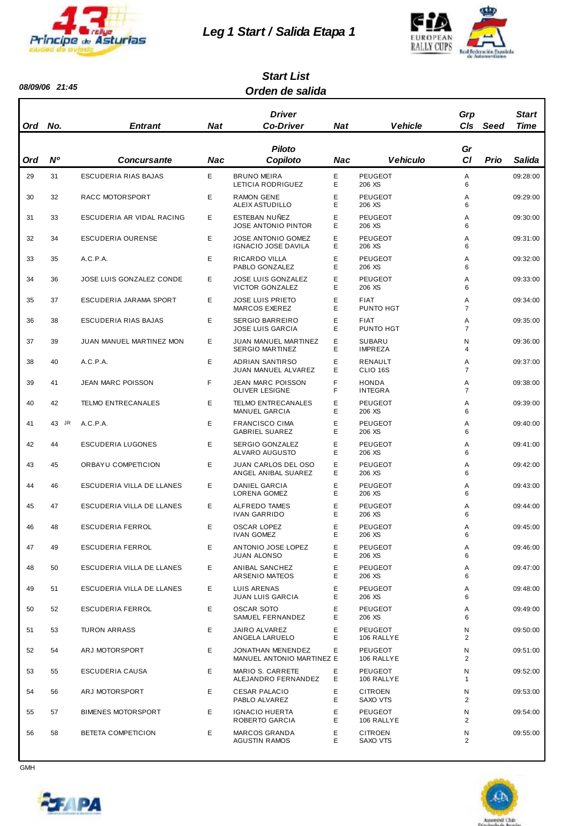

# *Leg 1 Start / Salida Etapa 1*



#### *Orden de salida Start List*

| Ord | No.         | <b>Entrant</b>            | Nat | Driver<br><b>Co-Driver</b>                          | <b>Nat</b> | <b>Vehicle</b>                  | Grp<br><b>CIs</b>   | Seed | <b>Start</b><br>Time |
|-----|-------------|---------------------------|-----|-----------------------------------------------------|------------|---------------------------------|---------------------|------|----------------------|
| Ord | $N^{\rm o}$ | <b>Concursante</b>        | Nac | <b>Piloto</b><br>Copiloto                           | Nac        | <b>Vehiculo</b>                 | Gr<br>C1            | Prio | Salida               |
| 29  | 31          | ESCUDERIA RIAS BAJAS      | Е   | <b>BRUNO MEIRA</b><br>LETICIA RODRIGUEZ             | Е<br>E     | <b>PEUGEOT</b><br>206 XS        | Α<br>6              |      | 09:28:00             |
| 30  | 32          | RACC MOTORSPORT           | Е   | <b>RAMON GENE</b><br>ALEIX ASTUDILLO                | Ε<br>E     | PEUGEOT<br>206 XS               | A<br>6              |      | 09:29:00             |
| 31  | 33          | ESCUDERIA AR VIDAL RACING | E   | ESTEBAN NUÑEZ<br><b>JOSE ANTONIO PINTOR</b>         | Ε<br>Е     | <b>PEUGEOT</b><br>206 XS        | A<br>6              |      | 09:30:00             |
| 32  | 34          | ESCUDERIA OURENSE         | E   | <b>JOSE ANTONIO GOMEZ</b><br>IGNACIO JOSE DAVILA    | E<br>Е     | <b>PEUGEOT</b><br>206 XS        | Α<br>6              |      | 09:31:00             |
| 33  | 35          | A.C.P.A.                  | Е   | RICARDO VILLA<br>PABLO GONZALEZ                     | Ε<br>E     | <b>PEUGEOT</b><br>206 XS        | Α<br>6              |      | 09:32:00             |
| 34  | 36          | JOSE LUIS GONZALEZ CONDE  | Е   | <b>JOSE LUIS GONZALEZ</b><br><b>VICTOR GONZALEZ</b> | Ε<br>Е     | <b>PEUGEOT</b><br>206 XS        | A<br>6              |      | 09:33:00             |
| 35  | 37          | ESCUDERIA JARAMA SPORT    | Е   | <b>JOSE LUIS PRIETO</b><br>MARCOS EXEREZ            | Ε<br>Е     | <b>FIAT</b><br>PUNTO HGT        | A<br>7              |      | 09:34:00             |
| 36  | 38          | ESCUDERIA RIAS BAJAS      | E   | <b>SERGIO BARREIRO</b><br><b>JOSE LUIS GARCIA</b>   | E<br>Е     | <b>FIAT</b><br>PUNTO HGT        | Α<br>$\overline{7}$ |      | 09:35:00             |
| 37  | 39          | JUAN MANUEL MARTINEZ MON  | E   | JUAN MANUEL MARTINEZ<br><b>SERGIO MARTINEZ</b>      | E<br>Ε     | <b>SUBARU</b><br><b>IMPREZA</b> | N<br>4              |      | 09:36:00             |
| 38  | 40          | A.C.P.A.                  | E   | <b>ADRIAN SANTIRSO</b><br>JUAN MANUEL ALVAREZ       | Е<br>Е     | RENAULT<br>CLIO <sub>16S</sub>  | Α<br>$\overline{7}$ |      | 09:37:00             |
| 39  | 41          | <b>JEAN MARC POISSON</b>  | F.  | <b>JEAN MARC POISSON</b><br><b>OLIVER LESIGNE</b>   | F<br>F     | <b>HONDA</b><br><b>INTEGRA</b>  | Α<br>$\overline{7}$ |      | 09:38:00             |
| 40  | 42          | <b>TELMO ENTRECANALES</b> | Е   | <b>TELMO ENTRECANALES</b><br>MANUEL GARCIA          | Ε<br>Е     | <b>PEUGEOT</b><br>206 XS        | A<br>6              |      | 09:39:00             |
| 41  | 43 JR       | A.C.P.A.                  | E   | <b>FRANCISCO CIMA</b><br><b>GABRIEL SUAREZ</b>      | E<br>Ε     | <b>PEUGEOT</b><br>206 XS        | Α<br>6              |      | 09:40:00             |
| 42  | 44          | <b>ESCUDERIA LUGONES</b>  | E   | SERGIO GONZALEZ<br>ALVARO AUGUSTO                   | E<br>Е     | <b>PEUGEOT</b><br>206 XS        | Α<br>6              |      | 09:41:00             |
| 43  | 45          | ORBAYU COMPETICION        | Е   | JUAN CARLOS DEL OSO<br>ANGEL ANIBAL SUAREZ          | Ε<br>Е     | <b>PEUGEOT</b><br>206 XS        | Α<br>6              |      | 09:42:00             |
| 44  | 46          | ESCUDERIA VILLA DE LLANES | Е   | <b>DANIEL GARCIA</b><br>LORENA GOMEZ                | Ε<br>Ε     | PEUGEOT<br>206 XS               | A<br>6              |      | 09:43:00             |
| 45  | 47          | ESCUDERIA VILLA DE LLANES | E   | <b>ALFREDO TAMES</b><br><b>IVAN GARRIDO</b>         | Ε<br>Е     | <b>PEUGEOT</b><br>206 XS        | A<br>6              |      | 09:44:00             |
| 46  | 48          | <b>ESCUDERIA FERROL</b>   | E   | <b>OSCAR LOPEZ</b><br><b>IVAN GOMEZ</b>             | E<br>Е     | PEUGEOT<br>206 XS               | Α<br>6              |      | 09:45:00             |
| 47  | 49          | ESCUDERIA FERROL          | Е   | ANTONIO JOSE LOPEZ<br><b>JUAN ALONSO</b>            | Е<br>Е     | PEUGEOT<br>206 XS               | Α<br>6              |      | 09:46:00             |
| 48  | 50          | ESCUDERIA VILLA DE LLANES | Е   | <b>ANIBAL SANCHEZ</b><br>ARSENIO MATEOS             | E<br>Е     | PEUGEOT<br>206 XS               | Α<br>6              |      | 09:47:00             |
| 49  | 51          | ESCUDERIA VILLA DE LLANES | Е   | LUIS ARENAS<br><b>JUAN LUIS GARCIA</b>              | Е<br>Е     | PEUGEOT<br>206 XS               | Α<br>6              |      | 09:48:00             |
| 50  | 52          | ESCUDERIA FERROL          | E   | <b>OSCAR SOTO</b><br>SAMUEL FERNANDEZ               | Е<br>Е     | PEUGEOT<br>206 XS               | Α<br>6              |      | 09:49:00             |
| 51  | 53          | <b>TURON ARRASS</b>       | Е   | JAIRO ALVAREZ<br>ANGELA LARUELO                     | E<br>Е     | PEUGEOT<br>106 RALLYE           | N<br>2              |      | 09:50:00             |
| 52  | 54          | ARJ MOTORSPORT            | Е   | JONATHAN MENENDEZ<br>MANUEL ANTONIO MARTINEZ E      | E          | PEUGEOT<br>106 RALLYE           | N<br>2              |      | 09:51:00             |
| 53  | 55          | ESCUDERIA CAUSA           | Е   | MARIO S. CARRETE<br>ALEJANDRO FERNANDEZ             | Е<br>Е     | PEUGEOT<br>106 RALLYE           | N<br>1              |      | 09:52:00             |
| 54  | 56          | ARJ MOTORSPORT            | Е   | <b>CESAR PALACIO</b><br>PABLO ALVAREZ               | Е<br>Е     | <b>CITROEN</b><br>SAXO VTS      | N<br>$\overline{2}$ |      | 09:53:00             |
| 55  | 57          | <b>BIMENES MOTORSPORT</b> | Е   | <b>IGNACIO HUERTA</b><br>ROBERTO GARCIA             | Е<br>Е     | PEUGEOT<br>106 RALLYE           | N<br>$\overline{2}$ |      | 09:54:00             |
| 56  | 58          | BETETA COMPETICION        | Е   | <b>MARCOS GRANDA</b><br><b>AGUSTIN RAMOS</b>        | Ε<br>Е     | <b>CITROEN</b><br>SAXO VTS      | N<br>2              |      | 09:55:00             |



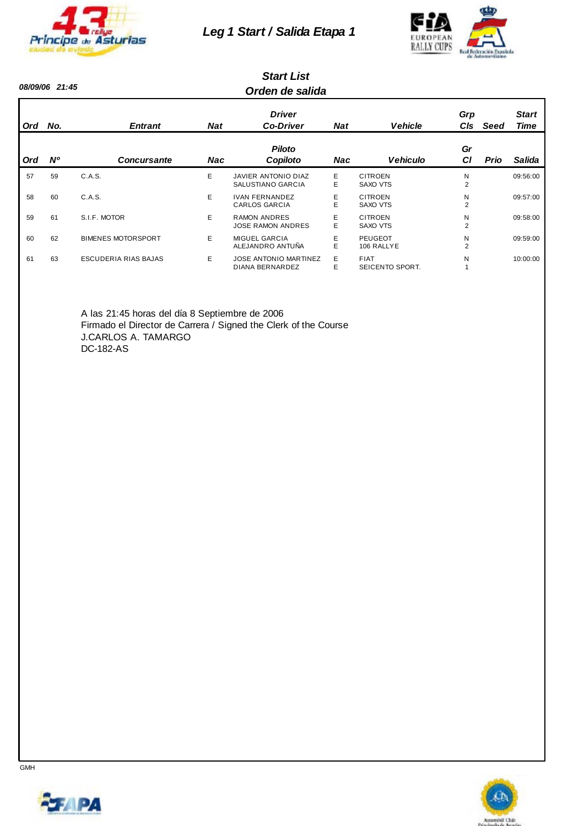

#### *Leg 1 Start / Salida Etapa 1*



#### *Orden de salida Start List*

| Ord | No.       | <b>Entrant</b>            | <b>Nat</b> | <b>Driver</b><br><b>Co-Driver</b>               | <b>Nat</b> | <b>Vehicle</b>                    | Grp<br>C <sub>ls</sub> | Seed        | <b>Start</b><br><b>Time</b> |
|-----|-----------|---------------------------|------------|-------------------------------------------------|------------|-----------------------------------|------------------------|-------------|-----------------------------|
| Ord | <b>N°</b> | <b>Concursante</b>        | <b>Nac</b> | <b>Piloto</b><br>Copiloto                       | <b>Nac</b> | <b>Vehiculo</b>                   | Gr<br><b>CI</b>        | <b>Prio</b> | Salida                      |
| 57  | 59        | C.A.S.                    | E          | JAVIER ANTONIO DIAZ<br>SALUSTIANO GARCIA        | E.<br>E.   | <b>CITROEN</b><br>SAXO VTS        | N<br>2                 |             | 09:56:00                    |
| 58  | 60        | C.A.S.                    | E.         | <b>IVAN FERNANDEZ</b><br><b>CARLOS GARCIA</b>   | E.<br>E.   | <b>CITROEN</b><br><b>SAXO VTS</b> | N<br>$\overline{2}$    |             | 09:57:00                    |
| 59  | 61        | S.I.F. MOTOR              | E.         | <b>RAMON ANDRES</b><br><b>JOSE RAMON ANDRES</b> | E<br>E     | <b>CITROEN</b><br><b>SAXO VTS</b> | N<br>$\overline{2}$    |             | 09:58:00                    |
| 60  | 62        | <b>BIMENES MOTORSPORT</b> | E.         | <b>MIGUEL GARCIA</b><br>ALEJANDRO ANTUÑA        | E.<br>E.   | PEUGEOT<br>106 RALLYE             | N<br>$\overline{2}$    |             | 09:59:00                    |
| 61  | 63        | ESCUDERIA RIAS BAJAS      | E.         | <b>JOSE ANTONIO MARTINEZ</b><br>DIANA BERNARDEZ | E.<br>E    | <b>FIAT</b><br>SEICENTO SPORT.    | N                      |             | 10:00:00                    |

A las 21:45 horas del día 8 Septiembre de 2006 Firmado el Director de Carrera / Signed the Clerk of the Course J.CARLOS A. TAMARGO DC-182-AS



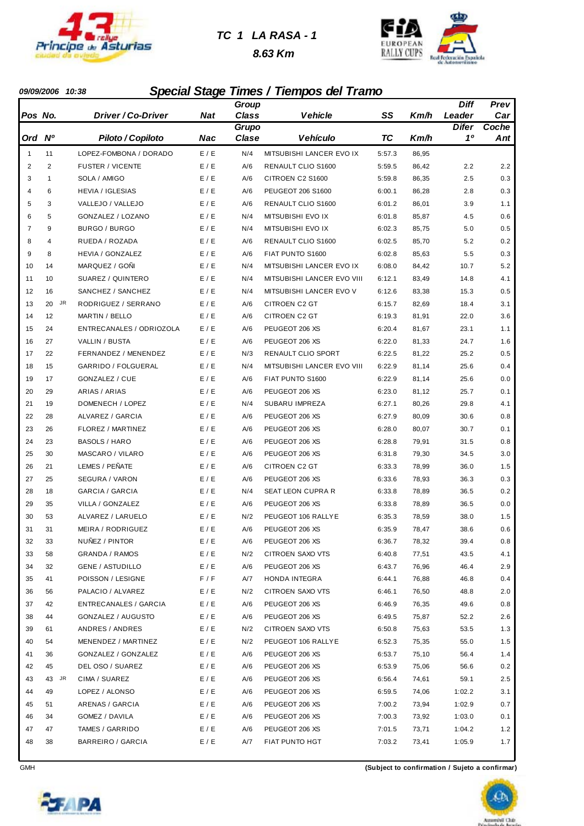

#### *TC 1 LA RASA - 1*

 *8.63 Km*



#### *09/09/2006 10:38 Special Stage Times / Tiempos del Tramo*

|                |              |                              |       | Group        |                            |        |       | Diff         | Prev    |
|----------------|--------------|------------------------------|-------|--------------|----------------------------|--------|-------|--------------|---------|
|                | Pos No.      | Driver / Co-Driver           | Nat   | <b>Class</b> | Vehicle                    | SS     | Km/h  | Leader       | Car     |
|                |              |                              |       | Grupo        |                            |        |       | <b>Difer</b> | Coche   |
| Ord            | <b>N°</b>    | Piloto / Copiloto            | Nac   | Clase        | <b>Vehículo</b>            | TC     | Km/h  | 10           | Ant     |
| $\mathbf{1}$   | 11           | LOPEZ-FOMBONA / DORADO       | E / E | N/4          | MITSUBISHI LANCER EVO IX   | 5:57.3 | 86,95 |              |         |
| 2              | 2            | <b>FUSTER / VICENTE</b>      | E / E | A/6          | RENAULT CLIO S1600         | 5:59.5 | 86,42 | 2.2          | 2.2     |
| 3              | $\mathbf{1}$ | SOLA / AMIGO                 | E / E | A/6          | CITROEN C2 S1600           | 5:59.8 | 86,35 | 2.5          | 0.3     |
| 4              | 6            | <b>HEVIA / IGLESIAS</b>      | E/E   | A/6          | PEUGEOT 206 S1600          | 6:00.1 | 86,28 | 2.8          | 0.3     |
| 5              | 3            | VALLEJO / VALLEJO            | E / E | A/6          | RENAULT CLIO S1600         | 6:01.2 | 86,01 | 3.9          | 1.1     |
| 6              | 5            | GONZALEZ / LOZANO            | E / E | N/4          | MITSUBISHI EVO IX          | 6:01.8 | 85,87 | 4.5          | 0.6     |
| $\overline{7}$ | 9            | BURGO / BURGO                | E / E | N/4          | MITSUBISHI EVO IX          | 6:02.3 | 85,75 | 5.0          | 0.5     |
| 8              | 4            | RUEDA / ROZADA               | E/E   | A/6          | RENAULT CLIO S1600         | 6:02.5 | 85,70 | 5.2          | 0.2     |
| 9              | 8            | <b>HEVIA / GONZALEZ</b>      | E / E | A/6          | FIAT PUNTO S1600           | 6:02.8 | 85,63 | 5.5          | 0.3     |
| 10             | 14           | MARQUEZ / GOÑI               | E / E | N/4          | MITSUBISHI LANCER EVO IX   | 6:08.0 | 84,42 | 10.7         | 5.2     |
| 11             | 10           | SUAREZ / QUINTERO            | E / E | N/4          | MITSUBISHI LANCER EVO VIII | 6:12.1 | 83,49 | 14.8         | 4.1     |
| 12             | 16           | SANCHEZ / SANCHEZ            | E/E   | N/4          | MITSUBISHI LANCER EVO V    | 6:12.6 | 83,38 | 15.3         | 0.5     |
| 13             | JR<br>20     | RODRIGUEZ / SERRANO          | E / E | A/6          | <b>CITROEN C2 GT</b>       | 6:15.7 | 82,69 | 18.4         | 3.1     |
| 14             | 12           | <b>MARTIN / BELLO</b>        | E / E | A/6          | CITROEN C2 GT              | 6:19.3 | 81,91 | 22.0         | 3.6     |
| 15             | 24           | ENTRECANALES / ODRIOZOLA     | E / E | A/6          | PEUGEOT 206 XS             | 6:20.4 | 81,67 | 23.1         | 1.1     |
| 16             | 27           | VALLIN / BUSTA               | E/E   | A/6          | PEUGEOT 206 XS             | 6:22.0 | 81,33 | 24.7         | 1.6     |
| 17             | 22           | FERNANDEZ / MENENDEZ         | E / E | N/3          | <b>RENAULT CLIO SPORT</b>  | 6:22.5 | 81,22 | 25.2         | 0.5     |
| 18             | 15           | GARRIDO / FOLGUERAL          | E / E | N/4          | MITSUBISHI LANCER EVO VIII | 6:22.9 | 81,14 | 25.6         | 0.4     |
| 19             | 17           | GONZALEZ / CUE               | E / E | A/6          | FIAT PUNTO S1600           | 6:22.9 | 81,14 | 25.6         | 0.0     |
| 20             | 29           | ARIAS / ARIAS                | E / E | A/6          | PEUGEOT 206 XS             | 6:23.0 | 81,12 | 25.7         | 0.1     |
| 21             | 19           | DOMENECH / LOPEZ             | E / E | N/4          | SUBARU IMPREZA             | 6:27.1 | 80,26 | 29.8         | 4.1     |
| 22             | 28           | ALVAREZ / GARCIA             | E / E | A/6          | PEUGEOT 206 XS             | 6:27.9 | 80,09 | 30.6         | 0.8     |
| 23             | 26           | FLOREZ / MARTINEZ            | E / E | A/6          | PEUGEOT 206 XS             | 6:28.0 | 80,07 | 30.7         | 0.1     |
| 24             | 23           | <b>BASOLS / HARO</b>         | E/E   | A/6          | PEUGEOT 206 XS             | 6:28.8 | 79,91 | 31.5         | 0.8     |
| 25             | 30           | MASCARO / VILARO             | E / E | A/6          | PEUGEOT 206 XS             | 6:31.8 | 79,30 | 34.5         | 3.0     |
| 26             | 21           | LEMES / PEÑATE               | E / E | A/6          | CITROEN C2 GT              | 6:33.3 | 78,99 | 36.0         | 1.5     |
| 27             | 25           | SEGURA / VARON               | E / E | A/6          | PEUGEOT 206 XS             | 6:33.6 | 78,93 | 36.3         | 0.3     |
| 28             | 18           | GARCIA / GARCIA              | E / E | N/4          | SEAT LEON CUPRA R          | 6:33.8 | 78,89 | 36.5         | 0.2     |
| 29             | 35           | VILLA / GONZALEZ             | E / E | A/6          | PEUGEOT 206 XS             | 6:33.8 | 78,89 | 36.5         | 0.0     |
| 30             | 53           | ALVAREZ / LARUELO            | E / E | N/2          | PEUGEOT 106 RALLYE         | 6:35.3 | 78,59 | 38.0         | 1.5     |
| 31             | 31           | MEIRA / RODRIGUEZ            | E / E | A/6          | PEUGEOT 206 XS             | 6:35.9 | 78,47 | 38.6         | 0.6     |
| 32             | 33           | NUNEZ / PINTOR               | E / E | A/6          | PEUGEOT 206 XS             | 6:36.7 | 78,32 | 39.4         | $0.8\,$ |
| 33             | 58           | <b>GRANDA / RAMOS</b>        | E / E | N/2          | CITROEN SAXO VTS           | 6:40.8 | 77,51 | 43.5         | 4.1     |
| 34             | 32           | <b>GENE / ASTUDILLO</b>      | E / E | A/6          | PEUGEOT 206 XS             | 6:43.7 | 76,96 | 46.4         | 2.9     |
| 35             | 41           | POISSON / LESIGNE            | F / F | A/7          | HONDA INTEGRA              | 6:44.1 | 76,88 | 46.8         | 0.4     |
| 36             | 56           | PALACIO / ALVAREZ            | E/E   | N/2          | CITROEN SAXO VTS           | 6:46.1 | 76,50 | 48.8         | 2.0     |
| 37             | 42           | <b>ENTRECANALES / GARCIA</b> | E / E | A/6          | PEUGEOT 206 XS             | 6:46.9 | 76,35 | 49.6         | 0.8     |
| 38             | 44           | GONZALEZ / AUGUSTO           | E / E | A/6          | PEUGEOT 206 XS             | 6:49.5 | 75,87 | 52.2         | 2.6     |
| 39             | 61           | ANDRES / ANDRES              | E / E | N/2          | CITROEN SAXO VTS           | 6:50.8 | 75,63 | 53.5         | 1.3     |
| 40             | 54           | MENENDEZ / MARTINEZ          | E / E | N/2          | PEUGEOT 106 RALLYE         | 6:52.3 | 75,35 | 55.0         | 1.5     |
| 41             | 36           | GONZALEZ / GONZALEZ          | E / E | A/6          | PEUGEOT 206 XS             | 6:53.7 | 75,10 | 56.4         | 1.4     |
| 42             | 45           | DEL OSO / SUAREZ             | E / E | A/6          | PEUGEOT 206 XS             | 6:53.9 | 75,06 | 56.6         | 0.2     |
| 43             | 43<br>JR     | CIMA / SUAREZ                | E/E   | A/6          | PEUGEOT 206 XS             | 6:56.4 | 74,61 | 59.1         | 2.5     |
| 44             | 49           | LOPEZ / ALONSO               | E/E   | A/6          | PEUGEOT 206 XS             | 6:59.5 | 74,06 | 1:02.2       | 3.1     |
| 45             | 51           | ARENAS / GARCIA              | E / E | A/6          | PEUGEOT 206 XS             | 7:00.2 | 73,94 | 1:02.9       | 0.7     |
| 46             | 34           | GOMEZ / DAVILA               | E / E | A/6          | PEUGEOT 206 XS             | 7:00.3 | 73,92 | 1:03.0       | 0.1     |
| 47             | 47           | TAMES / GARRIDO              | E / E | A/6          | PEUGEOT 206 XS             | 7:01.5 | 73,71 | 1:04.2       | 1.2     |
| 48             | 38           | BARREIRO / GARCIA            | E / E | A/7          | FIAT PUNTO HGT             | 7:03.2 | 73,41 | 1:05.9       | 1.7     |

**CFAPA** 

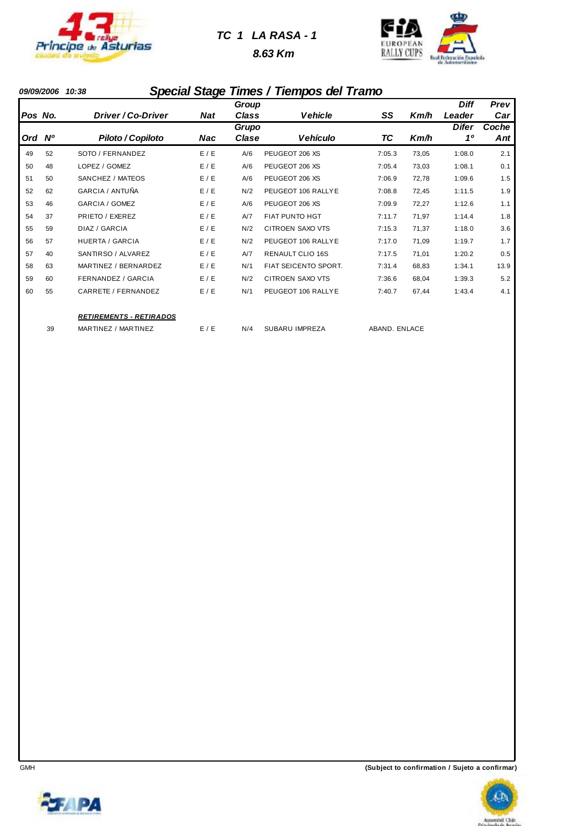

#### *TC 1 LA RASA - 1*

 *8.63 Km*



#### *09/09/2006 10:38 Special Stage Times / Tiempos del Tramo*

|         |    |                                |            | Group          |                             |               |       | <b>Diff</b>        | Prev         |
|---------|----|--------------------------------|------------|----------------|-----------------------------|---------------|-------|--------------------|--------------|
| Pos No. |    | Driver / Co-Driver             | <b>Nat</b> | Class          | <b>Vehicle</b>              | SS            | Km/h  | Leader             | Car          |
| Ord Nº  |    | Piloto / Copiloto              | <b>Nac</b> | Grupo<br>Clase | Vehículo                    | ТC            | Km/h  | <b>Difer</b><br>10 | Coche<br>Ant |
| 49      | 52 | SOTO / FERNANDEZ               | E/E        | A/6            | PEUGEOT 206 XS              | 7:05.3        | 73,05 | 1:08.0             | 2.1          |
| 50      | 48 | LOPEZ / GOMEZ                  | E/E        | A/6            | PEUGEOT 206 XS              | 7:05.4        | 73,03 | 1:08.1             | 0.1          |
| 51      | 50 | SANCHEZ / MATEOS               | E/E        | A/6            | PEUGEOT 206 XS              | 7:06.9        | 72,78 | 1:09.6             | 1.5          |
| 52      | 62 | GARCIA / ANTUÑA                | E / E      | N/2            | PEUGEOT 106 RALLYE          | 7:08.8        | 72,45 | 1:11.5             | 1.9          |
| 53      | 46 | <b>GARCIA / GOMEZ</b>          | E/E        | A/6            | PEUGEOT 206 XS              | 7:09.9        | 72,27 | 1:12.6             | 1.1          |
| 54      | 37 | PRIETO / EXEREZ                | E/E        | A/7            | FIAT PUNTO HGT              | 7:11.7        | 71,97 | 1:14.4             | 1.8          |
| 55      | 59 | DIAZ / GARCIA                  | E / E      | N/2            | <b>CITROEN SAXO VTS</b>     | 7:15.3        | 71,37 | 1:18.0             | 3.6          |
| 56      | 57 | <b>HUERTA / GARCIA</b>         | E / E      | N/2            | PEUGEOT 106 RALLYE          | 7:17.0        | 71,09 | 1:19.7             | 1.7          |
| 57      | 40 | SANTIRSO / ALVAREZ             | E/E        | A/7            | <b>RENAULT CLIO 16S</b>     | 7:17.5        | 71,01 | 1:20.2             | 0.5          |
| 58      | 63 | MARTINEZ / BERNARDEZ           | E / E      | N/1            | <b>FIAT SEICENTO SPORT.</b> | 7:31.4        | 68,83 | 1:34.1             | 13.9         |
| 59      | 60 | <b>FERNANDEZ / GARCIA</b>      | E/E        | N/2            | CITROEN SAXO VTS            | 7:36.6        | 68,04 | 1:39.3             | 5.2          |
| 60      | 55 | CARRETE / FERNANDEZ            | E/E        | N/1            | PEUGEOT 106 RALLYE          | 7:40.7        | 67,44 | 1:43.4             | 4.1          |
|         |    | <b>RETIREMENTS - RETIRADOS</b> |            |                |                             |               |       |                    |              |
|         | 39 | MARTINEZ / MARTINEZ            | E/E        | N/4            | SUBARU IMPREZA              | ABAND, ENLACE |       |                    |              |



GMH **(Subject to confirmation / Sujeto a confirmar)**



**JEAPA**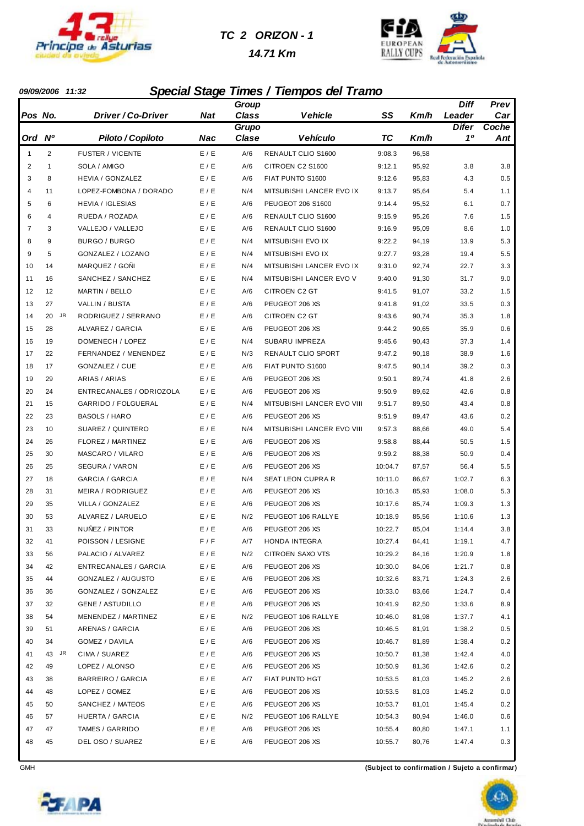

#### *TC 2 ORIZON - 1*





#### *09/09/2006 11:32 Special Stage Times / Tiempos del Tramo*

|                |                |                              |            | Group        |                            |         |       | <b>Diff</b>  | Prev  |
|----------------|----------------|------------------------------|------------|--------------|----------------------------|---------|-------|--------------|-------|
| Pos No.        |                | Driver / Co-Driver           | <b>Nat</b> | <b>Class</b> | <b>Vehicle</b>             | SS      | Km/h  | Leader       | Car   |
|                |                |                              |            | Grupo        |                            |         |       | <b>Difer</b> | Coche |
| Ord Nº         |                | Piloto / Copiloto            | <b>Nac</b> | Clase        | <b>Vehículo</b>            | ТC      | Km/h  | 10           | Ant   |
| $\mathbf{1}$   | $\overline{2}$ | <b>FUSTER / VICENTE</b>      | E / E      | A/6          | RENAULT CLIO S1600         | 9:08.3  | 96,58 |              |       |
| $\overline{2}$ | $\mathbf{1}$   | SOLA / AMIGO                 | E / E      | A/6          | CITROEN C2 S1600           | 9:12.1  | 95,92 | 3.8          | 3.8   |
| 3              | 8              | <b>HEVIA / GONZALEZ</b>      | E / E      | A/6          | FIAT PUNTO S1600           | 9:12.6  | 95,83 | 4.3          | 0.5   |
| $\overline{4}$ | 11             | LOPEZ-FOMBONA / DORADO       | E / E      | N/4          | MITSUBISHI LANCER EVO IX   | 9:13.7  | 95,64 | 5.4          | 1.1   |
| 5              | 6              | <b>HEVIA / IGLESIAS</b>      | E / E      | A/6          | PEUGEOT 206 S1600          | 9:14.4  | 95,52 | 6.1          | 0.7   |
| 6              | 4              | RUEDA / ROZADA               | E / E      | A/6          | RENAULT CLIO S1600         | 9:15.9  | 95,26 | 7.6          | 1.5   |
| $\overline{7}$ | 3              | VALLEJO / VALLEJO            | E / E      | A/6          | RENAULT CLIO S1600         | 9:16.9  | 95,09 | 8.6          | 1.0   |
| 8              | 9              | <b>BURGO / BURGO</b>         | E / E      | N/4          | MITSUBISHI EVO IX          | 9:22.2  | 94,19 | 13.9         | 5.3   |
| 9              | 5              | GONZALEZ / LOZANO            | E / E      | N/4          | MITSUBISHI EVO IX          | 9:27.7  | 93,28 | 19.4         | 5.5   |
| 10             | 14             | MARQUEZ / GOÑI               | E / E      | N/4          | MITSUBISHI LANCER EVO IX   | 9:31.0  | 92,74 | 22.7         | 3.3   |
| 11             | 16             | SANCHEZ / SANCHEZ            | E / E      | N/4          | MITSUBISHI LANCER EVO V    | 9:40.0  | 91,30 | 31.7         | 9.0   |
| 12             | 12             | <b>MARTIN / BELLO</b>        | E / E      | A/6          | CITROEN C2 GT              | 9:41.5  | 91,07 | 33.2         | 1.5   |
| 13             | 27             | VALLIN / BUSTA               | E / E      | A/6          | PEUGEOT 206 XS             | 9:41.8  | 91,02 | 33.5         | 0.3   |
| 14             | JR<br>20       | RODRIGUEZ / SERRANO          | E / E      | A/6          | <b>CITROEN C2 GT</b>       | 9:43.6  | 90,74 | 35.3         | 1.8   |
| 15             | 28             | ALVAREZ / GARCIA             | E / E      | A/6          | PEUGEOT 206 XS             | 9:44.2  | 90,65 | 35.9         | 0.6   |
| 16             | 19             | DOMENECH / LOPEZ             | E / E      | N/4          | SUBARU IMPREZA             | 9:45.6  | 90,43 | 37.3         | 1.4   |
| 17             | 22             | FERNANDEZ / MENENDEZ         | E / E      | N/3          | RENAULT CLIO SPORT         | 9:47.2  | 90,18 | 38.9         | 1.6   |
| 18             | 17             | <b>GONZALEZ / CUE</b>        | E / E      | A/6          | FIAT PUNTO S1600           | 9:47.5  | 90,14 | 39.2         | 0.3   |
| 19             | 29             | ARIAS / ARIAS                | E / E      | A/6          | PEUGEOT 206 XS             | 9:50.1  | 89,74 | 41.8         | 2.6   |
| 20             | 24             | ENTRECANALES / ODRIOZOLA     | E / E      | A/6          | PEUGEOT 206 XS             | 9:50.9  | 89,62 | 42.6         | 0.8   |
| 21             | 15             | GARRIDO / FOLGUERAL          | E / E      | N/4          | MITSUBISHI LANCER EVO VIII | 9:51.7  | 89,50 | 43.4         | 0.8   |
| 22             | 23             | <b>BASOLS / HARO</b>         | E / E      | A/6          | PEUGEOT 206 XS             | 9:51.9  | 89,47 | 43.6         | 0.2   |
| 23             | 10             | SUAREZ / QUINTERO            | E / E      | N/4          | MITSUBISHI LANCER EVO VIII | 9:57.3  | 88,66 | 49.0         | 5.4   |
| 24             | 26             | FLOREZ / MARTINEZ            | E / E      | A/6          | PEUGEOT 206 XS             | 9:58.8  | 88,44 | 50.5         | 1.5   |
| 25             | 30             | MASCARO / VILARO             | E / E      | A/6          | PEUGEOT 206 XS             | 9:59.2  | 88,38 | 50.9         | 0.4   |
| 26             | 25             | SEGURA / VARON               | E / E      | A/6          | PEUGEOT 206 XS             | 10:04.7 | 87,57 | 56.4         | 5.5   |
| 27             | 18             | GARCIA / GARCIA              | E / E      | N/4          | SEAT LEON CUPRA R          | 10:11.0 | 86,67 | 1:02.7       | 6.3   |
| 28             | 31             | MEIRA / RODRIGUEZ            | E / E      | A/6          | PEUGEOT 206 XS             | 10:16.3 | 85,93 | 1:08.0       | 5.3   |
| 29             | 35             | VILLA / GONZALEZ             | E/E        | A/6          | PEUGEOT 206 XS             | 10:17.6 | 85,74 | 1:09.3       | 1.3   |
| 30             | 53             | ALVAREZ / LARUELO            | E / E      | N/2          | PEUGEOT 106 RALLYE         | 10:18.9 | 85,56 | 1:10.6       | 1.3   |
| 31             | 33             | NUNEZ / PINTOR               | E / E      | A/6          | PEUGEOT 206 XS             | 10:22.7 | 85,04 | 1:14.4       | 3.8   |
| 32             | 41             | POISSON / LESIGNE            | F / F      | A/7          | HONDA INTEGRA              | 10:27.4 | 84,41 | 1:19.1       | 4.7   |
| 33             | 56             | PALACIO / ALVAREZ            | E/E        | N/2          | CITROEN SAXO VTS           | 10:29.2 | 84,16 | 1:20.9       | 1.8   |
| 34             | 42             | <b>ENTRECANALES / GARCIA</b> | E/E        | A/6          | PEUGEOT 206 XS             | 10:30.0 | 84,06 | 1:21.7       | 0.8   |
| 35             | 44             | GONZALEZ / AUGUSTO           | E / E      | A/6          | PEUGEOT 206 XS             | 10:32.6 | 83,71 | 1:24.3       | 2.6   |
| 36             | 36             | GONZALEZ / GONZALEZ          | E / E      | A/6          | PEUGEOT 206 XS             | 10:33.0 | 83,66 | 1:24.7       | 0.4   |
| 37             | 32             | <b>GENE / ASTUDILLO</b>      | E/E        | A/6          | PEUGEOT 206 XS             | 10:41.9 | 82,50 | 1:33.6       | 8.9   |
| 38             | 54             | MENENDEZ / MARTINEZ          | E/E        | N/2          | PEUGEOT 106 RALLYE         | 10:46.0 | 81,98 | 1:37.7       | 4.1   |
| 39             | 51             | ARENAS / GARCIA              | E / E      | A/6          | PEUGEOT 206 XS             | 10:46.5 | 81,91 | 1:38.2       | 0.5   |
| 40             | 34             | GOMEZ / DAVILA               | E / E      | A/6          | PEUGEOT 206 XS             | 10:46.7 | 81,89 | 1:38.4       | 0.2   |
| 41             | 43 JR          | CIMA / SUAREZ                | E / E      | A/6          | PEUGEOT 206 XS             | 10:50.7 | 81,38 | 1:42.4       | 4.0   |
| 42             | 49             | LOPEZ / ALONSO               | E / E      | A/6          | PEUGEOT 206 XS             | 10:50.9 | 81,36 | 1:42.6       | 0.2   |
| 43             | 38             | <b>BARREIRO / GARCIA</b>     | E / E      | A/7          | FIAT PUNTO HGT             | 10:53.5 | 81,03 | 1:45.2       | 2.6   |
| 44             | 48             | LOPEZ / GOMEZ                | E/E        | A/6          | PEUGEOT 206 XS             | 10:53.5 | 81,03 | 1:45.2       | 0.0   |
| 45             | 50             | SANCHEZ / MATEOS             | E/E        | A/6          | PEUGEOT 206 XS             | 10:53.7 | 81,01 | 1:45.4       | 0.2   |
| 46             | 57             | HUERTA / GARCIA              | E / E      | N/2          | PEUGEOT 106 RALLYE         | 10:54.3 | 80,94 | 1:46.0       | 0.6   |
| 47             | 47             | TAMES / GARRIDO              | E / E      | A/6          | PEUGEOT 206 XS             | 10:55.4 | 80,80 | 1:47.1       | 1.1   |
| 48             | 45             | DEL OSO / SUAREZ             | E / E      | A/6          | PEUGEOT 206 XS             | 10:55.7 | 80,76 | 1:47.4       | 0.3   |

GMH **(Subject to confirmation / Sujeto a confirmar)**

**EXAPA** 



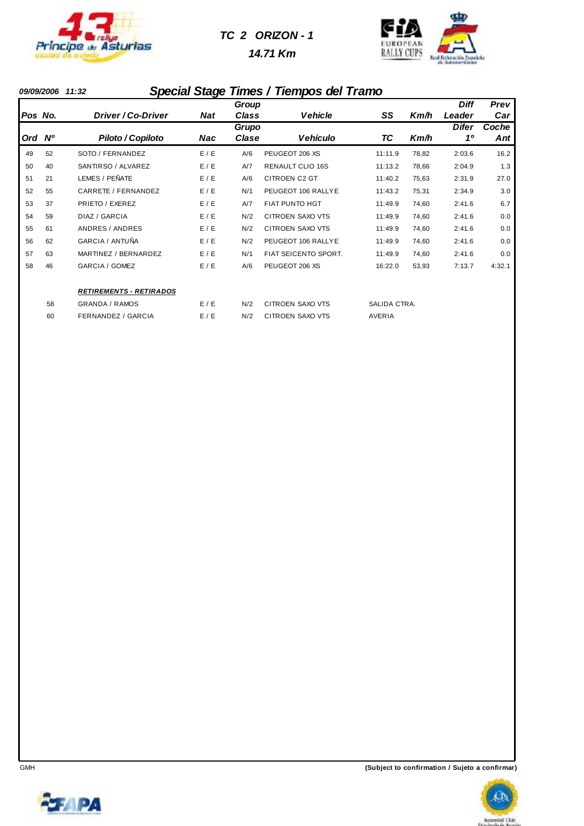

#### *TC 2 ORIZON - 1*

 *14.71 Km*



#### *09/09/2006 11:32 Special Stage Times / Tiempos del Tramo*

|            |             |                                |            | Group |                         |               |       | <b>Diff</b>  | Prev   |
|------------|-------------|--------------------------------|------------|-------|-------------------------|---------------|-------|--------------|--------|
| Pos No.    |             | Driver / Co-Driver             | <b>Nat</b> | Class | <b>Vehicle</b>          | SS            | Km/h  | Leader       | Car    |
|            |             |                                |            | Grupo |                         |               |       | <b>Difer</b> | Coche  |
| <b>Ord</b> | $N^{\circ}$ | Piloto / Copiloto              | <b>Nac</b> | Clase | Vehículo                | ТC            | Km/h  | 10           | Ant    |
| 49         | 52          | SOTO / FERNANDEZ               | E/E        | A/6   | PEUGEOT 206 XS          | 11:11.9       | 78,82 | 2:03.6       | 16.2   |
| 50         | 40          | SANTIRSO / ALVAREZ             | E / E      | A/7   | <b>RENAULT CLIO 16S</b> | 11:13.2       | 78,66 | 2:04.9       | 1.3    |
| 51         | 21          | LEMES / PEÑATE                 | E / E      | A/6   | <b>CITROEN C2 GT</b>    | 11:40.2       | 75,63 | 2:31.9       | 27.0   |
| 52         | 55          | CARRETE / FERNANDEZ            | E / E      | N/1   | PEUGEOT 106 RALLYE      | 11:43.2       | 75,31 | 2:34.9       | 3.0    |
| 53         | 37          | PRIETO / EXEREZ                | E/E        | A/7   | FIAT PUNTO HGT          | 11:49.9       | 74,60 | 2:41.6       | 6.7    |
| 54         | 59          | DIAZ / GARCIA                  | E / E      | N/2   | CITROEN SAXO VTS        | 11:49.9       | 74,60 | 2:41.6       | 0.0    |
| 55         | 61          | ANDRES / ANDRES                | E/E        | N/2   | CITROEN SAXO VTS        | 11:49.9       | 74,60 | 2:41.6       | 0.0    |
| 56         | 62          | GARCIA / ANTUÑA                | E / E      | N/2   | PEUGEOT 106 RALLYE      | 11:49.9       | 74,60 | 2:41.6       | 0.0    |
| 57         | 63          | MARTINEZ / BERNARDEZ           | E / E      | N/1   | FIAT SEICENTO SPORT.    | 11:49.9       | 74,60 | 2:41.6       | 0.0    |
| 58         | 46          | GARCIA / GOMEZ                 | E / E      | A/6   | PEUGEOT 206 XS          | 16:22.0       | 53,93 | 7:13.7       | 4:32.1 |
|            |             | <b>RETIREMENTS - RETIRADOS</b> |            |       |                         |               |       |              |        |
|            | 58          | <b>GRANDA / RAMOS</b>          | E / E      | N/2   | <b>CITROEN SAXO VTS</b> | SALIDA CTRA.  |       |              |        |
|            | 60          | <b>FERNANDEZ / GARCIA</b>      | E / E      | N/2   | <b>CITROEN SAXO VTS</b> | <b>AVERIA</b> |       |              |        |



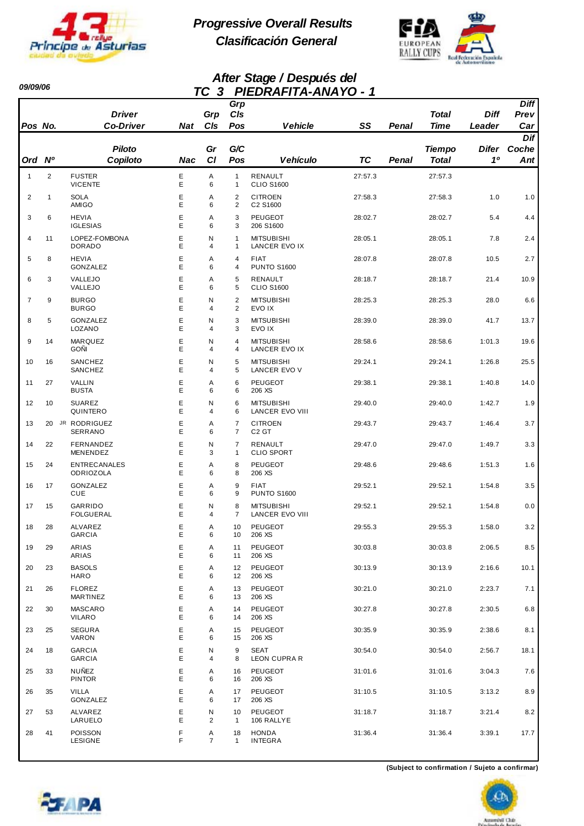

*09/09/06* 

*Progressive Overall Results Clasificación General*



#### *After Stage / Después del TC 3 PIEDRAFITA-ANAYO - 1*

|                |                | <b>Driver</b>                           |        | Grp       | Grp<br>CIs                       |                                             |           |       | <b>Total</b>  | <b>Diff</b>  | <b>Diff</b><br>Prev |
|----------------|----------------|-----------------------------------------|--------|-----------|----------------------------------|---------------------------------------------|-----------|-------|---------------|--------------|---------------------|
| Pos No.        |                | <b>Co-Driver</b>                        | Nat    | CIs       | Pos                              | <b>Vehicle</b>                              | SS        | Penal | <b>Time</b>   | Leader       | Car                 |
|                |                | <b>Piloto</b>                           |        | Gr        | G/C                              |                                             |           |       | <b>Tiempo</b> | <b>Difer</b> | Dif<br>Coche        |
| Ord            | N <sup>o</sup> | Copiloto                                | Nac    | <b>CI</b> | Pos                              | <b>Vehículo</b>                             | <b>TC</b> | Penal | Total         | 10           | Ant                 |
| $\mathbf{1}$   | 2              | <b>FUSTER</b><br><b>VICENTE</b>         | Ε<br>E | Α<br>6    | $\mathbf{1}$<br>$\mathbf{1}$     | RENAULT<br><b>CLIO S1600</b>                | 27:57.3   |       | 27:57.3       |              |                     |
| 2              | 1              | <b>SOLA</b><br>AMIGO                    | E<br>Е | Α<br>6    | $\overline{2}$<br>$\overline{2}$ | <b>CITROEN</b><br>C2 S1600                  | 27:58.3   |       | 27:58.3       | 1.0          | 1.0                 |
| 3              | 6              | <b>HEVIA</b><br><b>IGLESIAS</b>         | Е<br>E | Α<br>6    | 3<br>3                           | <b>PEUGEOT</b><br>206 S1600                 | 28:02.7   |       | 28:02.7       | 5.4          | 4.4                 |
| $\overline{4}$ | 11             | LOPEZ-FOMBONA<br><b>DORADO</b>          | E<br>E | N<br>4    | $\mathbf{1}$<br>$\mathbf{1}$     | <b>MITSUBISHI</b><br>LANCER EVO IX          | 28:05.1   |       | 28:05.1       | 7.8          | 2.4                 |
| 5              | 8              | <b>HEVIA</b><br>GONZALEZ                | Е<br>E | Α<br>6    | 4<br>4                           | <b>FIAT</b><br><b>PUNTO S1600</b>           | 28:07.8   |       | 28:07.8       | 10.5         | 2.7                 |
| 6              | 3              | VALLEJO<br>VALLEJO                      | E<br>E | Α<br>6    | 5<br>5                           | RENAULT<br><b>CLIO S1600</b>                | 28:18.7   |       | 28:18.7       | 21.4         | 10.9                |
| $\overline{7}$ | 9              | <b>BURGO</b><br><b>BURGO</b>            | Е<br>E | N<br>4    | $\overline{2}$<br>$\overline{2}$ | <b>MITSUBISHI</b><br>EVO IX                 | 28:25.3   |       | 28:25.3       | 28.0         | 6.6                 |
| 8              | 5              | GONZALEZ<br>LOZANO                      | E<br>E | N<br>4    | 3<br>3                           | <b>MITSUBISHI</b><br>EVO IX                 | 28:39.0   |       | 28:39.0       | 41.7         | 13.7                |
| 9              | 14             | MARQUEZ<br><b>GOÑI</b>                  | Е<br>E | N<br>4    | $\overline{4}$<br>4              | <b>MITSUBISHI</b><br>LANCER EVO IX          | 28:58.6   |       | 28:58.6       | 1:01.3       | 19.6                |
| 10             | 16             | SANCHEZ<br><b>SANCHEZ</b>               | E<br>E | N<br>4    | 5<br>5                           | <b>MITSUBISHI</b><br>LANCER EVO V           | 29:24.1   |       | 29:24.1       | 1:26.8       | 25.5                |
| 11             | 27             | VALLIN<br><b>BUSTA</b>                  | Е<br>E | Α<br>6    | 6<br>6                           | <b>PEUGEOT</b><br>206 XS                    | 29:38.1   |       | 29:38.1       | 1:40.8       | 14.0                |
| 12             | 10             | <b>SUAREZ</b><br>QUINTERO               | E<br>Е | N<br>4    | 6<br>6                           | <b>MITSUBISHI</b><br>LANCER EVO VIII        | 29:40.0   |       | 29:40.0       | 1:42.7       | 1.9                 |
| 13             | 20             | JR RODRIGUEZ<br>SERRANO                 | E<br>E | Α<br>6    | $\overline{7}$<br>$\overline{7}$ | <b>CITROEN</b><br>C <sub>2</sub> GT         | 29:43.7   |       | 29:43.7       | 1:46.4       | 3.7                 |
| 14             | 22             | FERNANDEZ<br>MENENDEZ                   | E<br>E | N<br>3    | $\overline{7}$<br>$\mathbf{1}$   | RENAULT<br><b>CLIO SPORT</b>                | 29:47.0   |       | 29:47.0       | 1:49.7       | 3.3                 |
| 15             | 24             | <b>ENTRECANALES</b><br><b>ODRIOZOLA</b> | Е<br>E | Α<br>6    | 8<br>8                           | <b>PEUGEOT</b><br>206 XS                    | 29:48.6   |       | 29:48.6       | 1:51.3       | 1.6                 |
| 16             | 17             | GONZALEZ<br><b>CUE</b>                  | E<br>E | Α<br>6    | 9<br>9                           | <b>FIAT</b><br><b>PUNTO S1600</b>           | 29:52.1   |       | 29:52.1       | 1:54.8       | 3.5                 |
| 17             | 15             | GARRIDO<br><b>FOLGUERAL</b>             | E<br>E | N<br>4    | 8<br>$\overline{7}$              | <b>MITSUBISHI</b><br><b>LANCER EVO VIII</b> | 29:52.1   |       | 29:52.1       | 1:54.8       | 0.0                 |
| 18             | 28             | ALVAREZ<br><b>GARCIA</b>                | E<br>E | Α<br>6    | 10<br>10                         | PEUGEOT<br>206 XS                           | 29:55.3   |       | 29:55.3       | 1:58.0       | 3.2                 |
| 19             | 29             | ARIAS<br>ARIAS                          | Ε<br>E | Α<br>6    | 11<br>11                         | <b>PEUGEOT</b><br>206 XS                    | 30:03.8   |       | 30:03.8       | 2:06.5       | 8.5                 |
| 20             | 23             | <b>BASOLS</b><br>HARO                   | Е<br>Е | Α<br>6    | 12<br>12                         | PEUGEOT<br>206 XS                           | 30:13.9   |       | 30:13.9       | 2:16.6       | 10.1                |
| 21             | 26             | <b>FLOREZ</b><br><b>MARTINEZ</b>        | E<br>E | Α<br>6    | 13<br>13                         | PEUGEOT<br>206 XS                           | 30:21.0   |       | 30:21.0       | 2:23.7       | 7.1                 |
| 22             | 30             | MASCARO<br><b>VILARO</b>                | E<br>E | Α<br>6    | 14<br>14                         | PEUGEOT<br>206 XS                           | 30:27.8   |       | 30:27.8       | 2:30.5       | 6.8                 |
| 23             | 25             | <b>SEGURA</b><br>VARON                  | Е<br>E | Α<br>6    | 15<br>15                         | PEUGEOT<br>206 XS                           | 30:35.9   |       | 30:35.9       | 2:38.6       | 8.1                 |
| 24             | 18             | <b>GARCIA</b><br><b>GARCIA</b>          | E<br>Е | N<br>4    | 9<br>8                           | <b>SEAT</b><br>LEON CUPRA R                 | 30:54.0   |       | 30:54.0       | 2:56.7       | 18.1                |
| 25             | 33             | <b>NUÑEZ</b><br><b>PINTOR</b>           | E<br>E | Α<br>6    | 16<br>16                         | PEUGEOT<br>206 XS                           | 31:01.6   |       | 31:01.6       | 3:04.3       | 7.6                 |
| 26             | 35             | <b>VILLA</b><br>GONZALEZ                | E<br>E | Α<br>6    | 17<br>17                         | PEUGEOT<br>206 XS                           | 31:10.5   |       | 31:10.5       | 3:13.2       | 8.9                 |
| 27             | 53             | ALVAREZ<br>LARUELO                      | Ε<br>E | N<br>2    | 10<br>$\mathbf{1}$               | PEUGEOT<br>106 RALLYE                       | 31:18.7   |       | 31:18.7       | 3:21.4       | 8.2                 |
| 28             | 41             | POISSON<br>LESIGNE                      | F<br>F | Α<br>7    | 18<br>$\mathbf{1}$               | <b>HONDA</b><br><b>INTEGRA</b>              | 31:36.4   |       | 31:36.4       | 3:39.1       | 17.7                |



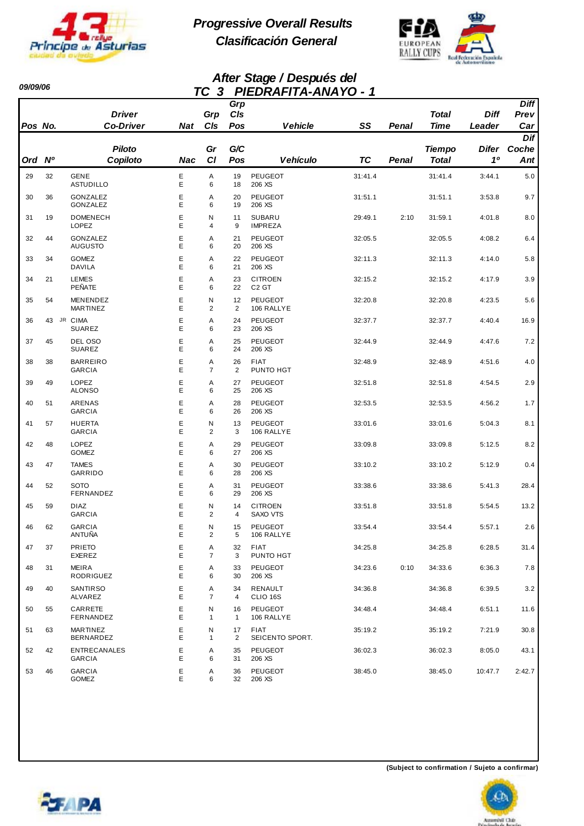

*09/09/06* 

*Progressive Overall Results Clasificación General*



#### *After Stage / Después del TC 3 PIEDRAFITA-ANAYO - 1*

|         |                |                                      |            |                     | Grp<br>C/s |                                     |           |       | <b>Total</b>                  | <b>Diff</b> | <b>Diff</b>  |
|---------|----------------|--------------------------------------|------------|---------------------|------------|-------------------------------------|-----------|-------|-------------------------------|-------------|--------------|
| Pos No. |                | <b>Driver</b><br><b>Co-Driver</b>    | <b>Nat</b> | Grp<br>CIs          | Pos        | <b>Vehicle</b>                      | SS        | Penal | <b>Time</b>                   | Leader      | Prev<br>Car  |
|         |                |                                      |            |                     |            |                                     |           |       |                               |             | Dif          |
| Ord     | N <sup>o</sup> | <b>Piloto</b><br>Copiloto            | Nac        | Gr<br><b>CI</b>     | G/C<br>Pos | <b>Vehículo</b>                     | <b>TC</b> | Penal | <b>Tiempo</b><br><b>Total</b> | Difer<br>10 | Coche<br>Ant |
| 29      | 32             | <b>GENE</b>                          | Е          | Α                   | 19         | PEUGEOT                             | 31:41.4   |       | 31:41.4                       | 3:44.1      | 5.0          |
|         |                | <b>ASTUDILLO</b>                     | E          | 6                   | 18         | 206 XS                              |           |       |                               |             |              |
| 30      | 36             | <b>GONZALEZ</b><br>GONZALEZ          | E<br>E     | Α<br>6              | 20<br>19   | <b>PEUGEOT</b><br>206 XS            | 31:51.1   |       | 31:51.1                       | 3:53.8      | 9.7          |
| 31      | 19             | <b>DOMENECH</b><br><b>LOPEZ</b>      | E<br>E     | N<br>4              | 11<br>9    | <b>SUBARU</b><br><b>IMPREZA</b>     | 29:49.1   | 2:10  | 31:59.1                       | 4:01.8      | 8.0          |
| 32      | 44             | <b>GONZALEZ</b><br><b>AUGUSTO</b>    | E<br>E     | Α<br>6              | 21<br>20   | <b>PEUGEOT</b><br>206 XS            | 32:05.5   |       | 32:05.5                       | 4:08.2      | 6.4          |
| 33      | 34             | <b>GOMEZ</b><br><b>DAVILA</b>        | E<br>E     | Α<br>6              | 22<br>21   | <b>PEUGEOT</b><br>206 XS            | 32:11.3   |       | 32:11.3                       | 4:14.0      | 5.8          |
| 34      | 21             | <b>LEMES</b><br>PEÑATE               | E<br>E     | Α<br>6              | 23<br>22   | <b>CITROEN</b><br>C <sub>2</sub> GT | 32:15.2   |       | 32:15.2                       | 4:17.9      | 3.9          |
| 35      | 54             | MENENDEZ<br>MARTINEZ                 | E<br>E     | N<br>$\overline{2}$ | 12<br>2    | <b>PEUGEOT</b><br>106 RALLYE        | 32:20.8   |       | 32:20.8                       | 4:23.5      | 5.6          |
| 36      | 43             | JR CIMA<br><b>SUAREZ</b>             | Ε<br>E     | Α<br>6              | 24<br>23   | <b>PEUGEOT</b><br>206 XS            | 32:37.7   |       | 32:37.7                       | 4:40.4      | 16.9         |
| 37      | 45             | DEL OSO<br><b>SUAREZ</b>             | E<br>E     | Α<br>6              | 25<br>24   | <b>PEUGEOT</b><br>206 XS            | 32:44.9   |       | 32:44.9                       | 4:47.6      | 7.2          |
| 38      | 38             | <b>BARREIRO</b><br><b>GARCIA</b>     | E<br>E     | Α<br>$\overline{7}$ | 26<br>2    | <b>FIAT</b><br>PUNTO HGT            | 32:48.9   |       | 32:48.9                       | 4:51.6      | 4.0          |
| 39      | 49             | LOPEZ<br><b>ALONSO</b>               | Е<br>E     | Α<br>6              | 27<br>25   | <b>PEUGEOT</b><br>206 XS            | 32:51.8   |       | 32:51.8                       | 4:54.5      | 2.9          |
| 40      | 51             | ARENAS<br><b>GARCIA</b>              | E<br>E     | Α<br>6              | 28<br>26   | PEUGEOT<br>206 XS                   | 32:53.5   |       | 32:53.5                       | 4:56.2      | 1.7          |
| 41      | 57             | <b>HUERTA</b><br><b>GARCIA</b>       | E<br>E     | N<br>$\overline{2}$ | 13<br>3    | <b>PEUGEOT</b><br>106 RALLYE        | 33:01.6   |       | 33:01.6                       | 5:04.3      | 8.1          |
| 42      | 48             | LOPEZ<br><b>GOMEZ</b>                | E<br>E     | Α<br>6              | 29<br>27   | <b>PEUGEOT</b><br>206 XS            | 33:09.8   |       | 33:09.8                       | 5:12.5      | 8.2          |
| 43      | 47             | <b>TAMES</b><br>GARRIDO              | E<br>E     | Α<br>6              | 30<br>28   | <b>PEUGEOT</b><br>206 XS            | 33:10.2   |       | 33:10.2                       | 5:12.9      | 0.4          |
| 44      | 52             | <b>SOTO</b><br>FERNANDEZ             | E<br>E     | Α<br>6              | 31<br>29   | <b>PEUGEOT</b><br>206 XS            | 33:38.6   |       | 33:38.6                       | 5:41.3      | 28.4         |
| 45      | 59             | <b>DIAZ</b><br><b>GARCIA</b>         | E<br>Е     | N<br>2              | 14<br>4    | <b>CITROEN</b><br>SAXO VTS          | 33:51.8   |       | 33:51.8                       | 5:54.5      | 13.2         |
| 46      | 62             | <b>GARCIA</b><br>ANTUÑA              | E<br>Е     | N<br>2              | 15<br>5    | <b>PEUGEOT</b><br>106 RALLYE        | 33:54.4   |       | 33:54.4                       | 5:57.1      | 2.6          |
| 47      | 37             | <b>PRIETO</b><br>EXEREZ              | Е<br>E     | Α<br>$\overline{7}$ | 32<br>3    | FIAT<br>PUNTO HGT                   | 34:25.8   |       | 34:25.8                       | 6:28.5      | 31.4         |
| 48      | 31             | MEIRA<br>RODRIGUEZ                   | E<br>E     | Α<br>6              | 33<br>30   | PEUGEOT<br>206 XS                   | 34:23.6   | 0:10  | 34:33.6                       | 6:36.3      | 7.8          |
| 49      | 40             | <b>SANTIRSO</b><br>ALVAREZ           | E<br>E     | Α<br>$\overline{7}$ | 34<br>4    | RENAULT<br>CLIO 16S                 | 34:36.8   |       | 34:36.8                       | 6:39.5      | 3.2          |
| 50      | 55             | CARRETE<br>FERNANDEZ                 | E<br>Е     | N<br>$\mathbf{1}$   | 16<br>1    | PEUGEOT<br>106 RALLYE               | 34:48.4   |       | 34:48.4                       | 6:51.1      | 11.6         |
| 51      | 63             | MARTINEZ<br>BERNARDEZ                | Е<br>E     | N<br>$\mathbf{1}$   | 17<br>2    | <b>FIAT</b><br>SEICENTO SPORT.      | 35:19.2   |       | 35:19.2                       | 7:21.9      | 30.8         |
| 52      | 42             | <b>ENTRECANALES</b><br><b>GARCIA</b> | Е<br>E     | Α<br>6              | 35<br>31   | PEUGEOT<br>206 XS                   | 36:02.3   |       | 36:02.3                       | 8:05.0      | 43.1         |
| 53      | 46             | <b>GARCIA</b><br>GOMEZ               | Ε<br>Е     | Α<br>6              | 36<br>32   | PEUGEOT<br>206 XS                   | 38:45.0   |       | 38:45.0                       | 10:47.7     | 2:42.7       |



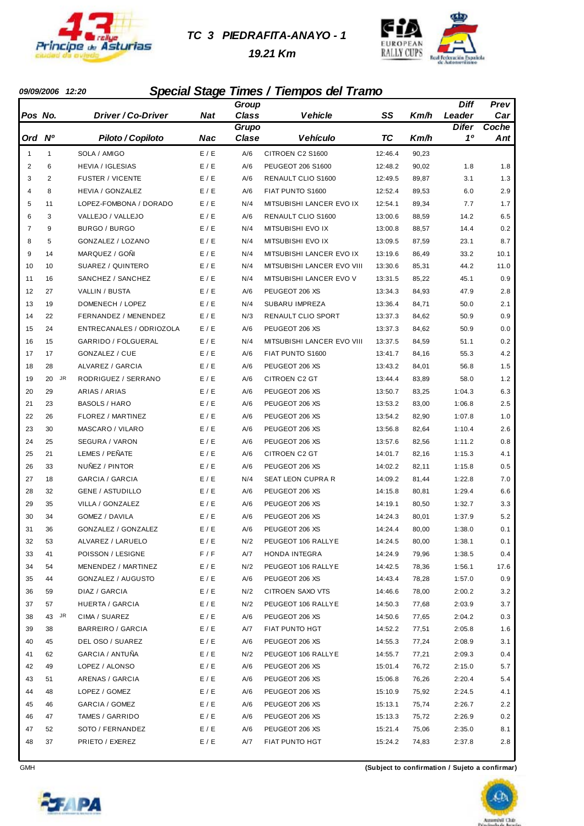

#### *TC 3 PIEDRAFITA-ANAYO - 1*

 *19.21 Km*



#### *09/09/2006 12:20 Special Stage Times / Tiempos del Tramo*

|                |                 |                          |            | Group        |                            |         |       | Diff         | Prev  |
|----------------|-----------------|--------------------------|------------|--------------|----------------------------|---------|-------|--------------|-------|
| Pos No.        |                 | Driver / Co-Driver       | Nat        | <b>Class</b> | Vehicle                    | SS      | Km/h  | Leader       | Car   |
|                |                 |                          |            | Grupo        |                            |         |       | <b>Difer</b> | Coche |
| Ord Nº         |                 | Piloto / Copiloto        | <b>Nac</b> | Clase        | <b>Vehículo</b>            | TC      | Km/h  | 10           | Ant   |
| $\mathbf{1}$   | $\mathbf{1}$    | SOLA / AMIGO             | E / E      | A/6          | CITROEN C2 S1600           | 12:46.4 | 90,23 |              |       |
| $\overline{2}$ | 6               | <b>HEVIA / IGLESIAS</b>  | E/E        | A/6          | PEUGEOT 206 S1600          | 12:48.2 | 90,02 | 1.8          | 1.8   |
| 3              | 2               | <b>FUSTER / VICENTE</b>  | E / E      | A/6          | RENAULT CLIO S1600         | 12:49.5 | 89,87 | 3.1          | 1.3   |
| $\overline{4}$ | 8               | <b>HEVIA / GONZALEZ</b>  | E / E      | A/6          | FIAT PUNTO S1600           | 12:52.4 | 89,53 | 6.0          | 2.9   |
| 5              | 11              | LOPEZ-FOMBONA / DORADO   | E / E      | N/4          | MITSUBISHI LANCER EVO IX   | 12:54.1 | 89,34 | 7.7          | 1.7   |
| 6              | 3               | VALLEJO / VALLEJO        | E / E      | A/6          | RENAULT CLIO S1600         | 13:00.6 | 88,59 | 14.2         | 6.5   |
| $\overline{7}$ | 9               | BURGO / BURGO            | E / E      | N/4          | MITSUBISHI EVO IX          | 13:00.8 | 88,57 | 14.4         | 0.2   |
| 8              | 5               | GONZALEZ / LOZANO        | E / E      | N/4          | MITSUBISHI EVO IX          | 13:09.5 | 87,59 | 23.1         | 8.7   |
| 9              | 14              | MARQUEZ / GOÑI           | E/E        | N/4          | MITSUBISHI LANCER EVO IX   | 13:19.6 | 86,49 | 33.2         | 10.1  |
| 10             | 10              | SUAREZ / QUINTERO        | E / E      | N/4          | MITSUBISHI LANCER EVO VIII | 13:30.6 | 85,31 | 44.2         | 11.0  |
| 11             | 16              | SANCHEZ / SANCHEZ        | E / E      | N/4          | MITSUBISHI LANCER EVO V    | 13:31.5 | 85,22 | 45.1         | 0.9   |
| 12             | 27              | VALLIN / BUSTA           | E / E      | A/6          | PEUGEOT 206 XS             | 13:34.3 | 84,93 | 47.9         | 2.8   |
| 13             | 19              | DOMENECH / LOPEZ         | E / E      | N/4          | <b>SUBARU IMPREZA</b>      | 13:36.4 | 84,71 | 50.0         | 2.1   |
| 14             | 22              | FERNANDEZ / MENENDEZ     | E / E      | N/3          | RENAULT CLIO SPORT         | 13:37.3 | 84,62 | 50.9         | 0.9   |
| 15             | 24              | ENTRECANALES / ODRIOZOLA | E / E      | A/6          | PEUGEOT 206 XS             | 13:37.3 | 84,62 | 50.9         | 0.0   |
| 16             | 15              | GARRIDO / FOLGUERAL      | E / E      | N/4          | MITSUBISHI LANCER EVO VIII | 13:37.5 | 84,59 | 51.1         | 0.2   |
| 17             | 17              | GONZALEZ / CUE           | E / E      | A/6          | FIAT PUNTO S1600           | 13:41.7 | 84,16 | 55.3         | 4.2   |
| 18             | 28              | <b>ALVAREZ / GARCIA</b>  | E / E      | A/6          | PEUGEOT 206 XS             | 13:43.2 | 84,01 | 56.8         | 1.5   |
| 19             | <b>JR</b><br>20 | RODRIGUEZ / SERRANO      | E / E      | A/6          | <b>CITROEN C2 GT</b>       | 13:44.4 | 83,89 | 58.0         | 1.2   |
| 20             | 29              | ARIAS / ARIAS            | E / E      | A/6          | PEUGEOT 206 XS             | 13:50.7 | 83,25 | 1:04.3       | 6.3   |
| 21             | 23              | <b>BASOLS / HARO</b>     | E / E      | A/6          | PEUGEOT 206 XS             | 13:53.2 | 83,00 | 1:06.8       | 2.5   |
| 22             | 26              | FLOREZ / MARTINEZ        | E / E      | A/6          | PEUGEOT 206 XS             | 13:54.2 | 82,90 | 1:07.8       | 1.0   |
| 23             | 30              | MASCARO / VILARO         | E / E      | A/6          | PEUGEOT 206 XS             | 13:56.8 | 82,64 | 1:10.4       | 2.6   |
| 24             | 25              | SEGURA / VARON           | E / E      | A/6          | PEUGEOT 206 XS             | 13:57.6 | 82,56 | 1:11.2       | 0.8   |
| 25             | 21              | LEMES / PEÑATE           | E / E      | A/6          | <b>CITROEN C2 GT</b>       | 14:01.7 | 82,16 | 1:15.3       | 4.1   |
| 26             | 33              | NUÑEZ / PINTOR           | E / E      | A/6          | PEUGEOT 206 XS             | 14:02.2 | 82,11 | 1:15.8       | 0.5   |
| 27             | 18              | <b>GARCIA / GARCIA</b>   | E / E      | N/4          | <b>SEAT LEON CUPRA R</b>   | 14:09.2 | 81,44 | 1:22.8       | 7.0   |
| 28             | 32              | <b>GENE / ASTUDILLO</b>  | E / E      | A/6          | PEUGEOT 206 XS             | 14:15.8 | 80,81 | 1:29.4       | 6.6   |
| 29             | 35              | VILLA / GONZALEZ         | E/E        | A/6          | PEUGEOT 206 XS             | 14:19.1 | 80,50 | 1:32.7       | 3.3   |
| 30             | 34              | GOMEZ / DAVILA           | E / E      | A/6          | PEUGEOT 206 XS             | 14:24.3 | 80,01 | 1:37.9       | 5.2   |
| 31             | 36              | GONZALEZ / GONZALEZ      | E / E      | A/6          | PEUGEOT 206 XS             | 14:24.4 | 80,00 | 1:38.0       | 0.1   |
| 32             | 53              | ALVAREZ / LARUELO        | E / E      | N/2          | PEUGEOT 106 RALLYE         | 14:24.5 | 80,00 | 1:38.1       | 0.1   |
| 33             | 41              | POISSON / LESIGNE        | F/F        | A/7          | HONDA INTEGRA              | 14:24.9 | 79,96 | 1:38.5       | 0.4   |
| 34             | 54              | MENENDEZ / MARTINEZ      | E / E      | N/2          | PEUGEOT 106 RALLYE         | 14:42.5 | 78,36 | 1:56.1       | 17.6  |
| 35             | 44              | GONZALEZ / AUGUSTO       | E / E      | A/6          | PEUGEOT 206 XS             | 14:43.4 | 78,28 | 1:57.0       | 0.9   |
| 36             | 59              | DIAZ / GARCIA            | E / E      | N/2          | CITROEN SAXO VTS           | 14:46.6 | 78,00 | 2:00.2       | 3.2   |
| 37             | 57              | HUERTA / GARCIA          | E/E        | N/2          | PEUGEOT 106 RALLYE         | 14:50.3 | 77,68 | 2:03.9       | 3.7   |
| 38             | JR<br>43        | CIMA / SUAREZ            | E / E      | A/6          | PEUGEOT 206 XS             | 14:50.6 | 77,65 | 2:04.2       | 0.3   |
| 39             | 38              | <b>BARREIRO / GARCIA</b> | E / E      | A/7          | FIAT PUNTO HGT             | 14:52.2 | 77,51 | 2:05.8       | 1.6   |
| 40             | 45              | DEL OSO / SUAREZ         | E / E      | A/6          | PEUGEOT 206 XS             | 14:55.3 | 77,24 | 2:08.9       | 3.1   |
| 41             | 62              | GARCIA / ANTUÑA          | E / E      | N/2          | PEUGEOT 106 RALLYE         | 14:55.7 | 77,21 | 2:09.3       | 0.4   |
| 42             | 49              | LOPEZ / ALONSO           | E / E      | A/6          | PEUGEOT 206 XS             | 15:01.4 | 76,72 | 2:15.0       | 5.7   |
| 43             | 51              | ARENAS / GARCIA          | E / E      | A/6          | PEUGEOT 206 XS             | 15:06.8 | 76,26 | 2:20.4       | 5.4   |
| 44             | 48              | LOPEZ / GOMEZ            | E / E      | A/6          | PEUGEOT 206 XS             | 15:10.9 | 75,92 | 2:24.5       | 4.1   |
| 45             | 46              | GARCIA / GOMEZ           | E/E        | A/6          | PEUGEOT 206 XS             | 15:13.1 | 75,74 | 2:26.7       | 2.2   |
| 46             | 47              | TAMES / GARRIDO          | E/E        | A/6          | PEUGEOT 206 XS             | 15:13.3 | 75,72 | 2:26.9       | 0.2   |
| 47             | 52              | SOTO / FERNANDEZ         | E / E      | A/6          | PEUGEOT 206 XS             | 15:21.4 | 75,06 | 2:35.0       | 8.1   |
| 48             | 37              | PRIETO / EXEREZ          | E / E      | A/7          | FIAT PUNTO HGT             | 15:24.2 | 74,83 | 2:37.8       | 2.8   |



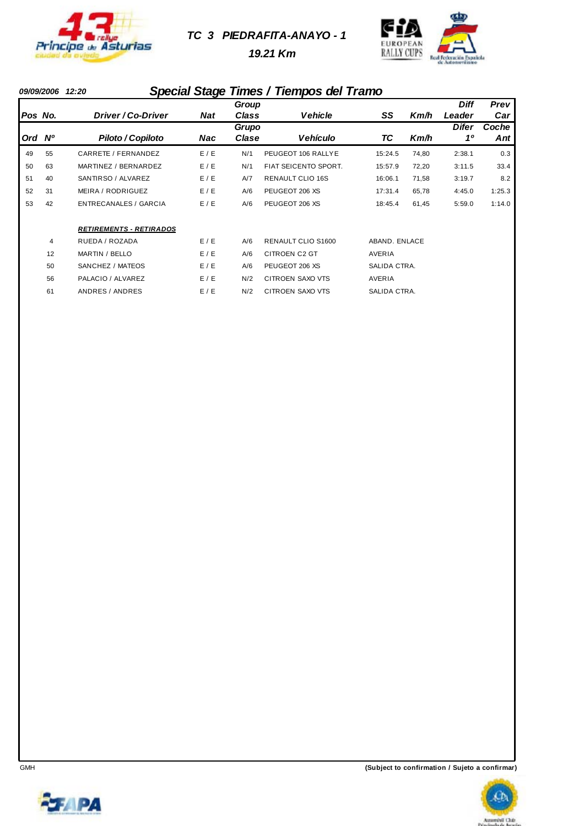

#### *TC 3 PIEDRAFITA-ANAYO - 1*

 *19.21 Km*



# *09/09/2006 12:20 Special Stage Times / Tiempos del Tramo*

|     |           |                                |            | Group          |                           |               |       | <b>Diff</b> | <b>Prev</b>  |
|-----|-----------|--------------------------------|------------|----------------|---------------------------|---------------|-------|-------------|--------------|
|     | Pos No.   | Driver / Co-Driver             | <b>Nat</b> | Class          | Vehicle                   | SS            | Km/h  | Leader      | Car          |
| Ord | <b>N°</b> | Piloto / Copiloto              | Nac        | Grupo<br>Clase | <b>Vehículo</b>           | ТC            | Km/h  | Difer<br>10 | Coche<br>Ant |
| 49  | 55        | CARRETE / FERNANDEZ            | E/E        | N/1            | PEUGEOT 106 RALLYE        | 15:24.5       | 74,80 | 2:38.1      | 0.3          |
| 50  | 63        | MARTINEZ / BERNARDEZ           | E / E      | N/1            | FIAT SEICENTO SPORT.      | 15:57.9       | 72,20 | 3:11.5      | 33.4         |
| 51  | 40        | SANTIRSO / ALVAREZ             | E/E        | A/7            | <b>RENAULT CLIO 16S</b>   | 16:06.1       | 71,58 | 3:19.7      | 8.2          |
| 52  | 31        | MEIRA / RODRIGUEZ              | E/E        | A/6            | PEUGEOT 206 XS            | 17:31.4       | 65,78 | 4:45.0      | 1:25.3       |
| 53  | 42        | ENTRECANALES / GARCIA          | E/E        | A/6            | PEUGEOT 206 XS            | 18:45.4       | 61,45 | 5:59.0      | 1:14.0       |
|     |           | <b>RETIREMENTS - RETIRADOS</b> |            |                |                           |               |       |             |              |
|     | 4         | RUEDA / ROZADA                 | E/E        | A/6            | <b>RENAULT CLIO S1600</b> | ABAND, ENLACE |       |             |              |
|     | 12        | MARTIN / BELLO                 | E/E        | A/6            | CITROEN C2 GT             | AVERIA        |       |             |              |
|     | 50        | SANCHEZ / MATEOS               | E/E        | A/6            | PEUGEOT 206 XS            | SALIDA CTRA.  |       |             |              |
|     | 56        | PALACIO / ALVAREZ              | E/E        | N/2            | CITROEN SAXO VTS          | AVERIA        |       |             |              |
|     | 61        | ANDRES / ANDRES                | E / E      | N/2            | <b>CITROEN SAXO VTS</b>   | SALIDA CTRA.  |       |             |              |





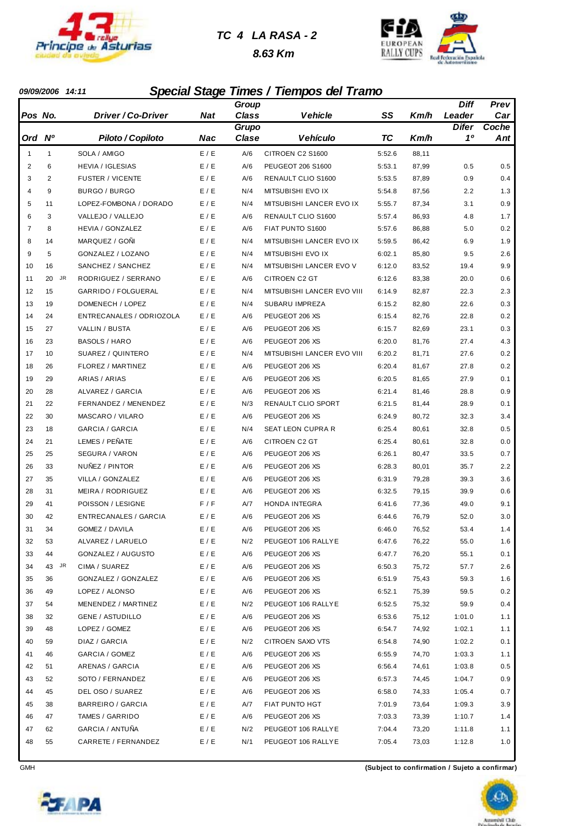

#### *TC 4 LA RASA - 2*

 *8.63 Km*



#### *09/09/2006 14:11 Special Stage Times / Tiempos del Tramo*

|                |                |                              |            | Group        |                            |        |       | Diff         | Prev  |
|----------------|----------------|------------------------------|------------|--------------|----------------------------|--------|-------|--------------|-------|
| Pos No.        |                | Driver / Co-Driver           | <b>Nat</b> | <b>Class</b> | Vehicle                    | SS     | Km/h  | Leader       | Car   |
|                |                |                              |            | Grupo        |                            |        |       | <b>Difer</b> | Coche |
| Ord Nº         |                | Piloto / Copiloto            | <b>Nac</b> | Clase        | <b>Vehículo</b>            | ТC     | Km/h  | 10           | Ant   |
| $\mathbf{1}$   | $\mathbf{1}$   | SOLA / AMIGO                 | E / E      | A/6          | CITROEN C2 S1600           | 5:52.6 | 88,11 |              |       |
| $\overline{2}$ | 6              | <b>HEVIA / IGLESIAS</b>      | E / E      | A/6          | PEUGEOT 206 S1600          | 5:53.1 | 87,99 | 0.5          | 0.5   |
| 3              | $\overline{2}$ | <b>FUSTER / VICENTE</b>      | E / E      | A/6          | RENAULT CLIO S1600         | 5:53.5 | 87,89 | 0.9          | 0.4   |
| 4              | 9              | BURGO / BURGO                | E/E        | N/4          | MITSUBISHI EVO IX          | 5:54.8 | 87,56 | 2.2          | 1.3   |
| 5              | 11             | LOPEZ-FOMBONA / DORADO       | E / E      | N/4          | MITSUBISHI LANCER EVO IX   | 5:55.7 | 87,34 | 3.1          | 0.9   |
| 6              | 3              | VALLEJO / VALLEJO            | E / E      | A/6          | RENAULT CLIO S1600         | 5:57.4 | 86,93 | 4.8          | 1.7   |
| 7              | 8              | <b>HEVIA / GONZALEZ</b>      | E / E      | A/6          | FIAT PUNTO S1600           | 5:57.6 | 86,88 | 5.0          | 0.2   |
| 8              | 14             | MARQUEZ / GONI               | E / E      | N/4          | MITSUBISHI LANCER EVO IX   | 5:59.5 | 86,42 | 6.9          | 1.9   |
| 9              | 5              | GONZALEZ / LOZANO            | E / E      | N/4          | MITSUBISHI EVO IX          | 6:02.1 | 85,80 | 9.5          | 2.6   |
| 10             | 16             | SANCHEZ / SANCHEZ            | E / E      | N/4          | MITSUBISHI LANCER EVO V    | 6:12.0 | 83,52 | 19.4         | 9.9   |
| 11             | JR<br>20       | RODRIGUEZ / SERRANO          | E / E      | A/6          | <b>CITROEN C2 GT</b>       | 6:12.6 | 83,38 | 20.0         | 0.6   |
| 12             | 15             | GARRIDO / FOLGUERAL          | E / E      | N/4          | MITSUBISHI LANCER EVO VIII | 6:14.9 | 82,87 | 22.3         | 2.3   |
| 13             | 19             | DOMENECH / LOPEZ             | E / E      | N/4          | <b>SUBARU IMPREZA</b>      | 6:15.2 | 82,80 | 22.6         | 0.3   |
| 14             | 24             | ENTRECANALES / ODRIOZOLA     | E / E      | A/6          | PEUGEOT 206 XS             | 6:15.4 | 82,76 | 22.8         | 0.2   |
| 15             | 27             | VALLIN / BUSTA               | E / E      | A/6          | PEUGEOT 206 XS             | 6:15.7 | 82,69 | 23.1         | 0.3   |
| 16             | 23             | <b>BASOLS / HARO</b>         | E / E      | A/6          | PEUGEOT 206 XS             | 6:20.0 | 81,76 | 27.4         | 4.3   |
| 17             | 10             | SUAREZ / QUINTERO            | E / E      | N/4          | MITSUBISHI LANCER EVO VIII | 6:20.2 | 81,71 | 27.6         | 0.2   |
| 18             | 26             | FLOREZ / MARTINEZ            | E / E      | A/6          | PEUGEOT 206 XS             | 6:20.4 | 81,67 | 27.8         | 0.2   |
| 19             | 29             | ARIAS / ARIAS                | E / E      | A/6          | PEUGEOT 206 XS             | 6:20.5 | 81,65 | 27.9         | 0.1   |
| 20             | 28             | ALVAREZ / GARCIA             | E / E      | A/6          | PEUGEOT 206 XS             | 6:21.4 | 81,46 | 28.8         | 0.9   |
| 21             | 22             | FERNANDEZ / MENENDEZ         | E / E      | N/3          | RENAULT CLIO SPORT         | 6:21.5 | 81,44 | 28.9         | 0.1   |
| 22             | 30             | MASCARO / VILARO             | E / E      | A/6          | PEUGEOT 206 XS             | 6:24.9 | 80,72 | 32.3         | 3.4   |
| 23             | 18             | <b>GARCIA / GARCIA</b>       | E / E      | N/4          | SEAT LEON CUPRA R          | 6:25.4 | 80,61 | 32.8         | 0.5   |
| 24             | 21             | LEMES / PEÑATE               | E / E      | A/6          | CITROEN C2 GT              | 6:25.4 | 80,61 | 32.8         | 0.0   |
| 25             | 25             | SEGURA / VARON               | E / E      | A/6          | PEUGEOT 206 XS             | 6:26.1 | 80,47 | 33.5         | 0.7   |
| 26             | 33             | NUÑEZ / PINTOR               | E / E      | A/6          | PEUGEOT 206 XS             | 6:28.3 | 80,01 | 35.7         | 2.2   |
| 27             | 35             | VILLA / GONZALEZ             | E / E      | A/6          | PEUGEOT 206 XS             | 6:31.9 | 79,28 | 39.3         | 3.6   |
| 28             | 31             | MEIRA / RODRIGUEZ            | E / E      | A/6          | PEUGEOT 206 XS             | 6:32.5 | 79,15 | 39.9         | 0.6   |
| 29             | 41             | POISSON / LESIGNE            | F/F        | A/7          | <b>HONDA INTEGRA</b>       | 6:41.6 | 77,36 | 49.0         | 9.1   |
| 30             | 42             | <b>ENTRECANALES / GARCIA</b> | E / E      | A/6          | PEUGEOT 206 XS             | 6:44.6 | 76,79 | 52.0         | 3.0   |
| 31             | 34             | GOMEZ / DAVILA               | E / E      | A/6          | PEUGEOT 206 XS             | 6:46.0 | 76,52 | 53.4         | 1.4   |
| 32             | 53             | ALVAREZ / LARUELO            | E / E      | N/2          | PEUGEOT 106 RALLYE         | 6:47.6 | 76,22 | 55.0         | 1.6   |
| 33             | 44             | GONZALEZ / AUGUSTO           | E / E      | A/6          | PEUGEOT 206 XS             | 6:47.7 | 76,20 | 55.1         | 0.1   |
| 34             | 43 JR          | CIMA / SUAREZ                | E / E      | A/6          | PEUGEOT 206 XS             | 6:50.3 | 75,72 | 57.7         | 2.6   |
| 35             | 36             | GONZALEZ / GONZALEZ          | E / E      | A/6          | PEUGEOT 206 XS             | 6:51.9 | 75,43 | 59.3         | 1.6   |
| 36             | 49             | LOPEZ / ALONSO               | E / E      | A/6          | PEUGEOT 206 XS             | 6:52.1 | 75,39 | 59.5         | 0.2   |
| 37             | 54             | MENENDEZ / MARTINEZ          | E / E      | N/2          | PEUGEOT 106 RALLYE         | 6:52.5 | 75,32 | 59.9         | 0.4   |
| 38             | 32             | <b>GENE / ASTUDILLO</b>      | E / E      | A/6          | PEUGEOT 206 XS             | 6:53.6 | 75,12 | 1:01.0       | 1.1   |
| 39             | 48             | LOPEZ / GOMEZ                | E / E      | A/6          | PEUGEOT 206 XS             | 6:54.7 | 74,92 | 1:02.1       | 1.1   |
| 40             | 59             | DIAZ / GARCIA                | E / E      | N/2          | CITROEN SAXO VTS           | 6:54.8 | 74,90 | 1:02.2       | 0.1   |
| 41             | 46             | GARCIA / GOMEZ               | E / E      | A/6          | PEUGEOT 206 XS             | 6:55.9 | 74,70 | 1:03.3       | 1.1   |
| 42             | 51             | ARENAS / GARCIA              | E / E      | A/6          | PEUGEOT 206 XS             | 6:56.4 | 74,61 | 1:03.8       | 0.5   |
| 43             | 52             | SOTO / FERNANDEZ             | E / E      | A/6          | PEUGEOT 206 XS             | 6:57.3 | 74,45 | 1:04.7       | 0.9   |
| 44             | 45             | DEL OSO / SUAREZ             | E / E      | A/6          | PEUGEOT 206 XS             | 6:58.0 | 74,33 | 1:05.4       | 0.7   |
| 45             | 38             | BARREIRO / GARCIA            | E/E        | A/7          | FIAT PUNTO HGT             | 7:01.9 | 73,64 | 1:09.3       | 3.9   |
| 46             | 47             | TAMES / GARRIDO              | E / E      | A/6          | PEUGEOT 206 XS             | 7:03.3 | 73,39 | 1:10.7       | 1.4   |
| 47             | 62             | GARCIA / ANTUÑA              | E / E      | N/2          | PEUGEOT 106 RALLYE         | 7:04.4 | 73,20 | 1:11.8       | 1.1   |
| 48             | 55             | CARRETE / FERNANDEZ          | E / E      | N/1          | PEUGEOT 106 RALLYE         | 7:05.4 | 73,03 | 1:12.8       | 1.0   |



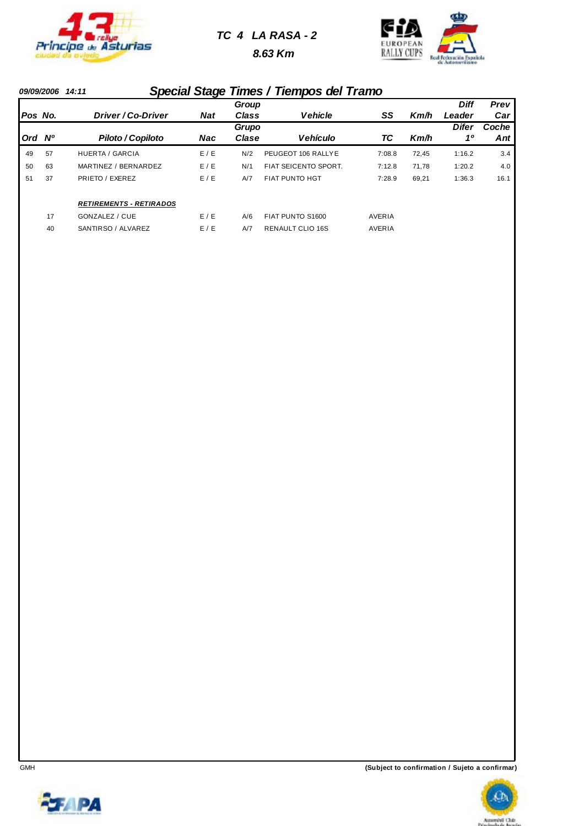

### *TC 4 LA RASA - 2*

 *8.63 Km*



#### *09/09/2006 14:11 Special Stage Times / Tiempos del Tramo*

|         |           |                                |            | Group |                         |               |       | <b>Diff</b>  | Prev  |
|---------|-----------|--------------------------------|------------|-------|-------------------------|---------------|-------|--------------|-------|
| Pos No. |           | Driver / Co-Driver             | <b>Nat</b> | Class | <b>Vehicle</b>          | SS            | Km/h  | Leader       | Car   |
|         |           |                                |            | Grupo |                         |               |       | <b>Difer</b> | Coche |
| Ord     | <b>N°</b> | Piloto / Copiloto              | Nac        | Clase | <b>Vehículo</b>         | ТC            | Km/h  | 10           | Ant   |
| 49      | 57        | <b>HUERTA / GARCIA</b>         | E/E        | N/2   | PEUGEOT 106 RALLYE      | 7:08.8        | 72.45 | 1:16.2       | 3.4   |
| 50      | 63        | MARTINEZ / BERNARDEZ           | E/E        | N/1   | FIAT SEICENTO SPORT.    | 7:12.8        | 71.78 | 1:20.2       | 4.0   |
| 51      | 37        | PRIETO / EXEREZ                | E/E        | A/7   | <b>FIAT PUNTO HGT</b>   | 7:28.9        | 69,21 | 1:36.3       | 16.1  |
|         |           | <b>RETIREMENTS - RETIRADOS</b> |            |       |                         |               |       |              |       |
|         | 17        | GONZALEZ / CUE                 | E/E        | A/6   | FIAT PUNTO S1600        | AVERIA        |       |              |       |
|         | 40        | SANTIRSO / ALVAREZ             | E/E        | A/7   | <b>RENAULT CLIO 16S</b> | <b>AVERIA</b> |       |              |       |



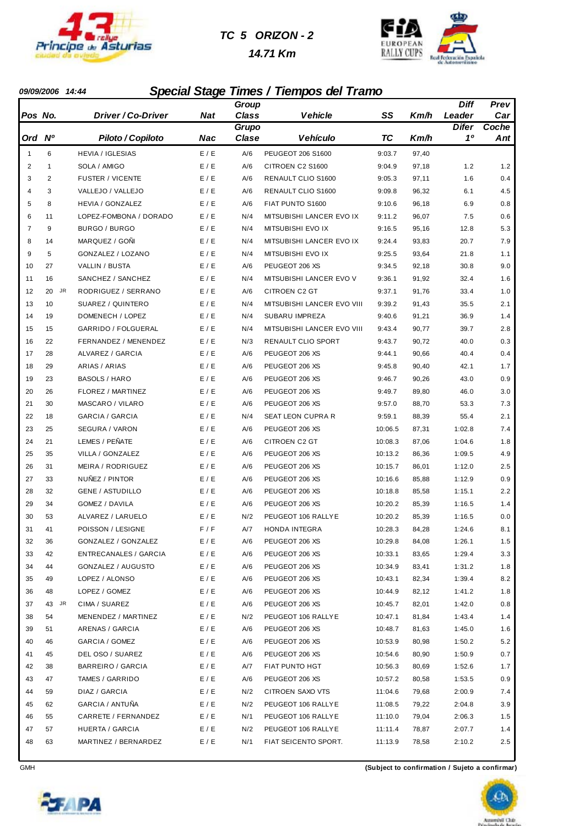

#### *TC 5 ORIZON - 2*

#### *14.71 Km*



#### *09/09/2006 14:44 Special Stage Times / Tiempos del Tramo*

|                |                |                              |            | Group        |                            |           |       | Diff         | Prev  |
|----------------|----------------|------------------------------|------------|--------------|----------------------------|-----------|-------|--------------|-------|
| Pos No.        |                | Driver / Co-Driver           | Nat        | <b>Class</b> | Vehicle                    | SS        | Km/h  | Leader       | Car   |
|                |                |                              |            | Grupo        |                            |           |       | <b>Difer</b> | Coche |
| Ord Nº         |                | Piloto / Copiloto            | <b>Nac</b> | Clase        | <b>Vehículo</b>            | <b>TC</b> | Km/h  | 10           | Ant   |
| $\mathbf{1}$   | 6              | <b>HEVIA / IGLESIAS</b>      | E / E      | A/6          | PEUGEOT 206 S1600          | 9:03.7    | 97,40 |              |       |
| $\overline{2}$ | $\mathbf{1}$   | SOLA / AMIGO                 | E / E      | A/6          | CITROEN C2 S1600           | 9:04.9    | 97,18 | 1.2          | 1.2   |
| 3              | $\overline{2}$ | <b>FUSTER / VICENTE</b>      | E / E      | A/6          | RENAULT CLIO S1600         | 9:05.3    | 97,11 | 1.6          | 0.4   |
| $\overline{4}$ | 3              | VALLEJO / VALLEJO            | E / E      | A/6          | RENAULT CLIO S1600         | 9:09.8    | 96,32 | 6.1          | 4.5   |
| 5              | 8              | HEVIA / GONZALEZ             | E / E      | A/6          | FIAT PUNTO S1600           | 9:10.6    | 96,18 | 6.9          | 0.8   |
| 6              | 11             | LOPEZ-FOMBONA / DORADO       | E / E      | N/4          | MITSUBISHI LANCER EVO IX   | 9:11.2    | 96,07 | 7.5          | 0.6   |
| $\overline{7}$ | 9              | BURGO / BURGO                | E / E      | N/4          | MITSUBISHI EVO IX          | 9:16.5    | 95,16 | 12.8         | 5.3   |
| 8              | 14             | MARQUEZ / GONI               | E / E      | N/4          | MITSUBISHI LANCER EVO IX   | 9:24.4    | 93,83 | 20.7         | 7.9   |
| 9              | 5              | GONZALEZ / LOZANO            | E / E      | N/4          | MITSUBISHI EVO IX          | 9:25.5    | 93,64 | 21.8         | 1.1   |
| 10             | 27             | VALLIN / BUSTA               | E / E      | A/6          | PEUGEOT 206 XS             | 9:34.5    | 92,18 | 30.8         | 9.0   |
| 11             | 16             | SANCHEZ / SANCHEZ            | E / E      | N/4          | MITSUBISHI LANCER EVO V    | 9:36.1    | 91,92 | 32.4         | 1.6   |
| 12             | JR<br>20       | RODRIGUEZ / SERRANO          | E / E      | A/6          | <b>CITROEN C2 GT</b>       | 9:37.1    | 91,76 | 33.4         | 1.0   |
| 13             | 10             | SUAREZ / QUINTERO            | E / E      | N/4          | MITSUBISHI LANCER EVO VIII | 9:39.2    | 91,43 | 35.5         | 2.1   |
| 14             | 19             | DOMENECH / LOPEZ             | E / E      | N/4          | SUBARU IMPREZA             | 9:40.6    | 91,21 | 36.9         | 1.4   |
| 15             | 15             | GARRIDO / FOLGUERAL          | E / E      | N/4          | MITSUBISHI LANCER EVO VIII | 9:43.4    | 90,77 | 39.7         | 2.8   |
| 16             | 22             | FERNANDEZ / MENENDEZ         | E / E      | N/3          | RENAULT CLIO SPORT         | 9:43.7    | 90,72 | 40.0         | 0.3   |
| 17             | 28             | ALVAREZ / GARCIA             | E / E      | A/6          | PEUGEOT 206 XS             | 9:44.1    | 90,66 | 40.4         | 0.4   |
| 18             | 29             | ARIAS / ARIAS                | E / E      | A/6          | PEUGEOT 206 XS             | 9:45.8    | 90,40 | 42.1         | 1.7   |
| 19             | 23             | <b>BASOLS / HARO</b>         | E / E      | A/6          | PEUGEOT 206 XS             | 9:46.7    | 90,26 | 43.0         | 0.9   |
| 20             | 26             | FLOREZ / MARTINEZ            | E / E      | A/6          | PEUGEOT 206 XS             | 9:49.7    | 89,80 | 46.0         | 3.0   |
| 21             | 30             | MASCARO / VILARO             | E / E      | A/6          | PEUGEOT 206 XS             | 9:57.0    | 88,70 | 53.3         | 7.3   |
| 22             | 18             | GARCIA / GARCIA              | E / E      | N/4          | SEAT LEON CUPRA R          | 9:59.1    | 88,39 | 55.4         | 2.1   |
| 23             | 25             | SEGURA / VARON               | E / E      | A/6          | PEUGEOT 206 XS             | 10:06.5   | 87,31 | 1:02.8       | 7.4   |
| 24             | 21             | LEMES / PEÑATE               | E / E      | A/6          | CITROEN C2 GT              | 10:08.3   | 87,06 | 1:04.6       | 1.8   |
| 25             | 35             | VILLA / GONZALEZ             | E / E      | A/6          | PEUGEOT 206 XS             | 10:13.2   | 86,36 | 1:09.5       | 4.9   |
| 26             | 31             | MEIRA / RODRIGUEZ            | E / E      | A/6          | PEUGEOT 206 XS             | 10:15.7   | 86,01 | 1:12.0       | 2.5   |
| 27             | 33             | NUÑEZ / PINTOR               | E / E      | A/6          | PEUGEOT 206 XS             | 10:16.6   | 85,88 | 1:12.9       | 0.9   |
| 28             | 32             | <b>GENE / ASTUDILLO</b>      | E / E      | A/6          | PEUGEOT 206 XS             | 10:18.8   | 85,58 | 1:15.1       | 2.2   |
| 29             | 34             | GOMEZ / DAVILA               | E / E      | A/6          | PEUGEOT 206 XS             | 10:20.2   | 85,39 | 1:16.5       | 1.4   |
| 30             | 53             | ALVAREZ / LARUELO            | E / E      | N/2          | PEUGEOT 106 RALLYE         | 10:20.2   | 85,39 | 1:16.5       | 0.0   |
| 31             | 41             | POISSON / LESIGNE            | F / F      | A/7          | <b>HONDA INTEGRA</b>       | 10:28.3   | 84,28 | 1:24.6       | 8.1   |
| 32             | 36             | GONZALEZ / GONZALEZ          | E / E      | A/6          | PEUGEOT 206 XS             | 10:29.8   | 84,08 | 1:26.1       | 1.5   |
| 33             | 42             | <b>ENTRECANALES / GARCIA</b> | E/E        | A/6          | PEUGEOT 206 XS             | 10:33.1   | 83,65 | 1:29.4       | 3.3   |
| 34             | 44             | GONZALEZ / AUGUSTO           | E / E      | A/6          | PEUGEOT 206 XS             | 10:34.9   | 83,41 | 1:31.2       | 1.8   |
| 35             | 49             | LOPEZ / ALONSO               | E / E      | A/6          | PEUGEOT 206 XS             | 10:43.1   | 82,34 | 1:39.4       | 8.2   |
| 36             | 48             | LOPEZ / GOMEZ                | E / E      | A/6          | PEUGEOT 206 XS             | 10:44.9   | 82,12 | 1:41.2       | 1.8   |
| 37             | JR<br>43       | CIMA / SUAREZ                | E/E        | A/6          | PEUGEOT 206 XS             | 10:45.7   | 82,01 | 1:42.0       | 0.8   |
| 38             | 54             | MENENDEZ / MARTINEZ          | E/E        | N/2          | PEUGEOT 106 RALLYE         | 10:47.1   | 81,84 | 1:43.4       | 1.4   |
| 39             | 51             | ARENAS / GARCIA              | E / E      | A/6          | PEUGEOT 206 XS             | 10:48.7   | 81,63 | 1:45.0       | 1.6   |
| 40             | 46             | GARCIA / GOMEZ               | E / E      | A/6          | PEUGEOT 206 XS             | 10:53.9   | 80,98 | 1:50.2       | 5.2   |
| 41             | 45             | DEL OSO / SUAREZ             | E / E      | A/6          | PEUGEOT 206 XS             | 10:54.6   | 80,90 | 1:50.9       | 0.7   |
| 42             | 38             | <b>BARREIRO / GARCIA</b>     | E / E      | A/7          | FIAT PUNTO HGT             | 10:56.3   | 80,69 | 1:52.6       | 1.7   |
| 43             | 47             | TAMES / GARRIDO              | E/E        | A/6          | PEUGEOT 206 XS             | 10:57.2   | 80,58 | 1:53.5       | 0.9   |
| 44             | 59             | DIAZ / GARCIA                | E/E        | N/2          | CITROEN SAXO VTS           | 11:04.6   | 79,68 | 2:00.9       | 7.4   |
| 45             | 62             | GARCIA / ANTUÑA              | E/E        | N/2          | PEUGEOT 106 RALLYE         | 11:08.5   | 79,22 | 2:04.8       | 3.9   |
| 46             | 55             | CARRETE / FERNANDEZ          | E/E        | N/1          | PEUGEOT 106 RALLYE         | 11:10.0   | 79,04 | 2:06.3       | 1.5   |
| 47             | 57             | HUERTA / GARCIA              | E/E        | N/2          | PEUGEOT 106 RALLYE         | 11:11.4   | 78,87 | 2:07.7       | 1.4   |
| 48             | 63             | MARTINEZ / BERNARDEZ         | E/E        | N/1          | FIAT SEICENTO SPORT.       | 11:13.9   | 78,58 | 2:10.2       | 2.5   |



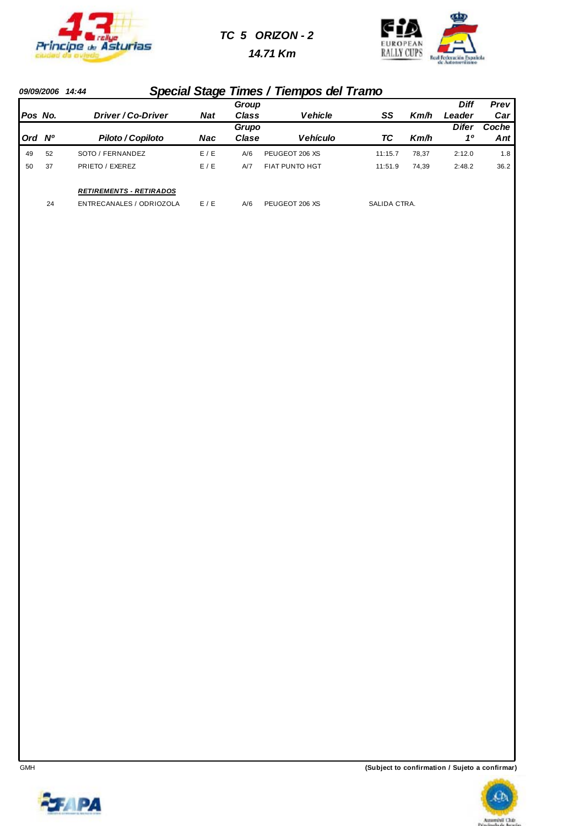

#### *TC 5 ORIZON - 2*

 *14.71 Km*



#### *09/09/2006 14:44 Special Stage Times / Tiempos del Tramo*

| Pos No. |    | Driver / Co-Driver                                         | <b>Nat</b> | Group<br><b>Class</b> | <b>Vehicle</b>        | SS           | Km/h  | <b>Diff</b><br>Leader | Prev<br>Car  |
|---------|----|------------------------------------------------------------|------------|-----------------------|-----------------------|--------------|-------|-----------------------|--------------|
| Ord Nº  |    | <b>Piloto / Copiloto</b>                                   | Nac        | Grupo<br>Clase        | <b>Vehículo</b>       | ТC           | Km/h  | Difer<br>10           | Coche<br>Ant |
| 49      | 52 | SOTO / FERNANDEZ                                           | E / E      | A/6                   | PEUGEOT 206 XS        | 11:15.7      | 78.37 | 2:12.0                | 1.8          |
| 50      | 37 | PRIETO / EXEREZ                                            | E/E        | A/7                   | <b>FIAT PUNTO HGT</b> | 11:51.9      | 74.39 | 2:48.2                | 36.2         |
|         | 24 | <b>RETIREMENTS - RETIRADOS</b><br>ENTRECANALES / ODRIOZOLA | E/E        | A/6                   | PEUGEOT 206 XS        | SALIDA CTRA. |       |                       |              |

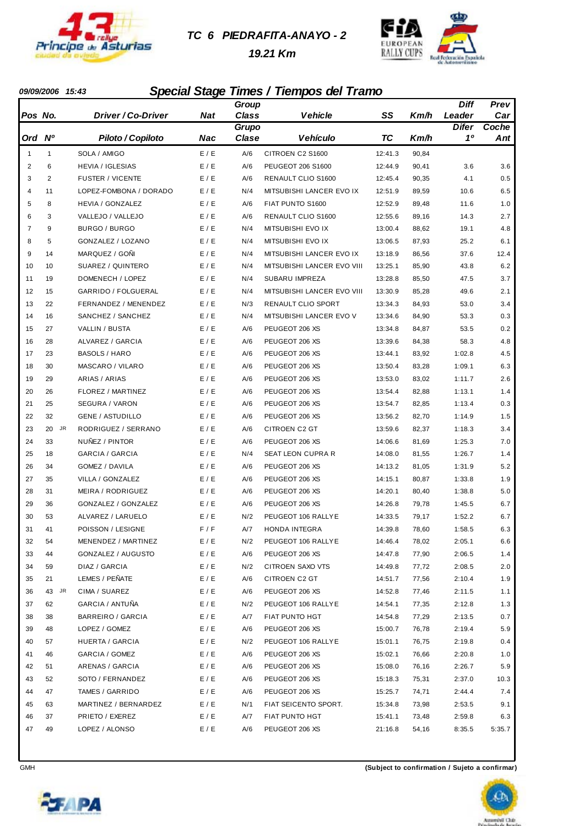

#### *TC 6 PIEDRAFITA-ANAYO - 2*

 *19.21 Km*



#### *09/09/2006 15:43 Special Stage Times / Tiempos del Tramo*

|                |                |                         |       | Group        |                            |           |       | <b>Diff</b>  | Prev   |
|----------------|----------------|-------------------------|-------|--------------|----------------------------|-----------|-------|--------------|--------|
| Pos No.        |                | Driver / Co-Driver      | Nat   | <b>Class</b> | Vehicle                    | SS        | Km/h  | Leader       | Car    |
|                |                |                         |       | Grupo        |                            |           |       | <b>Difer</b> | Coche  |
| Ord            | N <sup>o</sup> | Piloto / Copiloto       | Nac   | Clase        | Vehículo                   | <b>TC</b> | Km/h  | 10           | Ant    |
| $\mathbf{1}$   | $\mathbf{1}$   | SOLA / AMIGO            | E / E | A/6          | CITROEN C2 S1600           | 12:41.3   | 90,84 |              |        |
| 2              | 6              | <b>HEVIA / IGLESIAS</b> | E / E | A/6          | PEUGEOT 206 S1600          | 12:44.9   | 90,41 | 3.6          | 3.6    |
| 3              | $\overline{2}$ | <b>FUSTER / VICENTE</b> | E / E | A/6          | RENAULT CLIO S1600         | 12:45.4   | 90,35 | 4.1          | 0.5    |
| 4              | 11             | LOPEZ-FOMBONA / DORADO  | E / E | N/4          | MITSUBISHI LANCER EVO IX   | 12:51.9   | 89,59 | 10.6         | 6.5    |
| 5              | 8              | <b>HEVIA / GONZALEZ</b> | E / E | A/6          | FIAT PUNTO S1600           | 12:52.9   | 89,48 | 11.6         | 1.0    |
| 6              | 3              | VALLEJO / VALLEJO       | E / E | A/6          | RENAULT CLIO S1600         | 12:55.6   | 89,16 | 14.3         | 2.7    |
| $\overline{7}$ | 9              | BURGO / BURGO           | E / E | N/4          | MITSUBISHI EVO IX          | 13:00.4   | 88,62 | 19.1         | 4.8    |
| 8              | 5              | GONZALEZ / LOZANO       | E / E | N/4          | MITSUBISHI EVO IX          | 13:06.5   | 87,93 | 25.2         | 6.1    |
| 9              | 14             | MARQUEZ / GONI          | E / E | N/4          | MITSUBISHI LANCER EVO IX   | 13:18.9   | 86,56 | 37.6         | 12.4   |
| 10             | 10             | SUAREZ / QUINTERO       | E / E | N/4          | MITSUBISHI LANCER EVO VIII | 13:25.1   | 85,90 | 43.8         | 6.2    |
| 11             | 19             | DOMENECH / LOPEZ        | E / E | N/4          | SUBARU IMPREZA             | 13:28.8   | 85,50 | 47.5         | 3.7    |
| 12             | 15             | GARRIDO / FOLGUERAL     | E / E | N/4          | MITSUBISHI LANCER EVO VIII | 13:30.9   | 85,28 | 49.6         | 2.1    |
| 13             | 22             | FERNANDEZ / MENENDEZ    | E / E | N/3          | RENAULT CLIO SPORT         | 13:34.3   | 84,93 | 53.0         | 3.4    |
| 14             | 16             | SANCHEZ / SANCHEZ       | E / E | N/4          | MITSUBISHI LANCER EVO V    | 13:34.6   | 84,90 | 53.3         | 0.3    |
| 15             | 27             | VALLIN / BUSTA          | E / E | A/6          | PEUGEOT 206 XS             | 13:34.8   | 84,87 | 53.5         | 0.2    |
| 16             | 28             | <b>ALVAREZ / GARCIA</b> | E / E | A/6          | PEUGEOT 206 XS             | 13:39.6   | 84,38 | 58.3         | 4.8    |
| 17             | 23             | <b>BASOLS / HARO</b>    | E / E | A/6          | PEUGEOT 206 XS             | 13:44.1   | 83,92 | 1:02.8       | 4.5    |
| 18             | 30             | MASCARO / VILARO        | E / E | A/6          | PEUGEOT 206 XS             | 13:50.4   | 83,28 | 1:09.1       | 6.3    |
| 19             | 29             | ARIAS / ARIAS           | E / E | A/6          | PEUGEOT 206 XS             | 13:53.0   | 83,02 | 1:11.7       | 2.6    |
| 20             | 26             | FLOREZ / MARTINEZ       | E / E | A/6          | PEUGEOT 206 XS             | 13:54.4   | 82,88 | 1:13.1       | 1.4    |
| 21             | 25             | SEGURA / VARON          | E / E | A/6          | PEUGEOT 206 XS             | 13:54.7   | 82,85 | 1:13.4       | 0.3    |
| 22             | 32             | <b>GENE / ASTUDILLO</b> | E / E | A/6          | PEUGEOT 206 XS             | 13:56.2   | 82,70 | 1:14.9       | 1.5    |
| 23             | JR<br>20       | RODRIGUEZ / SERRANO     | E / E | A/6          | CITROEN C2 GT              | 13:59.6   | 82,37 | 1:18.3       | 3.4    |
| 24             | 33             | NUÑEZ / PINTOR          | E / E | A/6          | PEUGEOT 206 XS             | 14:06.6   | 81,69 | 1:25.3       | 7.0    |
| 25             | 18             | <b>GARCIA / GARCIA</b>  | E / E | N/4          | SEAT LEON CUPRA R          | 14:08.0   | 81,55 | 1:26.7       | 1.4    |
| 26             | 34             | GOMEZ / DAVILA          | E / E | A/6          | PEUGEOT 206 XS             | 14:13.2   | 81,05 | 1:31.9       | 5.2    |
| 27             | 35             | VILLA / GONZALEZ        | E / E | A/6          | PEUGEOT 206 XS             | 14:15.1   | 80,87 | 1:33.8       | 1.9    |
| 28             | 31             | MEIRA / RODRIGUEZ       | E / E | A/6          | PEUGEOT 206 XS             | 14:20.1   | 80,40 | 1:38.8       | 5.0    |
| 29             | 36             | GONZALEZ / GONZALEZ     | E / E | A/6          | PEUGEOT 206 XS             | 14:26.8   | 79,78 | 1:45.5       | 6.7    |
| 30             | 53             | ALVAREZ / LARUELO       | E / E | N/2          | PEUGEOT 106 RALLYE         | 14:33.5   | 79,17 | 1:52.2       | 6.7    |
| 31             | 41             | POISSON / LESIGNE       | F/F   | A/7          | HONDA INTEGRA              | 14:39.8   | 78,60 | 1:58.5       | 6.3    |
| 32             | 54             | MENENDEZ / MARTINEZ     | E / E | N/2          | PEUGEOT 106 RALLYE         | 14:46.4   | 78,02 | 2:05.1       | 6.6    |
| 33             | 44             | GONZALEZ / AUGUSTO      | E / E | A/6          | PEUGEOT 206 XS             | 14:47.8   | 77,90 | 2:06.5       | 1.4    |
| 34             | 59             | DIAZ / GARCIA           | E / E | N/2          | CITROEN SAXO VTS           | 14:49.8   | 77,72 | 2:08.5       | 2.0    |
| 35             | 21             | LEMES / PEÑATE          | E / E | A/6          | CITROEN C2 GT              | 14:51.7   | 77,56 | 2:10.4       | 1.9    |
| 36             | 43<br>JR       | CIMA / SUAREZ           | E / E | A/6          | PEUGEOT 206 XS             | 14:52.8   | 77,46 | 2:11.5       | 1.1    |
| 37             | 62             | GARCIA / ANTUÑA         | E / E | N/2          | PEUGEOT 106 RALLYE         | 14:54.1   | 77,35 | 2:12.8       | 1.3    |
| 38             | 38             | BARREIRO / GARCIA       | E / E | A/7          | FIAT PUNTO HGT             | 14:54.8   | 77,29 | 2:13.5       | 0.7    |
| 39             | 48             | LOPEZ / GOMEZ           | E / E | A/6          | PEUGEOT 206 XS             | 15:00.7   | 76,78 | 2:19.4       | 5.9    |
| 40             | 57             | HUERTA / GARCIA         | E / E | N/2          | PEUGEOT 106 RALLYE         | 15:01.1   | 76,75 | 2:19.8       | 0.4    |
| 41             | 46             | GARCIA / GOMEZ          | E / E | A/6          | PEUGEOT 206 XS             | 15:02.1   | 76,66 | 2:20.8       | 1.0    |
| 42             | 51             | ARENAS / GARCIA         | E/E   | A/6          | PEUGEOT 206 XS             | 15:08.0   | 76,16 | 2:26.7       | 5.9    |
| 43             | 52             | SOTO / FERNANDEZ        | E/E   | A/6          | PEUGEOT 206 XS             | 15:18.3   | 75,31 | 2:37.0       | 10.3   |
| 44             | 47             | TAMES / GARRIDO         | E/E   | A/6          | PEUGEOT 206 XS             | 15:25.7   | 74,71 | 2:44.4       | 7.4    |
| 45             | 63             | MARTINEZ / BERNARDEZ    | E / E | N/1          | FIAT SEICENTO SPORT.       | 15:34.8   | 73,98 | 2:53.5       | 9.1    |
| 46             | 37             | PRIETO / EXEREZ         | E / E | A/7          | FIAT PUNTO HGT             | 15:41.1   | 73,48 | 2:59.8       | 6.3    |
| 47             | 49             | LOPEZ / ALONSO          | E / E | A/6          | PEUGEOT 206 XS             | 21:16.8   | 54,16 | 8:35.5       | 5:35.7 |



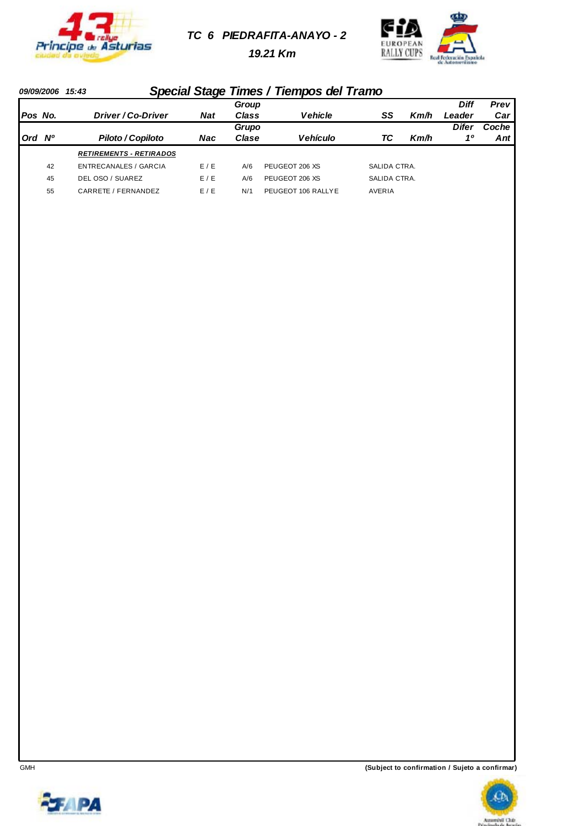

*TC 6 PIEDRAFITA-ANAYO - 2*

 *19.21 Km*



#### *09/09/2006 15:43 Special Stage Times / Tiempos del Tramo*

|         |    |                                |            | Group |                    |              |      | Diff   | Prev  |
|---------|----|--------------------------------|------------|-------|--------------------|--------------|------|--------|-------|
| Pos No. |    | Driver / Co-Driver             | <b>Nat</b> | Class | <b>Vehicle</b>     | SS           | Km/h | Leader | Car   |
|         |    |                                |            | Grupo |                    |              |      | Difer  | Coche |
| Ord Nº  |    | Piloto / Copiloto              | Nac        | Clase | Vehículo           | ТC           | Km/h | 10     | Ant   |
|         |    | <b>RETIREMENTS - RETIRADOS</b> |            |       |                    |              |      |        |       |
|         | 42 | <b>ENTRECANALES / GARCIA</b>   | E/E        | A/6   | PEUGEOT 206 XS     | SALIDA CTRA. |      |        |       |
|         | 45 | DEL OSO / SUAREZ               | E/E        | A/6   | PEUGEOT 206 XS     | SALIDA CTRA. |      |        |       |
|         | 55 | CARRETE / FERNANDEZ            | E/E        | N/1   | PEUGEOT 106 RALLYE | AVERIA       |      |        |       |



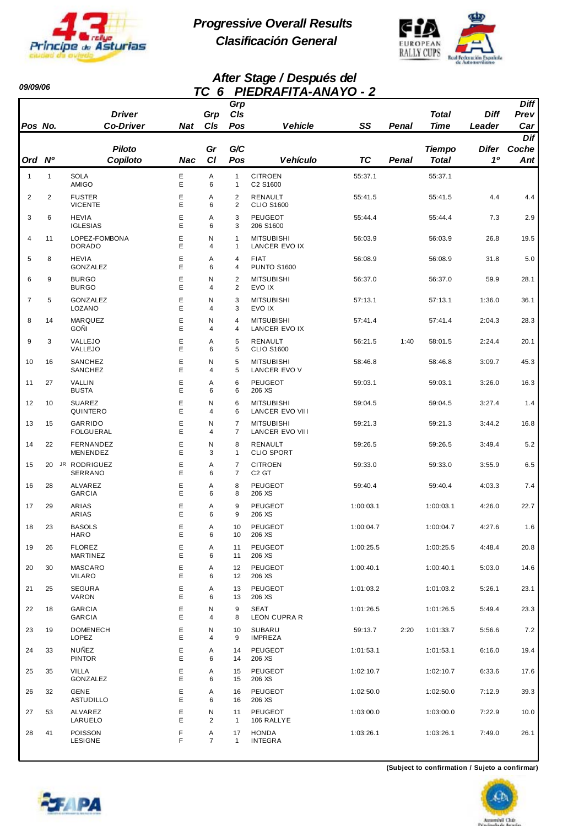

*09/09/06* 

*Progressive Overall Results Clasificación General*



#### *After Stage / Después del TC 6 PIEDRAFITA-ANAYO - 2*

|                |                | <b>Driver</b>                     |            | Grp    | Grp<br>C/s                       |                                      |           |       | <b>Total</b>  | <b>Diff</b>  | <b>Diff</b><br>Prev |
|----------------|----------------|-----------------------------------|------------|--------|----------------------------------|--------------------------------------|-----------|-------|---------------|--------------|---------------------|
| Pos No.        |                | <b>Co-Driver</b>                  | <b>Nat</b> | CIs    | Pos                              | <b>Vehicle</b>                       | SS        | Penal | <b>Time</b>   | Leader       | Car                 |
|                |                | <b>Piloto</b>                     |            | Gr     | G/C                              |                                      |           |       | <b>Tiempo</b> | <b>Difer</b> | Dif<br>Coche        |
| Ord            | N <sup>o</sup> | Copiloto                          | Nac        | C1     | Pos                              | <b>Vehículo</b>                      | <b>TC</b> | Penal | <b>Total</b>  | 10           | $\mathbf{Ant}$      |
| $\mathbf{1}$   | 1              | <b>SOLA</b><br>AMIGO              | Ε<br>Е     | Α<br>6 | $\mathbf{1}$<br>$\mathbf{1}$     | <b>CITROEN</b><br>C2 S1600           | 55:37.1   |       | 55:37.1       |              |                     |
| $\overline{2}$ | $\overline{2}$ | <b>FUSTER</b><br><b>VICENTE</b>   | E<br>Е     | Α<br>6 | 2<br>$\overline{2}$              | <b>RENAULT</b><br><b>CLIO S1600</b>  | 55:41.5   |       | 55:41.5       | 4.4          | 4.4                 |
| 3              | 6              | <b>HEVIA</b><br><b>IGLESIAS</b>   | Е<br>E     | Α<br>6 | 3<br>3                           | <b>PEUGEOT</b><br>206 S1600          | 55:44.4   |       | 55:44.4       | 7.3          | 2.9                 |
| 4              | 11             | LOPEZ-FOMBONA<br><b>DORADO</b>    | Ε<br>E     | N<br>4 | $\mathbf{1}$<br>$\mathbf{1}$     | <b>MITSUBISHI</b><br>LANCER EVO IX   | 56:03.9   |       | 56:03.9       | 26.8         | 19.5                |
| 5              | 8              | <b>HEVIA</b><br>GONZALEZ          | Е<br>Е     | Α<br>6 | $\overline{4}$<br>4              | <b>FIAT</b><br><b>PUNTO S1600</b>    | 56:08.9   |       | 56:08.9       | 31.8         | 5.0                 |
| 6              | 9              | <b>BURGO</b><br><b>BURGO</b>      | E<br>E     | N<br>4 | $\overline{2}$<br>$\overline{2}$ | <b>MITSUBISHI</b><br>EVO IX          | 56:37.0   |       | 56:37.0       | 59.9         | 28.1                |
| $\overline{7}$ | 5              | GONZALEZ<br>LOZANO                | Е<br>E     | N<br>4 | 3<br>3                           | <b>MITSUBISHI</b><br>EVO IX          | 57:13.1   |       | 57:13.1       | 1:36.0       | 36.1                |
| 8              | 14             | <b>MARQUEZ</b><br><b>GOÑI</b>     | Ε<br>Е     | N<br>4 | $\overline{4}$<br>4              | <b>MITSUBISHI</b><br>LANCER EVO IX   | 57:41.4   |       | 57:41.4       | 2:04.3       | 28.3                |
| 9              | 3              | VALLEJO<br>VALLEJO                | Е<br>Е     | Α<br>6 | 5<br>5                           | <b>RENAULT</b><br><b>CLIO S1600</b>  | 56:21.5   | 1:40  | 58:01.5       | 2:24.4       | 20.1                |
| 10             | 16             | SANCHEZ<br>SANCHEZ                | E<br>E     | N<br>4 | 5<br>5                           | <b>MITSUBISHI</b><br>LANCER EVO V    | 58:46.8   |       | 58:46.8       | 3:09.7       | 45.3                |
| 11             | 27             | VALLIN<br><b>BUSTA</b>            | Ε<br>E     | Α<br>6 | 6<br>6                           | PEUGEOT<br>206 XS                    | 59:03.1   |       | 59:03.1       | 3:26.0       | 16.3                |
| 12             | 10             | <b>SUAREZ</b><br>QUINTERO         | Ε<br>Е     | N<br>4 | 6<br>6                           | <b>MITSUBISHI</b><br>LANCER EVO VIII | 59:04.5   |       | 59:04.5       | 3:27.4       | 1.4                 |
| 13             | 15             | GARRIDO<br><b>FOLGUERAL</b>       | Е<br>Е     | N<br>4 | $\overline{7}$<br>7              | <b>MITSUBISHI</b><br>LANCER EVO VIII | 59:21.3   |       | 59:21.3       | 3:44.2       | 16.8                |
| 14             | 22             | FERNANDEZ<br>MENENDEZ             | E<br>E     | N<br>3 | 8<br>1                           | RENAULT<br><b>CLIO SPORT</b>         | 59:26.5   |       | 59:26.5       | 3:49.4       | 5.2                 |
| 15             |                | 20 JR RODRIGUEZ<br><b>SERRANO</b> | Е<br>E     | Α<br>6 | $\overline{7}$<br>7              | <b>CITROEN</b><br>C <sub>2</sub> GT  | 59:33.0   |       | 59:33.0       | 3:55.9       | 6.5                 |
| 16             | 28             | ALVAREZ<br><b>GARCIA</b>          | Ε<br>Е     | Α<br>6 | 8<br>8                           | PEUGEOT<br>206 XS                    | 59:40.4   |       | 59:40.4       | 4:03.3       | 7.4                 |
| 17             | 29             | ARIAS<br>ARIAS                    | Е<br>Е     | Α<br>6 | 9<br>9                           | PEUGEOT<br>206 XS                    | 1:00:03.1 |       | 1:00:03.1     | 4:26.0       | 22.7                |
| 18             | 23             | <b>BASOLS</b><br><b>HARO</b>      | Е<br>Ε     | Α<br>6 | 10<br>10                         | <b>PEUGEOT</b><br>206 XS             | 1:00:04.7 |       | 1:00:04.7     | 4:27.6       | 1.6                 |
| 19             | 26             | <b>FLOREZ</b><br>MARTINEZ         | Ε<br>Е     | Α<br>6 | 11<br>11                         | <b>PEUGEOT</b><br>206 XS             | 1:00:25.5 |       | 1:00:25.5     | 4:48.4       | 20.8                |
| 20             | 30             | <b>MASCARO</b><br><b>VILARO</b>   | Ε<br>Е     | Α<br>6 | 12<br>12                         | PEUGEOT<br>206 XS                    | 1:00:40.1 |       | 1:00:40.1     | 5:03.0       | 14.6                |
| 21             | 25             | <b>SEGURA</b><br>VARON            | Ε<br>E     | Α<br>6 | 13<br>13                         | PEUGEOT<br>206 XS                    | 1:01:03.2 |       | 1:01:03.2     | 5:26.1       | 23.1                |
| 22             | 18             | <b>GARCIA</b><br><b>GARCIA</b>    | Ε<br>Е     | N<br>4 | 9<br>8                           | <b>SEAT</b><br><b>LEON CUPRA R</b>   | 1:01:26.5 |       | 1:01:26.5     | 5:49.4       | 23.3                |
| 23             | 19             | <b>DOMENECH</b><br>LOPEZ          | Ε<br>Е     | N<br>4 | 10<br>9                          | <b>SUBARU</b><br><b>IMPREZA</b>      | 59:13.7   | 2:20  | 1:01:33.7     | 5:56.6       | 7.2                 |
| 24             | 33             | <b>NUÑEZ</b><br><b>PINTOR</b>     | E<br>Е     | Α<br>6 | 14<br>14                         | PEUGEOT<br>206 XS                    | 1:01:53.1 |       | 1:01:53.1     | 6:16.0       | 19.4                |
| 25             | 35             | <b>VILLA</b><br>GONZALEZ          | Е<br>Е     | Α<br>6 | 15<br>15                         | PEUGEOT<br>206 XS                    | 1:02:10.7 |       | 1:02:10.7     | 6:33.6       | 17.6                |
| 26             | 32             | <b>GENE</b><br><b>ASTUDILLO</b>   | Е<br>Е     | Α<br>6 | 16<br>16                         | PEUGEOT<br>206 XS                    | 1:02:50.0 |       | 1:02:50.0     | 7:12.9       | 39.3                |
| 27             | 53             | ALVAREZ<br>LARUELO                | Е<br>Е     | N<br>2 | 11<br>$\mathbf{1}$               | PEUGEOT<br>106 RALLYE                | 1:03:00.0 |       | 1:03:00.0     | 7:22.9       | 10.0                |
| 28             | 41             | POISSON<br>LESIGNE                | F<br>F     | Α<br>7 | 17<br>$\mathbf{1}$               | <b>HONDA</b><br><b>INTEGRA</b>       | 1:03:26.1 |       | 1:03:26.1     | 7:49.0       | 26.1                |



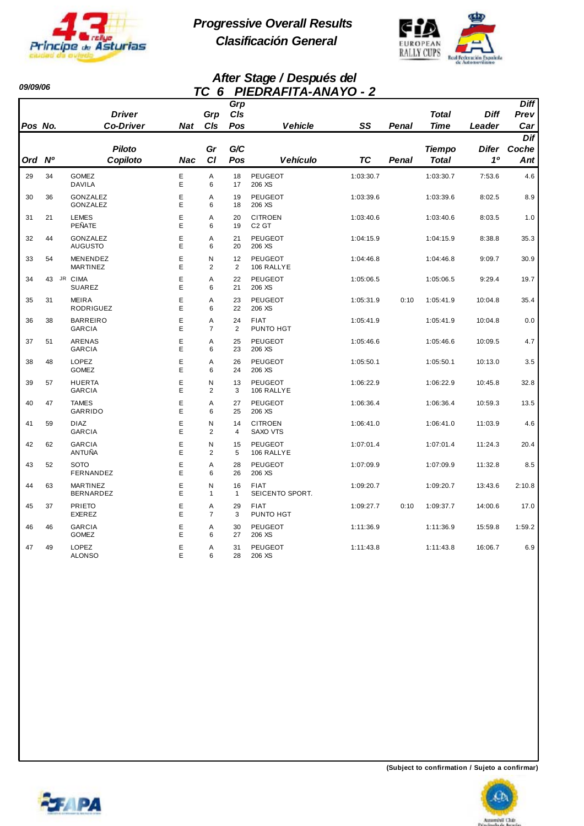

*09/09/06* 

*Progressive Overall Results Clasificación General*



#### *After Stage / Después del TC 6 PIEDRAFITA-ANAYO - 2*

|         |    |                                     |            |                     | Grp                  |                                     |           |       |                               |                    | <b>Diff</b>  |
|---------|----|-------------------------------------|------------|---------------------|----------------------|-------------------------------------|-----------|-------|-------------------------------|--------------------|--------------|
|         |    | <b>Driver</b>                       |            | Grp                 | CIs                  |                                     |           |       | <b>Total</b>                  | <b>Diff</b>        | Prev         |
| Pos No. |    | <b>Co-Driver</b>                    | <b>Nat</b> | CIs                 | Pos                  | <b>Vehicle</b>                      | SS        | Penal | Time                          | Leader             | Car          |
|         |    |                                     |            |                     |                      |                                     |           |       |                               |                    | Dif          |
| Ord Nº  |    | <b>Piloto</b><br>Copiloto           | <b>Nac</b> | Gr<br><b>CI</b>     | G/C<br>Pos           | <b>Vehículo</b>                     | TC        | Penal | <b>Tiempo</b><br><b>Total</b> | <b>Difer</b><br>10 | Coche<br>Ant |
|         |    |                                     |            |                     |                      |                                     |           |       |                               |                    |              |
| 29      | 34 | <b>GOMEZ</b><br><b>DAVILA</b>       | E<br>E     | A<br>6              | 18<br>17             | <b>PEUGEOT</b><br>206 XS            | 1:03:30.7 |       | 1:03:30.7                     | 7:53.6             | 4.6          |
| 30      | 36 | GONZALEZ<br>GONZALEZ                | E<br>E     | A<br>6              | 19<br>18             | <b>PEUGEOT</b><br>206 XS            | 1:03:39.6 |       | 1:03:39.6                     | 8:02.5             | 8.9          |
| 31      | 21 | <b>LEMES</b><br>PEÑATE              | E<br>E     | Α<br>6              | 20<br>19             | <b>CITROEN</b><br>C <sub>2</sub> GT | 1:03:40.6 |       | 1:03:40.6                     | 8:03.5             | 1.0          |
| 32      | 44 | GONZALEZ<br><b>AUGUSTO</b>          | E<br>E     | Α<br>6              | 21<br>20             | <b>PEUGEOT</b><br>206 XS            | 1:04:15.9 |       | 1:04:15.9                     | 8:38.8             | 35.3         |
| 33      | 54 | <b>MENENDEZ</b><br><b>MARTINEZ</b>  | E<br>E     | N<br>$\overline{2}$ | 12<br>2              | <b>PEUGEOT</b><br>106 RALLYE        | 1:04:46.8 |       | 1:04:46.8                     | 9:09.7             | 30.9         |
| 34      | 43 | JR CIMA<br><b>SUAREZ</b>            | E<br>E     | A<br>6              | 22<br>21             | <b>PEUGEOT</b><br>206 XS            | 1:05:06.5 |       | 1:05:06.5                     | 9:29.4             | 19.7         |
| 35      | 31 | <b>MEIRA</b><br>RODRIGUEZ           | E<br>E     | A<br>6              | 23<br>22             | <b>PEUGEOT</b><br>206 XS            | 1:05:31.9 | 0:10  | 1:05:41.9                     | 10:04.8            | 35.4         |
| 36      | 38 | <b>BARREIRO</b><br><b>GARCIA</b>    | E<br>E     | A<br>$\overline{7}$ | 24<br>2              | <b>FIAT</b><br>PUNTO HGT            | 1:05:41.9 |       | 1:05:41.9                     | 10:04.8            | 0.0          |
| 37      | 51 | ARENAS<br><b>GARCIA</b>             | E<br>E     | A<br>6              | 25<br>23             | <b>PEUGEOT</b><br>206 XS            | 1:05:46.6 |       | 1:05:46.6                     | 10:09.5            | 4.7          |
| 38      | 48 | LOPEZ<br><b>GOMEZ</b>               | E<br>E     | A<br>6              | 26<br>24             | <b>PEUGEOT</b><br>206 XS            | 1:05:50.1 |       | 1:05:50.1                     | 10:13.0            | 3.5          |
| 39      | 57 | <b>HUERTA</b><br><b>GARCIA</b>      | E<br>E     | N<br>$\overline{2}$ | 13<br>3              | <b>PEUGEOT</b><br>106 RALLYE        | 1:06:22.9 |       | 1:06:22.9                     | 10:45.8            | 32.8         |
| 40      | 47 | <b>TAMES</b><br>GARRIDO             | E<br>E     | A<br>6              | 27<br>25             | <b>PEUGEOT</b><br>206 XS            | 1:06:36.4 |       | 1:06:36.4                     | 10:59.3            | 13.5         |
| 41      | 59 | <b>DIAZ</b><br><b>GARCIA</b>        | E<br>E     | Ν<br>$\overline{2}$ | 14<br>$\overline{4}$ | <b>CITROEN</b><br><b>SAXO VTS</b>   | 1:06:41.0 |       | 1:06:41.0                     | 11:03.9            | 4.6          |
| 42      | 62 | <b>GARCIA</b><br>ANTUÑA             | E<br>E     | N<br>$\overline{2}$ | 15<br>5              | <b>PEUGEOT</b><br>106 RALLYE        | 1:07:01.4 |       | 1:07:01.4                     | 11:24.3            | 20.4         |
| 43      | 52 | <b>SOTO</b><br>FERNANDEZ            | E<br>E     | A<br>6              | 28<br>26             | <b>PEUGEOT</b><br>206 XS            | 1:07:09.9 |       | 1:07:09.9                     | 11:32.8            | 8.5          |
| 44      | 63 | <b>MARTINEZ</b><br><b>BERNARDEZ</b> | E<br>E     | N<br>$\mathbf{1}$   | 16<br>1              | <b>FIAT</b><br>SEICENTO SPORT.      | 1:09:20.7 |       | 1:09:20.7                     | 13:43.6            | 2:10.8       |
| 45      | 37 | <b>PRIETO</b><br><b>EXEREZ</b>      | E<br>E     | Α<br>$\overline{7}$ | 29<br>3              | <b>FIAT</b><br>PUNTO HGT            | 1:09:27.7 | 0:10  | 1:09:37.7                     | 14:00.6            | 17.0         |
| 46      | 46 | <b>GARCIA</b><br><b>GOMEZ</b>       | E<br>Е     | A<br>6              | 30<br>27             | <b>PEUGEOT</b><br>206 XS            | 1:11:36.9 |       | 1:11:36.9                     | 15:59.8            | 1:59.2       |
| 47      | 49 | <b>LOPEZ</b><br><b>ALONSO</b>       | E<br>E     | A<br>6              | 31<br>28             | <b>PEUGEOT</b><br>206 XS            | 1:11:43.8 |       | 1:11:43.8                     | 16:06.7            | 6.9          |



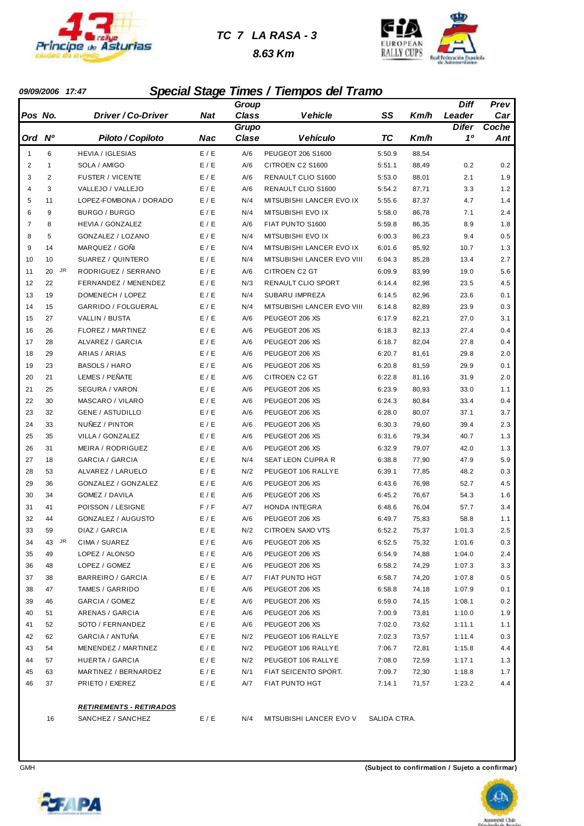

#### *TC 7 LA RASA - 3*

 *8.63 Km*



#### *09/09/2006 17:47 Special Stage Times / Tiempos del Tramo*

|              |              |                                 |            | Group        |                                          |                  |       | Diff         | Prev  |
|--------------|--------------|---------------------------------|------------|--------------|------------------------------------------|------------------|-------|--------------|-------|
| Pos No.      |              | Driver / Co-Driver              | Nat        | <b>Class</b> | <b>Vehicle</b>                           | SS               | Km/h  | Leader       | Car   |
|              |              |                                 |            | Grupo        |                                          |                  |       | <b>Difer</b> | Coche |
| Ord          | $N^{\circ}$  | Piloto / Copiloto               | <b>Nac</b> | Clase        | <b>Vehículo</b>                          | <b>TC</b>        | Km/h  | 10           | Ant   |
| $\mathbf{1}$ | 6            | <b>HEVIA / IGLESIAS</b>         | E / E      | A/6          | PEUGEOT 206 S1600                        | 5:50.9           | 88,54 |              |       |
| 2            | $\mathbf{1}$ | SOLA / AMIGO                    | E / E      | A/6          | CITROEN C2 S1600                         | 5:51.1           | 88,49 | 0.2          | 0.2   |
| 3            | 2            | <b>FUSTER / VICENTE</b>         | E / E      | A/6          | RENAULT CLIO S1600                       | 5:53.0           | 88,01 | 2.1          | 1.9   |
| 4            | 3            | VALLEJO / VALLEJO               | E / E      | A/6          | RENAULT CLIO S1600                       | 5:54.2           | 87,71 | 3.3          | 1.2   |
| 5            | 11           | LOPEZ-FOMBONA / DORADO          | E / E      | N/4          | MITSUBISHI LANCER EVO IX                 | 5:55.6           | 87,37 | 4.7          | 1.4   |
| 6            | 9            | BURGO / BURGO                   | E / E      | N/4          | MITSUBISHI EVO IX                        | 5:58.0           | 86,78 | 7.1          | 2.4   |
| 7            | 8            | <b>HEVIA / GONZALEZ</b>         | E / E      | A/6          | FIAT PUNTO S1600                         | 5:59.8           | 86,35 | 8.9          | 1.8   |
| 8            | 5            | GONZALEZ / LOZANO               | E / E      | N/4          | MITSUBISHI EVO IX                        | 6:00.3           | 86,23 | 9.4          | 0.5   |
| 9            | 14           | MARQUEZ / GOÑI                  | E / E      | N/4          | MITSUBISHI LANCER EVO IX                 | 6:01.6           | 85,92 | 10.7         | 1.3   |
| 10           | 10           | SUAREZ / QUINTERO               | E / E      | N/4          | MITSUBISHI LANCER EVO VIII               | 6:04.3           | 85,28 | 13.4         | 2.7   |
| 11           | JR<br>20     | RODRIGUEZ / SERRANO             | E / E      | A/6          | CITROEN C2 GT                            | 6:09.9           | 83,99 | 19.0         | 5.6   |
| 12           | 22           | FERNANDEZ / MENENDEZ            | E / E      | N/3          | RENAULT CLIO SPORT                       | 6:14.4           | 82,98 | 23.5         | 4.5   |
| 13           | 19           | DOMENECH / LOPEZ                | E / E      | N/4          | SUBARU IMPREZA                           | 6:14.5           | 82,96 | 23.6         | 0.1   |
| 14           | 15           | GARRIDO / FOLGUERAL             | E / E      | N/4          | MITSUBISHI LANCER EVO VIII               | 6:14.8           | 82,89 | 23.9         | 0.3   |
| 15           | 27           | VALLIN / BUSTA                  | E / E      | A/6          | PEUGEOT 206 XS                           | 6:17.9           | 82,21 | 27.0         | 3.1   |
| 16           | 26           | FLOREZ / MARTINEZ               | E / E      | A/6          | PEUGEOT 206 XS                           | 6:18.3           | 82,13 | 27.4         | 0.4   |
| 17           | 28           | <b>ALVAREZ / GARCIA</b>         | E / E      | A/6          | PEUGEOT 206 XS                           | 6:18.7           | 82,04 | 27.8         | 0.4   |
| 18           | 29           | ARIAS / ARIAS                   | E / E      | A/6          | PEUGEOT 206 XS                           | 6:20.7           | 81,61 | 29.8         | 2.0   |
| 19           | 23           | <b>BASOLS / HARO</b>            | E / E      | A/6          | PEUGEOT 206 XS                           | 6:20.8           | 81,59 | 29.9         | 0.1   |
| 20           | 21           | LEMES / PEÑATE                  | E / E      | A/6          | CITROEN C2 GT                            | 6:22.8           | 81,16 | 31.9         | 2.0   |
| 21           | 25           | SEGURA / VARON                  | E / E      | A/6          | PEUGEOT 206 XS                           | 6:23.9           | 80,93 | 33.0         | 1.1   |
| 22           | 30           | MASCARO / VILARO                | E / E      | A/6          | PEUGEOT 206 XS                           | 6:24.3           | 80,84 | 33.4         | 0.4   |
| 23           | 32           | <b>GENE / ASTUDILLO</b>         | E / E      | A/6          | PEUGEOT 206 XS                           | 6:28.0           | 80,07 | 37.1         | 3.7   |
| 24           | 33           | NUNEZ / PINTOR                  | E / E      | A/6          | PEUGEOT 206 XS                           | 6:30.3           | 79,60 | 39.4         | 2.3   |
| 25           | 35           | VILLA / GONZALEZ                | E / E      | A/6          | PEUGEOT 206 XS                           | 6:31.6           | 79,34 | 40.7         | 1.3   |
| 26           | 31           | MEIRA / RODRIGUEZ               | E / E      | A/6          | PEUGEOT 206 XS                           | 6:32.9           | 79,07 | 42.0         | 1.3   |
| 27           | 18           | <b>GARCIA / GARCIA</b>          | E / E      | N/4          | SEAT LEON CUPRA R                        | 6:38.8           | 77,90 | 47.9         | 5.9   |
| 28           | 53           | ALVAREZ / LARUELO               | E / E      | N/2          | PEUGEOT 106 RALLYE                       | 6:39.1           | 77,85 | 48.2         | 0.3   |
| 29           | 36           | GONZALEZ / GONZALEZ             | E / E      | A/6          | PEUGEOT 206 XS                           | 6:43.6           | 76,98 | 52.7         | 4.5   |
| 30           | 34           | GOMEZ / DAVILA                  | E / E      | A/6          | PEUGEOT 206 XS                           | 6:45.2           | 76,67 | 54.3         | 1.6   |
| 31           | 41           | POISSON / LESIGNE               | F/F        | A/7          | <b>HONDA INTEGRA</b>                     | 6:48.6           | 76,04 | 57.7         | 3.4   |
| 32           | 44           | GONZALEZ / AUGUSTO              | E / E      | A/6          | PEUGEOT 206 XS                           | 6:49.7           | 75,83 | 58.8         | 1.1   |
| 33           | 59           | DIAZ / GARCIA                   | E / E      | N/2          | <b>CITROEN SAXO VTS</b>                  | 6:52.2           | 75,37 | 1:01.3       | 2.5   |
| 34           | 43<br>JR     | CIMA / SUAREZ                   | E / E      | A/6          | PEUGEOT 206 XS                           | 6:52.5           | 75,32 | 1:01.6       | 0.3   |
| 35           | 49           | LOPEZ / ALONSO                  | E/E        | A/6          | PEUGEOT 206 XS                           | 6:54.9           | 74,88 | 1:04.0       | 2.4   |
| 36           | 48           | LOPEZ / GOMEZ                   | E/E        | A/6          | PEUGEOT 206 XS                           | 6:58.2           | 74,29 | 1:07.3       | 3.3   |
| 37           | 38           | <b>BARREIRO / GARCIA</b>        | E/E        | A/7          | FIAT PUNTO HGT                           | 6:58.7           | 74,20 | 1:07.8       | 0.5   |
| 38           | 47           | TAMES / GARRIDO                 | E/E        | A/6          | PEUGEOT 206 XS                           | 6:58.8           | 74,18 | 1:07.9       | 0.1   |
| 39           | 46           | GARCIA / GOMEZ                  | E/E        | A/6          | PEUGEOT 206 XS                           | 6:59.0           | 74,15 | 1:08.1       | 0.2   |
| 40           |              | ARENAS / GARCIA                 | E/E        | A/6          | PEUGEOT 206 XS                           |                  | 73,81 |              | 1.9   |
| 41           | 51<br>52     | SOTO / FERNANDEZ                | E/E        | A/6          | PEUGEOT 206 XS                           | 7:00.9<br>7:02.0 | 73,62 | 1:10.0       | 1.1   |
| 42           |              | GARCIA / ANTUÑA                 |            | N/2          | PEUGEOT 106 RALLYE                       |                  |       | 1:11.1       |       |
|              | 62           |                                 | E/E        |              |                                          | 7:02.3           | 73,57 | 1:11.4       | 0.3   |
| 43           | 54           | MENENDEZ / MARTINEZ             | E/E        | N/2          | PEUGEOT 106 RALLYE<br>PEUGEOT 106 RALLYE | 7:06.7           | 72,81 | 1:15.8       | 4.4   |
| 44           | 57           | <b>HUERTA / GARCIA</b>          | E/E        | N/2          |                                          | 7:08.0           | 72,59 | 1:17.1       | 1.3   |
| 45           | 63           | MARTINEZ / BERNARDEZ            | E/E        | N/1          | FIAT SEICENTO SPORT.                     | 7:09.7           | 72,30 | 1:18.8       | 1.7   |
| 46           | 37           | PRIETO / EXEREZ                 | E / E      | A/7          | FIAT PUNTO HGT                           | 7:14.1           | 71,57 | 1:23.2       | 4.4   |
|              |              | <u> RETIREMENTS - RETIRADOS</u> |            |              |                                          |                  |       |              |       |
|              | 16           | SANCHEZ / SANCHEZ               | E / E      | N/4          | MITSUBISHI LANCER EVO V                  | SALIDA CTRA.     |       |              |       |
|              |              |                                 |            |              |                                          |                  |       |              |       |



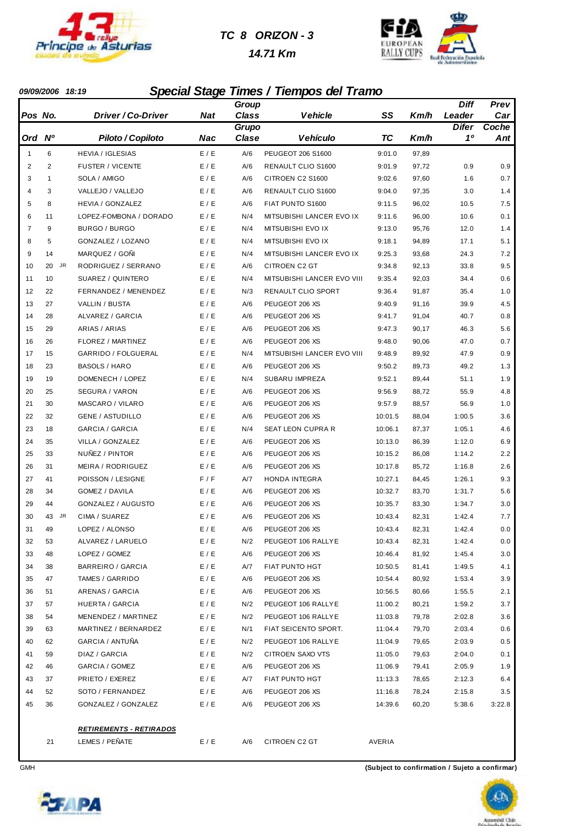

#### *TC 8 ORIZON - 3*

#### *14.71 Km*



#### *09/09/2006 18:19 Special Stage Times / Tiempos del Tramo*

|                |                 |                                |       | Group        |                            |           |       | Diff         | Prev   |
|----------------|-----------------|--------------------------------|-------|--------------|----------------------------|-----------|-------|--------------|--------|
| Pos No.        |                 | Driver / Co-Driver             | Nat   | <b>Class</b> | <b>Vehicle</b>             | SS        | Km/h  | Leader       | Car    |
|                |                 |                                |       | Grupo        |                            |           |       | <b>Difer</b> | Coche  |
| Ord Nº         |                 | Piloto / Copiloto              | Nac   | Clase        | <b>Vehículo</b>            | <b>TC</b> | Km/h  | 10           | Ant    |
| $\mathbf{1}$   | 6               | <b>HEVIA / IGLESIAS</b>        | E / E | A/6          | PEUGEOT 206 S1600          | 9:01.0    | 97,89 |              |        |
| $\overline{2}$ | $\overline{2}$  | <b>FUSTER / VICENTE</b>        | E / E | A/6          | RENAULT CLIO S1600         | 9:01.9    | 97,72 | 0.9          | 0.9    |
| 3              | $\mathbf{1}$    | SOLA / AMIGO                   | E / E | A/6          | CITROEN C2 S1600           | 9:02.6    | 97,60 | 1.6          | 0.7    |
| 4              | 3               | VALLEJO / VALLEJO              | E/E   | A/6          | RENAULT CLIO S1600         | 9:04.0    | 97,35 | 3.0          | 1.4    |
| 5              | 8               | HEVIA / GONZALEZ               | E / E | A/6          | FIAT PUNTO S1600           | 9:11.5    | 96,02 | 10.5         | 7.5    |
| 6              | 11              | LOPEZ-FOMBONA / DORADO         | E / E | N/4          | MITSUBISHI LANCER EVO IX   | 9:11.6    | 96,00 | 10.6         | 0.1    |
| $\overline{7}$ | 9               | BURGO / BURGO                  | E / E | N/4          | MITSUBISHI EVO IX          | 9:13.0    | 95,76 | 12.0         | 1.4    |
| 8              | 5               | GONZALEZ / LOZANO              | E / E | N/4          | MITSUBISHI EVO IX          | 9:18.1    | 94,89 | 17.1         | 5.1    |
| 9              | 14              | MARQUEZ / GOÑI                 | E / E | N/4          | MITSUBISHI LANCER EVO IX   | 9:25.3    | 93,68 | 24.3         | 7.2    |
| 10             | <b>JR</b><br>20 | RODRIGUEZ / SERRANO            | E/E   | A/6          | CITROEN C2 GT              | 9:34.8    | 92,13 | 33.8         | 9.5    |
| 11             | 10              | SUAREZ / QUINTERO              | E / E | N/4          | MITSUBISHI LANCER EVO VIII | 9:35.4    | 92,03 | 34.4         | 0.6    |
| 12             | 22              | FERNANDEZ / MENENDEZ           | E / E | N/3          | RENAULT CLIO SPORT         | 9:36.4    | 91,87 | 35.4         | 1.0    |
| 13             | 27              | VALLIN / BUSTA                 | E / E | A/6          | PEUGEOT 206 XS             | 9:40.9    | 91,16 | 39.9         | 4.5    |
| 14             | 28              | ALVAREZ / GARCIA               | E / E | A/6          | PEUGEOT 206 XS             | 9:41.7    | 91,04 | 40.7         | 0.8    |
| 15             | 29              | ARIAS / ARIAS                  | E / E | A/6          | PEUGEOT 206 XS             | 9:47.3    | 90,17 | 46.3         | 5.6    |
| 16             | 26              | <b>FLOREZ / MARTINEZ</b>       | E / E | A/6          | PEUGEOT 206 XS             | 9:48.0    | 90,06 | 47.0         | 0.7    |
| 17             | 15              | GARRIDO / FOLGUERAL            | E / E | N/4          | MITSUBISHI LANCER EVO VIII | 9:48.9    | 89,92 | 47.9         | 0.9    |
| 18             | 23              | <b>BASOLS / HARO</b>           | E / E | A/6          | PEUGEOT 206 XS             | 9:50.2    | 89,73 | 49.2         | 1.3    |
| 19             | 19              | DOMENECH / LOPEZ               | E / E | N/4          | <b>SUBARU IMPREZA</b>      | 9:52.1    | 89,44 | 51.1         | 1.9    |
| 20             | 25              | SEGURA / VARON                 | E / E | A/6          | PEUGEOT 206 XS             | 9:56.9    | 88,72 | 55.9         | 4.8    |
| 21             | 30              | MASCARO / VILARO               | E / E | A/6          | PEUGEOT 206 XS             | 9:57.9    | 88,57 | 56.9         | 1.0    |
| 22             | 32              | <b>GENE / ASTUDILLO</b>        | E / E | A/6          | PEUGEOT 206 XS             | 10:01.5   | 88,04 | 1:00.5       | 3.6    |
| 23             | 18              | <b>GARCIA / GARCIA</b>         | E / E | N/4          | SEAT LEON CUPRA R          | 10:06.1   | 87,37 | 1:05.1       | 4.6    |
| 24             | 35              | VILLA / GONZALEZ               | E/E   | A/6          | PEUGEOT 206 XS             | 10:13.0   | 86,39 | 1:12.0       | 6.9    |
| 25             | 33              | NUÑEZ / PINTOR                 | E / E | A/6          | PEUGEOT 206 XS             | 10:15.2   | 86,08 | 1:14.2       | 2.2    |
| 26             | 31              | MEIRA / RODRIGUEZ              | E / E | A/6          | PEUGEOT 206 XS             | 10:17.8   | 85,72 | 1:16.8       | 2.6    |
| 27             | 41              | POISSON / LESIGNE              | F / F | A/7          | HONDA INTEGRA              | 10:27.1   | 84,45 | 1:26.1       | 9.3    |
| 28             | 34              | GOMEZ / DAVILA                 | E / E | A/6          | PEUGEOT 206 XS             | 10:32.7   | 83,70 | 1:31.7       | 5.6    |
| 29             | 44              | GONZALEZ / AUGUSTO             | E / E | A/6          | PEUGEOT 206 XS             | 10:35.7   | 83,30 | 1:34.7       | 3.0    |
| 30             | 43<br>JR        | CIMA / SUAREZ                  | E / E | A/6          | PEUGEOT 206 XS             | 10:43.4   | 82,31 | 1:42.4       | 7.7    |
| 31             | 49              | LOPEZ / ALONSO                 | E/E   | A/6          | PEUGEOT 206 XS             | 10:43.4   | 82,31 | 1:42.4       | 0.0    |
| 32             | 53              | ALVAREZ / LARUELO              | E / E | N/2          | PEUGEOT 106 RALLYE         | 10:43.4   | 82,31 | 1:42.4       | 0.0    |
| 33             | 48              | LOPEZ / GOMEZ                  | E / E | A/6          | PEUGEOT 206 XS             | 10:46.4   | 81,92 | 1:45.4       | 3.0    |
| 34             | 38              | BARREIRO / GARCIA              | E / E | A/7          | FIAT PUNTO HGT             | 10:50.5   | 81,41 | 1:49.5       | 4.1    |
| 35             | 47              | TAMES / GARRIDO                | E / E | A/6          | PEUGEOT 206 XS             | 10:54.4   | 80,92 | 1:53.4       | 3.9    |
| 36             | 51              | ARENAS / GARCIA                | E / E | A/6          | PEUGEOT 206 XS             | 10:56.5   | 80,66 | 1:55.5       | 2.1    |
| 37             | 57              | HUERTA / GARCIA                | E/E   | N/2          | PEUGEOT 106 RALLYE         | 11:00.2   | 80,21 | 1:59.2       | 3.7    |
| 38             | 54              | MENENDEZ / MARTINEZ            | E/E   | N/2          | PEUGEOT 106 RALLYE         | 11:03.8   | 79,78 | 2:02.8       | 3.6    |
| 39             | 63              | MARTINEZ / BERNARDEZ           | E / E | N/1          | FIAT SEICENTO SPORT.       | 11:04.4   | 79,70 | 2:03.4       | 0.6    |
| 40             | 62              | GARCIA / ANTUÑA                | E/E   | N/2          | PEUGEOT 106 RALLYE         | 11:04.9   | 79,65 | 2:03.9       | 0.5    |
| 41             | 59              | DIAZ / GARCIA                  | E / E | N/2          | CITROEN SAXO VTS           | 11:05.0   | 79,63 | 2:04.0       | 0.1    |
| 42             | 46              | GARCIA / GOMEZ                 | E/E   | A/6          | PEUGEOT 206 XS             | 11:06.9   | 79,41 | 2:05.9       | 1.9    |
| 43             | 37              | PRIETO / EXEREZ                | E/E   | A/7          | FIAT PUNTO HGT             | 11:13.3   | 78,65 | 2:12.3       | 6.4    |
| 44             | 52              | SOTO / FERNANDEZ               | E/E   | A/6          | PEUGEOT 206 XS             | 11:16.8   | 78,24 | 2:15.8       | 3.5    |
| 45             | 36              | GONZALEZ / GONZALEZ            | E/E   | A/6          | PEUGEOT 206 XS             | 14:39.6   | 60,20 | 5:38.6       | 3:22.8 |
|                |                 | <b>RETIREMENTS - RETIRADOS</b> |       |              |                            |           |       |              |        |
|                | 21              | LEMES / PEÑATE                 | E / E | A/6          | CITROEN C2 GT              | AVERIA    |       |              |        |



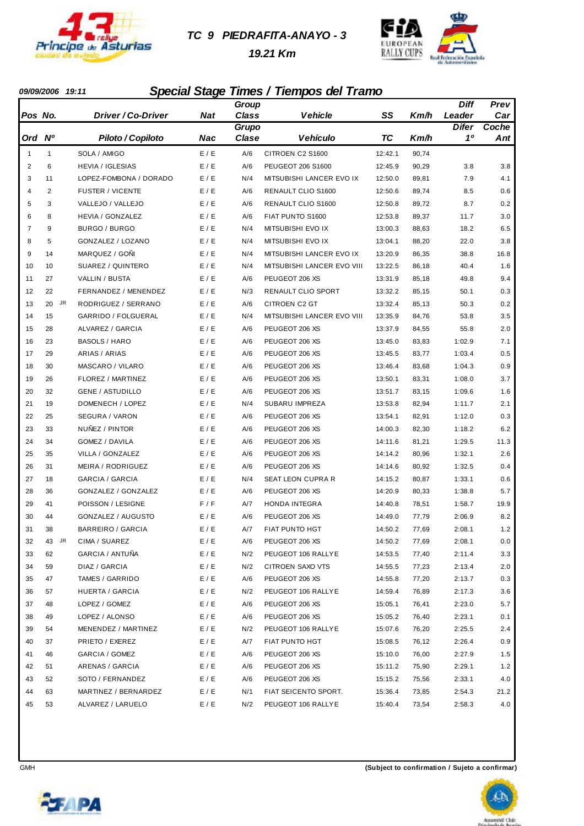

#### *TC 9 PIEDRAFITA-ANAYO - 3*

 *19.21 Km*



#### *09/09/2006 19:11 Special Stage Times / Tiempos del Tramo*

|                |             |                          |            | Group        |                            |           |       | Diff         | Prev  |
|----------------|-------------|--------------------------|------------|--------------|----------------------------|-----------|-------|--------------|-------|
| Pos No.        |             | Driver / Co-Driver       | Nat        | <b>Class</b> | <b>Vehicle</b>             | SS        | Km/h  | Leader       | Car   |
|                |             |                          |            | Grupo        |                            |           |       | <b>Difer</b> | Coche |
| Ord            | $N^{\circ}$ | Piloto / Copiloto        | <b>Nac</b> | Clase        | <b>Vehículo</b>            | <b>TC</b> | Km/h  | 10           | Ant   |
| 1              | 1           | SOLA / AMIGO             | E / E      | A/6          | CITROEN C2 S1600           | 12:42.1   | 90,74 |              |       |
| $\overline{2}$ | 6           | <b>HEVIA / IGLESIAS</b>  | E / E      | A/6          | PEUGEOT 206 S1600          | 12:45.9   | 90,29 | 3.8          | 3.8   |
| 3              | 11          | LOPEZ-FOMBONA / DORADO   | E / E      | N/4          | MITSUBISHI LANCER EVO IX   | 12:50.0   | 89,81 | 7.9          | 4.1   |
| 4              | 2           | <b>FUSTER / VICENTE</b>  | E/E        | A/6          | RENAULT CLIO S1600         | 12:50.6   | 89,74 | 8.5          | 0.6   |
| 5              | 3           | VALLEJO / VALLEJO        | E / E      | A/6          | RENAULT CLIO S1600         | 12:50.8   | 89,72 | 8.7          | 0.2   |
| 6              | 8           | <b>HEVIA / GONZALEZ</b>  | E / E      | A/6          | FIAT PUNTO S1600           | 12:53.8   | 89,37 | 11.7         | 3.0   |
| $\overline{7}$ | 9           | BURGO / BURGO            | E / E      | N/4          | MITSUBISHI EVO IX          | 13:00.3   | 88,63 | 18.2         | 6.5   |
| 8              | 5           | GONZALEZ / LOZANO        | E / E      | N/4          | MITSUBISHI EVO IX          | 13:04.1   | 88,20 | 22.0         | 3.8   |
| 9              | 14          | MARQUEZ / GOÑI           | E / E      | N/4          | MITSUBISHI LANCER EVO IX   | 13:20.9   | 86,35 | 38.8         | 16.8  |
| 10             | 10          | SUAREZ / QUINTERO        | E / E      | N/4          | MITSUBISHI LANCER EVO VIII | 13:22.5   | 86,18 | 40.4         | 1.6   |
| 11             | 27          | VALLIN / BUSTA           | E / E      | A/6          | PEUGEOT 206 XS             | 13:31.9   | 85,18 | 49.8         | 9.4   |
| 12             | 22          | FERNANDEZ / MENENDEZ     | E/E        | N/3          | RENAULT CLIO SPORT         | 13:32.2   | 85,15 | 50.1         | 0.3   |
| 13             | JR<br>20    | RODRIGUEZ / SERRANO      | E / E      | A/6          | <b>CITROEN C2 GT</b>       | 13:32.4   | 85,13 | 50.3         | 0.2   |
| 14             | 15          | GARRIDO / FOLGUERAL      | E / E      | N/4          | MITSUBISHI LANCER EVO VIII | 13:35.9   | 84,76 | 53.8         | 3.5   |
| 15             | 28          | <b>ALVAREZ / GARCIA</b>  | E / E      | A/6          | PEUGEOT 206 XS             | 13:37.9   | 84,55 | 55.8         | 2.0   |
| 16             | 23          | <b>BASOLS / HARO</b>     | E / E      | A/6          | PEUGEOT 206 XS             | 13:45.0   | 83,83 | 1:02.9       | 7.1   |
| 17             | 29          | ARIAS / ARIAS            | E / E      | A/6          | PEUGEOT 206 XS             | 13:45.5   | 83,77 | 1:03.4       | 0.5   |
| 18             | 30          | MASCARO / VILARO         | E / E      | A/6          | PEUGEOT 206 XS             | 13:46.4   | 83,68 | 1:04.3       | 0.9   |
| 19             | 26          | FLOREZ / MARTINEZ        | E / E      | A/6          | PEUGEOT 206 XS             | 13:50.1   | 83,31 | 1:08.0       | 3.7   |
| 20             | 32          | <b>GENE / ASTUDILLO</b>  | E / E      | A/6          | PEUGEOT 206 XS             | 13:51.7   | 83,15 | 1:09.6       | 1.6   |
| 21             | 19          | DOMENECH / LOPEZ         | E / E      | N/4          | SUBARU IMPREZA             | 13:53.8   | 82,94 | 1:11.7       | 2.1   |
| 22             | 25          | SEGURA / VARON           | E / E      | A/6          | PEUGEOT 206 XS             | 13:54.1   | 82,91 | 1:12.0       | 0.3   |
| 23             | 33          | NUÑEZ / PINTOR           | E / E      | A/6          | PEUGEOT 206 XS             | 14:00.3   | 82,30 | 1:18.2       | 6.2   |
| 24             | 34          | GOMEZ / DAVILA           | E / E      | A/6          | PEUGEOT 206 XS             | 14:11.6   | 81,21 | 1:29.5       | 11.3  |
| 25             | 35          | VILLA / GONZALEZ         | E / E      | A/6          | PEUGEOT 206 XS             | 14:14.2   | 80,96 | 1:32.1       | 2.6   |
| 26             | 31          | MEIRA / RODRIGUEZ        | E / E      | A/6          | PEUGEOT 206 XS             | 14:14.6   | 80,92 | 1:32.5       | 0.4   |
| 27             | 18          | GARCIA / GARCIA          | E / E      | N/4          | <b>SEAT LEON CUPRA R</b>   | 14:15.2   | 80,87 | 1:33.1       | 0.6   |
| 28             | 36          | GONZALEZ / GONZALEZ      | E / E      | A/6          | PEUGEOT 206 XS             | 14:20.9   | 80,33 | 1:38.8       | 5.7   |
| 29             | 41          | POISSON / LESIGNE        | F/F        | A/7          | HONDA INTEGRA              | 14:40.8   | 78,51 | 1:58.7       | 19.9  |
| 30             | 44          | GONZALEZ / AUGUSTO       | E / E      | A/6          | PEUGEOT 206 XS             | 14:49.0   | 77,79 | 2:06.9       | 8.2   |
| 31             | 38          | <b>BARREIRO / GARCIA</b> | E / E      | A/7          | FIAT PUNTO HGT             | 14:50.2   | 77,69 | 2:08.1       | 1.2   |
| 32             | 43<br>JR    | CIMA / SUAREZ            | E / E      | A/6          | PEUGEOT 206 XS             | 14:50.2   | 77,69 | 2:08.1       | 0.0   |
| 33             | 62          | GARCIA / ANTUÑA          | E/E        | N/2          | PEUGEOT 106 RALLYE         | 14:53.5   | 77,40 | 2:11.4       | 3.3   |
| 34             | 59          | DIAZ / GARCIA            | E / E      | N/2          | CITROEN SAXO VTS           | 14:55.5   | 77,23 | 2:13.4       | 2.0   |
| 35             | 47          | TAMES / GARRIDO          | E / E      | A/6          | PEUGEOT 206 XS             | 14:55.8   | 77,20 | 2:13.7       | 0.3   |
| 36             | 57          | HUERTA / GARCIA          | E / E      | N/2          | PEUGEOT 106 RALLYE         | 14:59.4   | 76,89 | 2:17.3       | 3.6   |
| 37             | 48          | LOPEZ / GOMEZ            | E / E      | A/6          | PEUGEOT 206 XS             | 15:05.1   | 76,41 | 2:23.0       | 5.7   |
| 38             | 49          | LOPEZ / ALONSO           | E/E        | A/6          | PEUGEOT 206 XS             | 15:05.2   | 76,40 | 2:23.1       | 0.1   |
| 39             | 54          | MENENDEZ / MARTINEZ      | E / E      | N/2          | PEUGEOT 106 RALLYE         | 15:07.6   | 76,20 | 2:25.5       | 2.4   |
| 40             | 37          | PRIETO / EXEREZ          | E / E      | A/7          | FIAT PUNTO HGT             | 15:08.5   | 76,12 | 2:26.4       | 0.9   |
| 41             | 46          | GARCIA / GOMEZ           | E / E      | A/6          | PEUGEOT 206 XS             | 15:10.0   | 76,00 | 2:27.9       | 1.5   |
| 42             | 51          | ARENAS / GARCIA          | E/E        | A/6          | PEUGEOT 206 XS             | 15:11.2   | 75,90 | 2:29.1       | 1.2   |
| 43             | 52          | SOTO / FERNANDEZ         | E/E        | A/6          | PEUGEOT 206 XS             | 15:15.2   | 75,56 | 2:33.1       | 4.0   |
| 44             | 63          | MARTINEZ / BERNARDEZ     | E/E        | N/1          | FIAT SEICENTO SPORT.       | 15:36.4   | 73,85 | 2:54.3       | 21.2  |
| 45             | 53          | ALVAREZ / LARUELO        | E/E        | N/2          | PEUGEOT 106 RALLYE         | 15:40.4   | 73,54 | 2:58.3       | 4.0   |



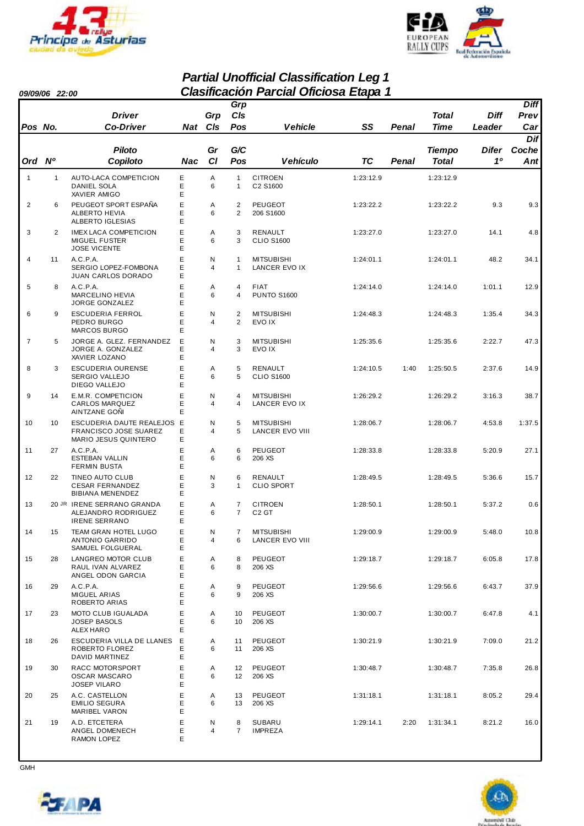



#### *Partial Unofficial Classification Leg 1 09/09/06 22:00 Clasificación Parcial Oficiosa Etapa 1*

|                |              |                                                                                    |             |                     | Grp                                  |                                      |           |       |               |              | <b>Diff</b> |
|----------------|--------------|------------------------------------------------------------------------------------|-------------|---------------------|--------------------------------------|--------------------------------------|-----------|-------|---------------|--------------|-------------|
|                |              | <b>Driver</b>                                                                      |             | Grp                 | CIs                                  |                                      |           |       | Total         | Diff         | Prev        |
| Pos No.        |              | <b>Co-Driver</b>                                                                   |             | Nat CIs             | Pos                                  | <b>Vehicle</b>                       | SS        | Penal | <b>Time</b>   | Leader       | Car         |
|                |              |                                                                                    |             |                     |                                      |                                      |           |       |               |              | <b>Dif</b>  |
|                |              | <b>Piloto</b>                                                                      |             | Gr                  | G/C                                  |                                      |           |       | <b>Tiempo</b> | <b>Difer</b> | Coche       |
| Ord Nº         |              | Copiloto                                                                           | Nac         | <b>CI</b>           | Pos                                  | <b>Vehículo</b>                      | <b>TC</b> | Penal | <b>Total</b>  | 10           | Ant         |
| $\mathbf{1}$   | $\mathbf{1}$ | AUTO-LACA COMPETICION<br>DANIEL SOLA<br>XAVIER AMIGO                               | Е<br>Ε<br>Ε | Α<br>6              | $\mathbf{1}$<br>$\mathbf{1}$         | <b>CITROEN</b><br>C2 S1600           | 1:23:12.9 |       | 1:23:12.9     |              |             |
| 2              | 6            | PEUGEOT SPORT ESPAÑA<br><b>ALBERTO HEVIA</b><br><b>ALBERTO IGLESIAS</b>            | E<br>E<br>Ε | Α<br>6              | $\overline{2}$<br>$\overline{2}$     | PEUGEOT<br>206 S1600                 | 1:23:22.2 |       | 1:23:22.2     | 9.3          | 9.3         |
| 3              | 2            | <b>IMEX LACA COMPETICION</b><br><b>MIGUEL FUSTER</b><br><b>JOSE VICENTE</b>        | E<br>E<br>Е | Α<br>6              | 3<br>3                               | RENAULT<br><b>CLIO S1600</b>         | 1:23:27.0 |       | 1:23:27.0     | 14.1         | 4.8         |
| $\overline{4}$ | 11           | A.C.P.A.<br>SERGIO LOPEZ-FOMBONA<br><b>JUAN CARLOS DORADO</b>                      | E<br>E<br>E | N<br>4              | 1<br>$\mathbf{1}$                    | <b>MITSUBISHI</b><br>LANCER EVO IX   | 1:24:01.1 |       | 1:24:01.1     | 48.2         | 34.1        |
| 5              | 8            | A.C.P.A.<br><b>MARCELINO HEVIA</b><br>JORGE GONZALEZ                               | E<br>E<br>E | Α<br>6              | 4<br>4                               | <b>FIAT</b><br><b>PUNTO S1600</b>    | 1:24:14.0 |       | 1:24:14.0     | 1:01.1       | 12.9        |
| 6              | 9            | <b>ESCUDERIA FERROL</b><br>PEDRO BURGO<br><b>MARCOS BURGO</b>                      | E<br>E<br>E | N<br>$\overline{4}$ | $\overline{2}$<br>2                  | <b>MITSUBISHI</b><br>EVO IX          | 1:24:48.3 |       | 1:24:48.3     | 1:35.4       | 34.3        |
| $\overline{7}$ | 5            | JORGE A. GLEZ. FERNANDEZ<br>JORGE A. GONZALEZ<br>XAVIER LOZANO                     | E<br>E<br>Е | N<br>4              | 3<br>3                               | <b>MITSUBISHI</b><br>EVO IX          | 1:25:35.6 |       | 1:25:35.6     | 2:22.7       | 47.3        |
| 8              | 3            | <b>ESCUDERIA OURENSE</b><br><b>SERGIO VALLEJO</b><br>DIEGO VALLEJO                 | E<br>E<br>E | Α<br>6              | 5<br>5                               | RENAULT<br><b>CLIO S1600</b>         | 1:24:10.5 | 1:40  | 1:25:50.5     | 2:37.6       | 14.9        |
| 9              | 14           | E.M.R. COMPETICION<br><b>CARLOS MARQUEZ</b><br>AINTZANE GONI                       | E<br>E<br>E | Ν<br>$\overline{4}$ | 4<br>4                               | <b>MITSUBISHI</b><br>LANCER EVO IX   | 1:26:29.2 |       | 1:26:29.2     | 3:16.3       | 38.7        |
| 10             | 10           | ESCUDERIA DAUTE REALEJOS E<br><b>FRANCISCO JOSE SUAREZ</b><br>MARIO JESUS QUINTERO | Е<br>E      | N<br>4              | 5<br>5                               | <b>MITSUBISHI</b><br>LANCER EVO VIII | 1:28:06.7 |       | 1:28:06.7     | 4:53.8       | 1:37.5      |
| 11             | 27           | A.C.P.A.<br><b>ESTEBAN VALLIN</b><br><b>FERMIN BUSTA</b>                           | E<br>E<br>Е | Α<br>6              | 6<br>6                               | PEUGEOT<br>206 XS                    | 1:28:33.8 |       | 1:28:33.8     | 5:20.9       | 27.1        |
| 12             | 22           | <b>TINEO AUTO CLUB</b><br><b>CESAR FERNANDEZ</b><br><b>BIBIANA MENENDEZ</b>        | E<br>E<br>E | N<br>3              | 6<br>$\mathbf{1}$                    | RENAULT<br><b>CLIO SPORT</b>         | 1:28:49.5 |       | 1:28:49.5     | 5:36.6       | 15.7        |
| 13             |              | 20 JR IRENE SERRANO GRANDA<br>ALEJANDRO RODRIGUEZ<br><b>IRENE SERRANO</b>          | Ε<br>E<br>Е | Α<br>6              | $\overline{7}$<br>$\overline{7}$     | <b>CITROEN</b><br>C <sub>2</sub> GT  | 1:28:50.1 |       | 1:28:50.1     | 5:37.2       | 0.6         |
| 14             | 15           | TEAM GRAN HOTEL LUGO<br>ANTONIO GARRIDO<br>SAMUEL FOLGUERAL                        | E<br>Ε<br>Е | N<br>4              | 7<br>6                               | <b>MITSUBISHI</b><br>LANCER EVO VIII | 1:29:00.9 |       | 1:29:00.9     | 5:48.0       | 10.8        |
| 15             | 28           | LANGREO MOTOR CLUB<br>RAUL IVAN ALVAREZ<br>ANGEL ODON GARCIA                       | E<br>Ε<br>Е | Α<br>6              | 8<br>8                               | PEUGEOT<br>206 XS                    | 1:29:18.7 |       | 1:29:18.7     | 6:05.8       | 17.8        |
| 16             | 29           | A.C.P.A.<br>MIGUEL ARIAS<br>ROBERTO ARIAS                                          | E<br>E<br>Е | Α<br>6              | 9<br>9                               | PEUGEOT<br>206 XS                    | 1:29:56.6 |       | 1:29:56.6     | 6:43.7       | 37.9        |
| 17             | 23           | MOTO CLUB IGUALADA<br><b>JOSEP BASOLS</b><br>ALEX HARO                             | E<br>Ε<br>E | Α<br>6              | 10<br>10                             | PEUGEOT<br>206 XS                    | 1:30:00.7 |       | 1:30:00.7     | 6:47.8       | 4.1         |
| 18             | 26           | ESCUDERIA VILLA DE LLANES<br>ROBERTO FLOREZ<br>DAVID MARTINEZ                      | Е<br>Е<br>Ε | Α<br>6              | 11<br>11                             | PEUGEOT<br>206 XS                    | 1:30:21.9 |       | 1:30:21.9     | 7:09.0       | 21.2        |
| 19             | 30           | RACC MOTORSPORT<br><b>OSCAR MASCARO</b><br><b>JOSEP VILARO</b>                     | E<br>Ε<br>Ε | Α<br>6              | $12 \overline{ }$<br>12 <sup>2</sup> | PEUGEOT<br>206 XS                    | 1:30:48.7 |       | 1:30:48.7     | 7:35.8       | 26.8        |
| 20             | 25           | A.C. CASTELLON<br><b>EMILIO SEGURA</b><br>MARIBEL VARON                            | E<br>E<br>E | Α<br>6              | 13<br>13                             | PEUGEOT<br>206 XS                    | 1:31:18.1 |       | 1:31:18.1     | 8:05.2       | 29.4        |
| 21             | 19           | A.D. ETCETERA<br>ANGEL DOMENECH<br>RAMON LOPEZ                                     | Ε<br>E<br>E | N<br>4              | 8<br>$\overline{7}$                  | SUBARU<br><b>IMPREZA</b>             | 1:29:14.1 | 2:20  | 1:31:34.1     | 8:21.2       | 16.0        |

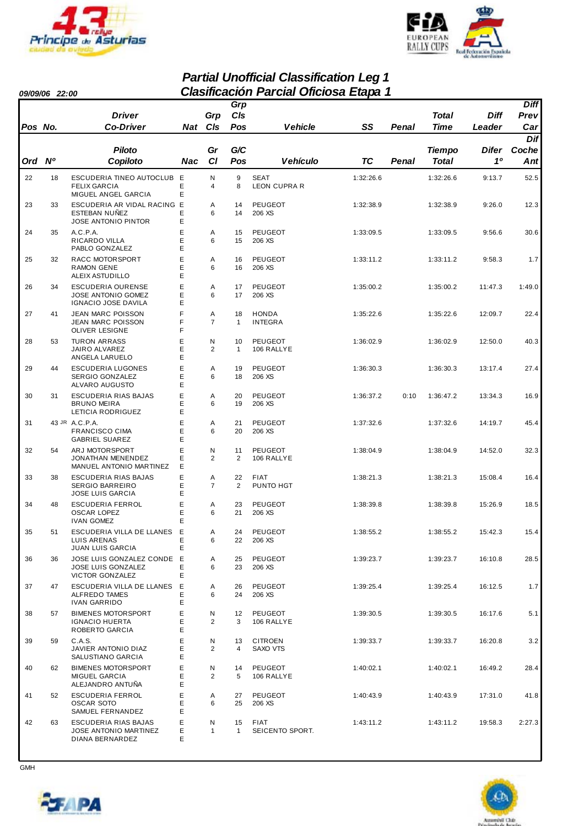



#### *Partial Unofficial Classification Leg 1 09/09/06 22:00 Clasificación Parcial Oficiosa Etapa 1*

| v <i>v</i> , vv, vv |                |                                                                              |             |                     | Grp                |                                    |           |       |               |         | <b>Diff</b> |
|---------------------|----------------|------------------------------------------------------------------------------|-------------|---------------------|--------------------|------------------------------------|-----------|-------|---------------|---------|-------------|
|                     |                | <b>Driver</b>                                                                |             | Grp                 | CIs                |                                    |           |       | Total         | Diff    | Prev        |
| Pos No.             |                | <b>Co-Driver</b>                                                             | Nat CIs     |                     | Pos                | <b>Vehicle</b>                     | SS        | Penal | <b>Time</b>   | Leader  | Car         |
|                     |                |                                                                              |             |                     |                    |                                    |           |       |               |         | <b>Dif</b>  |
|                     |                | <b>Piloto</b>                                                                |             | Gr                  | G/C                |                                    |           |       | <b>Tiempo</b> | Difer   | Coche       |
| Ord                 | N <sup>o</sup> | Copiloto                                                                     | Nac         | C1                  | Pos                | <b>Vehículo</b>                    | TC        | Penal | <b>Total</b>  | 10      | Ant         |
| 22                  | 18             | ESCUDERIA TINEO AUTOCLUB E<br><b>FELIX GARCIA</b>                            | E           | Ν<br>4              | 9<br>8             | <b>SEAT</b><br><b>LEON CUPRA R</b> | 1:32:26.6 |       | 1:32:26.6     | 9:13.7  | 52.5        |
| 23                  | 33             | MIGUEL ANGEL GARCIA<br>ESCUDERIA AR VIDAL RACING E<br><b>ESTEBAN NUÑEZ</b>   | Ε<br>Е      | Α<br>6              | 14<br>14           | <b>PEUGEOT</b><br>206 XS           | 1:32:38.9 |       | 1:32:38.9     | 9:26.0  | 12.3        |
| 24                  | 35             | <b>JOSE ANTONIO PINTOR</b><br>A.C.P.A.<br>RICARDO VILLA                      | Ε<br>Ε<br>E | Α<br>6              | 15<br>15           | <b>PEUGEOT</b><br>206 XS           | 1:33:09.5 |       | 1:33:09.5     | 9:56.6  | 30.6        |
|                     |                | PABLO GONZALEZ                                                               | Ε           |                     |                    |                                    |           |       |               |         |             |
| 25                  | 32             | RACC MOTORSPORT<br><b>RAMON GENE</b><br>ALEIX ASTUDILLO                      | E<br>E<br>Ε | Α<br>6              | 16<br>16           | PEUGEOT<br>206 XS                  | 1:33:11.2 |       | 1:33:11.2     | 9:58.3  | 1.7         |
| 26                  | 34             | <b>ESCUDERIA OURENSE</b><br><b>JOSE ANTONIO GOMEZ</b><br>IGNACIO JOSE DAVILA | Е<br>E<br>Ε | Α<br>6              | 17<br>17           | <b>PEUGEOT</b><br>206 XS           | 1:35:00.2 |       | 1:35:00.2     | 11:47.3 | 1:49.0      |
| 27                  | 41             | JEAN MARC POISSON<br><b>JEAN MARC POISSON</b><br><b>OLIVER LESIGNE</b>       | F<br>F<br>F | Α<br>$\overline{7}$ | 18<br>$\mathbf{1}$ | <b>HONDA</b><br><b>INTEGRA</b>     | 1:35:22.6 |       | 1:35:22.6     | 12:09.7 | 22.4        |
| 28                  | 53             | <b>TURON ARRASS</b><br>JAIRO ALVAREZ<br>ANGELA LARUELO                       | E<br>E<br>E | N<br>2              | 10<br>$\mathbf{1}$ | <b>PEUGEOT</b><br>106 RALLYE       | 1:36:02.9 |       | 1:36:02.9     | 12:50.0 | 40.3        |
| 29                  | 44             | <b>ESCUDERIA LUGONES</b><br><b>SERGIO GONZALEZ</b><br>ALVARO AUGUSTO         | E<br>E<br>E | Α<br>6              | 19<br>18           | PEUGEOT<br>206 XS                  | 1:36:30.3 |       | 1:36:30.3     | 13:17.4 | 27.4        |
| 30                  | 31             | ESCUDERIA RIAS BAJAS<br><b>BRUNO MEIRA</b><br>LETICIA RODRIGUEZ              | E<br>Е<br>E | Α<br>6              | 20<br>19           | <b>PEUGEOT</b><br>206 XS           | 1:36:37.2 | 0:10  | 1:36:47.2     | 13:34.3 | 16.9        |
| 31                  |                | 43 JR A.C.P.A.<br><b>FRANCISCO CIMA</b><br><b>GABRIEL SUAREZ</b>             | E<br>E<br>E | Α<br>6              | 21<br>20           | PEUGEOT<br>206 XS                  | 1:37:32.6 |       | 1:37:32.6     | 14:19.7 | 45.4        |
| 32                  | 54             | ARJ MOTORSPORT<br>JONATHAN MENENDEZ<br>MANUEL ANTONIO MARTINEZ               | E<br>Ε<br>Ε | Ν<br>2              | 11<br>2            | PEUGEOT<br>106 RALLYE              | 1:38:04.9 |       | 1:38:04.9     | 14:52.0 | 32.3        |
| 33                  | 38             | ESCUDERIA RIAS BAJAS<br><b>SERGIO BARREIRO</b><br><b>JOSE LUIS GARCIA</b>    | E<br>Ε<br>Ε | Α<br>$\overline{7}$ | 22<br>2            | FIAT<br>PUNTO HGT                  | 1:38:21.3 |       | 1:38:21.3     | 15:08.4 | 16.4        |
| 34                  | 48             | <b>ESCUDERIA FERROL</b><br><b>OSCAR LOPEZ</b><br><b>IVAN GOMEZ</b>           | Ε<br>Е<br>E | Α<br>6              | 23<br>21           | <b>PEUGEOT</b><br>206 XS           | 1:38:39.8 |       | 1:38:39.8     | 15:26.9 | 18.5        |
| 35                  | 51             | ESCUDERIA VILLA DE LLANES<br>LUIS ARENAS<br><b>JUAN LUIS GARCIA</b>          | E<br>Ε<br>Ε | Α<br>6              | 24<br>22           | PEUGEOT<br>206 XS                  | 1:38:55.2 |       | 1:38:55.2     | 15:42.3 | 15.4        |
| 36                  | 36             | JOSE LUIS GONZALEZ CONDE E<br><b>JOSE LUIS GONZALEZ</b><br>VICTOR GONZALEZ   | Е<br>Ε      | Α<br>6              | 25<br>23           | PEUGEOT<br>206 XS                  | 1:39:23.7 |       | 1:39:23.7     | 16:10.8 | 28.5        |
| 37                  | 47             | ESCUDERIA VILLA DE LLANES<br><b>ALFREDO TAMES</b><br><b>IVAN GARRIDO</b>     | Е<br>Е<br>Е | Α<br>6              | 26<br>24           | PEUGEOT<br>206 XS                  | 1:39:25.4 |       | 1:39:25.4     | 16:12.5 | 1.7         |
| 38                  | 57             | <b>BIMENES MOTORSPORT</b><br><b>IGNACIO HUERTA</b><br>ROBERTO GARCIA         | E<br>Ε<br>Ε | N<br>$\overline{c}$ | 12<br>3            | PEUGEOT<br>106 RALLYE              | 1:39:30.5 |       | 1:39:30.5     | 16:17.6 | 5.1         |
| 39                  | 59             | C.A.S.<br>JAVIER ANTONIO DIAZ<br>SALUSTIANO GARCIA                           | E<br>Е<br>E | N<br>2              | 13<br>4            | <b>CITROEN</b><br>SAXO VTS         | 1:39:33.7 |       | 1:39:33.7     | 16:20.8 | 3.2         |
| 40                  | 62             | <b>BIMENES MOTORSPORT</b><br>MIGUEL GARCIA<br>ALEJANDRO ANTUÑA               | E<br>E<br>Ε | N<br>2              | 14<br>5            | PEUGEOT<br>106 RALLYE              | 1:40:02.1 |       | 1:40:02.1     | 16:49.2 | 28.4        |
| 41                  | 52             | <b>ESCUDERIA FERROL</b><br><b>OSCAR SOTO</b><br>SAMUEL FERNANDEZ             | E<br>Е<br>E | Α<br>6              | 27<br>25           | PEUGEOT<br>206 XS                  | 1:40:43.9 |       | 1:40:43.9     | 17:31.0 | 41.8        |
| 42                  | 63             | ESCUDERIA RIAS BAJAS<br>JOSE ANTONIO MARTINEZ<br>DIANA BERNARDEZ             | E<br>Е<br>E | N<br>$\mathbf{1}$   | 15<br>$\mathbf{1}$ | <b>FIAT</b><br>SEICENTO SPORT.     | 1:43:11.2 |       | 1:43:11.2     | 19:58.3 | 2:27.3      |





**GMH** 

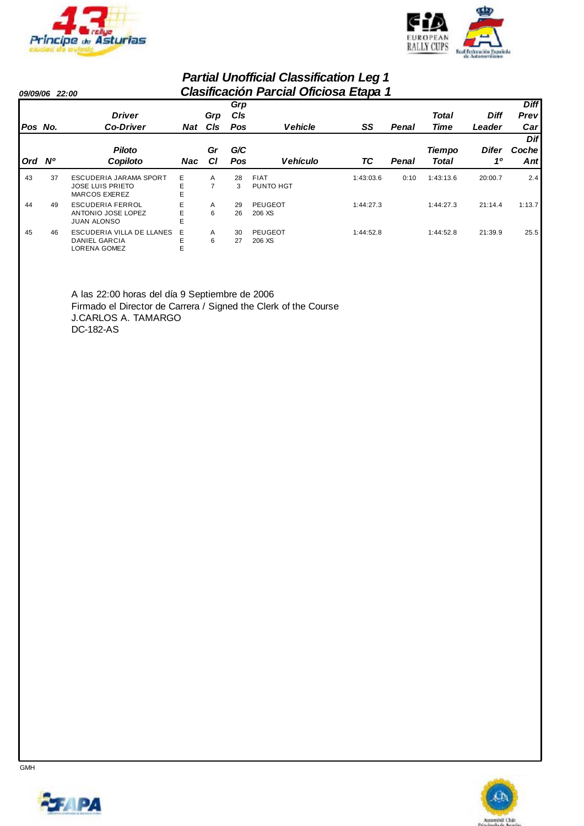



#### *Partial Unofficial Classification Leg 1 09/09/06 22:00 Clasificación Parcial Oficiosa Etapa 1 Pos No. Driver Co-Driver Grp Cls Ord Nº Piloto Copiloto Gr Cl Vehicle SS Cls Pos Grp Penal Time Diff Leader Prev Diff Car*  Pos Vehículo TC Penal Total *G/C Difer 1º Dif Coche Ant Nat Nac Total Tiempo* 43 37 ESCUDERIA JARAMA SPORT E A 28 1:43:03.6 1:43:13.6 2.4 FIAT 0:10 20:00.7 JOSE LUIS PRIETO BE 7 9 MARCOS EXEREZ E 44 49 ESCUDERIA FERROL E A 29 PEUGEOT 1:44:27.3 1:44:27.3 21:14.4 1:13.7 ANTONIO JOSE LOPEZ 26 E 6 206 XS JUAN ALONSO 45 46 ESCUDERIA VILLA DE LLANES E A 30 1:44:52.8 1:44:52.8 25.5 PEUGEOT 21:39.9 DANIEL GARCIA 27 E 6 206 XS LORENA GOMEZ

A las 22:00 horas del día 9 Septiembre de 2006 Firmado el Director de Carrera / Signed the Clerk of the Course J.CARLOS A. TAMARGO DC-182-AS



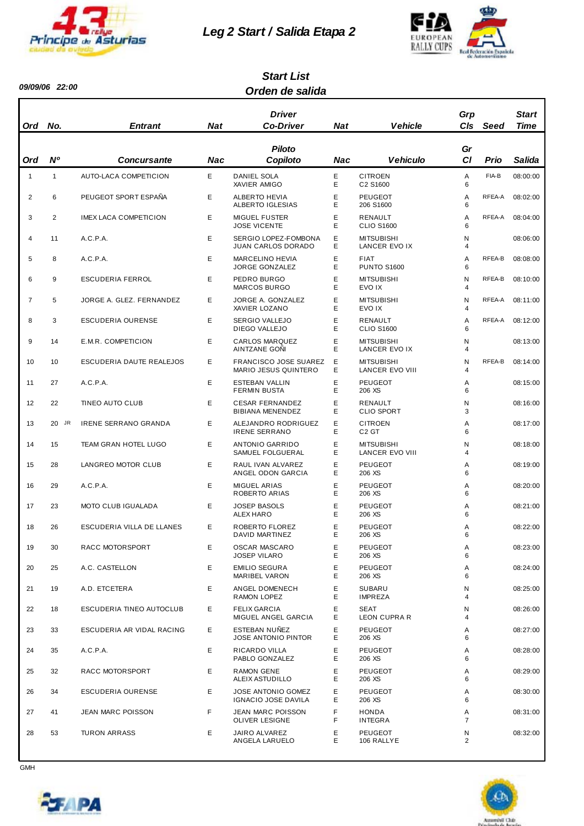

*09/09/06 22:00*

# *Leg 2 Start / Salida Etapa 2*



#### *Orden de salida Start List*

| Ord            | No.            | <b>Entrant</b>              | <b>Nat</b> | Driver<br><b>Co-Driver</b>                                  | <b>Nat</b> | <b>Vehicle</b>                       | Grp<br>CIs      | Seed   | <b>Start</b><br>Time |
|----------------|----------------|-----------------------------|------------|-------------------------------------------------------------|------------|--------------------------------------|-----------------|--------|----------------------|
| Ord            | N <sup>o</sup> | <b>Concursante</b>          | Nac        | <b>Piloto</b><br>Copiloto                                   | Nac        | <b>Vehiculo</b>                      | Gr<br><b>CI</b> | Prio   | Salida               |
| $\mathbf{1}$   | $\mathbf{1}$   | AUTO-LACA COMPETICION       | E          | <b>DANIEL SOLA</b><br>XAVIER AMIGO                          | Ε<br>Ε     | <b>CITROEN</b><br>C2 S1600           | Α<br>6          | FIA-B  | 08:00:00             |
| 2              | 6              | PEUGEOT SPORT ESPAÑA        | Е          | <b>ALBERTO HEVIA</b><br><b>ALBERTO IGLESIAS</b>             | Е<br>E     | <b>PEUGEOT</b><br>206 S1600          | Α<br>6          | RFEA-A | 08:02:00             |
| 3              | 2              | IMEX LACA COMPETICION       | Е          | <b>MIGUEL FUSTER</b><br><b>JOSE VICENTE</b>                 | Е<br>Е     | RENAULT<br><b>CLIO S1600</b>         | Α<br>6          | RFEA-A | 08:04:00             |
| 4              | 11             | A.C.P.A.                    | E          | SERGIO LOPEZ-FOMBONA<br><b>JUAN CARLOS DORADO</b>           | Ε<br>Е     | <b>MITSUBISHI</b><br>LANCER EVO IX   | N<br>4          |        | 08:06:00             |
| 5              | 8              | A.C.P.A.                    | E          | <b>MARCELINO HEVIA</b><br><b>JORGE GONZALEZ</b>             | Ε<br>Е     | <b>FIAT</b><br><b>PUNTO S1600</b>    | A<br>6          | RFEA-B | 08:08:00             |
| 6              | 9              | ESCUDERIA FERROL            | Е          | PEDRO BURGO<br><b>MARCOS BURGO</b>                          | Е<br>E     | <b>MITSUBISHI</b><br>EVO IX          | N<br>4          | RFEA-B | 08:10:00             |
| $\overline{7}$ | 5              | JORGE A. GLEZ. FERNANDEZ    | E          | JORGE A. GONZALEZ<br>XAVIER LOZANO                          | E<br>Е     | <b>MITSUBISHI</b><br>EVO IX          | N<br>4          | RFEA-A | 08:11:00             |
| 8              | 3              | <b>ESCUDERIA OURENSE</b>    | E          | SERGIO VALLEJO<br><b>DIEGO VALLEJO</b>                      | Е<br>E     | RENAULT<br><b>CLIO S1600</b>         | A<br>6          | RFEA-A | 08:12:00             |
| 9              | 14             | E.M.R. COMPETICION          | Е          | <b>CARLOS MARQUEZ</b><br>AINTZANE GONI                      | Е<br>Е     | <b>MITSUBISHI</b><br>LANCER EVO IX   | N<br>4          |        | 08:13:00             |
| 10             | 10             | ESCUDERIA DAUTE REALEJOS    | Е          | <b>FRANCISCO JOSE SUAREZ</b><br><b>MARIO JESUS QUINTERO</b> | Е<br>Е     | <b>MITSUBISHI</b><br>LANCER EVO VIII | N<br>4          | RFEA-B | 08:14:00             |
| 11             | 27             | A.C.P.A.                    | E          | ESTEBAN VALLIN<br><b>FERMIN BUSTA</b>                       | Ε<br>Ε     | <b>PEUGEOT</b><br>206 XS             | Α<br>6          |        | 08:15:00             |
| 12             | 22             | TINEO AUTO CLUB             | Е          | <b>CESAR FERNANDEZ</b><br><b>BIBIANA MENENDEZ</b>           | Ε<br>E     | RENAULT<br><b>CLIO SPORT</b>         | N<br>3          |        | 08:16:00             |
| 13             | JR<br>20       | <b>IRENE SERRANO GRANDA</b> | E          | ALEJANDRO RODRIGUEZ<br><b>IRENE SERRANO</b>                 | Ε<br>Е     | <b>CITROEN</b><br>C <sub>2</sub> GT  | Α<br>6          |        | 08:17:00             |
| 14             | 15             | TEAM GRAN HOTEL LUGO        | Е          | ANTONIO GARRIDO<br>SAMUEL FOLGUERAL                         | Е<br>Е     | <b>MITSUBISHI</b><br>LANCER EVO VIII | N<br>4          |        | 08:18:00             |
| 15             | 28             | LANGREO MOTOR CLUB          | E          | RAUL IVAN ALVAREZ<br>ANGEL ODON GARCIA                      | E<br>Е     | <b>PEUGEOT</b><br>206 XS             | Α<br>6          |        | 08:19:00             |
| 16             | 29             | A.C.P.A.                    | Е          | MIGUEL ARIAS<br>ROBERTO ARIAS                               | Ε<br>E     | <b>PEUGEOT</b><br>206 XS             | Α<br>6          |        | 08:20:00             |
| 17             | 23             | MOTO CLUB IGUALADA          | Е          | <b>JOSEP BASOLS</b><br>ALEX HARO                            | E<br>Е     | <b>PEUGEOT</b><br>206 XS             | Α<br>6          |        | 08:21:00             |
| 18             | 26             | ESCUDERIA VILLA DE LLANES   | E          | ROBERTO FLOREZ<br>DAVID MARTINEZ                            | Е<br>E     | <b>PEUGEOT</b><br>206 XS             | A<br>ĥ          |        | 08:22:00             |
| 19             | 30             | RACC MOTORSPORT             | Е          | <b>OSCAR MASCARO</b><br><b>JOSEP VILARO</b>                 | Ε<br>Е     | <b>PEUGEOT</b><br>206 XS             | Α<br>6          |        | 08:23:00             |
| 20             | 25             | A.C. CASTELLON              | Е          | <b>EMILIO SEGURA</b><br><b>MARIBEL VARON</b>                | Ε<br>Е     | <b>PEUGEOT</b><br>206 XS             | Α<br>6          |        | 08:24:00             |
| 21             | 19             | A.D. ETCETERA               | Е          | ANGEL DOMENECH<br>RAMON LOPEZ                               | E<br>Ε     | <b>SUBARU</b><br><b>IMPREZA</b>      | N<br>4          |        | 08:25:00             |
| 22             | 18             | ESCUDERIA TINEO AUTOCLUB    | Е          | <b>FELIX GARCIA</b><br>MIGUEL ANGEL GARCIA                  | Е<br>Е     | <b>SEAT</b><br>LEON CUPRA R          | N<br>4          |        | 08:26:00             |
| 23             | 33             | ESCUDERIA AR VIDAL RACING   | Е          | ESTEBAN NUÑEZ<br>JOSE ANTONIO PINTOR                        | Ε<br>Е     | <b>PEUGEOT</b><br>206 XS             | Α<br>6          |        | 08:27:00             |
| 24             | 35             | A.C.P.A.                    | Е          | <b>RICARDO VILLA</b><br>PABLO GONZALEZ                      | Ε<br>Е     | <b>PEUGEOT</b><br>206 XS             | Α<br>6          |        | 08:28:00             |
| 25             | 32             | RACC MOTORSPORT             | Е          | <b>RAMON GENE</b><br>ALEIX ASTUDILLO                        | Ε<br>Е     | <b>PEUGEOT</b><br>206 XS             | Α<br>6          |        | 08:29:00             |
| 26             | 34             | ESCUDERIA OURENSE           | Е          | JOSE ANTONIO GOMEZ<br>IGNACIO JOSE DAVILA                   | Е<br>Е     | PEUGEOT<br>206 XS                    | Α<br>6          |        | 08:30:00             |
| 27             | 41             | JEAN MARC POISSON           | F          | <b>JEAN MARC POISSON</b><br>OLIVER LESIGNE                  | F<br>F     | <b>HONDA</b><br><b>INTEGRA</b>       | Α<br>7          |        | 08:31:00             |
| 28             | 53             | <b>TURON ARRASS</b>         | Е          | JAIRO ALVAREZ<br>ANGELA LARUELO                             | Ε<br>E     | PEUGEOT<br>106 RALLYE                | N<br>2          |        | 08:32:00             |



 $\overline{\phantom{a}}$ 

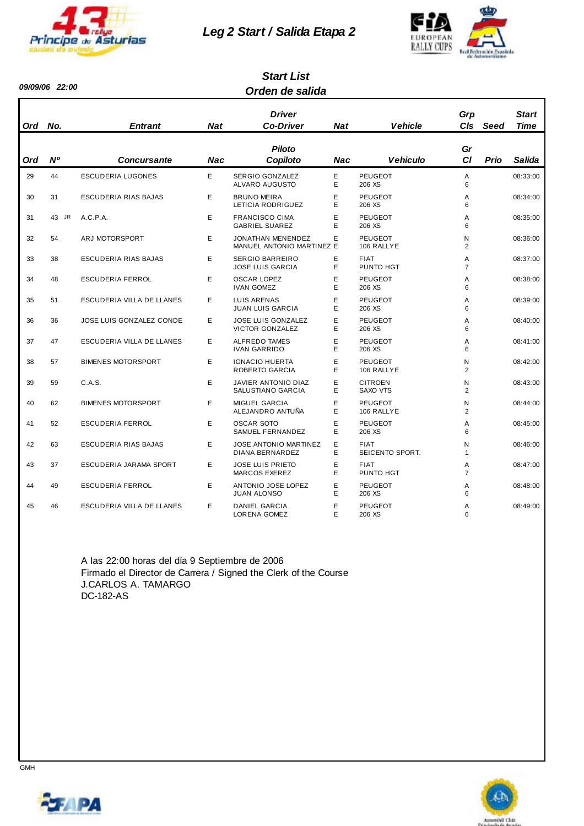

*09/09/06 22:00*

#### *Leg 2 Start / Salida Etapa 2*



#### *Orden de salida Start List*

| Ord | No.            | <b>Entrant</b>            | Nat        | <b>Driver</b><br><b>Co-Driver</b>                   | Nat        | <b>Vehicle</b>                 | Grp<br>C <sub>ls</sub> | Seed        | <b>Start</b><br>Time |
|-----|----------------|---------------------------|------------|-----------------------------------------------------|------------|--------------------------------|------------------------|-------------|----------------------|
| Ord | N <sup>o</sup> | <b>Concursante</b>        | <b>Nac</b> | <b>Piloto</b><br>Copiloto                           | <b>Nac</b> | <b>Vehiculo</b>                | Gr<br>C1               | <b>Prio</b> | Salida               |
| 29  | 44             | <b>ESCUDERIA LUGONES</b>  | E          | SERGIO GONZALEZ<br>ALVARO AUGUSTO                   | E<br>Е     | <b>PEUGEOT</b><br>206 XS       | Α<br>6                 |             | 08:33:00             |
| 30  | 31             | ESCUDERIA RIAS BAJAS      | E          | <b>BRUNO MEIRA</b><br>LETICIA RODRIGUEZ             | E<br>Е     | <b>PEUGEOT</b><br>206 XS       | A<br>6                 |             | 08:34:00             |
| 31  | 43 JR          | A.C.P.A.                  | E          | <b>FRANCISCO CIMA</b><br><b>GABRIEL SUAREZ</b>      | E<br>E     | <b>PEUGEOT</b><br>206 XS       | Α<br>6                 |             | 08:35:00             |
| 32  | 54             | ARJ MOTORSPORT            | E          | JONATHAN MENENDEZ<br>MANUEL ANTONIO MARTINEZ E      | E          | <b>PEUGEOT</b><br>106 RALLYE   | N<br>$\overline{2}$    |             | 08:36:00             |
| 33  | 38             | ESCUDERIA RIAS BAJAS      | E          | <b>SERGIO BARREIRO</b><br><b>JOSE LUIS GARCIA</b>   | E<br>E     | <b>FIAT</b><br>PUNTO HGT       | A<br>$\overline{7}$    |             | 08:37:00             |
| 34  | 48             | <b>ESCUDERIA FERROL</b>   | E          | <b>OSCAR LOPEZ</b><br><b>IVAN GOMEZ</b>             | E<br>Е     | <b>PEUGEOT</b><br>206 XS       | A<br>6                 |             | 08:38:00             |
| 35  | 51             | ESCUDERIA VILLA DE LLANES | E          | <b>LUIS ARENAS</b><br><b>JUAN LUIS GARCIA</b>       | E<br>Е     | <b>PEUGEOT</b><br>206 XS       | A<br>6                 |             | 08:39:00             |
| 36  | 36             | JOSE LUIS GONZALEZ CONDE  | E          | <b>JOSE LUIS GONZALEZ</b><br><b>VICTOR GONZALEZ</b> | E<br>E     | <b>PEUGEOT</b><br>206 XS       | A<br>6                 |             | 08:40:00             |
| 37  | 47             | ESCUDERIA VILLA DE LLANES | E          | <b>ALFREDO TAMES</b><br><b>IVAN GARRIDO</b>         | Ε<br>E     | <b>PEUGEOT</b><br>206 XS       | Α<br>6                 |             | 08:41:00             |
| 38  | 57             | <b>BIMENES MOTORSPORT</b> | E          | <b>IGNACIO HUERTA</b><br>ROBERTO GARCIA             | E<br>E     | PEUGEOT<br>106 RALLYE          | N<br>$\overline{2}$    |             | 08:42:00             |
| 39  | 59             | C.A.S.                    | E          | JAVIER ANTONIO DIAZ<br>SALUSTIANO GARCIA            | E<br>Е     | <b>CITROEN</b><br>SAXO VTS     | N<br>2                 |             | 08:43:00             |
| 40  | 62             | <b>BIMENES MOTORSPORT</b> | E          | <b>MIGUEL GARCIA</b><br>ALEJANDRO ANTUÑA            | E<br>E     | <b>PEUGEOT</b><br>106 RALLYE   | N<br>2                 |             | 08:44:00             |
| 41  | 52             | <b>ESCUDERIA FERROL</b>   | E          | <b>OSCAR SOTO</b><br>SAMUEL FERNANDEZ               | E<br>E     | <b>PEUGEOT</b><br>206 XS       | Α<br>6                 |             | 08:45:00             |
| 42  | 63             | ESCUDERIA RIAS BAJAS      | E          | <b>JOSE ANTONIO MARTINEZ</b><br>DIANA BERNARDEZ     | E<br>E     | <b>FIAT</b><br>SEICENTO SPORT. | N<br>$\mathbf{1}$      |             | 08:46:00             |
| 43  | 37             | ESCUDERIA JARAMA SPORT    | E.         | <b>JOSE LUIS PRIETO</b><br><b>MARCOS EXEREZ</b>     | E<br>E     | <b>FIAT</b><br>PUNTO HGT       | A<br>$\overline{7}$    |             | 08:47:00             |
| 44  | 49             | <b>ESCUDERIA FERROL</b>   | E          | ANTONIO JOSE LOPEZ<br><b>JUAN ALONSO</b>            | E<br>E     | <b>PEUGEOT</b><br>206 XS       | Α<br>6                 |             | 08:48:00             |
| 45  | 46             | ESCUDERIA VILLA DE LLANES | E          | <b>DANIEL GARCIA</b><br>LORENA GOMEZ                | E<br>E     | <b>PEUGEOT</b><br>206 XS       | A<br>6                 |             | 08:49:00             |

A las 22:00 horas del día 9 Septiembre de 2006 Firmado el Director de Carrera / Signed the Clerk of the Course J.CARLOS A. TAMARGO DC-182-AS



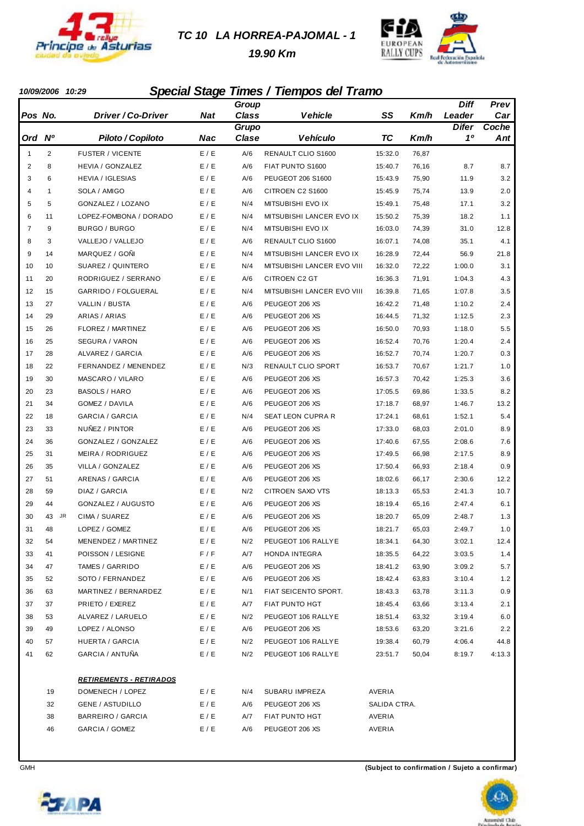

#### *TC 10 LA HORREA-PAJOMAL - 1*

 *19.90 Km*



#### *10/09/2006 10:29 Special Stage Times / Tiempos del Tramo*

|                |                |                                |       | Group        |                            |              |       | Diff         | Prev   |
|----------------|----------------|--------------------------------|-------|--------------|----------------------------|--------------|-------|--------------|--------|
| Pos No.        |                | <i>Driver / Co-Driver</i>      | Nat   | <b>Class</b> | <b>Vehicle</b>             | SS           | Km/h  | Leader       | Car    |
|                |                |                                |       | Grupo        |                            |              |       | <b>Difer</b> | Coche  |
| Ord            | N <sup>o</sup> | Piloto / Copiloto              | Nac   | Clase        | <b>Vehículo</b>            | <b>TC</b>    | Km/h  | 10           | Ant    |
| $\mathbf{1}$   | $\overline{2}$ | <b>FUSTER / VICENTE</b>        | E / E | A/6          | <b>RENAULT CLIO S1600</b>  | 15:32.0      | 76,87 |              |        |
| $\overline{2}$ | 8              | HEVIA / GONZALEZ               | E / E | A/6          | FIAT PUNTO S1600           | 15:40.7      | 76,16 | 8.7          | 8.7    |
| 3              | 6              | <b>HEVIA / IGLESIAS</b>        | E/E   | A/6          | PEUGEOT 206 S1600          | 15:43.9      | 75,90 | 11.9         | 3.2    |
| 4              | $\mathbf{1}$   | SOLA / AMIGO                   | E / E | A/6          | CITROEN C2 S1600           | 15:45.9      | 75,74 | 13.9         | 2.0    |
| 5              | 5              | GONZALEZ / LOZANO              | E / E | N/4          | MITSUBISHI EVO IX          | 15:49.1      | 75,48 | 17.1         | 3.2    |
| 6              | 11             | LOPEZ-FOMBONA / DORADO         | E / E | N/4          | MITSUBISHI LANCER EVO IX   | 15:50.2      | 75,39 | 18.2         | 1.1    |
| $\overline{7}$ | 9              | BURGO / BURGO                  | E / E | N/4          | MITSUBISHI EVO IX          | 16:03.0      | 74,39 | 31.0         | 12.8   |
| 8              | 3              | VALLEJO / VALLEJO              | E / E | A/6          | <b>RENAULT CLIO S1600</b>  | 16:07.1      | 74,08 | 35.1         | 4.1    |
| 9              | 14             | MARQUEZ / GOÑI                 | E / E | N/4          | MITSUBISHI LANCER EVO IX   | 16:28.9      | 72,44 | 56.9         | 21.8   |
| 10             | 10             | SUAREZ / QUINTERO              | E / E | N/4          | MITSUBISHI LANCER EVO VIII | 16:32.0      | 72,22 | 1:00.0       | 3.1    |
| 11             | 20             | RODRIGUEZ / SERRANO            | E/E   | A/6          | CITROEN C2 GT              | 16:36.3      | 71,91 | 1:04.3       | 4.3    |
| 12             | 15             | GARRIDO / FOLGUERAL            | E / E | N/4          | MITSUBISHI LANCER EVO VIII | 16:39.8      | 71,65 | 1:07.8       | 3.5    |
| 13             | 27             | VALLIN / BUSTA                 | E/E   | A/6          | PEUGEOT 206 XS             | 16:42.2      | 71,48 | 1:10.2       | 2.4    |
| 14             | 29             | ARIAS / ARIAS                  | E / E | A/6          | PEUGEOT 206 XS             | 16:44.5      | 71,32 | 1:12.5       | 2.3    |
| 15             | 26             | FLOREZ / MARTINEZ              | E / E | A/6          | PEUGEOT 206 XS             | 16:50.0      | 70,93 | 1:18.0       | 5.5    |
| 16             | 25             | <b>SEGURA / VARON</b>          | E / E | A/6          | PEUGEOT 206 XS             | 16:52.4      | 70,76 | 1:20.4       | 2.4    |
| 17             | 28             | ALVAREZ / GARCIA               | E / E | A/6          | PEUGEOT 206 XS             | 16:52.7      | 70,74 | 1:20.7       | 0.3    |
| 18             | 22             | FERNANDEZ / MENENDEZ           | E / E | N/3          | <b>RENAULT CLIO SPORT</b>  | 16:53.7      | 70,67 | 1:21.7       | 1.0    |
| 19             | 30             | MASCARO / VILARO               | E/E   | A/6          | PEUGEOT 206 XS             | 16:57.3      | 70,42 | 1:25.3       | 3.6    |
| 20             | 23             | <b>BASOLS / HARO</b>           | E / E | A/6          | PEUGEOT 206 XS             | 17:05.5      | 69,86 | 1:33.5       | 8.2    |
| 21             | 34             | GOMEZ / DAVILA                 | E / E | A/6          | PEUGEOT 206 XS             | 17:18.7      | 68,97 | 1:46.7       | 13.2   |
| 22             | 18             | <b>GARCIA / GARCIA</b>         | E / E | N/4          | SEAT LEON CUPRA R          | 17:24.1      | 68,61 | 1:52.1       | 5.4    |
| 23             | 33             | NUÑEZ / PINTOR                 | E / E | A/6          | PEUGEOT 206 XS             | 17:33.0      | 68,03 | 2:01.0       | 8.9    |
| 24             | 36             | GONZALEZ / GONZALEZ            | E / E | A/6          | PEUGEOT 206 XS             | 17:40.6      | 67,55 | 2:08.6       | 7.6    |
| 25             | 31             | MEIRA / RODRIGUEZ              | E / E | A/6          | PEUGEOT 206 XS             | 17:49.5      | 66,98 | 2:17.5       | 8.9    |
| 26             | 35             | VILLA / GONZALEZ               | E / E | A/6          | PEUGEOT 206 XS             | 17:50.4      | 66,93 | 2:18.4       | 0.9    |
| 27             | 51             | <b>ARENAS / GARCIA</b>         | E / E | A/6          | PEUGEOT 206 XS             | 18:02.6      | 66,17 | 2:30.6       | 12.2   |
| 28             | 59             | DIAZ / GARCIA                  | E / E | N/2          | CITROEN SAXO VTS           | 18:13.3      | 65,53 | 2:41.3       | 10.7   |
| 29             | 44             | GONZALEZ / AUGUSTO             | E / E | A/6          | PEUGEOT 206 XS             | 18:19.4      | 65,16 | 2:47.4       | 6.1    |
| 30             | 43<br>JR.      | CIMA / SUAREZ                  | E / E | A/6          | PEUGEOT 206 XS             | 18:20.7      | 65,09 | 2:48.7       | 1.3    |
| 31             | 48             | LOPEZ / GOMEZ                  | E / E | A/6          | PEUGEOT 206 XS             | 18:21.7      | 65,03 | 2:49.7       | 1.0    |
| 32             | 54             | MENENDEZ / MARTINEZ            | E / E | N/2          | PEUGEOT 106 RALLYE         | 18:34.1      | 64,30 | 3:02.1       | 12.4   |
| 33             | 41             | POISSON / LESIGNE              | F / F | A/7          | HONDA INTEGRA              | 18:35.5      | 64,22 | 3:03.5       | 1.4    |
| 34             | 47             | TAMES / GARRIDO                | E / E | A/6          | PEUGEOT 206 XS             | 18:41.2      | 63,90 | 3:09.2       | 5.7    |
| 35             | 52             | SOTO / FERNANDEZ               | E / E | A/6          | PEUGEOT 206 XS             | 18:42.4      | 63,83 | 3:10.4       | 1.2    |
| 36             | 63             | MARTINEZ / BERNARDEZ           | E/E   | N/1          | FIAT SEICENTO SPORT.       | 18:43.3      | 63,78 | 3:11.3       | 0.9    |
| 37             | 37             | PRIETO / EXEREZ                | E/E   | A/7          | FIAT PUNTO HGT             | 18:45.4      | 63,66 | 3:13.4       | 2.1    |
| 38             | 53             | ALVAREZ / LARUELO              | E / E | N/2          | PEUGEOT 106 RALLYE         | 18:51.4      | 63,32 | 3:19.4       | 6.0    |
| 39             | 49             | LOPEZ / ALONSO                 | E / E | A/6          | PEUGEOT 206 XS             | 18:53.6      | 63,20 | 3:21.6       | 2.2    |
| 40             | 57             | HUERTA / GARCIA                | E / E | N/2          | PEUGEOT 106 RALLYE         | 19:38.4      | 60,79 | 4:06.4       | 44.8   |
| 41             | 62             | GARCIA / ANTUÑA                | E/E   | N/2          | PEUGEOT 106 RALLYE         | 23:51.7      | 50,04 | 8:19.7       | 4:13.3 |
|                |                |                                |       |              |                            |              |       |              |        |
|                |                | <b>RETIREMENTS - RETIRADOS</b> |       |              |                            |              |       |              |        |
|                | 19             | DOMENECH / LOPEZ               | E / E | N/4          | SUBARU IMPREZA             | AVERIA       |       |              |        |
|                | 32             | <b>GENE / ASTUDILLO</b>        | E/E   | A/6          | PEUGEOT 206 XS             | SALIDA CTRA. |       |              |        |
|                | 38             | BARREIRO / GARCIA              | E/E   | A/7          | FIAT PUNTO HGT             | AVERIA       |       |              |        |
|                | 46             | GARCIA / GOMEZ                 | E/E   | A/6          | PEUGEOT 206 XS             | AVERIA       |       |              |        |
|                |                |                                |       |              |                            |              |       |              |        |





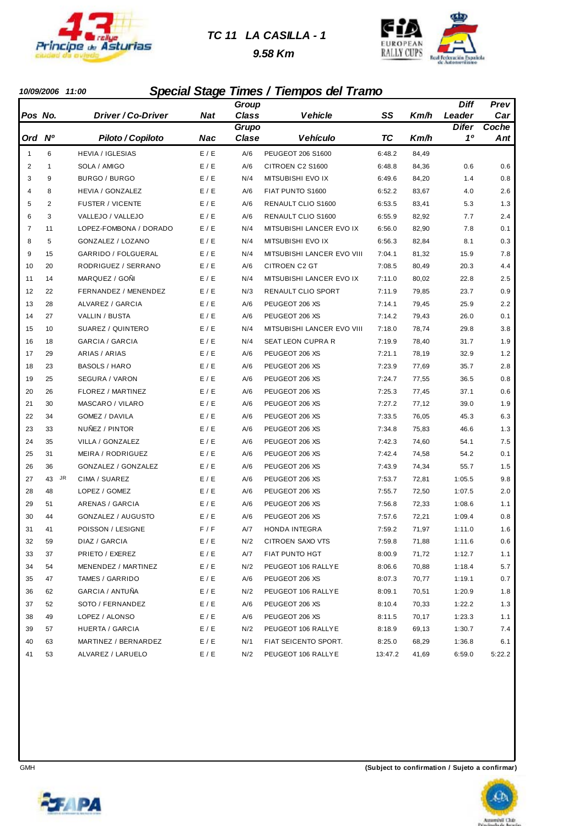

#### *TC 11 LA CASILLA - 1*

 *9.58 Km*



#### *10/09/2006 11:00 Special Stage Times / Tiempos del Tramo*

|                |                 |                           |       | Group        |                            |           |       | Diff         | Prev   |
|----------------|-----------------|---------------------------|-------|--------------|----------------------------|-----------|-------|--------------|--------|
| Pos No.        |                 | <i>Driver / Co-Driver</i> | Nat   | <b>Class</b> | <b>Vehicle</b>             | SS        | Km/h  | Leader       | Car    |
|                |                 |                           |       | Grupo        |                            |           |       | <b>Difer</b> | Coche  |
| Ord            | N <sup>o</sup>  | Piloto / Copiloto         | Nac   | Clase        | Vehículo                   | <b>TC</b> | Km/h  | 10           | Ant    |
| 1              | 6               | <b>HEVIA / IGLESIAS</b>   | E / E | A/6          | PEUGEOT 206 S1600          | 6:48.2    | 84,49 |              |        |
| $\overline{2}$ | 1               | SOLA / AMIGO              | E / E | A/6          | CITROEN C2 S1600           | 6:48.8    | 84,36 | 0.6          | 0.6    |
| 3              | 9               | BURGO / BURGO             | E/E   | N/4          | MITSUBISHI EVO IX          | 6:49.6    | 84,20 | 1.4          | 0.8    |
| 4              | 8               | HEVIA / GONZALEZ          | E / E | A/6          | FIAT PUNTO S1600           | 6:52.2    | 83,67 | 4.0          | 2.6    |
| 5              | $\overline{2}$  | <b>FUSTER / VICENTE</b>   | E / E | A/6          | RENAULT CLIO S1600         | 6:53.5    | 83,41 | 5.3          | 1.3    |
| 6              | 3               | VALLEJO / VALLEJO         | E / E | A/6          | RENAULT CLIO S1600         | 6:55.9    | 82,92 | 7.7          | 2.4    |
| $\overline{7}$ | 11              | LOPEZ-FOMBONA / DORADO    | E / E | N/4          | MITSUBISHI LANCER EVO IX   | 6:56.0    | 82,90 | 7.8          | 0.1    |
| 8              | 5               | GONZALEZ / LOZANO         | E / E | N/4          | MITSUBISHI EVO IX          | 6:56.3    | 82,84 | 8.1          | 0.3    |
| 9              | 15              | GARRIDO / FOLGUERAL       | E / E | N/4          | MITSUBISHI LANCER EVO VIII | 7:04.1    | 81,32 | 15.9         | 7.8    |
| 10             | 20              | RODRIGUEZ / SERRANO       | E / E | A/6          | <b>CITROEN C2 GT</b>       | 7:08.5    | 80,49 | 20.3         | 4.4    |
| 11             | 14              | MARQUEZ / GOÑI            | E/E   | N/4          | MITSUBISHI LANCER EVO IX   | 7:11.0    | 80,02 | 22.8         | 2.5    |
| 12             | 22              | FERNANDEZ / MENENDEZ      | E / E | N/3          | RENAULT CLIO SPORT         | 7:11.9    | 79,85 | 23.7         | 0.9    |
| 13             | 28              | <b>ALVAREZ / GARCIA</b>   | E/E   | A/6          | PEUGEOT 206 XS             | 7:14.1    | 79,45 | 25.9         | 2.2    |
| 14             | 27              | VALLIN / BUSTA            | E / E | A/6          | PEUGEOT 206 XS             | 7:14.2    | 79,43 | 26.0         | 0.1    |
| 15             | 10              | SUAREZ / QUINTERO         | E / E | N/4          | MITSUBISHI LANCER EVO VIII | 7:18.0    | 78,74 | 29.8         | 3.8    |
| 16             | 18              | <b>GARCIA / GARCIA</b>    | E / E | N/4          | SEAT LEON CUPRA R          | 7:19.9    | 78,40 | 31.7         | 1.9    |
| 17             | 29              | ARIAS / ARIAS             | E / E | A/6          | PEUGEOT 206 XS             | 7:21.1    | 78,19 | 32.9         | 1.2    |
| 18             | 23              | <b>BASOLS / HARO</b>      | E / E | A/6          | PEUGEOT 206 XS             | 7:23.9    | 77,69 | 35.7         | 2.8    |
| 19             | 25              | SEGURA / VARON            | E / E | A/6          | PEUGEOT 206 XS             | 7:24.7    | 77,55 | 36.5         | 0.8    |
| 20             | 26              | FLOREZ / MARTINEZ         | E / E | A/6          | PEUGEOT 206 XS             | 7:25.3    | 77,45 | 37.1         | 0.6    |
| 21             | 30              | MASCARO / VILARO          | E / E | A/6          | PEUGEOT 206 XS             | 7:27.2    | 77,12 | 39.0         | 1.9    |
| 22             | 34              | GOMEZ / DAVILA            | E / E | A/6          | PEUGEOT 206 XS             | 7:33.5    | 76,05 | 45.3         | 6.3    |
| 23             | 33              | NUÑEZ / PINTOR            | E / E | A/6          | PEUGEOT 206 XS             | 7:34.8    | 75,83 | 46.6         | 1.3    |
| 24             | 35              | VILLA / GONZALEZ          | E / E | A/6          | PEUGEOT 206 XS             | 7:42.3    | 74,60 | 54.1         | 7.5    |
| 25             | 31              | MEIRA / RODRIGUEZ         | E / E | A/6          | PEUGEOT 206 XS             | 7:42.4    | 74,58 | 54.2         | 0.1    |
| 26             | 36              | GONZALEZ / GONZALEZ       | E / E | A/6          | PEUGEOT 206 XS             | 7:43.9    | 74,34 | 55.7         | 1.5    |
| 27             | <b>JR</b><br>43 | CIMA / SUAREZ             | E / E | A/6          | PEUGEOT 206 XS             | 7:53.7    | 72,81 | 1:05.5       | 9.8    |
| 28             | 48              | LOPEZ / GOMEZ             | E / E | A/6          | PEUGEOT 206 XS             | 7:55.7    | 72,50 | 1:07.5       | 2.0    |
| 29             | 51              | ARENAS / GARCIA           | E / E | A/6          | PEUGEOT 206 XS             | 7:56.8    | 72,33 | 1:08.6       | 1.1    |
| 30             | 44              | GONZALEZ / AUGUSTO        | E/E   | A/6          | PEUGEOT 206 XS             | 7:57.6    | 72,21 | 1:09.4       | 0.8    |
| 31             | 41              | POISSON / LESIGNE         | F/F   | A/7          | HONDA INTEGRA              | 7:59.2    | 71,97 | 1:11.0       | 1.6    |
| 32             | 59              | DIAZ / GARCIA             | E / E | N/2          | CITROEN SAXO VTS           | 7:59.8    | 71,88 | 1:11.6       | 0.6    |
| 33             | 37              | PRIETO / EXEREZ           | E/E   | A/7          | FIAT PUNTO HGT             | 8:00.9    | 71,72 | 1:12.7       | 1.1    |
| 34             | 54              | MENENDEZ / MARTINEZ       | E / E | N/2          | PEUGEOT 106 RALLYE         | 8:06.6    | 70,88 | 1:18.4       | 5.7    |
| 35             | 47              | TAMES / GARRIDO           | E/E   | A/6          | PEUGEOT 206 XS             | 8:07.3    | 70,77 | 1:19.1       | 0.7    |
| 36             | 62              | GARCIA / ANTUÑA           | E / E | N/2          | PEUGEOT 106 RALLYE         | 8:09.1    | 70,51 | 1:20.9       | 1.8    |
| 37             | 52              | SOTO / FERNANDEZ          | E / E | A/6          | PEUGEOT 206 XS             | 8:10.4    | 70,33 | 1:22.2       | 1.3    |
| 38             | 49              | LOPEZ / ALONSO            | E/E   | A/6          | PEUGEOT 206 XS             | 8:11.5    | 70,17 | 1:23.3       | 1.1    |
| 39             | 57              | HUERTA / GARCIA           | E/E   | N/2          | PEUGEOT 106 RALLYE         | 8:18.9    | 69,13 | 1:30.7       | 7.4    |
| 40             | 63              | MARTINEZ / BERNARDEZ      | E / E | N/1          | FIAT SEICENTO SPORT.       | 8:25.0    | 68,29 | 1:36.8       | 6.1    |
| 41             | 53              | ALVAREZ / LARUELO         | E / E | N/2          | PEUGEOT 106 RALLYE         | 13:47.2   | 41,69 | 6:59.0       | 5:22.2 |



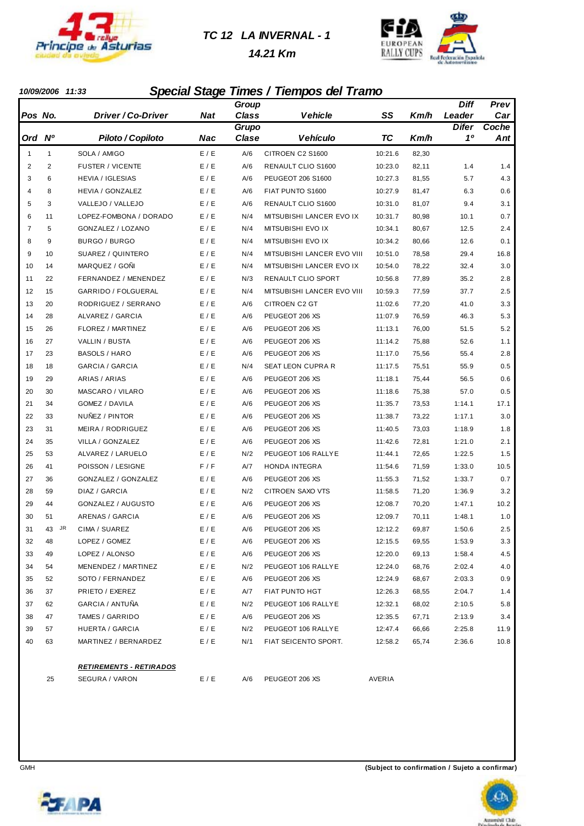

*TC 12 LA INVERNAL - 1*

 *14.21 Km*



#### *10/09/2006 11:33 Special Stage Times / Tiempos del Tramo*

|              |              |                                 |                             | Group        |                            |           |       | <b>Diff</b>  | Prev  |
|--------------|--------------|---------------------------------|-----------------------------|--------------|----------------------------|-----------|-------|--------------|-------|
| Pos No.      |              | Driver / Co-Driver              | <b>Nat</b>                  | <b>Class</b> | <b>Vehicle</b>             | SS        | Km/h  | Leader       | Car   |
|              |              |                                 |                             | Grupo        |                            |           |       | <b>Difer</b> | Coche |
| Ord Nº       |              | Piloto / Copiloto               | <b>Nac</b>                  | Clase        | <b>Vehículo</b>            | <b>TC</b> | Km/h  | 10           | Ant   |
| $\mathbf{1}$ | $\mathbf{1}$ | SOLA / AMIGO                    | E / E                       | A/6          | CITROEN C2 S1600           | 10:21.6   | 82,30 |              |       |
| 2            | 2            | <b>FUSTER / VICENTE</b>         | E / E                       | A/6          | RENAULT CLIO S1600         | 10:23.0   | 82,11 | 1.4          | 1.4   |
| 3            | 6            | <b>HEVIA / IGLESIAS</b>         | E / E                       | A/6          | PEUGEOT 206 S1600          | 10:27.3   | 81,55 | 5.7          | 4.3   |
| 4            | 8            | HEVIA / GONZALEZ                | E / E                       | A/6          | FIAT PUNTO S1600           | 10:27.9   | 81,47 | 6.3          | 0.6   |
| 5            | 3            | VALLEJO / VALLEJO               | E / E                       | A/6          | RENAULT CLIO S1600         | 10:31.0   | 81,07 | 9.4          | 3.1   |
| 6            | 11           | LOPEZ-FOMBONA / DORADO          | E / E                       | N/4          | MITSUBISHI LANCER EVO IX   | 10:31.7   | 80,98 | 10.1         | 0.7   |
| 7            | 5            | GONZALEZ / LOZANO               | E / E                       | N/4          | MITSUBISHI EVO IX          | 10:34.1   | 80,67 | 12.5         | 2.4   |
| 8            | 9            | BURGO / BURGO                   | E / E                       | N/4          | MITSUBISHI EVO IX          | 10:34.2   | 80,66 | 12.6         | 0.1   |
| 9            | 10           | SUAREZ / QUINTERO               | E / E                       | N/4          | MITSUBISHI LANCER EVO VIII | 10:51.0   | 78,58 | 29.4         | 16.8  |
| 10           | 14           | MARQUEZ / GOÑI                  | E / E                       | N/4          | MITSUBISHI LANCER EVO IX   | 10:54.0   | 78,22 | 32.4         | 3.0   |
| 11           | 22           | FERNANDEZ / MENENDEZ            | E / E                       | N/3          | RENAULT CLIO SPORT         | 10:56.8   | 77,89 | 35.2         | 2.8   |
| 12           | 15           | GARRIDO / FOLGUERAL             | E / E                       | N/4          | MITSUBISHI LANCER EVO VIII | 10:59.3   | 77,59 | 37.7         | 2.5   |
| 13           | 20           | RODRIGUEZ / SERRANO             | E / E                       | A/6          | CITROEN C2 GT              | 11:02.6   | 77,20 | 41.0         | 3.3   |
| 14           | 28           | ALVAREZ / GARCIA                | E / E                       | A/6          | PEUGEOT 206 XS             | 11:07.9   | 76,59 | 46.3         | 5.3   |
| 15           | 26           | FLOREZ / MARTINEZ               | E / E                       | A/6          | PEUGEOT 206 XS             | 11:13.1   | 76,00 | 51.5         | 5.2   |
| 16           | 27           | VALLIN / BUSTA                  | E / E                       | A/6          | PEUGEOT 206 XS             | 11:14.2   | 75,88 | 52.6         | 1.1   |
| 17           | 23           | <b>BASOLS / HARO</b>            | E / E                       | A/6          | PEUGEOT 206 XS             | 11:17.0   | 75,56 | 55.4         | 2.8   |
| 18           | 18           | GARCIA / GARCIA                 | E / E                       | N/4          | <b>SEAT LEON CUPRA R</b>   | 11:17.5   | 75,51 | 55.9         | 0.5   |
| 19           | 29           | ARIAS / ARIAS                   | E / E                       | A/6          | PEUGEOT 206 XS             | 11:18.1   | 75,44 | 56.5         | 0.6   |
| 20           | 30           | MASCARO / VILARO                | E / E                       | A/6          | PEUGEOT 206 XS             | 11:18.6   | 75,38 | 57.0         | 0.5   |
| 21           | 34           | GOMEZ / DAVILA                  | E / E                       | A/6          | PEUGEOT 206 XS             | 11:35.7   | 73,53 | 1:14.1       | 17.1  |
| 22           | 33           | NUÑEZ / PINTOR                  | E / E                       | A/6          | PEUGEOT 206 XS             | 11:38.7   | 73,22 | 1:17.1       | 3.0   |
| 23           | 31           | MEIRA / RODRIGUEZ               | E / E                       | A/6          | PEUGEOT 206 XS             | 11:40.5   | 73,03 | 1:18.9       | 1.8   |
| 24           | 35           | VILLA / GONZALEZ                | E/E                         | A/6          | PEUGEOT 206 XS             | 11:42.6   | 72,81 | 1:21.0       | 2.1   |
| 25           | 53           | ALVAREZ / LARUELO               | E / E                       | N/2          | PEUGEOT 106 RALLYE         | 11:44.1   | 72,65 | 1:22.5       | 1.5   |
| 26           | 41           | POISSON / LESIGNE               | F/F                         | A/7          | HONDA INTEGRA              | 11:54.6   | 71,59 | 1:33.0       | 10.5  |
| 27           | 36           | GONZALEZ / GONZALEZ             | E/E                         | A/6          | PEUGEOT 206 XS             | 11:55.3   | 71,52 | 1:33.7       | 0.7   |
| 28           | 59           | DIAZ / GARCIA                   | E / E                       | N/2          | CITROEN SAXO VTS           | 11:58.5   | 71,20 | 1:36.9       | 3.2   |
| 29           | 44           | GONZALEZ / AUGUSTO              | E/E                         | A/6          | PEUGEOT 206 XS             | 12:08.7   | 70,20 | 1:47.1       | 10.2  |
| 30           | 51           | ARENAS / GARCIA                 | E / E                       | A/6          | PEUGEOT 206 XS             | 12:09.7   | 70,11 | 1:48.1       | 1.0   |
| 31           | 43 JR        | CIMA / SUAREZ                   | E / E                       | A/6          | PEUGEOT 206 XS             | 12:12.2   | 69,87 | 1:50.6       | 2.5   |
| 32           | 48           | LOPEZ / GOMEZ                   | $\mathsf{E}$ / $\mathsf{E}$ | $A/6$        | PEUGEOT 206 XS             | 12:15.5   | 69,55 | 1:53.9       | 3.3   |
| 33           | 49           | LOPEZ / ALONSO                  | E/E                         | A/6          | PEUGEOT 206 XS             | 12:20.0   | 69,13 | 1:58.4       | 4.5   |
| 34           | 54           | MENENDEZ / MARTINEZ             | E/E                         | N/2          | PEUGEOT 106 RALLYE         | 12:24.0   | 68,76 | 2:02.4       | 4.0   |
| 35           | 52           | SOTO / FERNANDEZ                | E/E                         | A/6          | PEUGEOT 206 XS             | 12:24.9   | 68,67 | 2:03.3       | 0.9   |
| 36           | 37           | PRIETO / EXEREZ                 | E/E                         | A/7          | FIAT PUNTO HGT             | 12:26.3   | 68,55 | 2:04.7       | 1.4   |
| 37           | 62           | GARCIA / ANTUÑA                 | E/E                         | N/2          | PEUGEOT 106 RALLYE         | 12:32.1   | 68,02 | 2:10.5       | 5.8   |
| 38           | 47           | TAMES / GARRIDO                 | E/E                         | A/6          | PEUGEOT 206 XS             | 12:35.5   | 67,71 | 2:13.9       | 3.4   |
| 39           | 57           | HUERTA / GARCIA                 | E / E                       | N/2          | PEUGEOT 106 RALLYE         | 12:47.4   | 66,66 | 2:25.8       | 11.9  |
| 40           | 63           | MARTINEZ / BERNARDEZ            | E/E                         | N/1          | FIAT SEICENTO SPORT.       | 12:58.2   | 65,74 | 2:36.6       | 10.8  |
|              |              | <u> RETIREMENTS - RETIRADOS</u> |                             |              |                            |           |       |              |       |
|              | 25           | SEGURA / VARON                  | E / E                       | A/6          | PEUGEOT 206 XS             | AVERIA    |       |              |       |



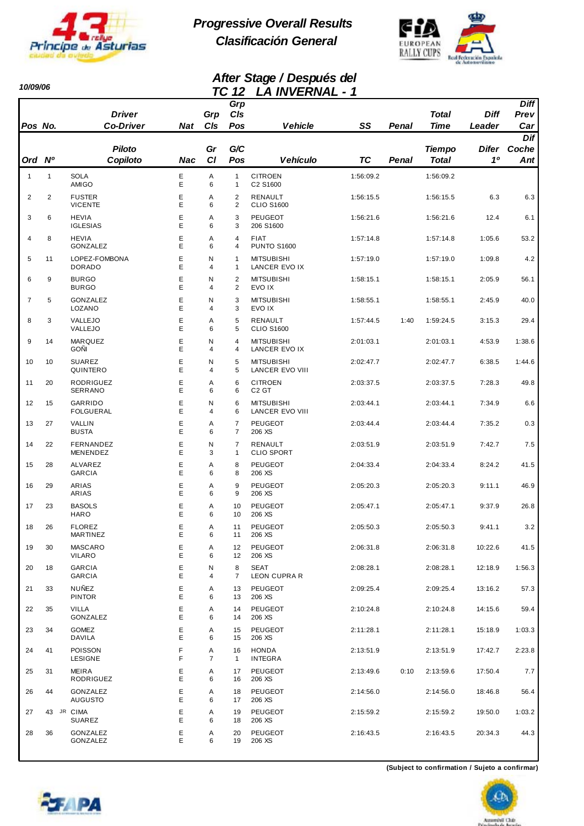

*10/09/06* 

*Progressive Overall Results Clasificación General*



#### *After Stage / Después del TC 12 LA INVERNAL - 1*

| Pos No.        |                | <b>Driver</b><br><b>Co-Driver</b> | Nat    | ' ~<br>Grp<br>CIs   | $\overline{ }$<br>Grp<br>C/s<br>Pos | <u>ем присплане</u><br><b>Vehicle</b>       | SS        | Penal | <b>Total</b><br><b>Time</b>   | <b>Diff</b><br>Leader   | <b>Diff</b><br>Prev<br>Car     |
|----------------|----------------|-----------------------------------|--------|---------------------|-------------------------------------|---------------------------------------------|-----------|-------|-------------------------------|-------------------------|--------------------------------|
| Ord Nº         |                | <b>Piloto</b><br>Copiloto         | Nac    | Gr<br><b>CI</b>     | G/C<br>Pos                          | <b>Vehículo</b>                             | TC        | Penal | <b>Tiempo</b><br><b>Total</b> | Difer<br>1 <sup>0</sup> | Dif<br>Coche<br>$\mathbf{Ant}$ |
| 1              | $\mathbf{1}$   | <b>SOLA</b><br>AMIGO              | Ε<br>E | Α<br>6              | $\mathbf{1}$<br>$\mathbf{1}$        | <b>CITROEN</b><br>C2 S1600                  | 1:56:09.2 |       | 1:56:09.2                     |                         |                                |
| $\overline{2}$ | $\overline{2}$ | <b>FUSTER</b><br><b>VICENTE</b>   | E<br>E | Α<br>6              | $\overline{2}$<br>2                 | <b>RENAULT</b><br><b>CLIO S1600</b>         | 1:56:15.5 |       | 1:56:15.5                     | 6.3                     | 6.3                            |
| 3              | 6              | <b>HEVIA</b><br><b>IGLESIAS</b>   | E<br>E | Α<br>6              | 3<br>3                              | <b>PEUGEOT</b><br>206 S1600                 | 1:56:21.6 |       | 1:56:21.6                     | 12.4                    | 6.1                            |
| 4              | 8              | <b>HEVIA</b><br><b>GONZALEZ</b>   | Ε<br>E | Α<br>6              | 4<br>4                              | <b>FIAT</b><br><b>PUNTO S1600</b>           | 1:57:14.8 |       | 1:57:14.8                     | 1:05.6                  | 53.2                           |
| 5              | 11             | LOPEZ-FOMBONA<br><b>DORADO</b>    | Ε<br>E | N<br>4              | $\mathbf{1}$<br>1                   | <b>MITSUBISHI</b><br>LANCER EVO IX          | 1:57:19.0 |       | 1:57:19.0                     | 1:09.8                  | 4.2                            |
| 6              | 9              | <b>BURGO</b><br><b>BURGO</b>      | E<br>E | N<br>4              | $\overline{2}$<br>2                 | <b>MITSUBISHI</b><br>EVO IX                 | 1:58:15.1 |       | 1:58:15.1                     | 2:05.9                  | 56.1                           |
| $\overline{7}$ | 5              | GONZALEZ<br>LOZANO                | E<br>E | N<br>4              | 3<br>3                              | <b>MITSUBISHI</b><br>EVO IX                 | 1:58:55.1 |       | 1:58:55.1                     | 2:45.9                  | 40.0                           |
| 8              | 3              | VALLEJO<br>VALLEJO                | E<br>E | Α<br>6              | 5<br>5                              | RENAULT<br><b>CLIO S1600</b>                | 1:57:44.5 | 1:40  | 1:59:24.5                     | 3:15.3                  | 29.4                           |
| 9              | 14             | <b>MARQUEZ</b><br><b>GOÑI</b>     | E<br>E | N<br>4              | 4<br>4                              | <b>MITSUBISHI</b><br>LANCER EVO IX          | 2:01:03.1 |       | 2:01:03.1                     | 4:53.9                  | 1:38.6                         |
| 10             | 10             | <b>SUAREZ</b><br>QUINTERO         | Ε<br>E | N<br>4              | 5<br>5                              | <b>MITSUBISHI</b><br><b>LANCER EVO VIII</b> | 2:02:47.7 |       | 2:02:47.7                     | 6:38.5                  | 1:44.6                         |
| 11             | 20             | RODRIGUEZ<br>SERRANO              | Ε<br>E | A<br>6              | 6<br>6                              | <b>CITROEN</b><br>C <sub>2</sub> GT         | 2:03:37.5 |       | 2:03:37.5                     | 7:28.3                  | 49.8                           |
| 12             | 15             | GARRIDO<br><b>FOLGUERAL</b>       | E<br>E | N<br>4              | 6<br>6                              | <b>MITSUBISHI</b><br>LANCER EVO VIII        | 2:03:44.1 |       | 2:03:44.1                     | 7:34.9                  | 6.6                            |
| 13             | 27             | VALLIN<br><b>BUSTA</b>            | E<br>E | A<br>6              | 7<br>$\overline{7}$                 | <b>PEUGEOT</b><br>206 XS                    | 2:03:44.4 |       | 2:03:44.4                     | 7:35.2                  | 0.3                            |
| 14             | 22             | FERNANDEZ<br>MENENDEZ             | E<br>E | Ν<br>3              | $\overline{7}$<br>1                 | RENAULT<br><b>CLIO SPORT</b>                | 2:03:51.9 |       | 2:03:51.9                     | 7:42.7                  | 7.5                            |
| 15             | 28             | ALVAREZ<br><b>GARCIA</b>          | Е<br>E | Α<br>6              | 8<br>8                              | <b>PEUGEOT</b><br>206 XS                    | 2:04:33.4 |       | 2:04:33.4                     | 8:24.2                  | 41.5                           |
| 16             | 29             | ARIAS<br>ARIAS                    | Ε<br>E | Α<br>6              | 9<br>9                              | <b>PEUGEOT</b><br>206 XS                    | 2:05:20.3 |       | 2:05:20.3                     | 9:11.1                  | 46.9                           |
| 17             | 23             | <b>BASOLS</b><br><b>HARO</b>      | Ε<br>E | A<br>6              | 10<br>10                            | <b>PEUGEOT</b><br>206 XS                    | 2:05:47.1 |       | 2:05:47.1                     | 9:37.9                  | 26.8                           |
| 18             | 26             | <b>FLOREZ</b><br>MAR IINEZ        | E<br>Е | Α<br>6              | 11<br>11                            | <b>PEUGEOT</b><br>206 XS                    | 2:05:50.3 |       | 2:05:50.3                     | 9:41.1                  | 3.2                            |
| 19             | 30             | <b>MASCARO</b><br>VILARO          | Ε<br>E | Α<br>6              | 12<br>12                            | PEUGEOT<br>206 XS                           | 2:06:31.8 |       | 2:06:31.8                     | 10:22.6                 | 41.5                           |
| 20             | 18             | <b>GARCIA</b><br><b>GARCIA</b>    | Ε<br>E | N<br>4              | 8<br>7                              | SEAT<br>LEON CUPRA R                        | 2:08:28.1 |       | 2:08:28.1                     | 12:18.9                 | 1:56.3                         |
| 21             | 33             | NUÑEZ<br><b>PINTOR</b>            | Е<br>E | Α<br>6              | 13<br>13                            | PEUGEOT<br>206 XS                           | 2:09:25.4 |       | 2:09:25.4                     | 13:16.2                 | 57.3                           |
| 22             | 35             | <b>VILLA</b><br>GONZALEZ          | Ε<br>E | Α<br>6              | 14<br>14                            | PEUGEOT<br>206 XS                           | 2:10:24.8 |       | 2:10:24.8                     | 14:15.6                 | 59.4                           |
| 23             | 34             | <b>GOMEZ</b><br>DAVILA            | Е<br>Е | Α<br>6              | 15<br>15                            | PEUGEOT<br>206 XS                           | 2:11:28.1 |       | 2:11:28.1                     | 15:18.9                 | 1:03.3                         |
| 24             | 41             | POISSON<br><b>LESIGNE</b>         | F<br>F | Α<br>$\overline{7}$ | 16<br>$\mathbf{1}$                  | <b>HONDA</b><br><b>INTEGRA</b>              | 2:13:51.9 |       | 2:13:51.9                     | 17:42.7                 | 2:23.8                         |
| 25             | 31             | <b>MEIRA</b><br>RODRIGUEZ         | Ε<br>Е | Α<br>6              | 17<br>16                            | PEUGEOT<br>206 XS                           | 2:13:49.6 | 0:10  | 2:13:59.6                     | 17:50.4                 | 7.7                            |
| 26             | 44             | GONZALEZ<br><b>AUGUSTO</b>        | Е<br>E | Α<br>6              | 18<br>17                            | PEUGEOT<br>206 XS                           | 2:14:56.0 |       | 2:14:56.0                     | 18:46.8                 | 56.4                           |
| 27             |                | 43 JR CIMA<br>SUAREZ              | Ε<br>E | Α<br>6              | 19<br>18                            | PEUGEOT<br>206 XS                           | 2:15:59.2 |       | 2:15:59.2                     | 19:50.0                 | 1:03.2                         |
| 28             | 36             | GONZALEZ<br>GONZALEZ              | Ε<br>E | Α<br>6              | 20<br>19                            | PEUGEOT<br>206 XS                           | 2:16:43.5 |       | 2:16:43.5                     | 20:34.3                 | 44.3                           |

**(Subject to confirmation / Sujeto a confirmar)**





ul Chie

(LD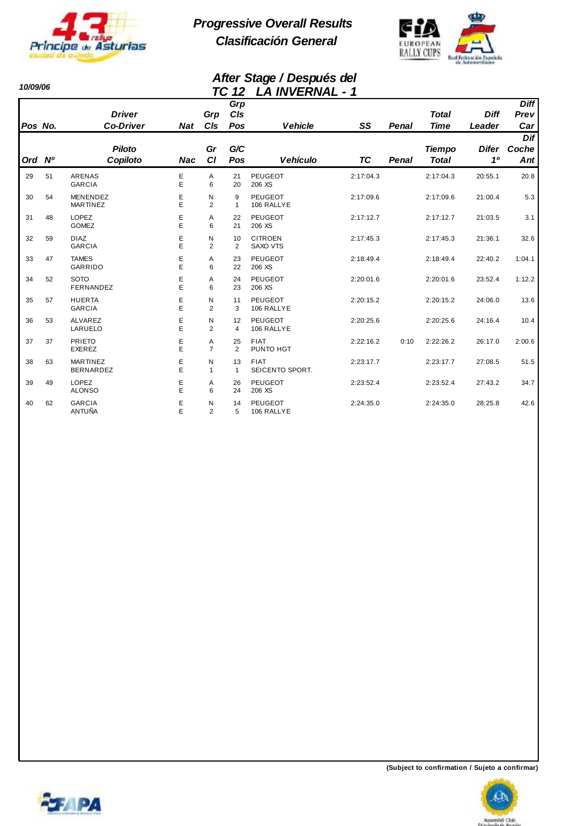

*10/09/06* 

*Progressive Overall Results Clasificación General*



#### *After Stage / Después del TC 12 LA INVERNAL - 1*

|         |    |                                     |            |                     |                   | LA 111 Y LI V VAL              |           |              |                               |                    |                                |
|---------|----|-------------------------------------|------------|---------------------|-------------------|--------------------------------|-----------|--------------|-------------------------------|--------------------|--------------------------------|
|         |    | <b>Driver</b>                       |            | Grp                 | Grp<br>CIs        |                                |           |              | <b>Total</b>                  | <b>Diff</b>        | <b>Diff</b><br>Prev            |
| Pos No. |    | <b>Co-Driver</b>                    | <b>Nat</b> | CIs                 | Pos               | <b>Vehicle</b>                 | SS        | <b>Penal</b> | <b>Time</b>                   | Leader             | Car                            |
| Ord Nº  |    | <b>Piloto</b><br>Copiloto           | <b>Nac</b> | Gr<br><b>CI</b>     | G/C<br>Pos        | <b>Vehículo</b>                | <b>TC</b> | <b>Penal</b> | <b>Tiempo</b><br><b>Total</b> | <b>Difer</b><br>10 | Dif<br>Coche<br>$\mathbf{Ant}$ |
| 29      | 51 | <b>ARENAS</b><br><b>GARCIA</b>      | Е<br>E     | Α<br>6              | 21<br>20          | <b>PEUGEOT</b><br>206 XS       | 2:17:04.3 |              | 2:17:04.3                     | 20:55.1            | 20.8                           |
| 30      | 54 | <b>MENENDEZ</b><br><b>MARTINEZ</b>  | E<br>E     | N<br>2              | 9<br>$\mathbf{1}$ | <b>PEUGEOT</b><br>106 RALLYE   | 2:17:09.6 |              | 2:17:09.6                     | 21:00.4            | 5.3                            |
| 31      | 48 | <b>LOPEZ</b><br><b>GOMEZ</b>        | E<br>E     | A<br>6              | 22<br>21          | PEUGEOT<br>206 XS              | 2:17:12.7 |              | 2:17:12.7                     | 21:03.5            | 3.1                            |
| 32      | 59 | <b>DIAZ</b><br><b>GARCIA</b>        | Ε<br>E     | N<br>2              | 10<br>2           | <b>CITROEN</b><br>SAXO VTS     | 2:17:45.3 |              | 2:17:45.3                     | 21:36.1            | 32.6                           |
| 33      | 47 | <b>TAMES</b><br><b>GARRIDO</b>      | Ε<br>E     | Α<br>6              | 23<br>22          | <b>PEUGEOT</b><br>206 XS       | 2:18:49.4 |              | 2:18:49.4                     | 22:40.2            | 1:04.1                         |
| 34      | 52 | <b>SOTO</b><br>FERNANDEZ            | Ε<br>E     | Α<br>6              | 24<br>23          | <b>PEUGEOT</b><br>206 XS       | 2:20:01.6 |              | 2:20:01.6                     | 23:52.4            | 1:12.2                         |
| 35      | 57 | <b>HUERTA</b><br><b>GARCIA</b>      | E<br>E     | N<br>2              | 11<br>3           | <b>PEUGEOT</b><br>106 RALLYE   | 2:20:15.2 |              | 2:20:15.2                     | 24:06.0            | 13.6                           |
| 36      | 53 | ALVAREZ<br>LARUELO                  | Е<br>E     | N<br>2              | 12<br>4           | PEUGEOT<br>106 RALLYE          | 2:20:25.6 |              | 2:20:25.6                     | 24:16.4            | 10.4                           |
| 37      | 37 | <b>PRIETO</b><br>EXEREZ             | Ε<br>E     | A<br>$\overline{7}$ | 25<br>2           | <b>FIAT</b><br>PUNTO HGT       | 2:22:16.2 | 0:10         | 2:22:26.2                     | 26:17.0            | 2:00.6                         |
| 38      | 63 | <b>MARTINEZ</b><br><b>BERNARDEZ</b> | E<br>Ė     | N<br>$\mathbf{1}$   | 13<br>-1          | <b>FIAT</b><br>SEICENTO SPORT. | 2:23:17.7 |              | 2:23:17.7                     | 27:08.5            | 51.5                           |
| 39      | 49 | <b>LOPEZ</b><br><b>ALONSO</b>       | Ε<br>E     | Α<br>6              | 26<br>24          | <b>PEUGEOT</b><br>206 XS       | 2:23:52.4 |              | 2:23:52.4                     | 27:43.2            | 34.7                           |
| 40      | 62 | <b>GARCIA</b><br>ANTUÑA             | E<br>E     | N<br>$\overline{2}$ | 14<br>5           | <b>PEUGEOT</b><br>106 RALLYE   | 2:24:35.0 |              | 2:24:35.0                     | 28:25.8            | 42.6                           |



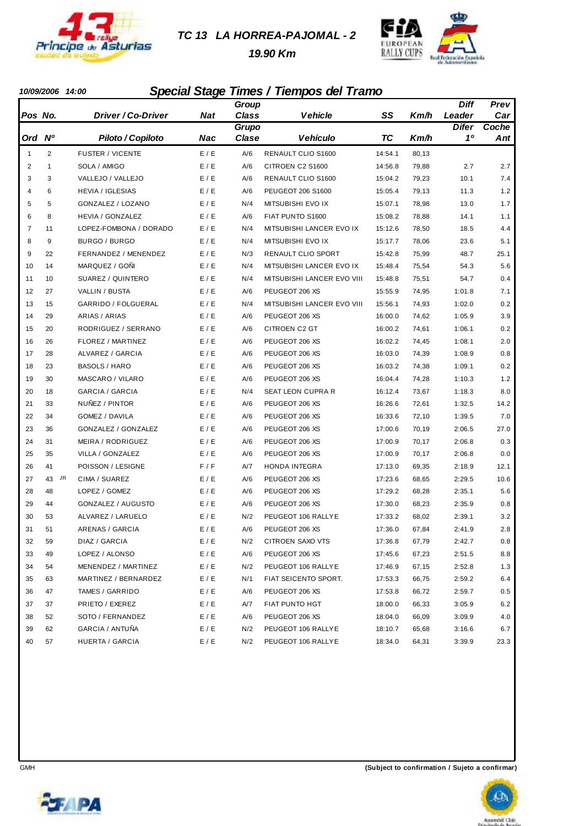

#### *TC 13 LA HORREA-PAJOMAL - 2*

 *19.90 Km*



#### *10/09/2006 14:00 Special Stage Times / Tiempos del Tramo*

|                |                 |                         |            | Group          |                            |         |       | Diff               | Prev  |
|----------------|-----------------|-------------------------|------------|----------------|----------------------------|---------|-------|--------------------|-------|
| Pos No.        |                 | Driver / Co-Driver      | <b>Nat</b> | <b>Class</b>   | <b>Vehicle</b>             | SS      | Km/h  | Leader             | Car   |
|                |                 |                         |            | Grupo<br>Clase |                            |         |       | <b>Difer</b><br>10 | Coche |
| Ord Nº         |                 | Piloto / Copiloto       | <b>Nac</b> |                | <b>Vehículo</b>            | ТC      | Km/h  |                    | Ant   |
| $\mathbf{1}$   | 2               | <b>FUSTER / VICENTE</b> | E / E      | A/6            | RENAULT CLIO S1600         | 14:54.1 | 80,13 |                    |       |
| $\overline{2}$ | $\mathbf{1}$    | SOLA / AMIGO            | E / E      | A/6            | CITROEN C2 S1600           | 14:56.8 | 79,88 | 2.7                | 2.7   |
| 3              | 3               | VALLEJO / VALLEJO       | E / E      | A/6            | RENAULT CLIO S1600         | 15:04.2 | 79,23 | 10.1               | 7.4   |
| 4              | 6               | <b>HEVIA / IGLESIAS</b> | E / E      | A/6            | PEUGEOT 206 S1600          | 15:05.4 | 79,13 | 11.3               | 1.2   |
| 5              | 5               | GONZALEZ / LOZANO       | E / E      | N/4            | MITSUBISHI EVO IX          | 15:07.1 | 78,98 | 13.0               | 1.7   |
| 6              | 8               | <b>HEVIA / GONZALEZ</b> | E / E      | A/6            | FIAT PUNTO S1600           | 15:08.2 | 78,88 | 14.1               | 1.1   |
| 7              | 11              | LOPEZ-FOMBONA / DORADO  | E / E      | N/4            | MITSUBISHI LANCER EVO IX   | 15:12.6 | 78,50 | 18.5               | 4.4   |
| 8              | 9               | BURGO / BURGO           | E / E      | N/4            | MITSUBISHI EVO IX          | 15:17.7 | 78,06 | 23.6               | 5.1   |
| 9              | 22              | FERNANDEZ / MENENDEZ    | E / E      | N/3            | RENAULT CLIO SPORT         | 15:42.8 | 75,99 | 48.7               | 25.1  |
| 10             | 14              | MARQUEZ / GOÑI          | E / E      | N/4            | MITSUBISHI LANCER EVO IX   | 15:48.4 | 75,54 | 54.3               | 5.6   |
| 11             | 10              | SUAREZ / QUINTERO       | E / E      | N/4            | MITSUBISHI LANCER EVO VIII | 15:48.8 | 75,51 | 54.7               | 0.4   |
| 12             | 27              | VALLIN / BUSTA          | E / E      | A/6            | PEUGEOT 206 XS             | 15:55.9 | 74,95 | 1:01.8             | 7.1   |
| 13             | 15              | GARRIDO / FOLGUERAL     | E / E      | N/4            | MITSUBISHI LANCER EVO VIII | 15:56.1 | 74,93 | 1:02.0             | 0.2   |
| 14             | 29              | ARIAS / ARIAS           | E / E      | A/6            | PEUGEOT 206 XS             | 16:00.0 | 74,62 | 1:05.9             | 3.9   |
| 15             | 20              | RODRIGUEZ / SERRANO     | E / E      | A/6            | CITROEN C2 GT              | 16:00.2 | 74,61 | 1:06.1             | 0.2   |
| 16             | 26              | FLOREZ / MARTINEZ       | E / E      | A/6            | PEUGEOT 206 XS             | 16:02.2 | 74,45 | 1:08.1             | 2.0   |
| 17             | 28              | ALVAREZ / GARCIA        | E / E      | A/6            | PEUGEOT 206 XS             | 16:03.0 | 74,39 | 1:08.9             | 0.8   |
| 18             | 23              | <b>BASOLS / HARO</b>    | E / E      | A/6            | PEUGEOT 206 XS             | 16:03.2 | 74,38 | 1:09.1             | 0.2   |
| 19             | 30              | MASCARO / VILARO        | E / E      | A/6            | PEUGEOT 206 XS             | 16:04.4 | 74,28 | 1:10.3             | 1.2   |
| 20             | 18              | GARCIA / GARCIA         | E / E      | N/4            | <b>SEAT LEON CUPRA R</b>   | 16:12.4 | 73,67 | 1:18.3             | 8.0   |
| 21             | 33              | NUÑEZ / PINTOR          | E / E      | A/6            | PEUGEOT 206 XS             | 16:26.6 | 72,61 | 1:32.5             | 14.2  |
| 22             | 34              | GOMEZ / DAVILA          | E / E      | A/6            | PEUGEOT 206 XS             | 16:33.6 | 72,10 | 1:39.5             | 7.0   |
| 23             | 36              | GONZALEZ / GONZALEZ     | E / E      | A/6            | PEUGEOT 206 XS             | 17:00.6 | 70,19 | 2:06.5             | 27.0  |
| 24             | 31              | MEIRA / RODRIGUEZ       | E / E      | A/6            | PEUGEOT 206 XS             | 17:00.9 | 70,17 | 2:06.8             | 0.3   |
| 25             | 35              | VILLA / GONZALEZ        | E/E        | A/6            | PEUGEOT 206 XS             | 17:00.9 | 70,17 | 2:06.8             | 0.0   |
| 26             | 41              | POISSON / LESIGNE       | F/F        | A/7            | <b>HONDA INTEGRA</b>       | 17:13.0 | 69,35 | 2:18.9             | 12.1  |
| 27             | <b>JR</b><br>43 | CIMA / SUAREZ           | E / E      | A/6            | PEUGEOT 206 XS             | 17:23.6 | 68,65 | 2:29.5             | 10.6  |
| 28             | 48              | LOPEZ / GOMEZ           | E / E      | A/6            | PEUGEOT 206 XS             | 17:29.2 | 68,28 | 2:35.1             | 5.6   |
| 29             | 44              | GONZALEZ / AUGUSTO      | E/E        | A/6            | PEUGEOT 206 XS             | 17:30.0 | 68,23 | 2:35.9             | 0.8   |
| 30             | 53              | ALVAREZ / LARUELO       | E / E      | N/2            | PEUGEOT 106 RALLYE         | 17:33.2 | 68,02 | 2:39.1             | 3.2   |
| 31             | 51              | ARENAS / GARCIA         | E / E      | A/6            | PEUGEOT 206 XS             | 17:36.0 | 67,84 | 2:41.9             | 2.8   |
| 32             | 59              | DIAZ / GARCIA           | E / E      | N/2            | CITROEN SAXO VTS           | 17:36.8 | 67,79 | 2:42.7             | 0.8   |
| 33             | 49              | LOPEZ / ALONSO          | E / E      | A/6            | PEUGEOT 206 XS             | 17:45.6 | 67,23 | 2:51.5             | 8.8   |
| 34             | 54              | MENENDEZ / MARTINEZ     | E / E      | N/2            | PEUGEOT 106 RALLYE         | 17:46.9 | 67,15 | 2:52.8             | 1.3   |
| 35             | 63              | MARTINEZ / BERNARDEZ    | E / E      | N/1            | FIAT SEICENTO SPORT.       | 17:53.3 | 66,75 | 2:59.2             | 6.4   |
| 36             | 47              | TAMES / GARRIDO         | E / E      | A/6            | PEUGEOT 206 XS             | 17:53.8 | 66,72 | 2:59.7             | 0.5   |
| 37             | 37              | PRIETO / EXEREZ         | E / E      | A/7            | FIAT PUNTO HGT             | 18:00.0 | 66,33 | 3:05.9             | 6.2   |
| 38             | 52              | SOTO / FERNANDEZ        | E / E      | A/6            | PEUGEOT 206 XS             | 18:04.0 | 66,09 | 3:09.9             | 4.0   |
| 39             | 62              | GARCIA / ANTUÑA         | E / E      | N/2            | PEUGEOT 106 RALLYE         | 18:10.7 | 65,68 | 3:16.6             | 6.7   |
| 40             | 57              | HUERTA / GARCIA         | E / E      | N/2            | PEUGEOT 106 RALLYE         | 18:34.0 | 64,31 | 3:39.9             | 23.3  |



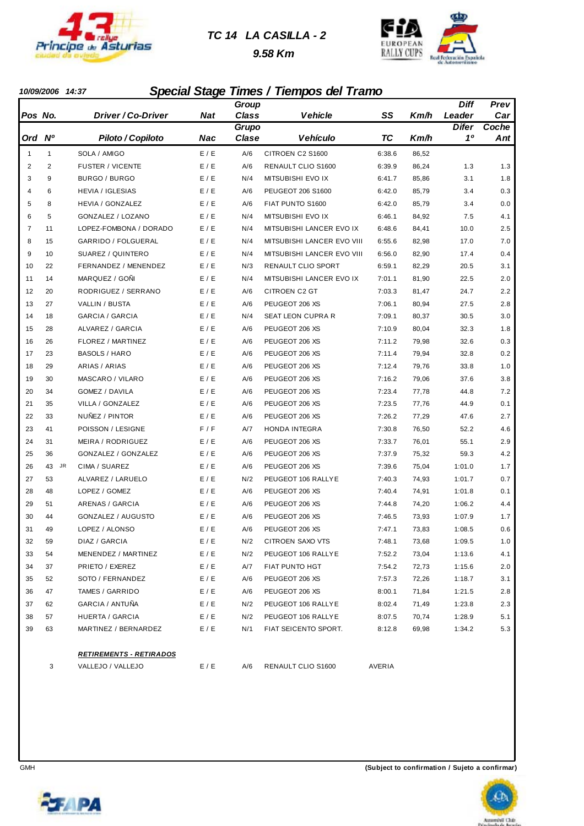

#### *TC 14 LA CASILLA - 2*

 *9.58 Km*



#### *10/09/2006 14:37 Special Stage Times / Tiempos del Tramo*

|                |              |                                |                             | Group        |                            |        |       | <b>Diff</b>  | Prev    |
|----------------|--------------|--------------------------------|-----------------------------|--------------|----------------------------|--------|-------|--------------|---------|
| Pos No.        |              | Driver / Co-Driver             | <b>Nat</b>                  | <b>Class</b> | <b>Vehicle</b>             | SS     | Km/h  | Leader       | Car     |
|                |              |                                |                             | Grupo        |                            |        |       | <b>Difer</b> | Coche   |
| Ord Nº         |              | Piloto / Copiloto              | Nac                         | Clase        | <b>Vehículo</b>            | TC     | Km/h  | 10           | Ant     |
| $\mathbf{1}$   | $\mathbf{1}$ | SOLA / AMIGO                   | E / E                       | A/6          | CITROEN C2 S1600           | 6:38.6 | 86,52 |              |         |
| 2              | 2            | <b>FUSTER / VICENTE</b>        | E / E                       | A/6          | RENAULT CLIO S1600         | 6:39.9 | 86,24 | 1.3          | 1.3     |
| 3              | 9            | BURGO / BURGO                  | E / E                       | N/4          | MITSUBISHI EVO IX          | 6:41.7 | 85,86 | 3.1          | 1.8     |
| 4              | 6            | <b>HEVIA / IGLESIAS</b>        | E / E                       | A/6          | PEUGEOT 206 S1600          | 6:42.0 | 85,79 | 3.4          | 0.3     |
| 5              | 8            | HEVIA / GONZALEZ               | E / E                       | A/6          | FIAT PUNTO S1600           | 6:42.0 | 85,79 | 3.4          | 0.0     |
| 6              | 5            | GONZALEZ / LOZANO              | E / E                       | N/4          | MITSUBISHI EVO IX          | 6:46.1 | 84,92 | 7.5          | 4.1     |
| $\overline{7}$ | 11           | LOPEZ-FOMBONA / DORADO         | E / E                       | N/4          | MITSUBISHI LANCER EVO IX   | 6:48.6 | 84,41 | 10.0         | 2.5     |
| 8              | 15           | GARRIDO / FOLGUERAL            | E / E                       | N/4          | MITSUBISHI LANCER EVO VIII | 6:55.6 | 82,98 | 17.0         | 7.0     |
| 9              | 10           | SUAREZ / QUINTERO              | E / E                       | N/4          | MITSUBISHI LANCER EVO VIII | 6:56.0 | 82,90 | 17.4         | 0.4     |
| 10             | 22           | FERNANDEZ / MENENDEZ           | E / E                       | N/3          | RENAULT CLIO SPORT         | 6:59.1 | 82,29 | 20.5         | 3.1     |
| 11             | 14           | MARQUEZ / GOÑI                 | E / E                       | N/4          | MITSUBISHI LANCER EVO IX   | 7:01.1 | 81,90 | 22.5         | 2.0     |
| 12             | 20           | RODRIGUEZ / SERRANO            | E / E                       | A/6          | CITROEN C2 GT              | 7:03.3 | 81,47 | 24.7         | 2.2     |
| 13             | 27           | VALLIN / BUSTA                 | E / E                       | A/6          | PEUGEOT 206 XS             | 7:06.1 | 80,94 | 27.5         | 2.8     |
| 14             | 18           | GARCIA / GARCIA                | E / E                       | N/4          | SEAT LEON CUPRA R          | 7:09.1 | 80,37 | 30.5         | 3.0     |
| 15             | 28           | ALVAREZ / GARCIA               | E / E                       | A/6          | PEUGEOT 206 XS             | 7:10.9 | 80,04 | 32.3         | 1.8     |
| 16             | 26           | FLOREZ / MARTINEZ              | E / E                       | A/6          | PEUGEOT 206 XS             | 7:11.2 | 79,98 | 32.6         | 0.3     |
| 17             | 23           | <b>BASOLS / HARO</b>           | E / E                       | A/6          | PEUGEOT 206 XS             | 7:11.4 | 79,94 | 32.8         | 0.2     |
| 18             | 29           | ARIAS / ARIAS                  | E / E                       | A/6          | PEUGEOT 206 XS             | 7:12.4 | 79,76 | 33.8         | 1.0     |
| 19             | 30           | MASCARO / VILARO               | E / E                       | A/6          | PEUGEOT 206 XS             | 7:16.2 | 79,06 | 37.6         | 3.8     |
| 20             | 34           | GOMEZ / DAVILA                 | E / E                       | A/6          | PEUGEOT 206 XS             | 7:23.4 | 77,78 | 44.8         | 7.2     |
| 21             | 35           | VILLA / GONZALEZ               | E / E                       | A/6          | PEUGEOT 206 XS             | 7:23.5 | 77,76 | 44.9         | 0.1     |
| 22             | 33           | NUÑEZ / PINTOR                 | E / E                       | A/6          | PEUGEOT 206 XS             | 7:26.2 | 77,29 | 47.6         | 2.7     |
| 23             | 41           | POISSON / LESIGNE              | F/F                         | A/7          | HONDA INTEGRA              | 7:30.8 | 76,50 | 52.2         | 4.6     |
| 24             | 31           | MEIRA / RODRIGUEZ              | E / E                       | A/6          | PEUGEOT 206 XS             | 7:33.7 | 76,01 | 55.1         | 2.9     |
| 25             | 36           | GONZALEZ / GONZALEZ            | E / E                       | A/6          | PEUGEOT 206 XS             | 7:37.9 | 75,32 | 59.3         | 4.2     |
| 26             | JR<br>43     | CIMA / SUAREZ                  | E / E                       | A/6          | PEUGEOT 206 XS             | 7:39.6 | 75,04 | 1:01.0       | 1.7     |
| 27             | 53           | ALVAREZ / LARUELO              | E / E                       | N/2          | PEUGEOT 106 RALLYE         | 7:40.3 | 74,93 | 1:01.7       | 0.7     |
| 28             | 48           | LOPEZ / GOMEZ                  | E / E                       | A/6          | PEUGEOT 206 XS             | 7:40.4 | 74,91 | 1:01.8       | 0.1     |
| 29             | 51           | ARENAS / GARCIA                | E / E                       | A/6          | PEUGEOT 206 XS             | 7:44.8 | 74,20 | 1:06.2       | 4.4     |
| 30             | 44           | GONZALEZ / AUGUSTO             | E/E                         | A/6          | PEUGEOT 206 XS             | 7:46.5 | 73,93 | 1:07.9       | 1.7     |
| 31             | 49           | LOPEZ / ALONSO                 | E/E                         | A/6          | PEUGEOT 206 XS             | 7:47.1 | 73,83 | 1:08.5       | 0.6     |
| 32             | 59           | DIAZ / GARCIA                  | $\mathsf{E}$ / $\mathsf{E}$ | N/2          | CITROEN SAXO VTS           | 7:48.1 | 73,68 | 1:09.5       | $1.0\,$ |
| 33             | 54           | MENENDEZ / MARTINEZ            | E/E                         | N/2          | PEUGEOT 106 RALLYE         | 7:52.2 | 73,04 | 1:13.6       | 4.1     |
| 34             | 37           | PRIETO / EXEREZ                | E / E                       | A/7          | FIAT PUNTO HGT             | 7:54.2 | 72,73 | 1:15.6       | 2.0     |
| 35             | 52           | SOTO / FERNANDEZ               | E/E                         | A/6          | PEUGEOT 206 XS             | 7:57.3 | 72,26 | 1:18.7       | 3.1     |
| 36             | 47           | TAMES / GARRIDO                | E/E                         | A/6          | PEUGEOT 206 XS             | 8:00.1 | 71,84 | 1:21.5       | 2.8     |
| 37             | 62           | GARCIA / ANTUÑA                | E/E                         | N/2          | PEUGEOT 106 RALLYE         | 8:02.4 | 71,49 | 1:23.8       | 2.3     |
| 38             | 57           | HUERTA / GARCIA                | E/E                         | N/2          | PEUGEOT 106 RALLYE         | 8:07.5 | 70,74 | 1:28.9       | 5.1     |
| 39             | 63           | MARTINEZ / BERNARDEZ           | E/E                         | N/1          | FIAT SEICENTO SPORT.       | 8:12.8 | 69,98 | 1:34.2       | 5.3     |
|                |              | <b>RETIREMENTS - RETIRADOS</b> |                             |              |                            |        |       |              |         |
|                | 3            | VALLEJO / VALLEJO              | E/E                         | A/6          | RENAULT CLIO S1600         | AVERIA |       |              |         |



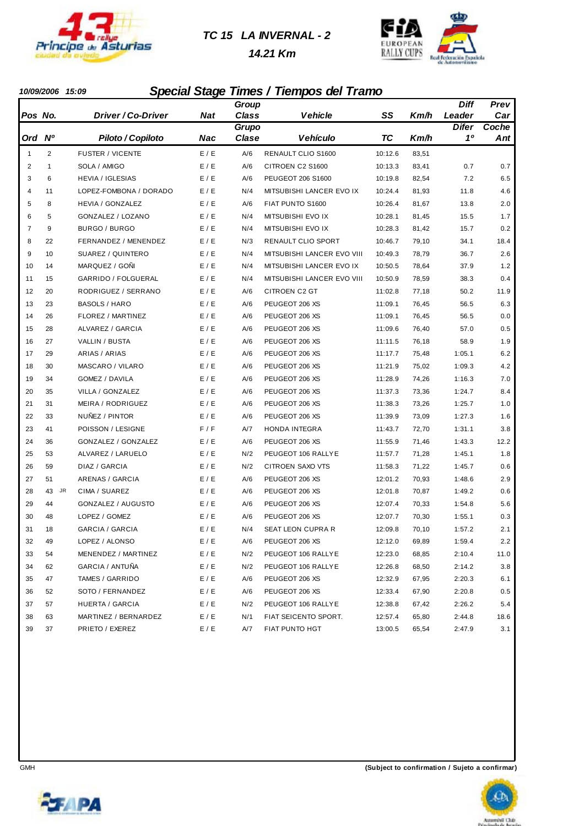

#### *TC 15 LA INVERNAL - 2*

 *14.21 Km*



#### *10/09/2006 15:09 Special Stage Times / Tiempos del Tramo*

|                |                |                         |            | Group        |                            |         |       | <b>Diff</b>  | Prev  |
|----------------|----------------|-------------------------|------------|--------------|----------------------------|---------|-------|--------------|-------|
| Pos No.        |                | Driver / Co-Driver      | <b>Nat</b> | <b>Class</b> | <b>Vehicle</b>             | SS      | Km/h  | Leader       | Car   |
|                |                |                         |            | Grupo        |                            |         |       | <b>Difer</b> | Coche |
| Ord            | <b>N°</b>      | Piloto / Copiloto       | <b>Nac</b> | Clase        | Vehículo                   | TC      | Km/h  | 10           | Ant   |
| $\mathbf{1}$   | $\overline{2}$ | <b>FUSTER / VICENTE</b> | E / E      | A/6          | RENAULT CLIO S1600         | 10:12.6 | 83,51 |              |       |
| $\overline{2}$ | $\mathbf{1}$   | SOLA / AMIGO            | E / E      | A/6          | CITROEN C2 S1600           | 10:13.3 | 83,41 | 0.7          | 0.7   |
| 3              | 6              | <b>HEVIA / IGLESIAS</b> | E / E      | A/6          | PEUGEOT 206 S1600          | 10:19.8 | 82,54 | 7.2          | 6.5   |
| 4              | 11             | LOPEZ-FOMBONA / DORADO  | E / E      | N/4          | MITSUBISHI LANCER EVO IX   | 10:24.4 | 81,93 | 11.8         | 4.6   |
| 5              | 8              | <b>HEVIA / GONZALEZ</b> | E / E      | A/6          | FIAT PUNTO S1600           | 10:26.4 | 81,67 | 13.8         | 2.0   |
| 6              | 5              | GONZALEZ / LOZANO       | E / E      | N/4          | MITSUBISHI EVO IX          | 10:28.1 | 81,45 | 15.5         | 1.7   |
| $\overline{7}$ | 9              | BURGO / BURGO           | E / E      | N/4          | MITSUBISHI EVO IX          | 10:28.3 | 81,42 | 15.7         | 0.2   |
| 8              | 22             | FERNANDEZ / MENENDEZ    | E / E      | N/3          | RENAULT CLIO SPORT         | 10:46.7 | 79,10 | 34.1         | 18.4  |
| 9              | 10             | SUAREZ / QUINTERO       | E / E      | N/4          | MITSUBISHI LANCER EVO VIII | 10:49.3 | 78,79 | 36.7         | 2.6   |
| 10             | 14             | MARQUEZ / GOÑI          | E / E      | N/4          | MITSUBISHI LANCER EVO IX   | 10:50.5 | 78,64 | 37.9         | 1.2   |
| 11             | 15             | GARRIDO / FOLGUERAL     | E / E      | N/4          | MITSUBISHI LANCER EVO VIII | 10:50.9 | 78,59 | 38.3         | 0.4   |
| 12             | 20             | RODRIGUEZ / SERRANO     | E / E      | A/6          | CITROEN C2 GT              | 11:02.8 | 77,18 | 50.2         | 11.9  |
| 13             | 23             | <b>BASOLS / HARO</b>    | E / E      | A/6          | PEUGEOT 206 XS             | 11:09.1 | 76,45 | 56.5         | 6.3   |
| 14             | 26             | FLOREZ / MARTINEZ       | E / E      | A/6          | PEUGEOT 206 XS             | 11:09.1 | 76,45 | 56.5         | 0.0   |
| 15             | 28             | ALVAREZ / GARCIA        | E / E      | A/6          | PEUGEOT 206 XS             | 11:09.6 | 76,40 | 57.0         | 0.5   |
| 16             | 27             | VALLIN / BUSTA          | E / E      | A/6          | PEUGEOT 206 XS             | 11:11.5 | 76,18 | 58.9         | 1.9   |
| 17             | 29             | ARIAS / ARIAS           | E / E      | A/6          | PEUGEOT 206 XS             | 11:17.7 | 75,48 | 1:05.1       | 6.2   |
| 18             | 30             | MASCARO / VILARO        | E / E      | A/6          | PEUGEOT 206 XS             | 11:21.9 | 75,02 | 1:09.3       | 4.2   |
| 19             | 34             | GOMEZ / DAVILA          | E / E      | A/6          | PEUGEOT 206 XS             | 11:28.9 | 74,26 | 1:16.3       | 7.0   |
| 20             | 35             | VILLA / GONZALEZ        | E / E      | A/6          | PEUGEOT 206 XS             | 11:37.3 | 73,36 | 1:24.7       | 8.4   |
| 21             | 31             | MEIRA / RODRIGUEZ       | E / E      | A/6          | PEUGEOT 206 XS             | 11:38.3 | 73,26 | 1:25.7       | 1.0   |
| 22             | 33             | NUÑEZ / PINTOR          | E / E      | A/6          | PEUGEOT 206 XS             | 11:39.9 | 73,09 | 1:27.3       | 1.6   |
| 23             | 41             | POISSON / LESIGNE       | F/F        | A/7          | HONDA INTEGRA              | 11:43.7 | 72,70 | 1:31.1       | 3.8   |
| 24             | 36             | GONZALEZ / GONZALEZ     | E / E      | A/6          | PEUGEOT 206 XS             | 11:55.9 | 71,46 | 1:43.3       | 12.2  |
| 25             | 53             | ALVAREZ / LARUELO       | E / E      | N/2          | PEUGEOT 106 RALLYE         | 11:57.7 | 71,28 | 1:45.1       | 1.8   |
| 26             | 59             | DIAZ / GARCIA           | E / E      | N/2          | <b>CITROEN SAXO VTS</b>    | 11:58.3 | 71,22 | 1:45.7       | 0.6   |
| 27             | 51             | ARENAS / GARCIA         | E / E      | A/6          | PEUGEOT 206 XS             | 12:01.2 | 70,93 | 1:48.6       | 2.9   |
| 28             | JR<br>43       | CIMA / SUAREZ           | E / E      | A/6          | PEUGEOT 206 XS             | 12:01.8 | 70,87 | 1:49.2       | 0.6   |
| 29             | 44             | GONZALEZ / AUGUSTO      | E/E        | A/6          | PEUGEOT 206 XS             | 12:07.4 | 70,33 | 1:54.8       | 5.6   |
| 30             | 48             | LOPEZ / GOMEZ           | E / E      | A/6          | PEUGEOT 206 XS             | 12:07.7 | 70,30 | 1:55.1       | 0.3   |
| 31             | 18             | GARCIA / GARCIA         | E / E      | N/4          | SEAT LEON CUPRA R          | 12:09.8 | 70,10 | 1:57.2       | 2.1   |
| 32             | 49             | LOPEZ / ALONSO          | E / E      | A/6          | PEUGEOT 206 XS             | 12:12.0 | 69,89 | 1:59.4       | 2.2   |
| 33             | 54             | MENENDEZ / MARTINEZ     | E/E        | N/2          | PEUGEOT 106 RALLYE         | 12:23.0 | 68,85 | 2:10.4       | 11.0  |
| 34             | 62             | GARCIA / ANTUÑA         | E / E      | N/2          | PEUGEOT 106 RALLYE         | 12:26.8 | 68,50 | 2:14.2       | 3.8   |
| 35             | 47             | TAMES / GARRIDO         | E/E        | A/6          | PEUGEOT 206 XS             | 12:32.9 | 67,95 | 2:20.3       | 6.1   |
| 36             | 52             | SOTO / FERNANDEZ        | E / E      | A/6          | PEUGEOT 206 XS             | 12:33.4 | 67,90 | 2:20.8       | 0.5   |
| 37             | 57             | HUERTA / GARCIA         | E/E        | N/2          | PEUGEOT 106 RALLYE         | 12:38.8 | 67,42 | 2:26.2       | 5.4   |
| 38             | 63             | MARTINEZ / BERNARDEZ    | E/E        | N/1          | FIAT SEICENTO SPORT.       | 12:57.4 | 65,80 | 2:44.8       | 18.6  |
| 39             | 37             | PRIETO / EXEREZ         | E / E      | A/7          | FIAT PUNTO HGT             | 13:00.5 | 65,54 | 2:47.9       | 3.1   |